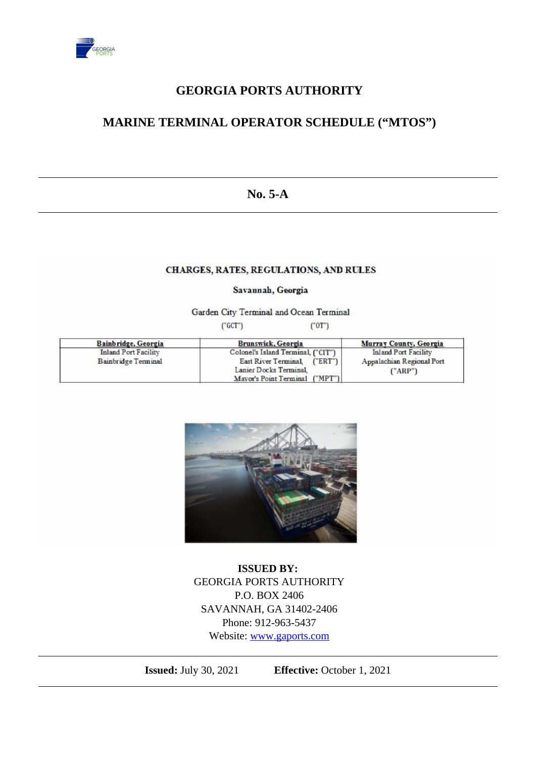

# **GEORGIA PORTS AUTHORITY**

# **MARINE TERMINAL OPERATOR SCHEDULE ("MTOS")**

# **No. 5-A**

#### **CHARGES, RATES, REGULATIONS, AND RULES**

Savannah, Georgia

Garden City Terminal and Ocean Terminal

 $(°0T")$ 

 $(^{\circ}$ GCT<sup> $\circ$ </sup>)

| Bainbridge, Georgia         | Brunswick, Georgia                                    | Murray County, Georgia               |
|-----------------------------|-------------------------------------------------------|--------------------------------------|
| <b>Inland Port Facility</b> | Colonel's Island Terminal, ("CIT")                    | <b>Inland Port Facility</b>          |
| Bainbridge Terminal         | East River Terminal. ("ERT")<br>Lanier Docks Terminal | Appalachian Regional Port<br>("ARP") |
|                             | Mayor's Point Terminal ("MPT")                        |                                      |



**ISSUED BY:** GEORGIA PORTS AUTHORITY P.O. BOX 2406 SAVANNAH, GA 31402-2406 Phone: 912-963-5437 Website: <www.gaports.com>

**Issued:** July 30, 2021 **Effective:** October 1, 2021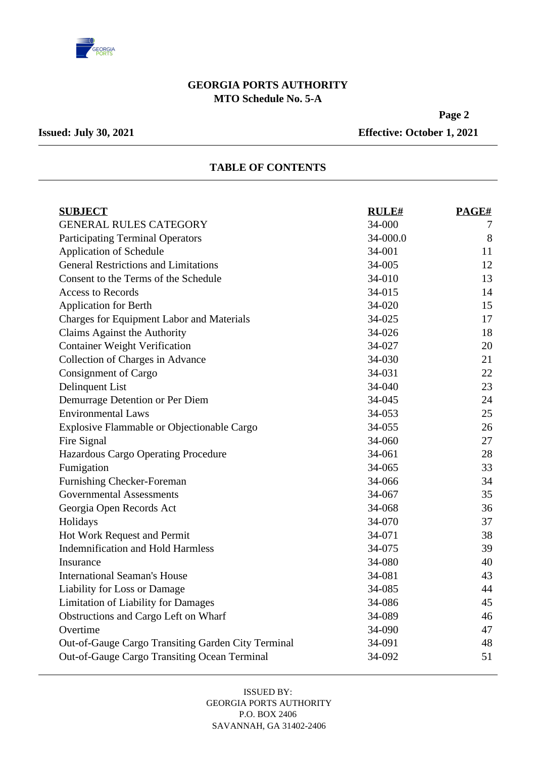

## **GEORGIA PORTS AUTHORITY MTO Schedule No. 5-A**

**Issued: July 30, 2021 Effective: October 1, 2021** 

**Page 2**

#### **TABLE OF CONTENTS**

| <b>SUBJECT</b>                                      | <b>RULE#</b> | PAGE# |
|-----------------------------------------------------|--------------|-------|
| <b>GENERAL RULES CATEGORY</b>                       | 34-000       | 7     |
| <b>Participating Terminal Operators</b>             | 34-000.0     | 8     |
| <b>Application of Schedule</b>                      | 34-001       | 11    |
| <b>General Restrictions and Limitations</b>         | 34-005       | 12    |
| Consent to the Terms of the Schedule                | 34-010       | 13    |
| <b>Access to Records</b>                            | 34-015       | 14    |
| <b>Application for Berth</b>                        | 34-020       | 15    |
| <b>Charges for Equipment Labor and Materials</b>    | 34-025       | 17    |
| Claims Against the Authority                        | 34-026       | 18    |
| <b>Container Weight Verification</b>                | 34-027       | 20    |
| Collection of Charges in Advance                    | 34-030       | 21    |
| Consignment of Cargo                                | 34-031       | 22    |
| <b>Delinquent List</b>                              | 34-040       | 23    |
| Demurrage Detention or Per Diem                     | 34-045       | 24    |
| <b>Environmental Laws</b>                           | 34-053       | 25    |
| Explosive Flammable or Objectionable Cargo          | 34-055       | 26    |
| Fire Signal                                         | 34-060       | 27    |
| Hazardous Cargo Operating Procedure                 | 34-061       | 28    |
| Fumigation                                          | 34-065       | 33    |
| Furnishing Checker-Foreman                          | 34-066       | 34    |
| <b>Governmental Assessments</b>                     | 34-067       | 35    |
| Georgia Open Records Act                            | 34-068       | 36    |
| Holidays                                            | 34-070       | 37    |
| Hot Work Request and Permit                         | 34-071       | 38    |
| <b>Indemnification and Hold Harmless</b>            | 34-075       | 39    |
| Insurance                                           | 34-080       | 40    |
| <b>International Seaman's House</b>                 | 34-081       | 43    |
| Liability for Loss or Damage                        | 34-085       | 44    |
| <b>Limitation of Liability for Damages</b>          | 34-086       | 45    |
| Obstructions and Cargo Left on Wharf                | 34-089       | 46    |
| Overtime                                            | 34-090       | 47    |
| Out-of-Gauge Cargo Transiting Garden City Terminal  | 34-091       | 48    |
| <b>Out-of-Gauge Cargo Transiting Ocean Terminal</b> | 34-092       | 51    |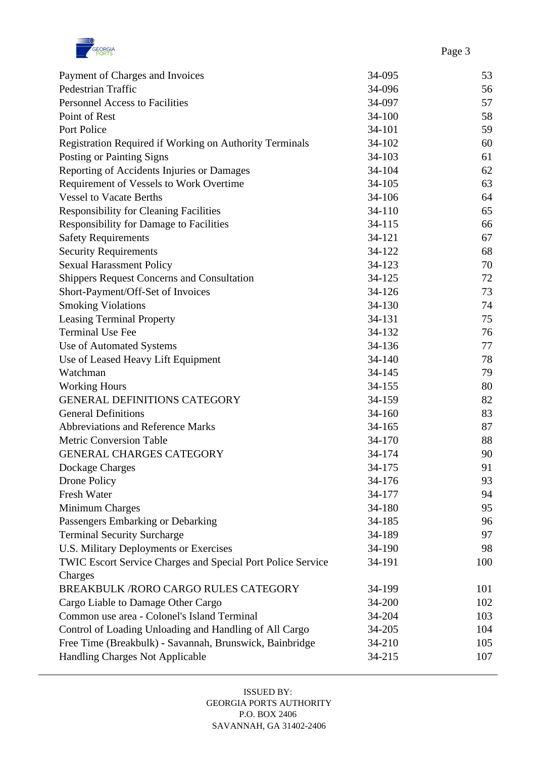

| Payment of Charges and Invoices                                    | 34-095 | 53  |
|--------------------------------------------------------------------|--------|-----|
| Pedestrian Traffic                                                 | 34-096 | 56  |
| <b>Personnel Access to Facilities</b>                              | 34-097 | 57  |
| Point of Rest                                                      | 34-100 | 58  |
| Port Police                                                        | 34-101 | 59  |
| <b>Registration Required if Working on Authority Terminals</b>     | 34-102 | 60  |
| Posting or Painting Signs                                          | 34-103 | 61  |
| Reporting of Accidents Injuries or Damages                         | 34-104 | 62  |
| Requirement of Vessels to Work Overtime                            | 34-105 | 63  |
| <b>Vessel to Vacate Berths</b>                                     | 34-106 | 64  |
| <b>Responsibility for Cleaning Facilities</b>                      | 34-110 | 65  |
| <b>Responsibility for Damage to Facilities</b>                     | 34-115 | 66  |
| <b>Safety Requirements</b>                                         | 34-121 | 67  |
| <b>Security Requirements</b>                                       | 34-122 | 68  |
| <b>Sexual Harassment Policy</b>                                    | 34-123 | 70  |
| <b>Shippers Request Concerns and Consultation</b>                  | 34-125 | 72  |
| Short-Payment/Off-Set of Invoices                                  | 34-126 | 73  |
| <b>Smoking Violations</b>                                          | 34-130 | 74  |
| <b>Leasing Terminal Property</b>                                   | 34-131 | 75  |
| <b>Terminal Use Fee</b>                                            | 34-132 | 76  |
| Use of Automated Systems                                           | 34-136 | 77  |
| Use of Leased Heavy Lift Equipment                                 | 34-140 | 78  |
| Watchman                                                           | 34-145 | 79  |
| <b>Working Hours</b>                                               | 34-155 | 80  |
| <b>GENERAL DEFINITIONS CATEGORY</b>                                | 34-159 | 82  |
| <b>General Definitions</b>                                         | 34-160 | 83  |
| <b>Abbreviations and Reference Marks</b>                           | 34-165 | 87  |
| <b>Metric Conversion Table</b>                                     | 34-170 | 88  |
| <b>GENERAL CHARGES CATEGORY</b>                                    | 34-174 | 90  |
| Dockage Charges                                                    | 34-175 | 91  |
| Drone Policy                                                       | 34-176 | 93  |
| Fresh Water                                                        | 34-177 | 94  |
| Minimum Charges                                                    | 34-180 | 95  |
| Passengers Embarking or Debarking                                  | 34-185 | 96  |
| <b>Terminal Security Surcharge</b>                                 | 34-189 | 97  |
| U.S. Military Deployments or Exercises                             | 34-190 | 98  |
| <b>TWIC Escort Service Charges and Special Port Police Service</b> | 34-191 | 100 |
| Charges                                                            |        |     |
| BREAKBULK /RORO CARGO RULES CATEGORY                               | 34-199 | 101 |
| Cargo Liable to Damage Other Cargo                                 | 34-200 | 102 |
| Common use area - Colonel's Island Terminal                        | 34-204 | 103 |
| Control of Loading Unloading and Handling of All Cargo             | 34-205 | 104 |
| Free Time (Breakbulk) - Savannah, Brunswick, Bainbridge            | 34-210 | 105 |
| Handling Charges Not Applicable                                    | 34-215 | 107 |
|                                                                    |        |     |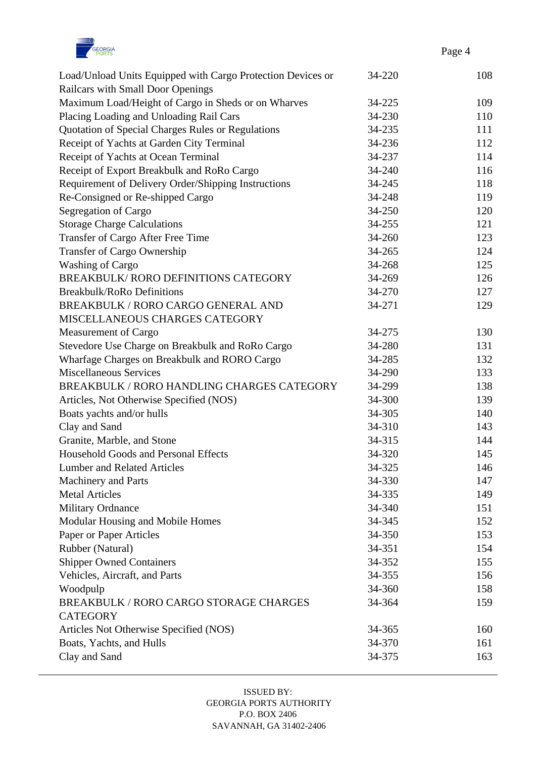

| Load/Unload Units Equipped with Cargo Protection Devices or | 34-220 | 108 |
|-------------------------------------------------------------|--------|-----|
| Railcars with Small Door Openings                           |        |     |
| Maximum Load/Height of Cargo in Sheds or on Wharves         | 34-225 | 109 |
| Placing Loading and Unloading Rail Cars                     | 34-230 | 110 |
| Quotation of Special Charges Rules or Regulations           | 34-235 | 111 |
| Receipt of Yachts at Garden City Terminal                   | 34-236 | 112 |
| Receipt of Yachts at Ocean Terminal                         | 34-237 | 114 |
| Receipt of Export Breakbulk and RoRo Cargo                  | 34-240 | 116 |
| Requirement of Delivery Order/Shipping Instructions         | 34-245 | 118 |
| Re-Consigned or Re-shipped Cargo                            | 34-248 | 119 |
| Segregation of Cargo                                        | 34-250 | 120 |
| <b>Storage Charge Calculations</b>                          | 34-255 | 121 |
| Transfer of Cargo After Free Time                           | 34-260 | 123 |
| <b>Transfer of Cargo Ownership</b>                          | 34-265 | 124 |
| <b>Washing of Cargo</b>                                     | 34-268 | 125 |
| BREAKBULK/RORO DEFINITIONS CATEGORY                         | 34-269 | 126 |
| <b>Breakbulk/RoRo Definitions</b>                           | 34-270 | 127 |
| BREAKBULK / RORO CARGO GENERAL AND                          | 34-271 | 129 |
| MISCELLANEOUS CHARGES CATEGORY                              |        |     |
| Measurement of Cargo                                        | 34-275 | 130 |
| Stevedore Use Charge on Breakbulk and RoRo Cargo            | 34-280 | 131 |
| Wharfage Charges on Breakbulk and RORO Cargo                | 34-285 | 132 |
| <b>Miscellaneous Services</b>                               | 34-290 | 133 |
| <b>BREAKBULK / RORO HANDLING CHARGES CATEGORY</b>           | 34-299 | 138 |
| Articles, Not Otherwise Specified (NOS)                     | 34-300 | 139 |
| Boats yachts and/or hulls                                   | 34-305 | 140 |
| Clay and Sand                                               | 34-310 | 143 |
| Granite, Marble, and Stone                                  | 34-315 | 144 |
| Household Goods and Personal Effects                        | 34-320 | 145 |
| <b>Lumber and Related Articles</b>                          | 34-325 | 146 |
| <b>Machinery and Parts</b>                                  | 34-330 | 147 |
| <b>Metal Articles</b>                                       | 34-335 | 149 |
| Military Ordnance                                           | 34-340 | 151 |
| Modular Housing and Mobile Homes                            | 34-345 | 152 |
| Paper or Paper Articles                                     | 34-350 | 153 |
| Rubber (Natural)                                            | 34-351 | 154 |
| <b>Shipper Owned Containers</b>                             | 34-352 | 155 |
| Vehicles, Aircraft, and Parts                               | 34-355 | 156 |
| Woodpulp                                                    | 34-360 | 158 |
| BREAKBULK / RORO CARGO STORAGE CHARGES                      | 34-364 | 159 |
| <b>CATEGORY</b>                                             |        |     |
| Articles Not Otherwise Specified (NOS)                      | 34-365 | 160 |
| Boats, Yachts, and Hulls                                    | 34-370 | 161 |
| Clay and Sand                                               | 34-375 | 163 |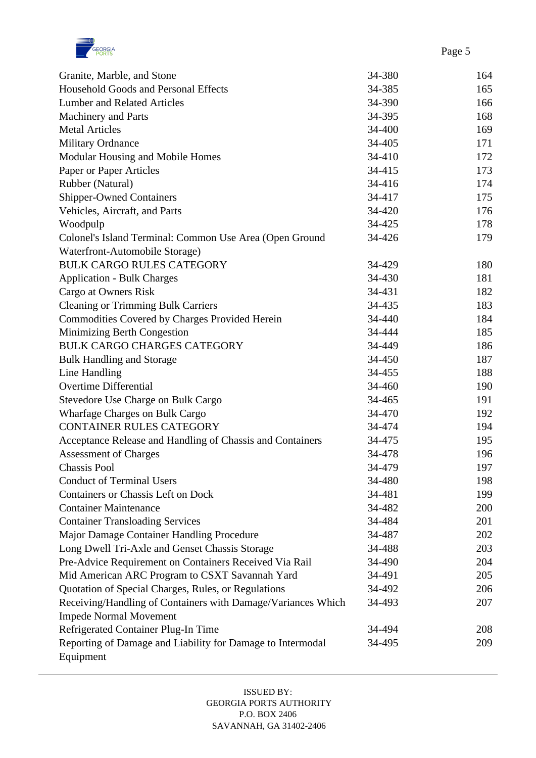

| Granite, Marble, and Stone                                   | 34-380 | 164 |
|--------------------------------------------------------------|--------|-----|
| Household Goods and Personal Effects                         | 34-385 | 165 |
| <b>Lumber and Related Articles</b>                           | 34-390 | 166 |
| <b>Machinery and Parts</b>                                   | 34-395 | 168 |
| <b>Metal Articles</b>                                        | 34-400 | 169 |
| Military Ordnance                                            | 34-405 | 171 |
| Modular Housing and Mobile Homes                             | 34-410 | 172 |
| Paper or Paper Articles                                      | 34-415 | 173 |
| Rubber (Natural)                                             | 34-416 | 174 |
| <b>Shipper-Owned Containers</b>                              | 34-417 | 175 |
| Vehicles, Aircraft, and Parts                                | 34-420 | 176 |
| Woodpulp                                                     | 34-425 | 178 |
| Colonel's Island Terminal: Common Use Area (Open Ground      | 34-426 | 179 |
| Waterfront-Automobile Storage)                               |        |     |
| <b>BULK CARGO RULES CATEGORY</b>                             | 34-429 | 180 |
| <b>Application - Bulk Charges</b>                            | 34-430 | 181 |
| Cargo at Owners Risk                                         | 34-431 | 182 |
| <b>Cleaning or Trimming Bulk Carriers</b>                    | 34-435 | 183 |
| Commodities Covered by Charges Provided Herein               | 34-440 | 184 |
| Minimizing Berth Congestion                                  | 34-444 | 185 |
| <b>BULK CARGO CHARGES CATEGORY</b>                           | 34-449 | 186 |
| <b>Bulk Handling and Storage</b>                             | 34-450 | 187 |
| Line Handling                                                | 34-455 | 188 |
| <b>Overtime Differential</b>                                 | 34-460 | 190 |
| Stevedore Use Charge on Bulk Cargo                           | 34-465 | 191 |
| Wharfage Charges on Bulk Cargo                               | 34-470 | 192 |
| <b>CONTAINER RULES CATEGORY</b>                              | 34-474 | 194 |
| Acceptance Release and Handling of Chassis and Containers    | 34-475 | 195 |
| <b>Assessment of Charges</b>                                 | 34-478 | 196 |
| Chassis Pool                                                 | 34-479 | 197 |
| <b>Conduct of Terminal Users</b>                             | 34-480 | 198 |
| <b>Containers or Chassis Left on Dock</b>                    | 34-481 | 199 |
| <b>Container Maintenance</b>                                 | 34-482 | 200 |
| <b>Container Transloading Services</b>                       | 34-484 | 201 |
| Major Damage Container Handling Procedure                    | 34-487 | 202 |
| Long Dwell Tri-Axle and Genset Chassis Storage               | 34-488 | 203 |
| Pre-Advice Requirement on Containers Received Via Rail       | 34-490 | 204 |
| Mid American ARC Program to CSXT Savannah Yard               | 34-491 | 205 |
| Quotation of Special Charges, Rules, or Regulations          | 34-492 | 206 |
| Receiving/Handling of Containers with Damage/Variances Which | 34-493 | 207 |
| <b>Impede Normal Movement</b>                                |        |     |
| Refrigerated Container Plug-In Time                          | 34-494 | 208 |
| Reporting of Damage and Liability for Damage to Intermodal   | 34-495 | 209 |
| Equipment                                                    |        |     |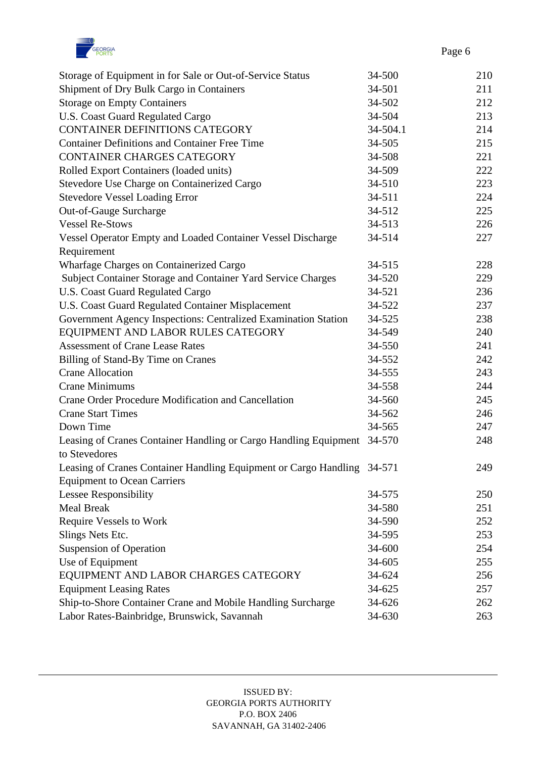

| Storage of Equipment in for Sale or Out-of-Service Status               | 34-500   | 210 |
|-------------------------------------------------------------------------|----------|-----|
| Shipment of Dry Bulk Cargo in Containers                                | 34-501   | 211 |
| <b>Storage on Empty Containers</b>                                      | 34-502   | 212 |
| <b>U.S. Coast Guard Regulated Cargo</b>                                 | 34-504   | 213 |
| CONTAINER DEFINITIONS CATEGORY                                          | 34-504.1 | 214 |
| <b>Container Definitions and Container Free Time</b>                    | 34-505   | 215 |
| <b>CONTAINER CHARGES CATEGORY</b>                                       | 34-508   | 221 |
| Rolled Export Containers (loaded units)                                 | 34-509   | 222 |
| Stevedore Use Charge on Containerized Cargo                             | 34-510   | 223 |
| <b>Stevedore Vessel Loading Error</b>                                   | 34-511   | 224 |
| Out-of-Gauge Surcharge                                                  | 34-512   | 225 |
| <b>Vessel Re-Stows</b>                                                  | 34-513   | 226 |
| Vessel Operator Empty and Loaded Container Vessel Discharge             | 34-514   | 227 |
| Requirement                                                             |          |     |
| Wharfage Charges on Containerized Cargo                                 | 34-515   | 228 |
| Subject Container Storage and Container Yard Service Charges            | 34-520   | 229 |
| U.S. Coast Guard Regulated Cargo                                        | 34-521   | 236 |
| U.S. Coast Guard Regulated Container Misplacement                       | 34-522   | 237 |
| Government Agency Inspections: Centralized Examination Station          | 34-525   | 238 |
| EQUIPMENT AND LABOR RULES CATEGORY                                      | 34-549   | 240 |
| <b>Assessment of Crane Lease Rates</b>                                  | 34-550   | 241 |
| Billing of Stand-By Time on Cranes                                      | 34-552   | 242 |
| <b>Crane Allocation</b>                                                 | 34-555   | 243 |
| <b>Crane Minimums</b>                                                   | 34-558   | 244 |
| Crane Order Procedure Modification and Cancellation                     | 34-560   | 245 |
| <b>Crane Start Times</b>                                                | 34-562   | 246 |
| Down Time                                                               | 34-565   | 247 |
| Leasing of Cranes Container Handling or Cargo Handling Equipment        | 34-570   | 248 |
| to Stevedores                                                           |          |     |
| Leasing of Cranes Container Handling Equipment or Cargo Handling 34-571 |          | 249 |
| <b>Equipment to Ocean Carriers</b>                                      |          |     |
| Lessee Responsibility                                                   | 34-575   | 250 |
| <b>Meal Break</b>                                                       | 34-580   | 251 |
| <b>Require Vessels to Work</b>                                          | 34-590   | 252 |
| Slings Nets Etc.                                                        | 34-595   | 253 |
| <b>Suspension of Operation</b>                                          | 34-600   | 254 |
| Use of Equipment                                                        | 34-605   | 255 |
| EQUIPMENT AND LABOR CHARGES CATEGORY                                    | 34-624   | 256 |
| <b>Equipment Leasing Rates</b>                                          | 34-625   | 257 |
| Ship-to-Shore Container Crane and Mobile Handling Surcharge             | 34-626   | 262 |
| Labor Rates-Bainbridge, Brunswick, Savannah                             | 34-630   | 263 |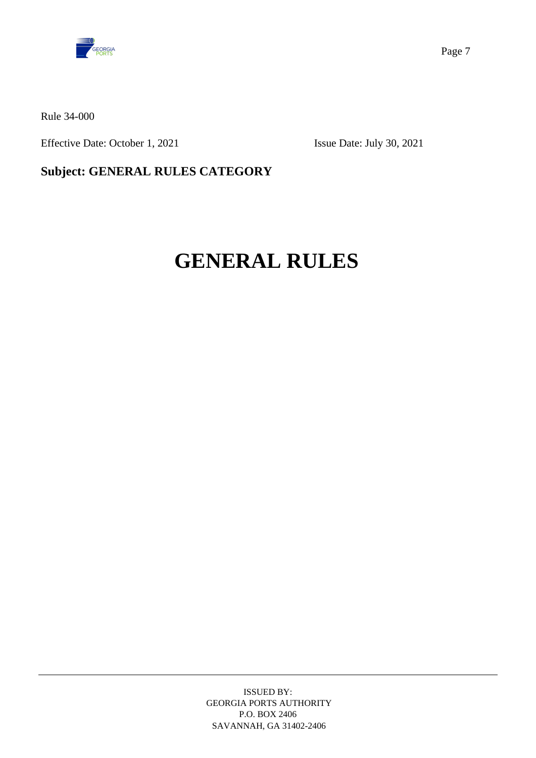

Effective Date: October 1, 2021 Issue Date: July 30, 2021

**Subject: GENERAL RULES CATEGORY**

# **GENERAL RULES**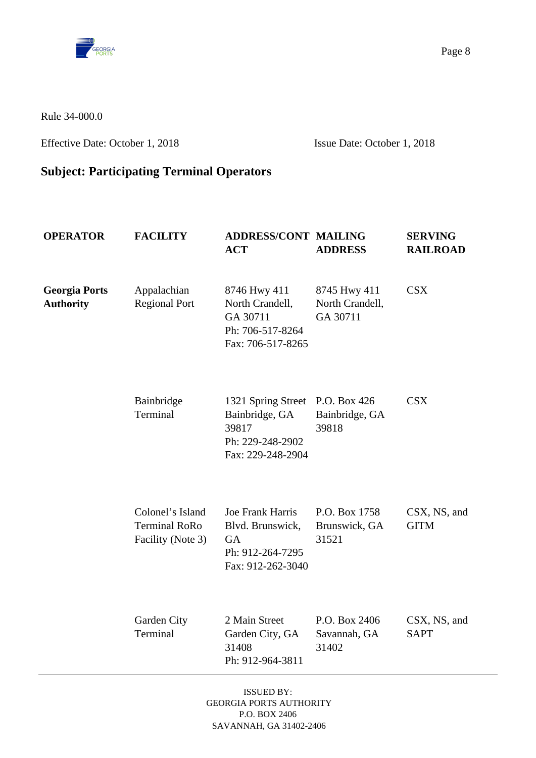

Rule 34-000.0

Effective Date: October 1, 2018 Issue Date: October 1, 2018

# **Subject: Participating Terminal Operators**

| <b>OPERATOR</b>                          | <b>FACILITY</b>                                               | <b>ADDRESS/CONT MAILING</b><br><b>ACT</b>                                                         | <b>ADDRESS</b>                              | <b>SERVING</b><br><b>RAILROAD</b> |
|------------------------------------------|---------------------------------------------------------------|---------------------------------------------------------------------------------------------------|---------------------------------------------|-----------------------------------|
| <b>Georgia Ports</b><br><b>Authority</b> | Appalachian<br><b>Regional Port</b>                           | 8746 Hwy 411<br>North Crandell,<br>GA 30711<br>Ph: 706-517-8264<br>Fax: 706-517-8265              | 8745 Hwy 411<br>North Crandell,<br>GA 30711 | <b>CSX</b>                        |
|                                          | Bainbridge<br>Terminal                                        | 1321 Spring Street<br>Bainbridge, GA<br>39817<br>Ph: 229-248-2902<br>Fax: 229-248-2904            | P.O. Box 426<br>Bainbridge, GA<br>39818     | <b>CSX</b>                        |
|                                          | Colonel's Island<br><b>Terminal RoRo</b><br>Facility (Note 3) | <b>Joe Frank Harris</b><br>Blvd. Brunswick,<br><b>GA</b><br>Ph: 912-264-7295<br>Fax: 912-262-3040 | P.O. Box 1758<br>Brunswick, GA<br>31521     | CSX, NS, and<br><b>GITM</b>       |
|                                          | Garden City<br>Terminal                                       | 2 Main Street<br>Garden City, GA<br>31408<br>Ph: 912-964-3811                                     | P.O. Box 2406<br>Savannah, GA<br>31402      | CSX, NS, and<br><b>SAPT</b>       |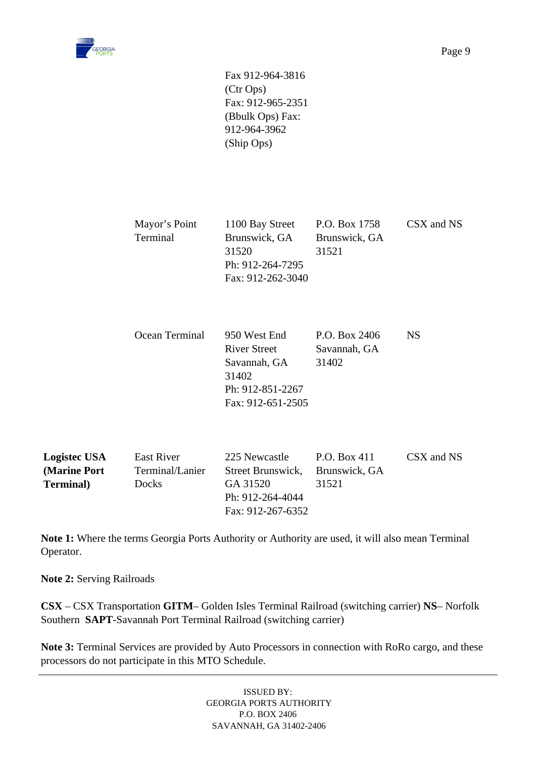

Fax 912-964-3816 (Ctr Ops) Fax: 912-965-2351 (Bbulk Ops) Fax: 912-964-3962 (Ship Ops)

| Mayor's Point | 1100 Bay Street   | P.O. Box 1758 | CSX and NS |
|---------------|-------------------|---------------|------------|
| Terminal      | Brunswick, GA     | Brunswick, GA |            |
|               | 31520             | 31521         |            |
|               | Ph: 912-264-7295  |               |            |
|               | Fax: 912-262-3040 |               |            |

| Ocean Terminal | 950 West End        | P.O. Box 2406 | <b>NS</b> |
|----------------|---------------------|---------------|-----------|
|                | <b>River Street</b> | Savannah, GA  |           |
|                | Savannah, GA        | 31402         |           |
|                | 31402               |               |           |
|                | Ph: 912-851-2267    |               |           |
|                | Fax: 912-651-2505   |               |           |

| <b>Logistec USA</b> | East River      | 225 Newcastle                   | P.O. Box 411 | CSX and NS |
|---------------------|-----------------|---------------------------------|--------------|------------|
| (Marine Port)       | Terminal/Lanier | Street Brunswick, Brunswick, GA |              |            |
| <b>Terminal</b> )   | Docks           | GA 31520                        | 31521        |            |
|                     |                 | Ph: 912-264-4044                |              |            |
|                     |                 | Fax: 912-267-6352               |              |            |

**Note 1:** Where the terms Georgia Ports Authority or Authority are used, it will also mean Terminal Operator.

**Note 2:** Serving Railroads

**CSX** – CSX Transportation **GITM**– Golden Isles Terminal Railroad (switching carrier) **NS**– Norfolk Southern **SAPT**-Savannah Port Terminal Railroad (switching carrier)

**Note 3:** Terminal Services are provided by Auto Processors in connection with RoRo cargo, and these processors do not participate in this MTO Schedule.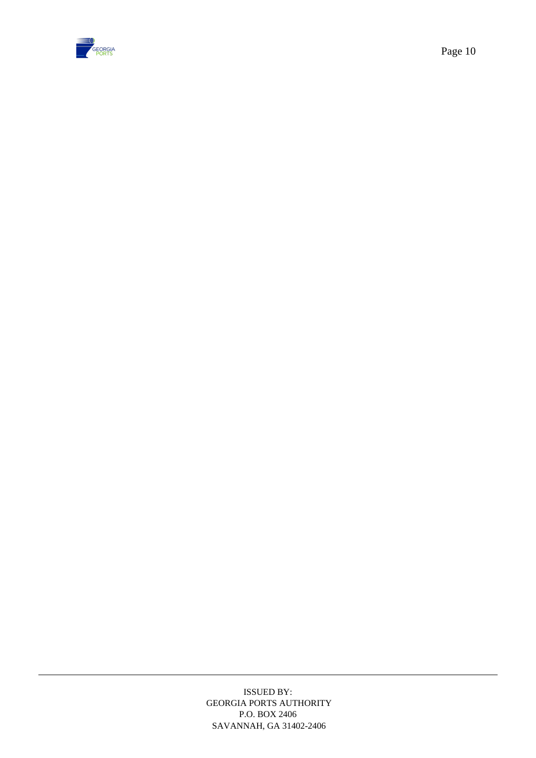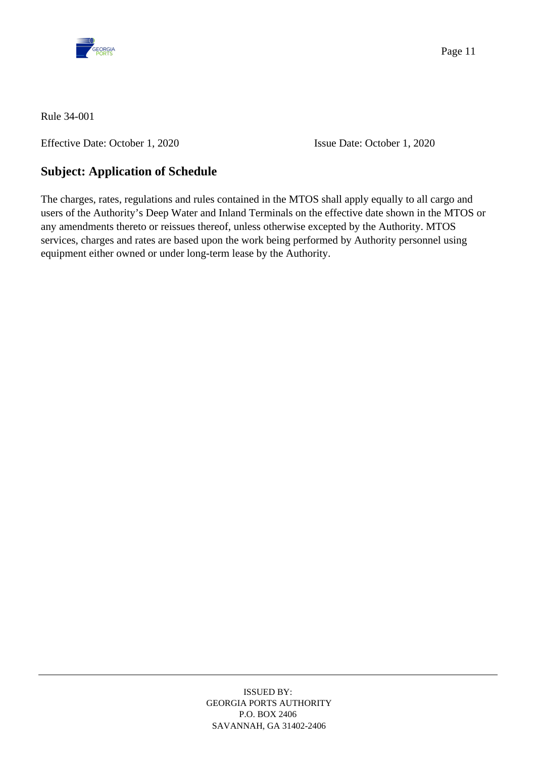

Effective Date: October 1, 2020 Issue Date: October 1, 2020

# **Subject: Application of Schedule**

The charges, rates, regulations and rules contained in the MTOS shall apply equally to all cargo and users of the Authority's Deep Water and Inland Terminals on the effective date shown in the MTOS or any amendments thereto or reissues thereof, unless otherwise excepted by the Authority. MTOS services, charges and rates are based upon the work being performed by Authority personnel using equipment either owned or under long-term lease by the Authority.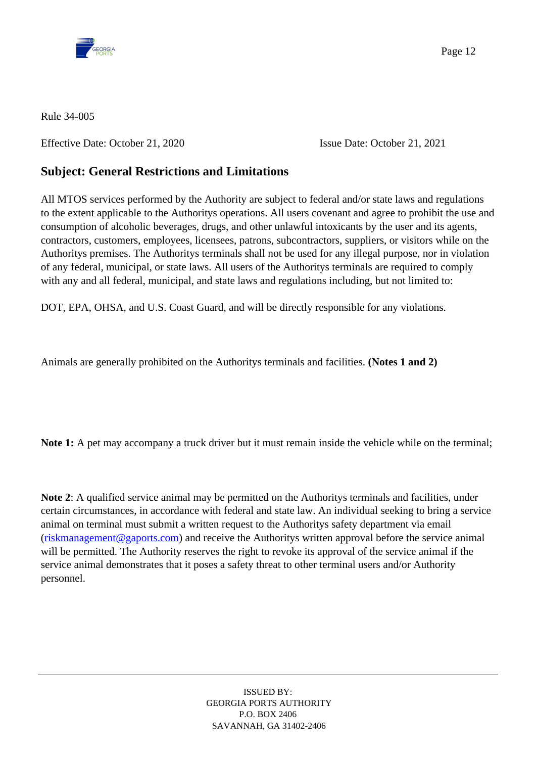

Effective Date: October 21, 2020 Issue Date: October 21, 2021

# **Subject: General Restrictions and Limitations**

All MTOS services performed by the Authority are subject to federal and/or state laws and regulations to the extent applicable to the Authoritys operations. All users covenant and agree to prohibit the use and consumption of alcoholic beverages, drugs, and other unlawful intoxicants by the user and its agents, contractors, customers, employees, licensees, patrons, subcontractors, suppliers, or visitors while on the Authoritys premises. The Authoritys terminals shall not be used for any illegal purpose, nor in violation of any federal, municipal, or state laws. All users of the Authoritys terminals are required to comply with any and all federal, municipal, and state laws and regulations including, but not limited to:

DOT, EPA, OHSA, and U.S. Coast Guard, and will be directly responsible for any violations.

Animals are generally prohibited on the Authoritys terminals and facilities. **(Notes 1 and 2)**

**Note 1:** A pet may accompany a truck driver but it must remain inside the vehicle while on the terminal;

**Note 2**: A qualified service animal may be permitted on the Authoritys terminals and facilities, under certain circumstances, in accordance with federal and state law. An individual seeking to bring a service animal on terminal must submit a written request to the Authoritys safety department via email  $(riskmanagement@gaports.com)$  and receive the Authoritys written approval before the service animal will be permitted. The Authority reserves the right to revoke its approval of the service animal if the service animal demonstrates that it poses a safety threat to other terminal users and/or Authority personnel.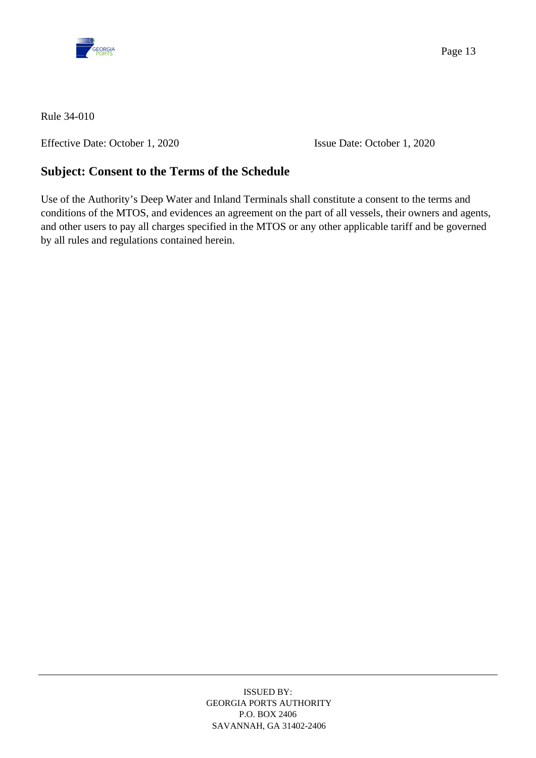

Effective Date: October 1, 2020 Issue Date: October 1, 2020

# **Subject: Consent to the Terms of the Schedule**

Use of the Authority's Deep Water and Inland Terminals shall constitute a consent to the terms and conditions of the MTOS, and evidences an agreement on the part of all vessels, their owners and agents, and other users to pay all charges specified in the MTOS or any other applicable tariff and be governed by all rules and regulations contained herein.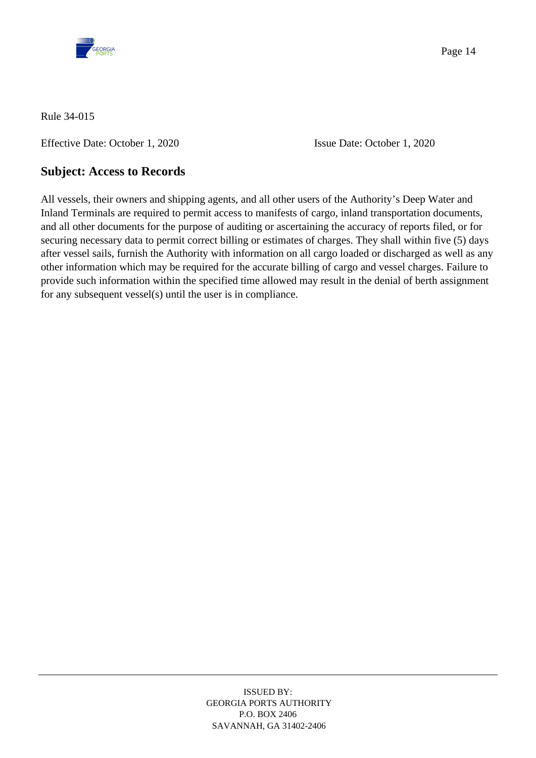

Effective Date: October 1, 2020 Issue Date: October 1, 2020

## **Subject: Access to Records**

All vessels, their owners and shipping agents, and all other users of the Authority's Deep Water and Inland Terminals are required to permit access to manifests of cargo, inland transportation documents, and all other documents for the purpose of auditing or ascertaining the accuracy of reports filed, or for securing necessary data to permit correct billing or estimates of charges. They shall within five (5) days after vessel sails, furnish the Authority with information on all cargo loaded or discharged as well as any other information which may be required for the accurate billing of cargo and vessel charges. Failure to provide such information within the specified time allowed may result in the denial of berth assignment for any subsequent vessel(s) until the user is in compliance.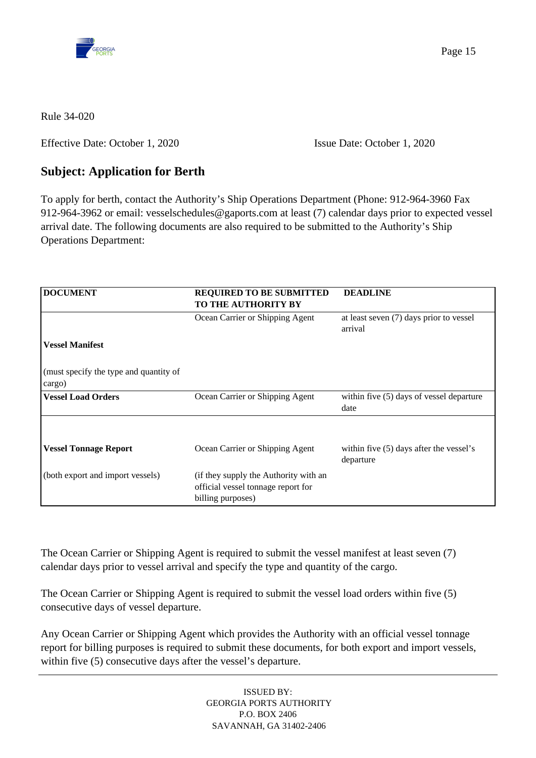

Effective Date: October 1, 2020 Issue Date: October 1, 2020

# **Subject: Application for Berth**

To apply for berth, contact the Authority's Ship Operations Department (Phone: 912-964-3960 Fax 912-964-3962 or email: vesselschedules@gaports.com at least (7) calendar days prior to expected vessel arrival date. The following documents are also required to be submitted to the Authority's Ship Operations Department:

| <b>DOCUMENT</b>                                  | <b>REQUIRED TO BE SUBMITTED</b><br><b>TO THE AUTHORITY BY</b>                                    | <b>DEADLINE</b>                                        |
|--------------------------------------------------|--------------------------------------------------------------------------------------------------|--------------------------------------------------------|
|                                                  | Ocean Carrier or Shipping Agent                                                                  | at least seven (7) days prior to vessel<br>arrival     |
| <b>Vessel Manifest</b>                           |                                                                                                  |                                                        |
| (must specify the type and quantity of<br>cargo) |                                                                                                  |                                                        |
| <b>Vessel Load Orders</b>                        | Ocean Carrier or Shipping Agent                                                                  | within five $(5)$ days of vessel departure<br>date     |
|                                                  |                                                                                                  |                                                        |
| <b>Vessel Tonnage Report</b>                     | Ocean Carrier or Shipping Agent                                                                  | within five $(5)$ days after the vessel's<br>departure |
| (both export and import vessels)                 | (if they supply the Authority with an<br>official vessel tonnage report for<br>billing purposes) |                                                        |

The Ocean Carrier or Shipping Agent is required to submit the vessel manifest at least seven (7) calendar days prior to vessel arrival and specify the type and quantity of the cargo.

The Ocean Carrier or Shipping Agent is required to submit the vessel load orders within five (5) consecutive days of vessel departure.

Any Ocean Carrier or Shipping Agent which provides the Authority with an official vessel tonnage report for billing purposes is required to submit these documents, for both export and import vessels, within five (5) consecutive days after the vessel's departure.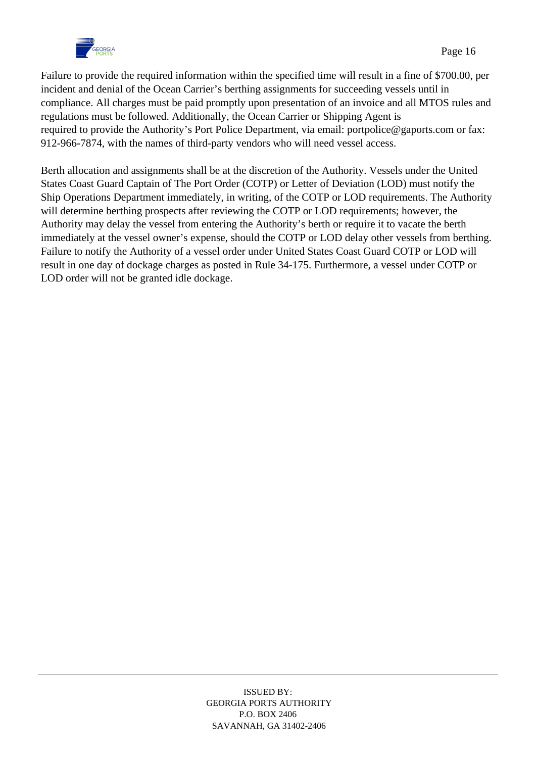

Failure to provide the required information within the specified time will result in a fine of \$700.00, per incident and denial of the Ocean Carrier's berthing assignments for succeeding vessels until in compliance. All charges must be paid promptly upon presentation of an invoice and all MTOS rules and regulations must be followed. Additionally, the Ocean Carrier or Shipping Agent is required to provide the Authority's Port Police Department, via email: portpolice@gaports.com or fax: 912-966-7874, with the names of third-party vendors who will need vessel access.

Berth allocation and assignments shall be at the discretion of the Authority. Vessels under the United States Coast Guard Captain of The Port Order (COTP) or Letter of Deviation (LOD) must notify the Ship Operations Department immediately, in writing, of the COTP or LOD requirements. The Authority will determine berthing prospects after reviewing the COTP or LOD requirements; however, the Authority may delay the vessel from entering the Authority's berth or require it to vacate the berth immediately at the vessel owner's expense, should the COTP or LOD delay other vessels from berthing. Failure to notify the Authority of a vessel order under United States Coast Guard COTP or LOD will result in one day of dockage charges as posted in Rule 34-175. Furthermore, a vessel under COTP or LOD order will not be granted idle dockage.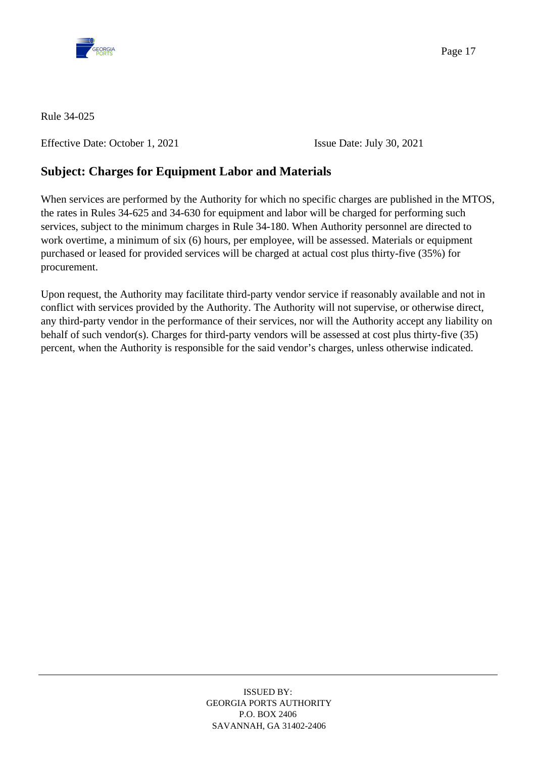

Effective Date: October 1, 2021 Issue Date: July 30, 2021

# **Subject: Charges for Equipment Labor and Materials**

When services are performed by the Authority for which no specific charges are published in the MTOS, the rates in Rules 34-625 and 34-630 for equipment and labor will be charged for performing such services, subject to the minimum charges in Rule 34-180. When Authority personnel are directed to work overtime, a minimum of six (6) hours, per employee, will be assessed. Materials or equipment purchased or leased for provided services will be charged at actual cost plus thirty-five (35%) for procurement.

Upon request, the Authority may facilitate third-party vendor service if reasonably available and not in conflict with services provided by the Authority. The Authority will not supervise, or otherwise direct, any third-party vendor in the performance of their services, nor will the Authority accept any liability on behalf of such vendor(s). Charges for third-party vendors will be assessed at cost plus thirty-five (35) percent, when the Authority is responsible for the said vendor's charges, unless otherwise indicated.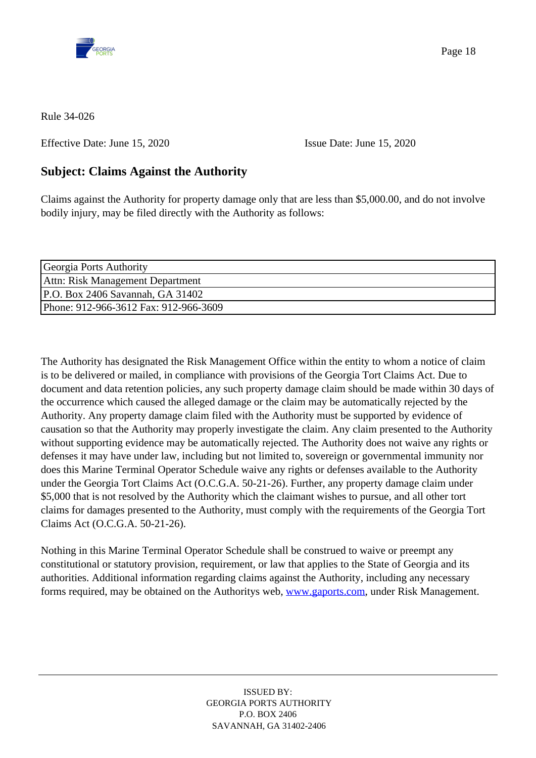

Effective Date: June 15, 2020 Issue Date: June 15, 2020

## **Subject: Claims Against the Authority**

Claims against the Authority for property damage only that are less than \$5,000.00, and do not involve bodily injury, may be filed directly with the Authority as follows:

| Georgia Ports Authority                 |
|-----------------------------------------|
| <b>Attn: Risk Management Department</b> |
| P.O. Box 2406 Savannah, GA 31402        |
| Phone: 912-966-3612 Fax: 912-966-3609   |

The Authority has designated the Risk Management Office within the entity to whom a notice of claim is to be delivered or mailed, in compliance with provisions of the Georgia Tort Claims Act. Due to document and data retention policies, any such property damage claim should be made within 30 days of the occurrence which caused the alleged damage or the claim may be automatically rejected by the Authority. Any property damage claim filed with the Authority must be supported by evidence of causation so that the Authority may properly investigate the claim. Any claim presented to the Authority without supporting evidence may be automatically rejected. The Authority does not waive any rights or defenses it may have under law, including but not limited to, sovereign or governmental immunity nor does this Marine Terminal Operator Schedule waive any rights or defenses available to the Authority under the Georgia Tort Claims Act (O.C.G.A. 50-21-26). Further, any property damage claim under \$5,000 that is not resolved by the Authority which the claimant wishes to pursue, and all other tort claims for damages presented to the Authority, must comply with the requirements of the Georgia Tort Claims Act (O.C.G.A. 50-21-26).

Nothing in this Marine Terminal Operator Schedule shall be construed to waive or preempt any constitutional or statutory provision, requirement, or law that applies to the State of Georgia and its authorities. Additional information regarding claims against the Authority, including any necessary forms required, may be obtained on the Authoritys web, [www.gaports.com,](https://www.gaports.com) under Risk Management.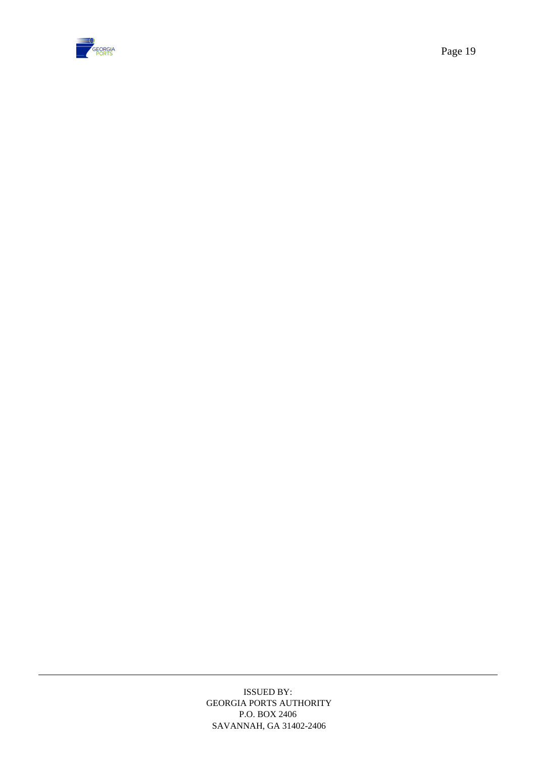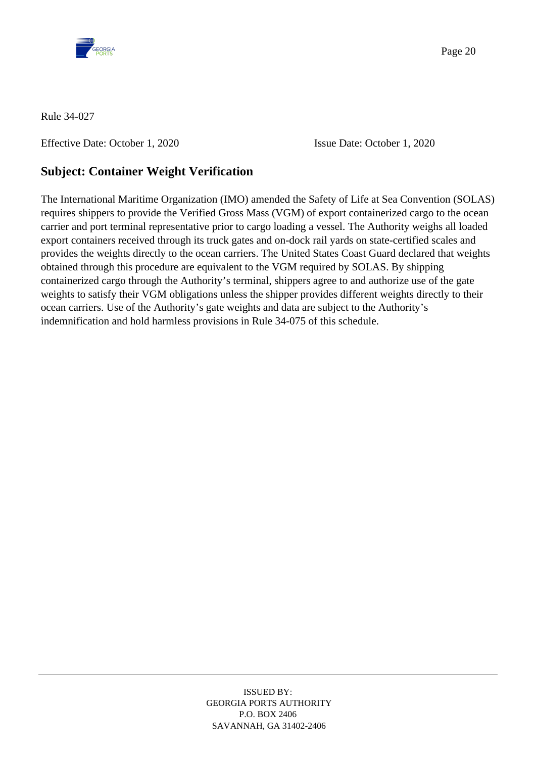

Effective Date: October 1, 2020 Issue Date: October 1, 2020

# **Subject: Container Weight Verification**

The International Maritime Organization (IMO) amended the Safety of Life at Sea Convention (SOLAS) requires shippers to provide the Verified Gross Mass (VGM) of export containerized cargo to the ocean carrier and port terminal representative prior to cargo loading a vessel. The Authority weighs all loaded export containers received through its truck gates and on-dock rail yards on state-certified scales and provides the weights directly to the ocean carriers. The United States Coast Guard declared that weights obtained through this procedure are equivalent to the VGM required by SOLAS. By shipping containerized cargo through the Authority's terminal, shippers agree to and authorize use of the gate weights to satisfy their VGM obligations unless the shipper provides different weights directly to their ocean carriers. Use of the Authority's gate weights and data are subject to the Authority's indemnification and hold harmless provisions in Rule 34-075 of this schedule.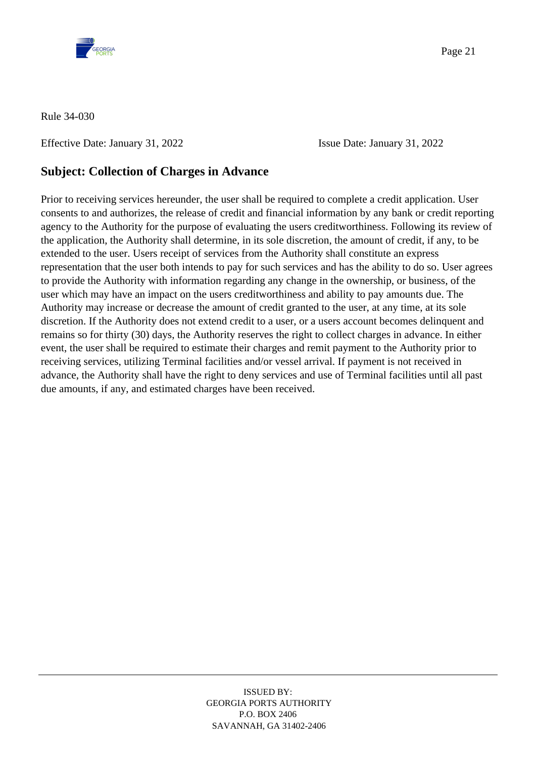

Effective Date: January 31, 2022 Issue Date: January 31, 2022

## **Subject: Collection of Charges in Advance**

Prior to receiving services hereunder, the user shall be required to complete a credit application. User consents to and authorizes, the release of credit and financial information by any bank or credit reporting agency to the Authority for the purpose of evaluating the users creditworthiness. Following its review of the application, the Authority shall determine, in its sole discretion, the amount of credit, if any, to be extended to the user. Users receipt of services from the Authority shall constitute an express representation that the user both intends to pay for such services and has the ability to do so. User agrees to provide the Authority with information regarding any change in the ownership, or business, of the user which may have an impact on the users creditworthiness and ability to pay amounts due. The Authority may increase or decrease the amount of credit granted to the user, at any time, at its sole discretion. If the Authority does not extend credit to a user, or a users account becomes delinquent and remains so for thirty (30) days, the Authority reserves the right to collect charges in advance. In either event, the user shall be required to estimate their charges and remit payment to the Authority prior to receiving services, utilizing Terminal facilities and/or vessel arrival. If payment is not received in advance, the Authority shall have the right to deny services and use of Terminal facilities until all past due amounts, if any, and estimated charges have been received.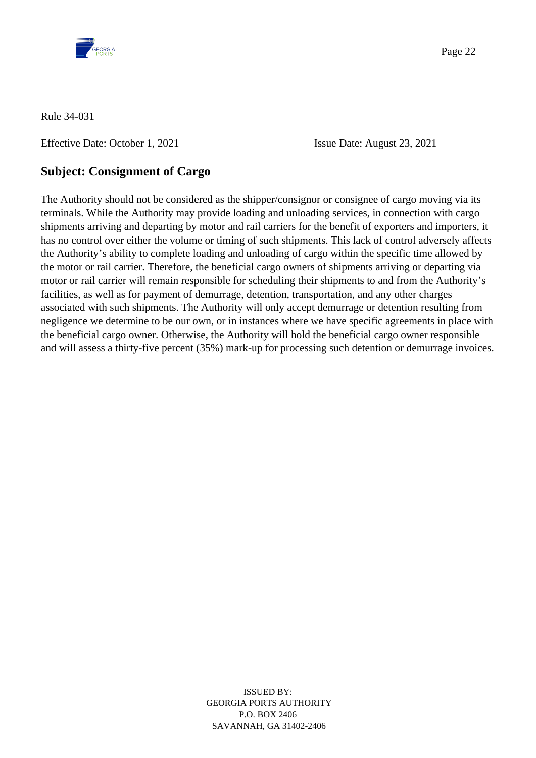

Effective Date: October 1, 2021 Issue Date: August 23, 2021

## **Subject: Consignment of Cargo**

The Authority should not be considered as the shipper/consignor or consignee of cargo moving via its terminals. While the Authority may provide loading and unloading services, in connection with cargo shipments arriving and departing by motor and rail carriers for the benefit of exporters and importers, it has no control over either the volume or timing of such shipments. This lack of control adversely affects the Authority's ability to complete loading and unloading of cargo within the specific time allowed by the motor or rail carrier. Therefore, the beneficial cargo owners of shipments arriving or departing via motor or rail carrier will remain responsible for scheduling their shipments to and from the Authority's facilities, as well as for payment of demurrage, detention, transportation, and any other charges associated with such shipments. The Authority will only accept demurrage or detention resulting from negligence we determine to be our own, or in instances where we have specific agreements in place with the beneficial cargo owner. Otherwise, the Authority will hold the beneficial cargo owner responsible and will assess a thirty-five percent (35%) mark-up for processing such detention or demurrage invoices.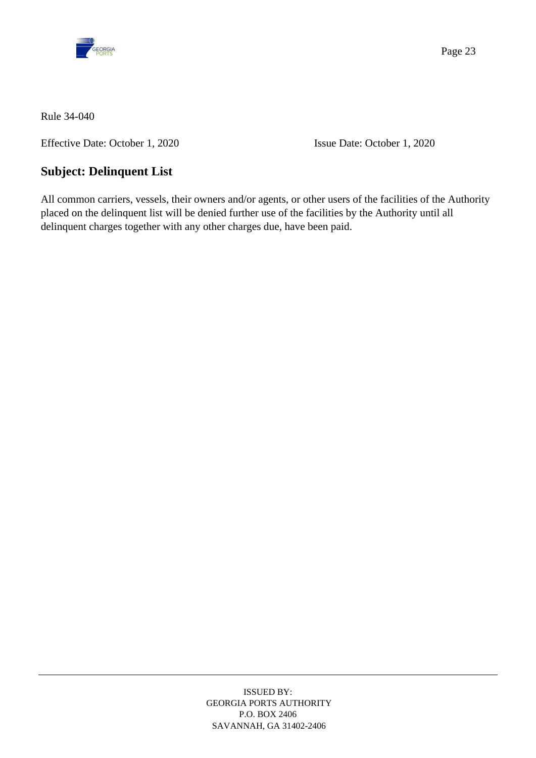

Effective Date: October 1, 2020 Issue Date: October 1, 2020

# **Subject: Delinquent List**

All common carriers, vessels, their owners and/or agents, or other users of the facilities of the Authority placed on the delinquent list will be denied further use of the facilities by the Authority until all delinquent charges together with any other charges due, have been paid.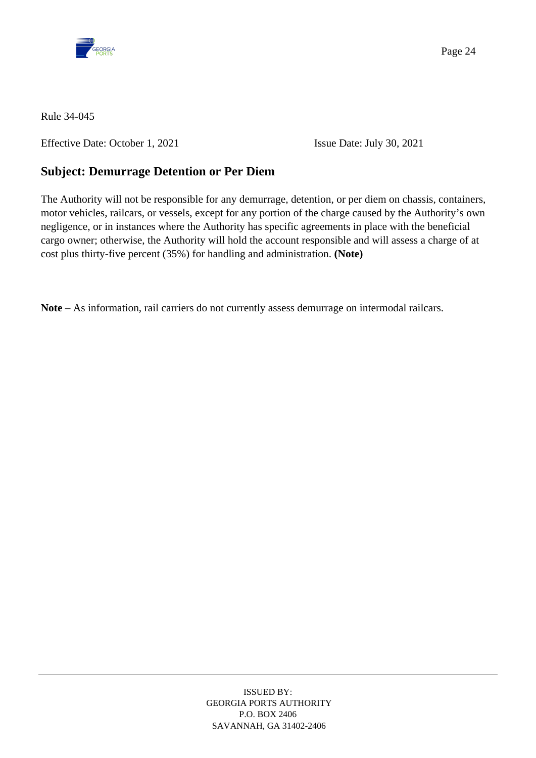

Effective Date: October 1, 2021 Issue Date: July 30, 2021

## **Subject: Demurrage Detention or Per Diem**

The Authority will not be responsible for any demurrage, detention, or per diem on chassis, containers, motor vehicles, railcars, or vessels, except for any portion of the charge caused by the Authority's own negligence, or in instances where the Authority has specific agreements in place with the beneficial cargo owner; otherwise, the Authority will hold the account responsible and will assess a charge of at cost plus thirty-five percent (35%) for handling and administration. **(Note)**

**Note –** As information, rail carriers do not currently assess demurrage on intermodal railcars.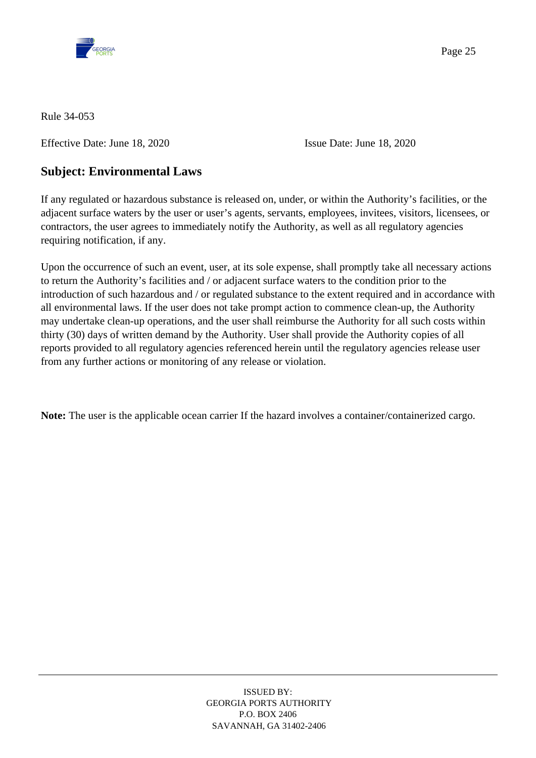

Effective Date: June 18, 2020 Issue Date: June 18, 2020

# **Subject: Environmental Laws**

If any regulated or hazardous substance is released on, under, or within the Authority's facilities, or the adjacent surface waters by the user or user's agents, servants, employees, invitees, visitors, licensees, or contractors, the user agrees to immediately notify the Authority, as well as all regulatory agencies requiring notification, if any.

Upon the occurrence of such an event, user, at its sole expense, shall promptly take all necessary actions to return the Authority's facilities and / or adjacent surface waters to the condition prior to the introduction of such hazardous and / or regulated substance to the extent required and in accordance with all environmental laws. If the user does not take prompt action to commence clean-up, the Authority may undertake clean-up operations, and the user shall reimburse the Authority for all such costs within thirty (30) days of written demand by the Authority. User shall provide the Authority copies of all reports provided to all regulatory agencies referenced herein until the regulatory agencies release user from any further actions or monitoring of any release or violation.

**Note:** The user is the applicable ocean carrier If the hazard involves a container/containerized cargo.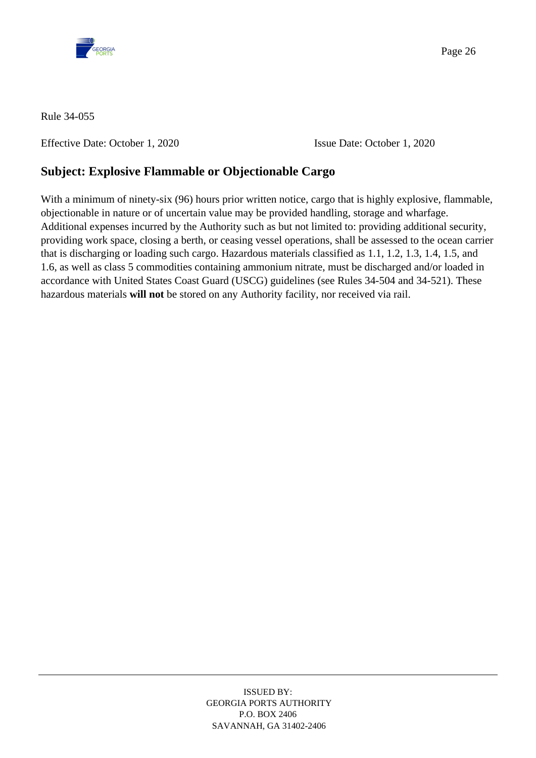

Effective Date: October 1, 2020 Issue Date: October 1, 2020

## **Subject: Explosive Flammable or Objectionable Cargo**

With a minimum of ninety-six (96) hours prior written notice, cargo that is highly explosive, flammable, objectionable in nature or of uncertain value may be provided handling, storage and wharfage. Additional expenses incurred by the Authority such as but not limited to: providing additional security, providing work space, closing a berth, or ceasing vessel operations, shall be assessed to the ocean carrier that is discharging or loading such cargo. Hazardous materials classified as 1.1, 1.2, 1.3, 1.4, 1.5, and 1.6, as well as class 5 commodities containing ammonium nitrate, must be discharged and/or loaded in accordance with United States Coast Guard (USCG) guidelines (see Rules 34-504 and 34-521). These hazardous materials **will not** be stored on any Authority facility, nor received via rail.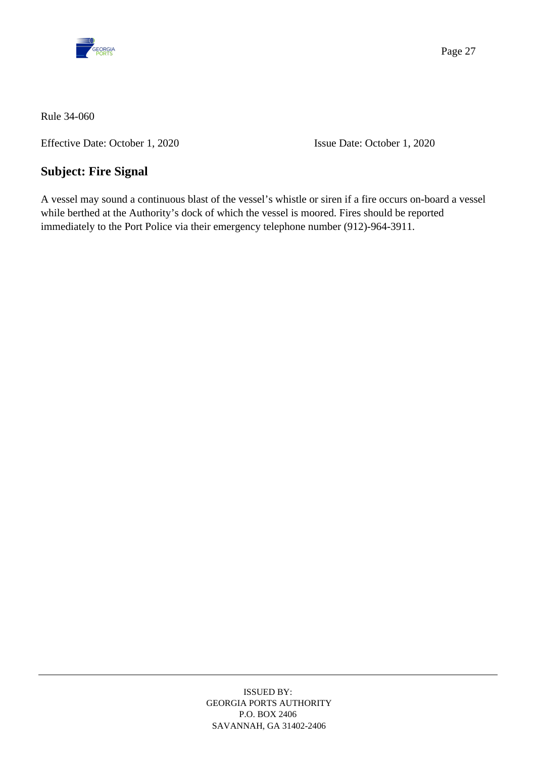

Effective Date: October 1, 2020 Issue Date: October 1, 2020

# **Subject: Fire Signal**

A vessel may sound a continuous blast of the vessel's whistle or siren if a fire occurs on-board a vessel while berthed at the Authority's dock of which the vessel is moored. Fires should be reported immediately to the Port Police via their emergency telephone number (912)-964-3911.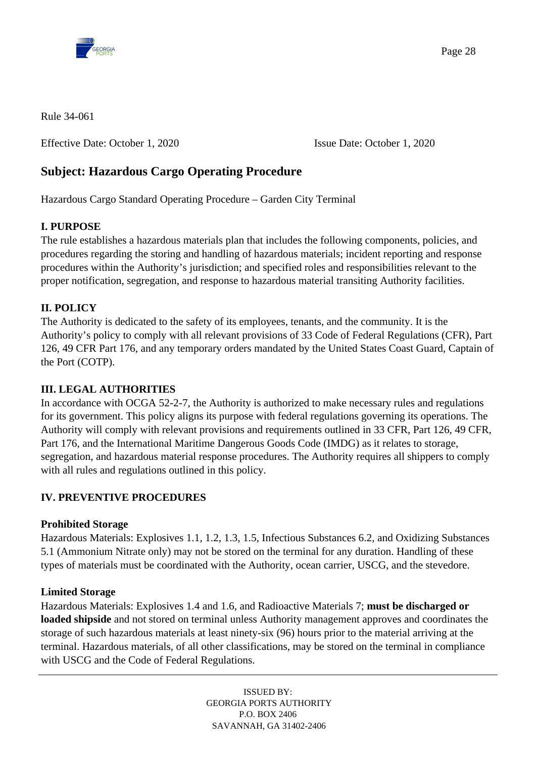

Effective Date: October 1, 2020 Issue Date: October 1, 2020

# **Subject: Hazardous Cargo Operating Procedure**

Hazardous Cargo Standard Operating Procedure – Garden City Terminal

#### **I. PURPOSE**

The rule establishes a hazardous materials plan that includes the following components, policies, and procedures regarding the storing and handling of hazardous materials; incident reporting and response procedures within the Authority's jurisdiction; and specified roles and responsibilities relevant to the proper notification, segregation, and response to hazardous material transiting Authority facilities.

## **II. POLICY**

The Authority is dedicated to the safety of its employees, tenants, and the community. It is the Authority's policy to comply with all relevant provisions of 33 Code of Federal Regulations (CFR), Part 126, 49 CFR Part 176, and any temporary orders mandated by the United States Coast Guard, Captain of the Port (COTP).

#### **III. LEGAL AUTHORITIES**

In accordance with OCGA 52-2-7, the Authority is authorized to make necessary rules and regulations for its government. This policy aligns its purpose with federal regulations governing its operations. The Authority will comply with relevant provisions and requirements outlined in 33 CFR, Part 126, 49 CFR, Part 176, and the International Maritime Dangerous Goods Code (IMDG) as it relates to storage, segregation, and hazardous material response procedures. The Authority requires all shippers to comply with all rules and regulations outlined in this policy.

## **IV. PREVENTIVE PROCEDURES**

#### **Prohibited Storage**

Hazardous Materials: Explosives 1.1, 1.2, 1.3, 1.5, Infectious Substances 6.2, and Oxidizing Substances 5.1 (Ammonium Nitrate only) may not be stored on the terminal for any duration. Handling of these types of materials must be coordinated with the Authority, ocean carrier, USCG, and the stevedore.

#### **Limited Storage**

Hazardous Materials: Explosives 1.4 and 1.6, and Radioactive Materials 7; **must be discharged or loaded shipside** and not stored on terminal unless Authority management approves and coordinates the storage of such hazardous materials at least ninety-six (96) hours prior to the material arriving at the terminal. Hazardous materials, of all other classifications, may be stored on the terminal in compliance with USCG and the Code of Federal Regulations.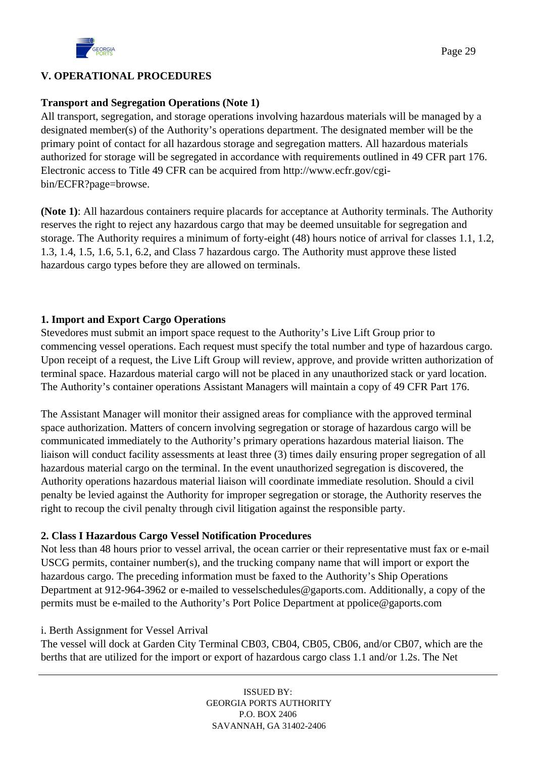

## **V. OPERATIONAL PROCEDURES**

## **Transport and Segregation Operations (Note 1)**

All transport, segregation, and storage operations involving hazardous materials will be managed by a designated member(s) of the Authority's operations department. The designated member will be the primary point of contact for all hazardous storage and segregation matters. All hazardous materials authorized for storage will be segregated in accordance with requirements outlined in 49 CFR part 176. Electronic access to Title 49 CFR can be acquired from http://www.ecfr.gov/cgibin/ECFR?page=browse.

**(Note 1)**: All hazardous containers require placards for acceptance at Authority terminals. The Authority reserves the right to reject any hazardous cargo that may be deemed unsuitable for segregation and storage. The Authority requires a minimum of forty-eight (48) hours notice of arrival for classes 1.1, 1.2, 1.3, 1.4, 1.5, 1.6, 5.1, 6.2, and Class 7 hazardous cargo. The Authority must approve these listed hazardous cargo types before they are allowed on terminals.

## **1. Import and Export Cargo Operations**

Stevedores must submit an import space request to the Authority's Live Lift Group prior to commencing vessel operations. Each request must specify the total number and type of hazardous cargo. Upon receipt of a request, the Live Lift Group will review, approve, and provide written authorization of terminal space. Hazardous material cargo will not be placed in any unauthorized stack or yard location. The Authority's container operations Assistant Managers will maintain a copy of 49 CFR Part 176.

The Assistant Manager will monitor their assigned areas for compliance with the approved terminal space authorization. Matters of concern involving segregation or storage of hazardous cargo will be communicated immediately to the Authority's primary operations hazardous material liaison. The liaison will conduct facility assessments at least three (3) times daily ensuring proper segregation of all hazardous material cargo on the terminal. In the event unauthorized segregation is discovered, the Authority operations hazardous material liaison will coordinate immediate resolution. Should a civil penalty be levied against the Authority for improper segregation or storage, the Authority reserves the right to recoup the civil penalty through civil litigation against the responsible party.

#### **2. Class I Hazardous Cargo Vessel Notification Procedures**

Not less than 48 hours prior to vessel arrival, the ocean carrier or their representative must fax or e-mail USCG permits, container number(s), and the trucking company name that will import or export the hazardous cargo. The preceding information must be faxed to the Authority's Ship Operations Department at 912-964-3962 or e-mailed to vesselschedules@gaports.com. Additionally, a copy of the permits must be e-mailed to the Authority's Port Police Department at ppolice@gaports.com

#### i. Berth Assignment for Vessel Arrival

The vessel will dock at Garden City Terminal CB03, CB04, CB05, CB06, and/or CB07, which are the berths that are utilized for the import or export of hazardous cargo class 1.1 and/or 1.2s. The Net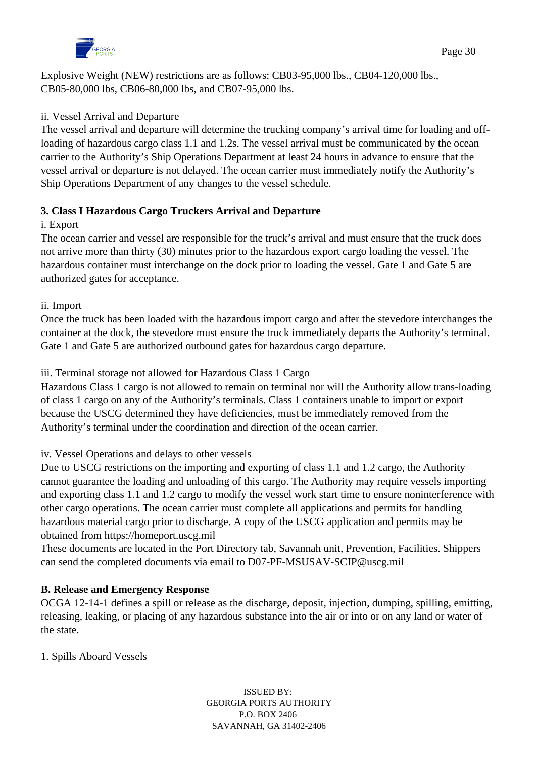

Explosive Weight (NEW) restrictions are as follows: CB03-95,000 lbs., CB04-120,000 lbs., CB05-80,000 lbs, CB06-80,000 lbs, and CB07-95,000 lbs.

## ii. Vessel Arrival and Departure

The vessel arrival and departure will determine the trucking company's arrival time for loading and offloading of hazardous cargo class 1.1 and 1.2s. The vessel arrival must be communicated by the ocean carrier to the Authority's Ship Operations Department at least 24 hours in advance to ensure that the vessel arrival or departure is not delayed. The ocean carrier must immediately notify the Authority's Ship Operations Department of any changes to the vessel schedule.

## **3. Class I Hazardous Cargo Truckers Arrival and Departure**

#### i. Export

The ocean carrier and vessel are responsible for the truck's arrival and must ensure that the truck does not arrive more than thirty (30) minutes prior to the hazardous export cargo loading the vessel. The hazardous container must interchange on the dock prior to loading the vessel. Gate 1 and Gate 5 are authorized gates for acceptance.

ii. Import

Once the truck has been loaded with the hazardous import cargo and after the stevedore interchanges the container at the dock, the stevedore must ensure the truck immediately departs the Authority's terminal. Gate 1 and Gate 5 are authorized outbound gates for hazardous cargo departure.

#### iii. Terminal storage not allowed for Hazardous Class 1 Cargo

Hazardous Class 1 cargo is not allowed to remain on terminal nor will the Authority allow trans-loading of class 1 cargo on any of the Authority's terminals. Class 1 containers unable to import or export because the USCG determined they have deficiencies, must be immediately removed from the Authority's terminal under the coordination and direction of the ocean carrier.

#### iv. Vessel Operations and delays to other vessels

Due to USCG restrictions on the importing and exporting of class 1.1 and 1.2 cargo, the Authority cannot guarantee the loading and unloading of this cargo. The Authority may require vessels importing and exporting class 1.1 and 1.2 cargo to modify the vessel work start time to ensure noninterference with other cargo operations. The ocean carrier must complete all applications and permits for handling hazardous material cargo prior to discharge. A copy of the USCG application and permits may be obtained from https://homeport.uscg.mil

These documents are located in the Port Directory tab, Savannah unit, Prevention, Facilities. Shippers can send the completed documents via email to D07-PF-MSUSAV-SCIP@uscg.mil

#### **B. Release and Emergency Response**

OCGA 12-14-1 defines a spill or release as the discharge, deposit, injection, dumping, spilling, emitting, releasing, leaking, or placing of any hazardous substance into the air or into or on any land or water of the state.

1. Spills Aboard Vessels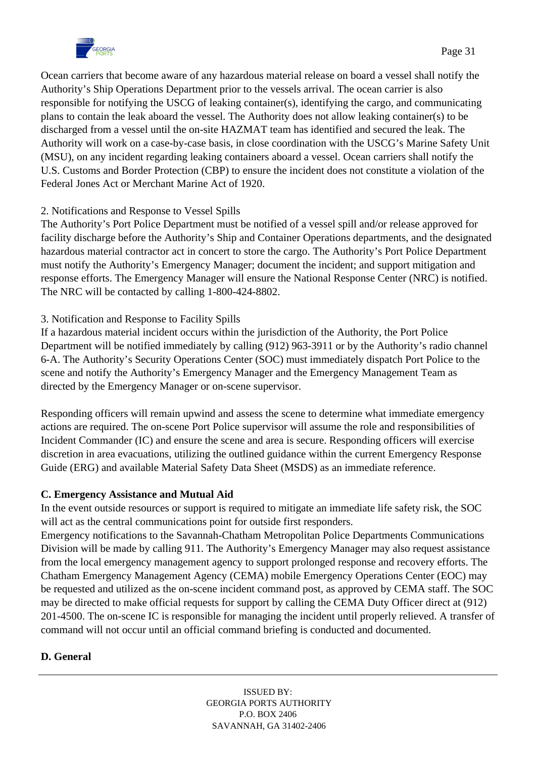

Ocean carriers that become aware of any hazardous material release on board a vessel shall notify the Authority's Ship Operations Department prior to the vessels arrival. The ocean carrier is also responsible for notifying the USCG of leaking container(s), identifying the cargo, and communicating plans to contain the leak aboard the vessel. The Authority does not allow leaking container(s) to be discharged from a vessel until the on-site HAZMAT team has identified and secured the leak. The Authority will work on a case-by-case basis, in close coordination with the USCG's Marine Safety Unit (MSU), on any incident regarding leaking containers aboard a vessel. Ocean carriers shall notify the U.S. Customs and Border Protection (CBP) to ensure the incident does not constitute a violation of the Federal Jones Act or Merchant Marine Act of 1920.

## 2. Notifications and Response to Vessel Spills

The Authority's Port Police Department must be notified of a vessel spill and/or release approved for facility discharge before the Authority's Ship and Container Operations departments, and the designated hazardous material contractor act in concert to store the cargo. The Authority's Port Police Department must notify the Authority's Emergency Manager; document the incident; and support mitigation and response efforts. The Emergency Manager will ensure the National Response Center (NRC) is notified. The NRC will be contacted by calling 1-800-424-8802.

## 3. Notification and Response to Facility Spills

If a hazardous material incident occurs within the jurisdiction of the Authority, the Port Police Department will be notified immediately by calling (912) 963-3911 or by the Authority's radio channel 6-A. The Authority's Security Operations Center (SOC) must immediately dispatch Port Police to the scene and notify the Authority's Emergency Manager and the Emergency Management Team as directed by the Emergency Manager or on-scene supervisor.

Responding officers will remain upwind and assess the scene to determine what immediate emergency actions are required. The on-scene Port Police supervisor will assume the role and responsibilities of Incident Commander (IC) and ensure the scene and area is secure. Responding officers will exercise discretion in area evacuations, utilizing the outlined guidance within the current Emergency Response Guide (ERG) and available Material Safety Data Sheet (MSDS) as an immediate reference.

## **C. Emergency Assistance and Mutual Aid**

In the event outside resources or support is required to mitigate an immediate life safety risk, the SOC will act as the central communications point for outside first responders.

Emergency notifications to the Savannah-Chatham Metropolitan Police Departments Communications Division will be made by calling 911. The Authority's Emergency Manager may also request assistance from the local emergency management agency to support prolonged response and recovery efforts. The Chatham Emergency Management Agency (CEMA) mobile Emergency Operations Center (EOC) may be requested and utilized as the on-scene incident command post, as approved by CEMA staff. The SOC may be directed to make official requests for support by calling the CEMA Duty Officer direct at (912) 201-4500. The on-scene IC is responsible for managing the incident until properly relieved. A transfer of command will not occur until an official command briefing is conducted and documented.

## **D. General**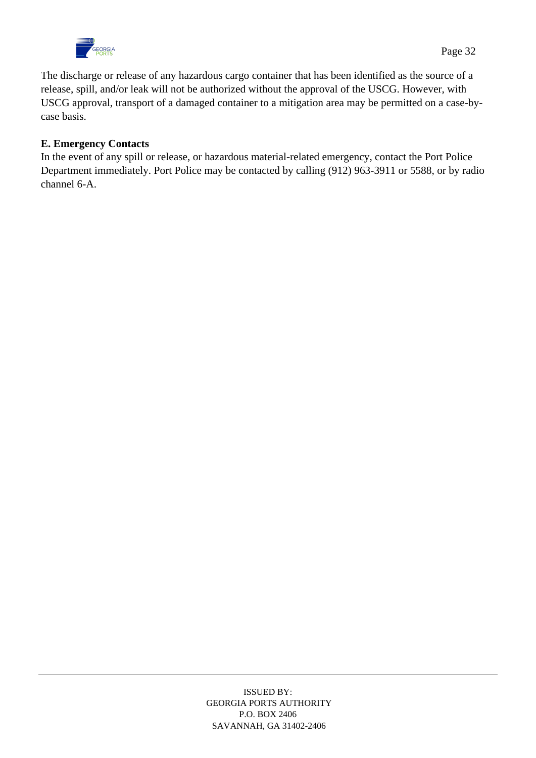

The discharge or release of any hazardous cargo container that has been identified as the source of a release, spill, and/or leak will not be authorized without the approval of the USCG. However, with USCG approval, transport of a damaged container to a mitigation area may be permitted on a case-bycase basis.

## **E. Emergency Contacts**

In the event of any spill or release, or hazardous material-related emergency, contact the Port Police Department immediately. Port Police may be contacted by calling (912) 963-3911 or 5588, or by radio channel 6-A.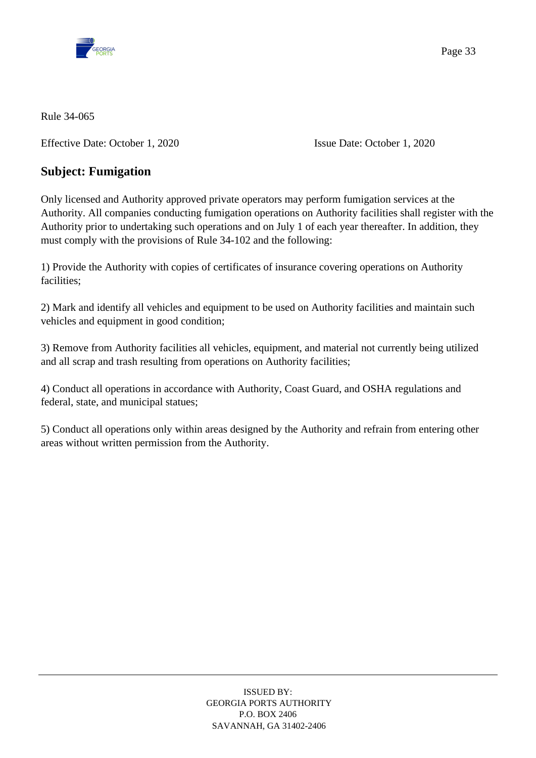

Effective Date: October 1, 2020 Issue Date: October 1, 2020

# **Subject: Fumigation**

Only licensed and Authority approved private operators may perform fumigation services at the Authority. All companies conducting fumigation operations on Authority facilities shall register with the Authority prior to undertaking such operations and on July 1 of each year thereafter. In addition, they must comply with the provisions of Rule 34-102 and the following:

1) Provide the Authority with copies of certificates of insurance covering operations on Authority facilities;

2) Mark and identify all vehicles and equipment to be used on Authority facilities and maintain such vehicles and equipment in good condition;

3) Remove from Authority facilities all vehicles, equipment, and material not currently being utilized and all scrap and trash resulting from operations on Authority facilities;

4) Conduct all operations in accordance with Authority, Coast Guard, and OSHA regulations and federal, state, and municipal statues;

5) Conduct all operations only within areas designed by the Authority and refrain from entering other areas without written permission from the Authority.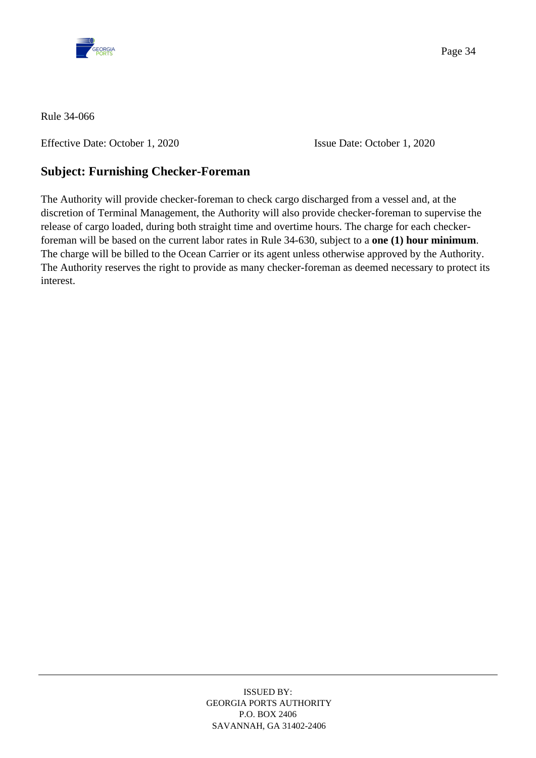

Effective Date: October 1, 2020 Issue Date: October 1, 2020

## **Subject: Furnishing Checker-Foreman**

The Authority will provide checker-foreman to check cargo discharged from a vessel and, at the discretion of Terminal Management, the Authority will also provide checker-foreman to supervise the release of cargo loaded, during both straight time and overtime hours. The charge for each checkerforeman will be based on the current labor rates in Rule 34-630, subject to a **one (1) hour minimum**. The charge will be billed to the Ocean Carrier or its agent unless otherwise approved by the Authority. The Authority reserves the right to provide as many checker-foreman as deemed necessary to protect its interest.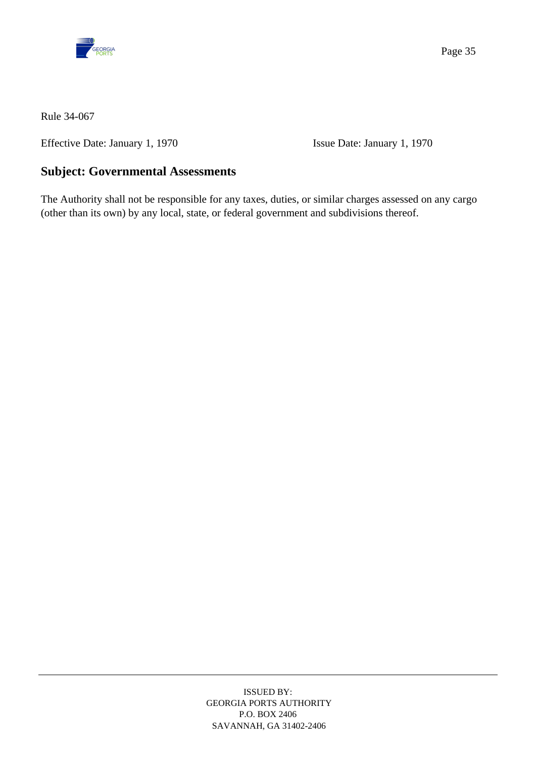

Effective Date: January 1, 1970 Issue Date: January 1, 1970

## **Subject: Governmental Assessments**

The Authority shall not be responsible for any taxes, duties, or similar charges assessed on any cargo (other than its own) by any local, state, or federal government and subdivisions thereof.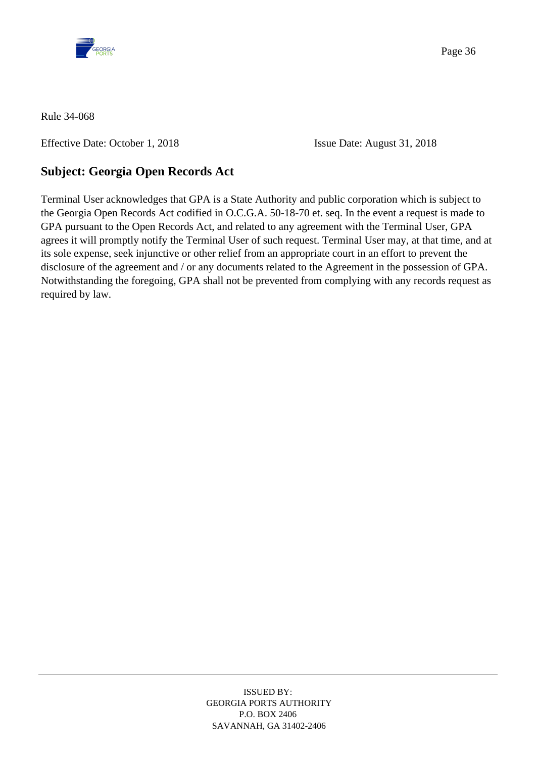

Effective Date: October 1, 2018 Issue Date: August 31, 2018

## **Subject: Georgia Open Records Act**

Terminal User acknowledges that GPA is a State Authority and public corporation which is subject to the Georgia Open Records Act codified in O.C.G.A. 50-18-70 et. seq. In the event a request is made to GPA pursuant to the Open Records Act, and related to any agreement with the Terminal User, GPA agrees it will promptly notify the Terminal User of such request. Terminal User may, at that time, and at its sole expense, seek injunctive or other relief from an appropriate court in an effort to prevent the disclosure of the agreement and / or any documents related to the Agreement in the possession of GPA. Notwithstanding the foregoing, GPA shall not be prevented from complying with any records request as required by law.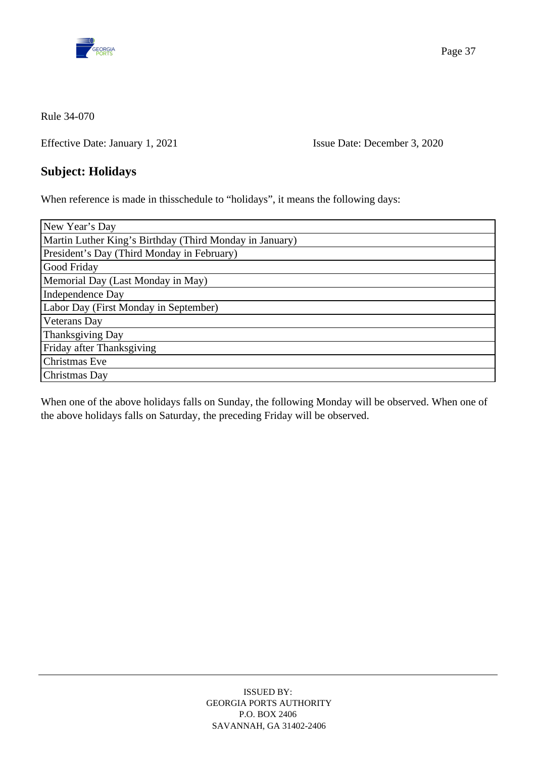

Effective Date: January 1, 2021 Issue Date: December 3, 2020

### **Subject: Holidays**

When reference is made in thisschedule to "holidays", it means the following days:

| New Year's Day                                          |
|---------------------------------------------------------|
| Martin Luther King's Birthday (Third Monday in January) |
| President's Day (Third Monday in February)              |
| Good Friday                                             |
| Memorial Day (Last Monday in May)                       |
| Independence Day                                        |
| Labor Day (First Monday in September)                   |
| <b>Veterans</b> Day                                     |
| <b>Thanksgiving Day</b>                                 |
| Friday after Thanksgiving                               |
| Christmas Eve                                           |
| Christmas Day                                           |

When one of the above holidays falls on Sunday, the following Monday will be observed. When one of the above holidays falls on Saturday, the preceding Friday will be observed.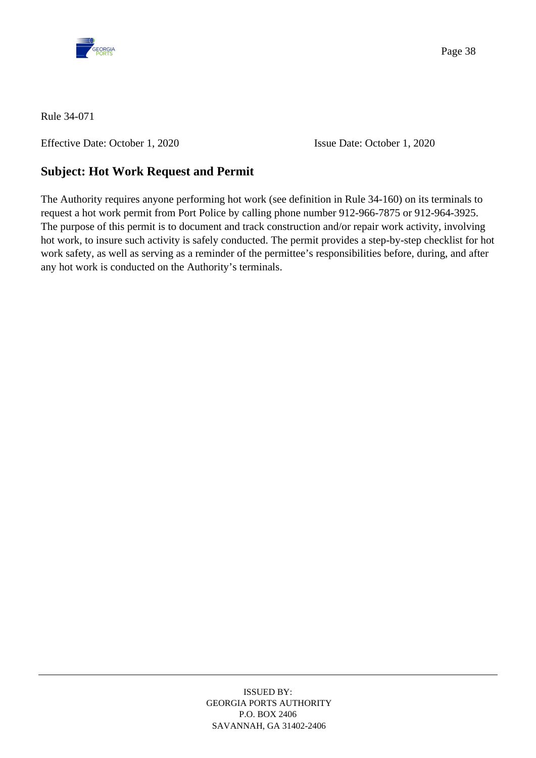

Effective Date: October 1, 2020 Issue Date: October 1, 2020

# **Subject: Hot Work Request and Permit**

The Authority requires anyone performing hot work (see definition in Rule 34-160) on its terminals to request a hot work permit from Port Police by calling phone number 912-966-7875 or 912-964-3925. The purpose of this permit is to document and track construction and/or repair work activity, involving hot work, to insure such activity is safely conducted. The permit provides a step-by-step checklist for hot work safety, as well as serving as a reminder of the permittee's responsibilities before, during, and after any hot work is conducted on the Authority's terminals.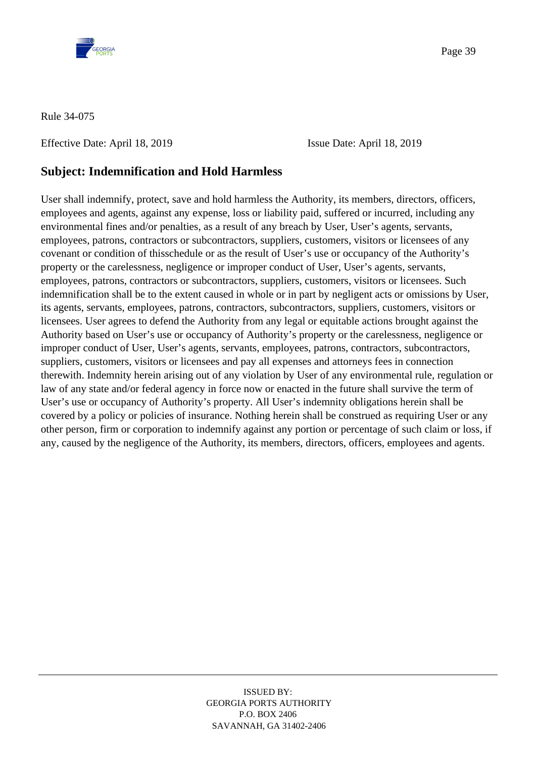

Effective Date: April 18, 2019 Issue Date: April 18, 2019

### **Subject: Indemnification and Hold Harmless**

User shall indemnify, protect, save and hold harmless the Authority, its members, directors, officers, employees and agents, against any expense, loss or liability paid, suffered or incurred, including any environmental fines and/or penalties, as a result of any breach by User, User's agents, servants, employees, patrons, contractors or subcontractors, suppliers, customers, visitors or licensees of any covenant or condition of thisschedule or as the result of User's use or occupancy of the Authority's property or the carelessness, negligence or improper conduct of User, User's agents, servants, employees, patrons, contractors or subcontractors, suppliers, customers, visitors or licensees. Such indemnification shall be to the extent caused in whole or in part by negligent acts or omissions by User, its agents, servants, employees, patrons, contractors, subcontractors, suppliers, customers, visitors or licensees. User agrees to defend the Authority from any legal or equitable actions brought against the Authority based on User's use or occupancy of Authority's property or the carelessness, negligence or improper conduct of User, User's agents, servants, employees, patrons, contractors, subcontractors, suppliers, customers, visitors or licensees and pay all expenses and attorneys fees in connection therewith. Indemnity herein arising out of any violation by User of any environmental rule, regulation or law of any state and/or federal agency in force now or enacted in the future shall survive the term of User's use or occupancy of Authority's property. All User's indemnity obligations herein shall be covered by a policy or policies of insurance. Nothing herein shall be construed as requiring User or any other person, firm or corporation to indemnify against any portion or percentage of such claim or loss, if any, caused by the negligence of the Authority, its members, directors, officers, employees and agents.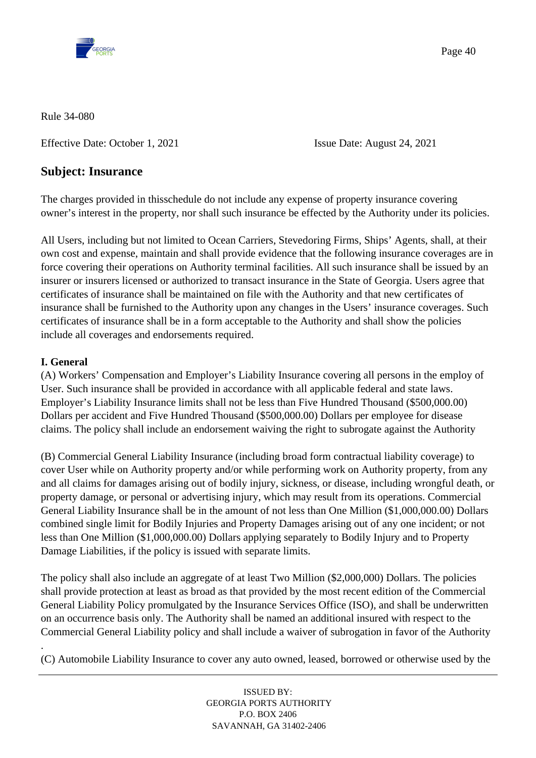

Effective Date: October 1, 2021 Issue Date: August 24, 2021

### **Subject: Insurance**

The charges provided in thisschedule do not include any expense of property insurance covering owner's interest in the property, nor shall such insurance be effected by the Authority under its policies.

All Users, including but not limited to Ocean Carriers, Stevedoring Firms, Ships' Agents, shall, at their own cost and expense, maintain and shall provide evidence that the following insurance coverages are in force covering their operations on Authority terminal facilities. All such insurance shall be issued by an insurer or insurers licensed or authorized to transact insurance in the State of Georgia. Users agree that certificates of insurance shall be maintained on file with the Authority and that new certificates of insurance shall be furnished to the Authority upon any changes in the Users' insurance coverages. Such certificates of insurance shall be in a form acceptable to the Authority and shall show the policies include all coverages and endorsements required.

#### **I. General**

.

(A) Workers' Compensation and Employer's Liability Insurance covering all persons in the employ of User. Such insurance shall be provided in accordance with all applicable federal and state laws. Employer's Liability Insurance limits shall not be less than Five Hundred Thousand (\$500,000.00) Dollars per accident and Five Hundred Thousand (\$500,000.00) Dollars per employee for disease claims. The policy shall include an endorsement waiving the right to subrogate against the Authority

(B) Commercial General Liability Insurance (including broad form contractual liability coverage) to cover User while on Authority property and/or while performing work on Authority property, from any and all claims for damages arising out of bodily injury, sickness, or disease, including wrongful death, or property damage, or personal or advertising injury, which may result from its operations. Commercial General Liability Insurance shall be in the amount of not less than One Million (\$1,000,000.00) Dollars combined single limit for Bodily Injuries and Property Damages arising out of any one incident; or not less than One Million (\$1,000,000.00) Dollars applying separately to Bodily Injury and to Property Damage Liabilities, if the policy is issued with separate limits.

The policy shall also include an aggregate of at least Two Million (\$2,000,000) Dollars. The policies shall provide protection at least as broad as that provided by the most recent edition of the Commercial General Liability Policy promulgated by the Insurance Services Office (ISO), and shall be underwritten on an occurrence basis only. The Authority shall be named an additional insured with respect to the Commercial General Liability policy and shall include a waiver of subrogation in favor of the Authority

(C) Automobile Liability Insurance to cover any auto owned, leased, borrowed or otherwise used by the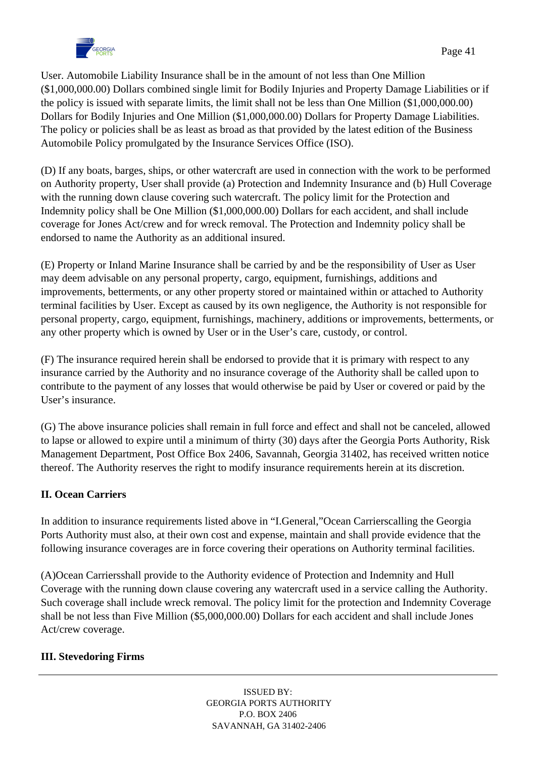

User. Automobile Liability Insurance shall be in the amount of not less than One Million (\$1,000,000.00) Dollars combined single limit for Bodily Injuries and Property Damage Liabilities or if the policy is issued with separate limits, the limit shall not be less than One Million (\$1,000,000.00) Dollars for Bodily Injuries and One Million (\$1,000,000.00) Dollars for Property Damage Liabilities. The policy or policies shall be as least as broad as that provided by the latest edition of the Business Automobile Policy promulgated by the Insurance Services Office (ISO).

(D) If any boats, barges, ships, or other watercraft are used in connection with the work to be performed on Authority property, User shall provide (a) Protection and Indemnity Insurance and (b) Hull Coverage with the running down clause covering such watercraft. The policy limit for the Protection and Indemnity policy shall be One Million (\$1,000,000.00) Dollars for each accident, and shall include coverage for Jones Act/crew and for wreck removal. The Protection and Indemnity policy shall be endorsed to name the Authority as an additional insured.

(E) Property or Inland Marine Insurance shall be carried by and be the responsibility of User as User may deem advisable on any personal property, cargo, equipment, furnishings, additions and improvements, betterments, or any other property stored or maintained within or attached to Authority terminal facilities by User. Except as caused by its own negligence, the Authority is not responsible for personal property, cargo, equipment, furnishings, machinery, additions or improvements, betterments, or any other property which is owned by User or in the User's care, custody, or control.

(F) The insurance required herein shall be endorsed to provide that it is primary with respect to any insurance carried by the Authority and no insurance coverage of the Authority shall be called upon to contribute to the payment of any losses that would otherwise be paid by User or covered or paid by the User's insurance.

(G) The above insurance policies shall remain in full force and effect and shall not be canceled, allowed to lapse or allowed to expire until a minimum of thirty (30) days after the Georgia Ports Authority, Risk Management Department, Post Office Box 2406, Savannah, Georgia 31402, has received written notice thereof. The Authority reserves the right to modify insurance requirements herein at its discretion.

### **II. Ocean Carriers**

In addition to insurance requirements listed above in "I.General,"Ocean Carrierscalling the Georgia Ports Authority must also, at their own cost and expense, maintain and shall provide evidence that the following insurance coverages are in force covering their operations on Authority terminal facilities.

(A)Ocean Carriersshall provide to the Authority evidence of Protection and Indemnity and Hull Coverage with the running down clause covering any watercraft used in a service calling the Authority. Such coverage shall include wreck removal. The policy limit for the protection and Indemnity Coverage shall be not less than Five Million (\$5,000,000.00) Dollars for each accident and shall include Jones Act/crew coverage.

### **III. Stevedoring Firms**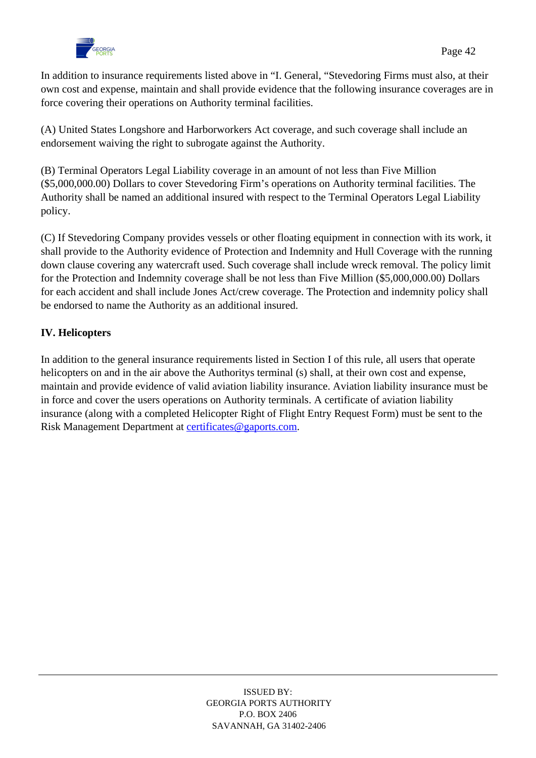

In addition to insurance requirements listed above in "I. General, "Stevedoring Firms must also, at their own cost and expense, maintain and shall provide evidence that the following insurance coverages are in force covering their operations on Authority terminal facilities.

(A) United States Longshore and Harborworkers Act coverage, and such coverage shall include an endorsement waiving the right to subrogate against the Authority.

(B) Terminal Operators Legal Liability coverage in an amount of not less than Five Million (\$5,000,000.00) Dollars to cover Stevedoring Firm's operations on Authority terminal facilities. The Authority shall be named an additional insured with respect to the Terminal Operators Legal Liability policy.

(C) If Stevedoring Company provides vessels or other floating equipment in connection with its work, it shall provide to the Authority evidence of Protection and Indemnity and Hull Coverage with the running down clause covering any watercraft used. Such coverage shall include wreck removal. The policy limit for the Protection and Indemnity coverage shall be not less than Five Million (\$5,000,000.00) Dollars for each accident and shall include Jones Act/crew coverage. The Protection and indemnity policy shall be endorsed to name the Authority as an additional insured.

#### **IV. Helicopters**

In addition to the general insurance requirements listed in Section I of this rule, all users that operate helicopters on and in the air above the Authoritys terminal (s) shall, at their own cost and expense, maintain and provide evidence of valid aviation liability insurance. Aviation liability insurance must be in force and cover the users operations on Authority terminals. A certificate of aviation liability insurance (along with a completed Helicopter Right of Flight Entry Request Form) must be sent to the Risk Management Department at [certificates@gaports.com](mailto:certificates@gaports.com).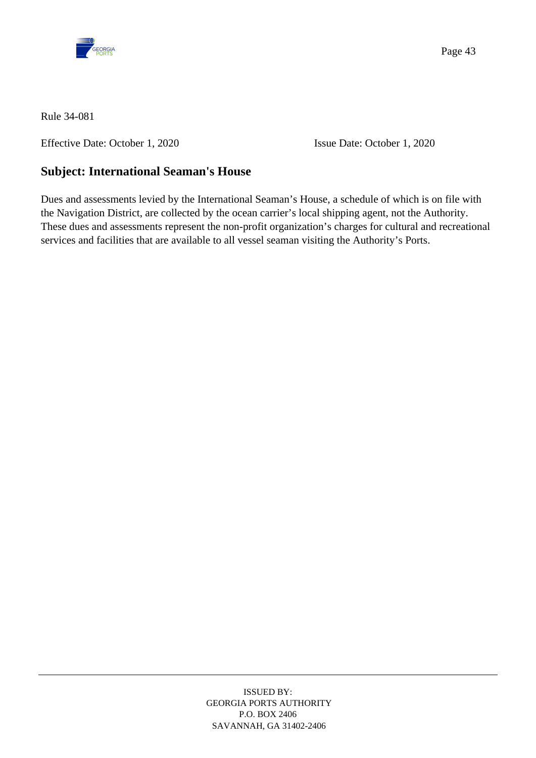

Effective Date: October 1, 2020 Issue Date: October 1, 2020

# **Subject: International Seaman's House**

Dues and assessments levied by the International Seaman's House, a schedule of which is on file with the Navigation District, are collected by the ocean carrier's local shipping agent, not the Authority. These dues and assessments represent the non-profit organization's charges for cultural and recreational services and facilities that are available to all vessel seaman visiting the Authority's Ports.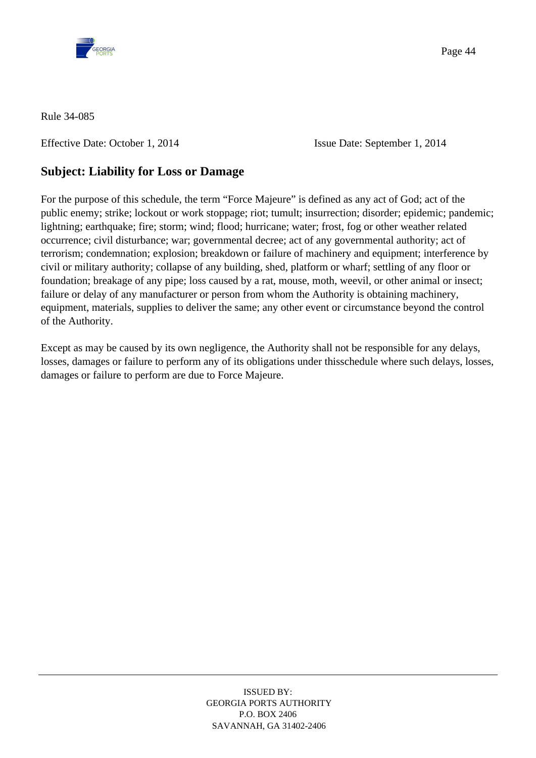

Effective Date: October 1, 2014 Issue Date: September 1, 2014

### **Subject: Liability for Loss or Damage**

For the purpose of this schedule, the term "Force Majeure" is defined as any act of God; act of the public enemy; strike; lockout or work stoppage; riot; tumult; insurrection; disorder; epidemic; pandemic; lightning; earthquake; fire; storm; wind; flood; hurricane; water; frost, fog or other weather related occurrence; civil disturbance; war; governmental decree; act of any governmental authority; act of terrorism; condemnation; explosion; breakdown or failure of machinery and equipment; interference by civil or military authority; collapse of any building, shed, platform or wharf; settling of any floor or foundation; breakage of any pipe; loss caused by a rat, mouse, moth, weevil, or other animal or insect; failure or delay of any manufacturer or person from whom the Authority is obtaining machinery, equipment, materials, supplies to deliver the same; any other event or circumstance beyond the control of the Authority.

Except as may be caused by its own negligence, the Authority shall not be responsible for any delays, losses, damages or failure to perform any of its obligations under thisschedule where such delays, losses, damages or failure to perform are due to Force Majeure.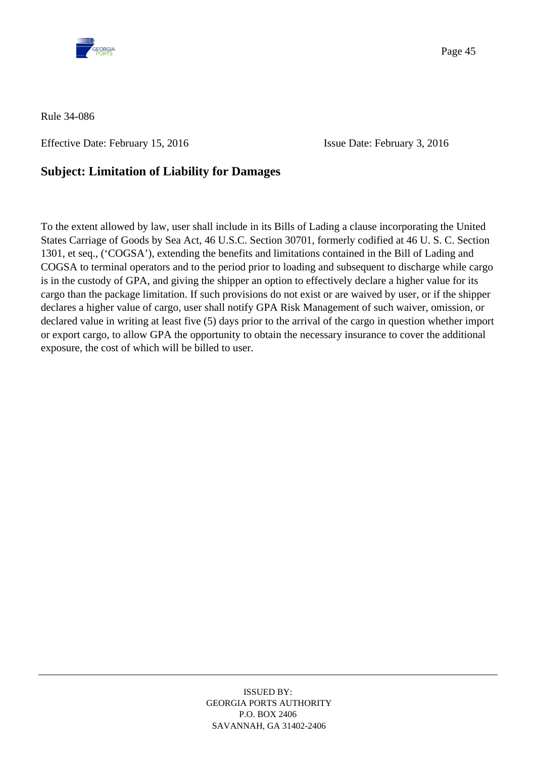

Effective Date: February 15, 2016 Issue Date: February 3, 2016

### **Subject: Limitation of Liability for Damages**

To the extent allowed by law, user shall include in its Bills of Lading a clause incorporating the United States Carriage of Goods by Sea Act, 46 U.S.C. Section 30701, formerly codified at 46 U. S. C. Section 1301, et seq., ('COGSA'), extending the benefits and limitations contained in the Bill of Lading and COGSA to terminal operators and to the period prior to loading and subsequent to discharge while cargo is in the custody of GPA, and giving the shipper an option to effectively declare a higher value for its cargo than the package limitation. If such provisions do not exist or are waived by user, or if the shipper declares a higher value of cargo, user shall notify GPA Risk Management of such waiver, omission, or declared value in writing at least five (5) days prior to the arrival of the cargo in question whether import or export cargo, to allow GPA the opportunity to obtain the necessary insurance to cover the additional exposure, the cost of which will be billed to user.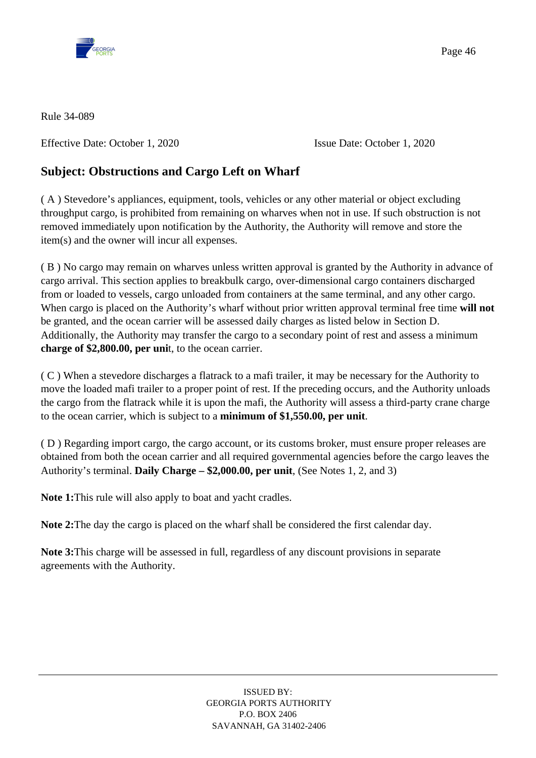

Effective Date: October 1, 2020 Issue Date: October 1, 2020

### **Subject: Obstructions and Cargo Left on Wharf**

( A ) Stevedore's appliances, equipment, tools, vehicles or any other material or object excluding throughput cargo, is prohibited from remaining on wharves when not in use. If such obstruction is not removed immediately upon notification by the Authority, the Authority will remove and store the item(s) and the owner will incur all expenses.

( B ) No cargo may remain on wharves unless written approval is granted by the Authority in advance of cargo arrival. This section applies to breakbulk cargo, over-dimensional cargo containers discharged from or loaded to vessels, cargo unloaded from containers at the same terminal, and any other cargo. When cargo is placed on the Authority's wharf without prior written approval terminal free time **will not** be granted, and the ocean carrier will be assessed daily charges as listed below in Section D. Additionally, the Authority may transfer the cargo to a secondary point of rest and assess a minimum **charge of \$2,800.00, per uni**t, to the ocean carrier.

( C ) When a stevedore discharges a flatrack to a mafi trailer, it may be necessary for the Authority to move the loaded mafi trailer to a proper point of rest. If the preceding occurs, and the Authority unloads the cargo from the flatrack while it is upon the mafi, the Authority will assess a third-party crane charge to the ocean carrier, which is subject to a **minimum of \$1,550.00, per unit**.

( D ) Regarding import cargo, the cargo account, or its customs broker, must ensure proper releases are obtained from both the ocean carrier and all required governmental agencies before the cargo leaves the Authority's terminal. **Daily Charge – \$2,000.00, per unit**, (See Notes 1, 2, and 3)

**Note 1:**This rule will also apply to boat and yacht cradles.

**Note 2:**The day the cargo is placed on the wharf shall be considered the first calendar day.

**Note 3:**This charge will be assessed in full, regardless of any discount provisions in separate agreements with the Authority.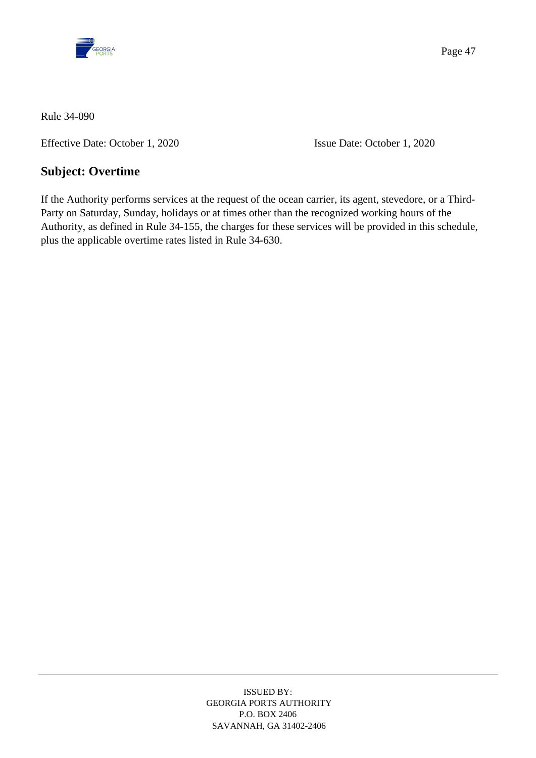

Effective Date: October 1, 2020 Issue Date: October 1, 2020

### **Subject: Overtime**

If the Authority performs services at the request of the ocean carrier, its agent, stevedore, or a Third-Party on Saturday, Sunday, holidays or at times other than the recognized working hours of the Authority, as defined in Rule 34-155, the charges for these services will be provided in this schedule, plus the applicable overtime rates listed in Rule 34-630.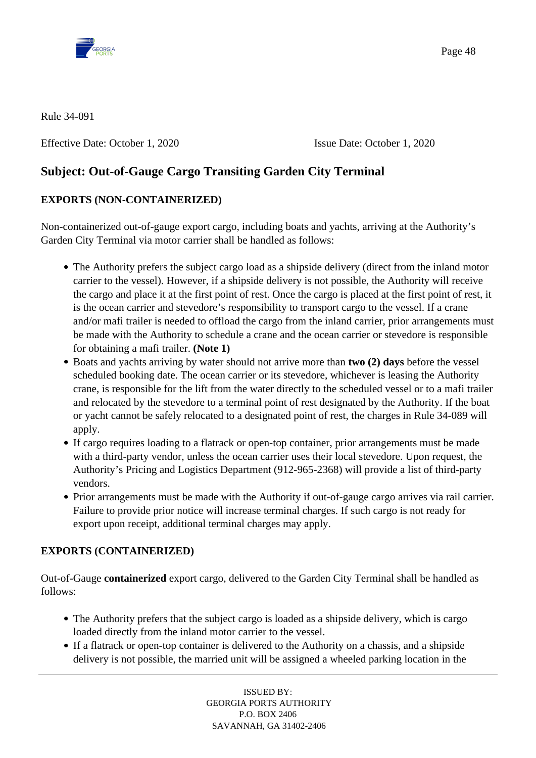

Effective Date: October 1, 2020 Issue Date: October 1, 2020

# **Subject: Out-of-Gauge Cargo Transiting Garden City Terminal**

#### **EXPORTS (NON-CONTAINERIZED)**

Non-containerized out-of-gauge export cargo, including boats and yachts, arriving at the Authority's Garden City Terminal via motor carrier shall be handled as follows:

- The Authority prefers the subject cargo load as a shipside delivery (direct from the inland motor carrier to the vessel). However, if a shipside delivery is not possible, the Authority will receive the cargo and place it at the first point of rest. Once the cargo is placed at the first point of rest, it is the ocean carrier and stevedore's responsibility to transport cargo to the vessel. If a crane and/or mafi trailer is needed to offload the cargo from the inland carrier, prior arrangements must be made with the Authority to schedule a crane and the ocean carrier or stevedore is responsible for obtaining a mafi trailer. **(Note 1)**
- Boats and yachts arriving by water should not arrive more than **two (2) days** before the vessel scheduled booking date. The ocean carrier or its stevedore, whichever is leasing the Authority crane, is responsible for the lift from the water directly to the scheduled vessel or to a mafi trailer and relocated by the stevedore to a terminal point of rest designated by the Authority. If the boat or yacht cannot be safely relocated to a designated point of rest, the charges in Rule 34-089 will apply.
- If cargo requires loading to a flatrack or open-top container, prior arrangements must be made with a third-party vendor, unless the ocean carrier uses their local stevedore. Upon request, the Authority's Pricing and Logistics Department (912-965-2368) will provide a list of third-party vendors.
- Prior arrangements must be made with the Authority if out-of-gauge cargo arrives via rail carrier. Failure to provide prior notice will increase terminal charges. If such cargo is not ready for export upon receipt, additional terminal charges may apply.

#### **EXPORTS (CONTAINERIZED)**

Out-of-Gauge **containerized** export cargo, delivered to the Garden City Terminal shall be handled as follows:

- The Authority prefers that the subject cargo is loaded as a shipside delivery, which is cargo loaded directly from the inland motor carrier to the vessel.
- If a flatrack or open-top container is delivered to the Authority on a chassis, and a shipside delivery is not possible, the married unit will be assigned a wheeled parking location in the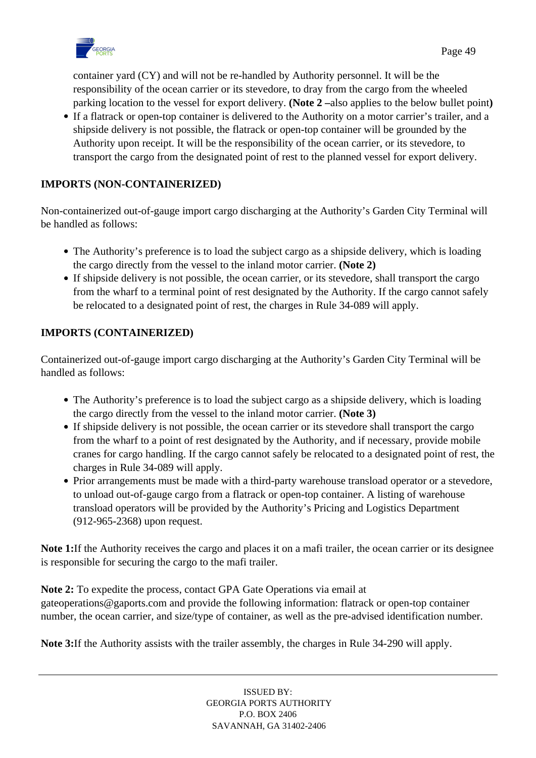

container yard (CY) and will not be re-handled by Authority personnel. It will be the responsibility of the ocean carrier or its stevedore, to dray from the cargo from the wheeled parking location to the vessel for export delivery. **(Note 2 –**also applies to the below bullet point**)**

If a flatrack or open-top container is delivered to the Authority on a motor carrier's trailer, and a shipside delivery is not possible, the flatrack or open-top container will be grounded by the Authority upon receipt. It will be the responsibility of the ocean carrier, or its stevedore, to transport the cargo from the designated point of rest to the planned vessel for export delivery.

#### **IMPORTS (NON-CONTAINERIZED)**

Non-containerized out-of-gauge import cargo discharging at the Authority's Garden City Terminal will be handled as follows:

- The Authority's preference is to load the subject cargo as a shipside delivery, which is loading the cargo directly from the vessel to the inland motor carrier. **(Note 2)**
- If shipside delivery is not possible, the ocean carrier, or its stevedore, shall transport the cargo from the wharf to a terminal point of rest designated by the Authority. If the cargo cannot safely be relocated to a designated point of rest, the charges in Rule 34-089 will apply.

#### **IMPORTS (CONTAINERIZED)**

Containerized out-of-gauge import cargo discharging at the Authority's Garden City Terminal will be handled as follows:

- The Authority's preference is to load the subject cargo as a shipside delivery, which is loading the cargo directly from the vessel to the inland motor carrier. **(Note 3)**
- If shipside delivery is not possible, the ocean carrier or its stevedore shall transport the cargo from the wharf to a point of rest designated by the Authority, and if necessary, provide mobile cranes for cargo handling. If the cargo cannot safely be relocated to a designated point of rest, the charges in Rule 34-089 will apply.
- Prior arrangements must be made with a third-party warehouse transload operator or a stevedore, to unload out-of-gauge cargo from a flatrack or open-top container. A listing of warehouse transload operators will be provided by the Authority's Pricing and Logistics Department (912-965-2368) upon request.

**Note 1:**If the Authority receives the cargo and places it on a mafi trailer, the ocean carrier or its designee is responsible for securing the cargo to the mafi trailer.

**Note 2:** To expedite the process, contact GPA Gate Operations via email at gateoperations@gaports.com and provide the following information: flatrack or open-top container number, the ocean carrier, and size/type of container, as well as the pre-advised identification number.

**Note 3:**If the Authority assists with the trailer assembly, the charges in Rule 34-290 will apply.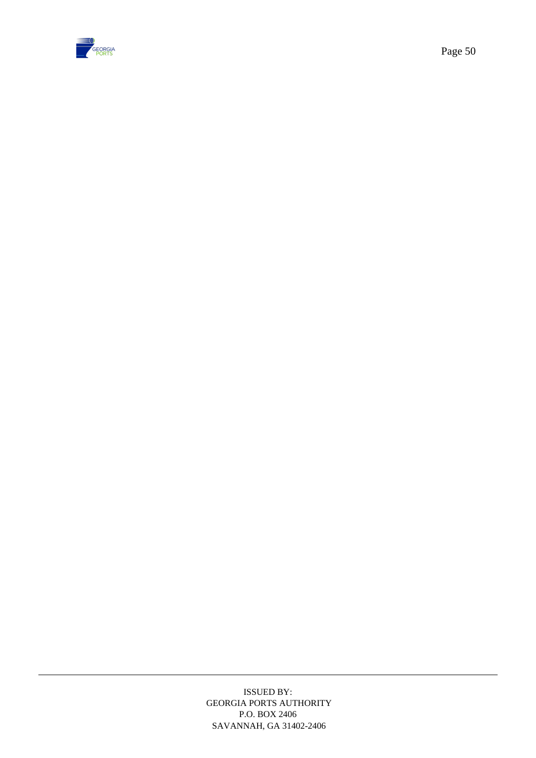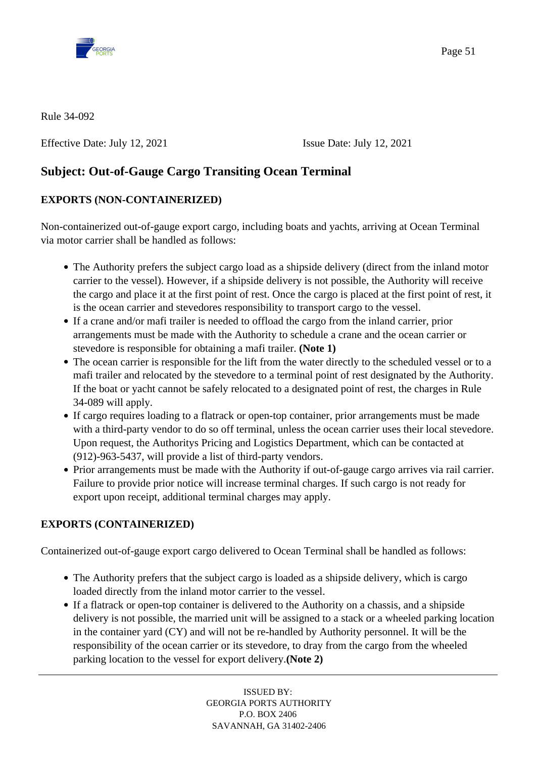

Effective Date: July 12, 2021 Issue Date: July 12, 2021

# **Subject: Out-of-Gauge Cargo Transiting Ocean Terminal**

### **EXPORTS (NON-CONTAINERIZED)**

Non-containerized out-of-gauge export cargo, including boats and yachts, arriving at Ocean Terminal via motor carrier shall be handled as follows:

- The Authority prefers the subject cargo load as a shipside delivery (direct from the inland motor carrier to the vessel). However, if a shipside delivery is not possible, the Authority will receive the cargo and place it at the first point of rest. Once the cargo is placed at the first point of rest, it is the ocean carrier and stevedores responsibility to transport cargo to the vessel.
- If a crane and/or mafi trailer is needed to offload the cargo from the inland carrier, prior arrangements must be made with the Authority to schedule a crane and the ocean carrier or stevedore is responsible for obtaining a mafi trailer. **(Note 1)**
- The ocean carrier is responsible for the lift from the water directly to the scheduled vessel or to a mafi trailer and relocated by the stevedore to a terminal point of rest designated by the Authority. If the boat or yacht cannot be safely relocated to a designated point of rest, the charges in Rule 34-089 will apply.
- If cargo requires loading to a flatrack or open-top container, prior arrangements must be made with a third-party vendor to do so off terminal, unless the ocean carrier uses their local stevedore. Upon request, the Authoritys Pricing and Logistics Department, which can be contacted at (912)-963-5437, will provide a list of third-party vendors.
- Prior arrangements must be made with the Authority if out-of-gauge cargo arrives via rail carrier. Failure to provide prior notice will increase terminal charges. If such cargo is not ready for export upon receipt, additional terminal charges may apply.

#### **EXPORTS (CONTAINERIZED)**

Containerized out-of-gauge export cargo delivered to Ocean Terminal shall be handled as follows:

- The Authority prefers that the subject cargo is loaded as a shipside delivery, which is cargo loaded directly from the inland motor carrier to the vessel.
- If a flatrack or open-top container is delivered to the Authority on a chassis, and a shipside delivery is not possible, the married unit will be assigned to a stack or a wheeled parking location in the container yard (CY) and will not be re-handled by Authority personnel. It will be the responsibility of the ocean carrier or its stevedore, to dray from the cargo from the wheeled parking location to the vessel for export delivery.**(Note 2)**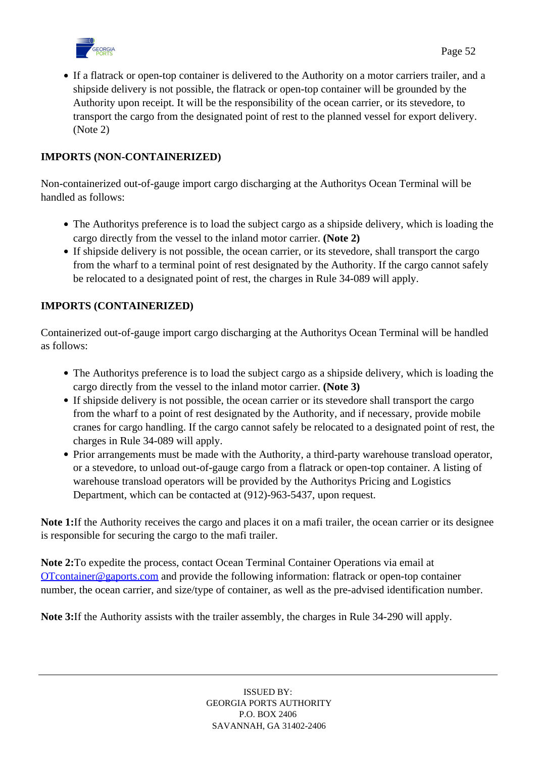

If a flatrack or open-top container is delivered to the Authority on a motor carriers trailer, and a shipside delivery is not possible, the flatrack or open-top container will be grounded by the Authority upon receipt. It will be the responsibility of the ocean carrier, or its stevedore, to transport the cargo from the designated point of rest to the planned vessel for export delivery. (Note 2)

#### **IMPORTS (NON-CONTAINERIZED)**

Non-containerized out-of-gauge import cargo discharging at the Authoritys Ocean Terminal will be handled as follows:

- The Authoritys preference is to load the subject cargo as a shipside delivery, which is loading the cargo directly from the vessel to the inland motor carrier. **(Note 2)**
- If shipside delivery is not possible, the ocean carrier, or its stevedore, shall transport the cargo from the wharf to a terminal point of rest designated by the Authority. If the cargo cannot safely be relocated to a designated point of rest, the charges in Rule 34-089 will apply.

#### **IMPORTS (CONTAINERIZED)**

Containerized out-of-gauge import cargo discharging at the Authoritys Ocean Terminal will be handled as follows:

- The Authoritys preference is to load the subject cargo as a shipside delivery, which is loading the cargo directly from the vessel to the inland motor carrier. **(Note 3)**
- If shipside delivery is not possible, the ocean carrier or its stevedore shall transport the cargo from the wharf to a point of rest designated by the Authority, and if necessary, provide mobile cranes for cargo handling. If the cargo cannot safely be relocated to a designated point of rest, the charges in Rule 34-089 will apply.
- Prior arrangements must be made with the Authority, a third-party warehouse transload operator, or a stevedore, to unload out-of-gauge cargo from a flatrack or open-top container. A listing of warehouse transload operators will be provided by the Authoritys Pricing and Logistics Department, which can be contacted at (912)-963-5437, upon request.

**Note 1:**If the Authority receives the cargo and places it on a mafi trailer, the ocean carrier or its designee is responsible for securing the cargo to the mafi trailer.

**Note 2:**To expedite the process, contact Ocean Terminal Container Operations via email at [OTcontainer@gaports.com](mailto:OTcontainer@gaports.com) and provide the following information: flatrack or open-top container number, the ocean carrier, and size/type of container, as well as the pre-advised identification number.

**Note 3:**If the Authority assists with the trailer assembly, the charges in Rule 34-290 will apply.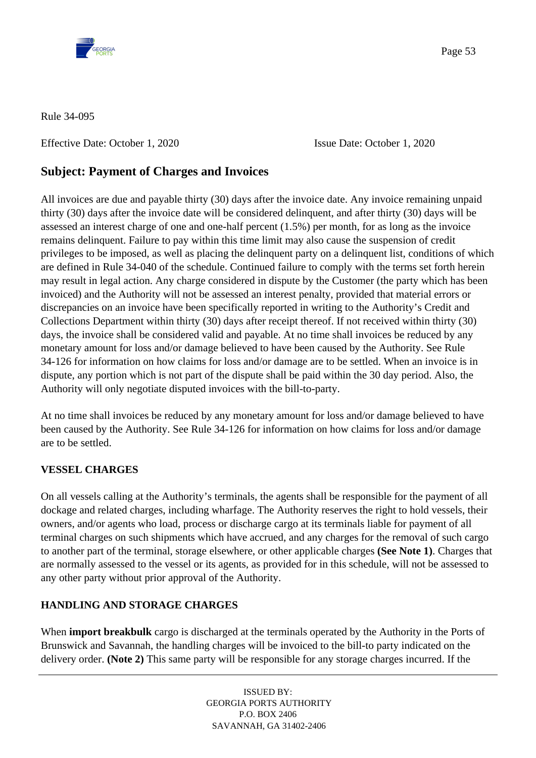

Effective Date: October 1, 2020 Issue Date: October 1, 2020

## **Subject: Payment of Charges and Invoices**

All invoices are due and payable thirty (30) days after the invoice date. Any invoice remaining unpaid thirty (30) days after the invoice date will be considered delinquent, and after thirty (30) days will be assessed an interest charge of one and one-half percent (1.5%) per month, for as long as the invoice remains delinquent. Failure to pay within this time limit may also cause the suspension of credit privileges to be imposed, as well as placing the delinquent party on a delinquent list, conditions of which are defined in Rule 34-040 of the schedule. Continued failure to comply with the terms set forth herein may result in legal action. Any charge considered in dispute by the Customer (the party which has been invoiced) and the Authority will not be assessed an interest penalty, provided that material errors or discrepancies on an invoice have been specifically reported in writing to the Authority's Credit and Collections Department within thirty (30) days after receipt thereof. If not received within thirty (30) days, the invoice shall be considered valid and payable. At no time shall invoices be reduced by any monetary amount for loss and/or damage believed to have been caused by the Authority. See Rule 34-126 for information on how claims for loss and/or damage are to be settled. When an invoice is in dispute, any portion which is not part of the dispute shall be paid within the 30 day period. Also, the Authority will only negotiate disputed invoices with the bill-to-party.

At no time shall invoices be reduced by any monetary amount for loss and/or damage believed to have been caused by the Authority. See Rule 34-126 for information on how claims for loss and/or damage are to be settled.

#### **VESSEL CHARGES**

On all vessels calling at the Authority's terminals, the agents shall be responsible for the payment of all dockage and related charges, including wharfage. The Authority reserves the right to hold vessels, their owners, and/or agents who load, process or discharge cargo at its terminals liable for payment of all terminal charges on such shipments which have accrued, and any charges for the removal of such cargo to another part of the terminal, storage elsewhere, or other applicable charges **(See Note 1)**. Charges that are normally assessed to the vessel or its agents, as provided for in this schedule, will not be assessed to any other party without prior approval of the Authority.

### **HANDLING AND STORAGE CHARGES**

When **import breakbulk** cargo is discharged at the terminals operated by the Authority in the Ports of Brunswick and Savannah, the handling charges will be invoiced to the bill-to party indicated on the delivery order. **(Note 2)** This same party will be responsible for any storage charges incurred. If the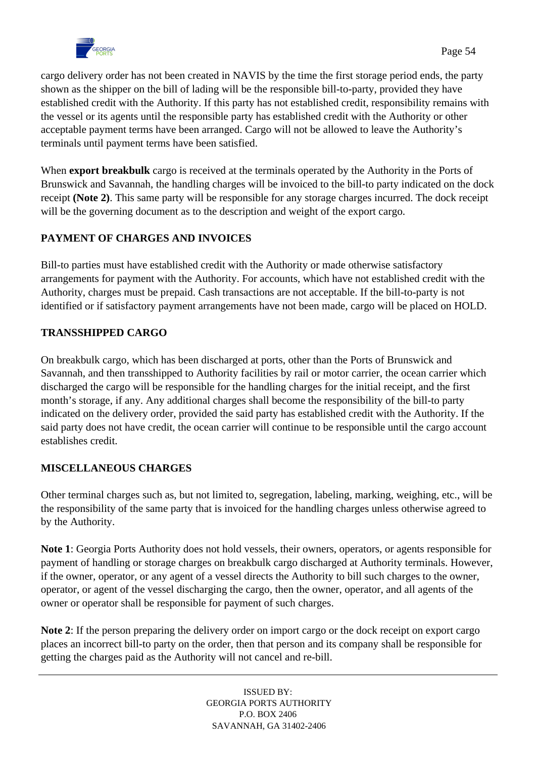

cargo delivery order has not been created in NAVIS by the time the first storage period ends, the party shown as the shipper on the bill of lading will be the responsible bill-to-party, provided they have established credit with the Authority. If this party has not established credit, responsibility remains with the vessel or its agents until the responsible party has established credit with the Authority or other acceptable payment terms have been arranged. Cargo will not be allowed to leave the Authority's terminals until payment terms have been satisfied.

When **export breakbulk** cargo is received at the terminals operated by the Authority in the Ports of Brunswick and Savannah, the handling charges will be invoiced to the bill-to party indicated on the dock receipt **(Note 2)**. This same party will be responsible for any storage charges incurred. The dock receipt will be the governing document as to the description and weight of the export cargo.

### **PAYMENT OF CHARGES AND INVOICES**

Bill-to parties must have established credit with the Authority or made otherwise satisfactory arrangements for payment with the Authority. For accounts, which have not established credit with the Authority, charges must be prepaid. Cash transactions are not acceptable. If the bill-to-party is not identified or if satisfactory payment arrangements have not been made, cargo will be placed on HOLD.

#### **TRANSSHIPPED CARGO**

On breakbulk cargo, which has been discharged at ports, other than the Ports of Brunswick and Savannah, and then transshipped to Authority facilities by rail or motor carrier, the ocean carrier which discharged the cargo will be responsible for the handling charges for the initial receipt, and the first month's storage, if any. Any additional charges shall become the responsibility of the bill-to party indicated on the delivery order, provided the said party has established credit with the Authority. If the said party does not have credit, the ocean carrier will continue to be responsible until the cargo account establishes credit.

### **MISCELLANEOUS CHARGES**

Other terminal charges such as, but not limited to, segregation, labeling, marking, weighing, etc., will be the responsibility of the same party that is invoiced for the handling charges unless otherwise agreed to by the Authority.

**Note 1**: Georgia Ports Authority does not hold vessels, their owners, operators, or agents responsible for payment of handling or storage charges on breakbulk cargo discharged at Authority terminals. However, if the owner, operator, or any agent of a vessel directs the Authority to bill such charges to the owner, operator, or agent of the vessel discharging the cargo, then the owner, operator, and all agents of the owner or operator shall be responsible for payment of such charges.

**Note 2**: If the person preparing the delivery order on import cargo or the dock receipt on export cargo places an incorrect bill-to party on the order, then that person and its company shall be responsible for getting the charges paid as the Authority will not cancel and re-bill.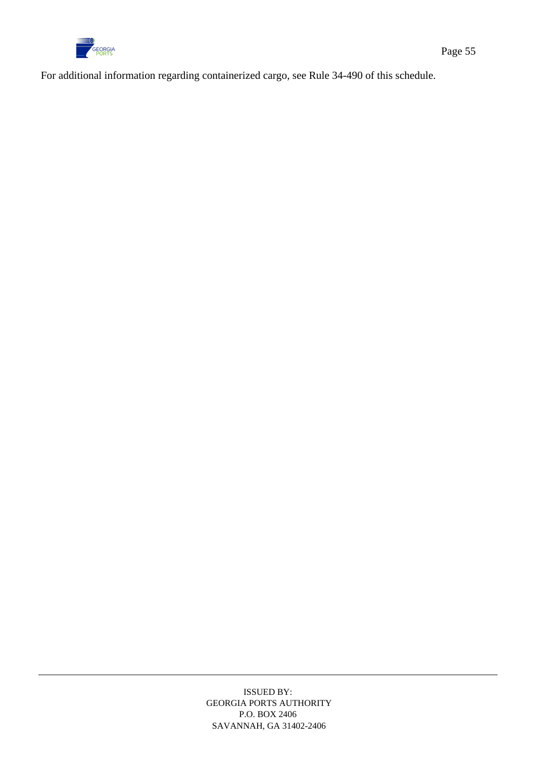

For additional information regarding containerized cargo, see Rule 34-490 of this schedule.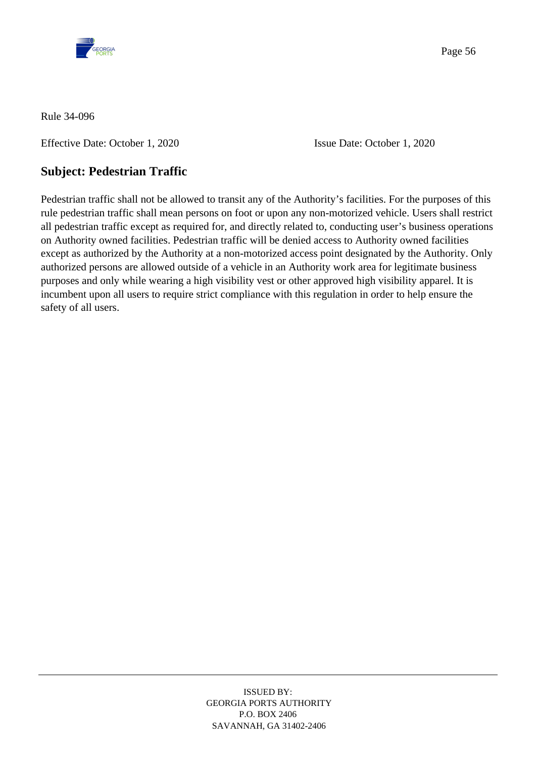

Effective Date: October 1, 2020 Issue Date: October 1, 2020

### **Subject: Pedestrian Traffic**

Pedestrian traffic shall not be allowed to transit any of the Authority's facilities. For the purposes of this rule pedestrian traffic shall mean persons on foot or upon any non-motorized vehicle. Users shall restrict all pedestrian traffic except as required for, and directly related to, conducting user's business operations on Authority owned facilities. Pedestrian traffic will be denied access to Authority owned facilities except as authorized by the Authority at a non-motorized access point designated by the Authority. Only authorized persons are allowed outside of a vehicle in an Authority work area for legitimate business purposes and only while wearing a high visibility vest or other approved high visibility apparel. It is incumbent upon all users to require strict compliance with this regulation in order to help ensure the safety of all users.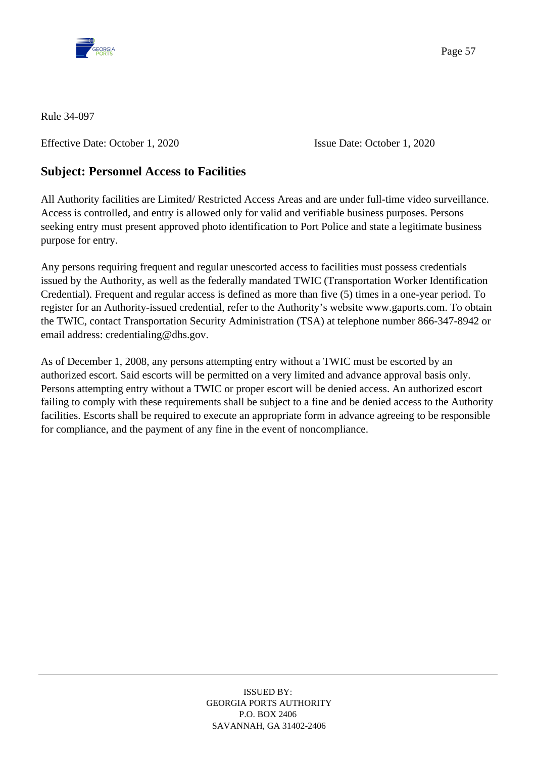

Effective Date: October 1, 2020 Issue Date: October 1, 2020

### **Subject: Personnel Access to Facilities**

All Authority facilities are Limited/ Restricted Access Areas and are under full-time video surveillance. Access is controlled, and entry is allowed only for valid and verifiable business purposes. Persons seeking entry must present approved photo identification to Port Police and state a legitimate business purpose for entry.

Any persons requiring frequent and regular unescorted access to facilities must possess credentials issued by the Authority, as well as the federally mandated TWIC (Transportation Worker Identification Credential). Frequent and regular access is defined as more than five (5) times in a one-year period. To register for an Authority-issued credential, refer to the Authority's website www.gaports.com. To obtain the TWIC, contact Transportation Security Administration (TSA) at telephone number 866-347-8942 or email address: credentialing@dhs.gov.

As of December 1, 2008, any persons attempting entry without a TWIC must be escorted by an authorized escort. Said escorts will be permitted on a very limited and advance approval basis only. Persons attempting entry without a TWIC or proper escort will be denied access. An authorized escort failing to comply with these requirements shall be subject to a fine and be denied access to the Authority facilities. Escorts shall be required to execute an appropriate form in advance agreeing to be responsible for compliance, and the payment of any fine in the event of noncompliance.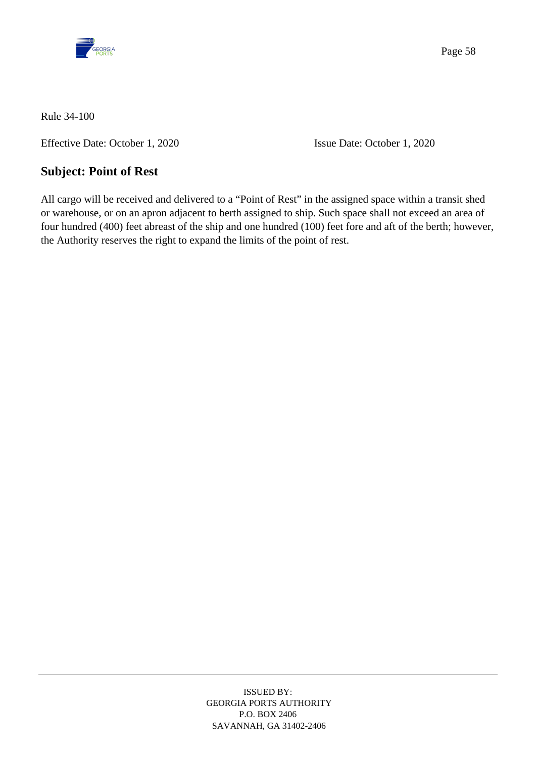

Effective Date: October 1, 2020 Issue Date: October 1, 2020

### **Subject: Point of Rest**

All cargo will be received and delivered to a "Point of Rest" in the assigned space within a transit shed or warehouse, or on an apron adjacent to berth assigned to ship. Such space shall not exceed an area of four hundred (400) feet abreast of the ship and one hundred (100) feet fore and aft of the berth; however, the Authority reserves the right to expand the limits of the point of rest.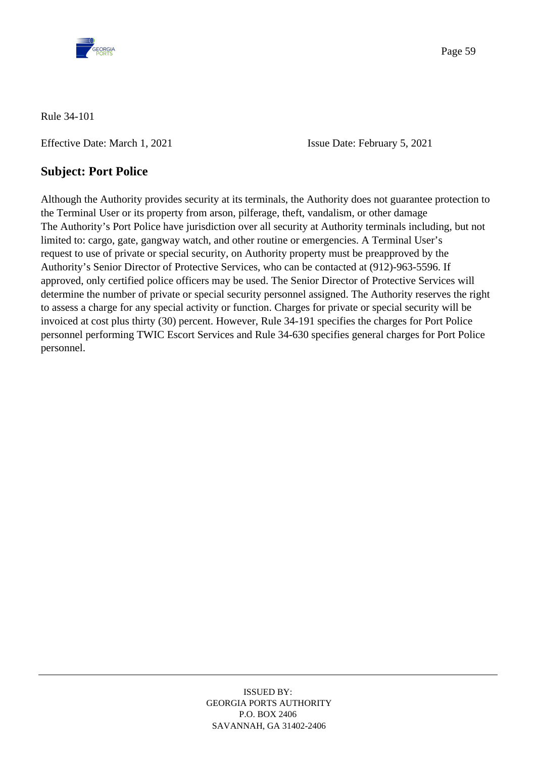

Effective Date: March 1, 2021 Issue Date: February 5, 2021

### **Subject: Port Police**

Although the Authority provides security at its terminals, the Authority does not guarantee protection to the Terminal User or its property from arson, pilferage, theft, vandalism, or other damage The Authority's Port Police have jurisdiction over all security at Authority terminals including, but not limited to: cargo, gate, gangway watch, and other routine or emergencies. A Terminal User's request to use of private or special security, on Authority property must be preapproved by the Authority's Senior Director of Protective Services, who can be contacted at (912)-963-5596. If approved, only certified police officers may be used. The Senior Director of Protective Services will determine the number of private or special security personnel assigned. The Authority reserves the right to assess a charge for any special activity or function. Charges for private or special security will be invoiced at cost plus thirty (30) percent. However, Rule 34-191 specifies the charges for Port Police personnel performing TWIC Escort Services and Rule 34-630 specifies general charges for Port Police personnel.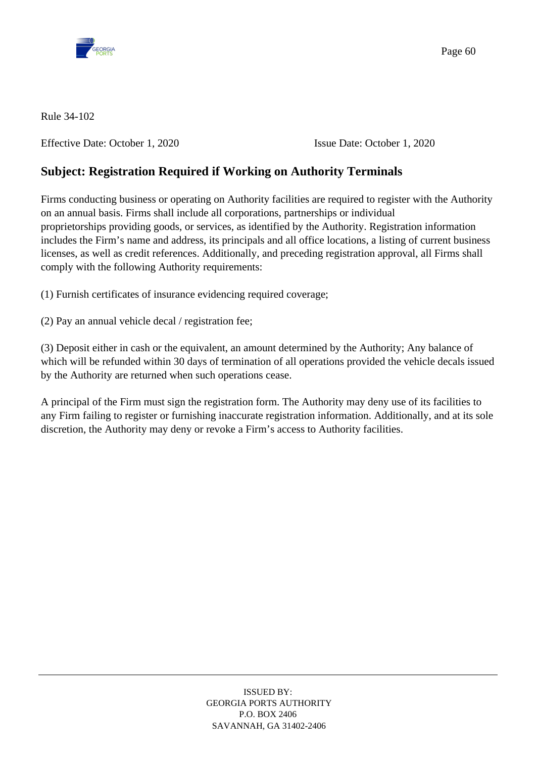

Effective Date: October 1, 2020 Issue Date: October 1, 2020

# **Subject: Registration Required if Working on Authority Terminals**

Firms conducting business or operating on Authority facilities are required to register with the Authority on an annual basis. Firms shall include all corporations, partnerships or individual proprietorships providing goods, or services, as identified by the Authority. Registration information includes the Firm's name and address, its principals and all office locations, a listing of current business licenses, as well as credit references. Additionally, and preceding registration approval, all Firms shall comply with the following Authority requirements:

(1) Furnish certificates of insurance evidencing required coverage;

(2) Pay an annual vehicle decal / registration fee;

(3) Deposit either in cash or the equivalent, an amount determined by the Authority; Any balance of which will be refunded within 30 days of termination of all operations provided the vehicle decals issued by the Authority are returned when such operations cease.

A principal of the Firm must sign the registration form. The Authority may deny use of its facilities to any Firm failing to register or furnishing inaccurate registration information. Additionally, and at its sole discretion, the Authority may deny or revoke a Firm's access to Authority facilities.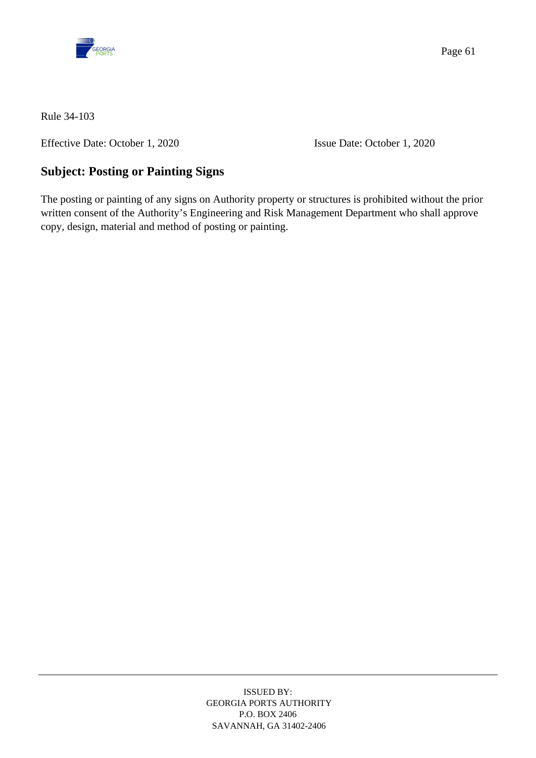

Effective Date: October 1, 2020 Issue Date: October 1, 2020

# **Subject: Posting or Painting Signs**

The posting or painting of any signs on Authority property or structures is prohibited without the prior written consent of the Authority's Engineering and Risk Management Department who shall approve copy, design, material and method of posting or painting.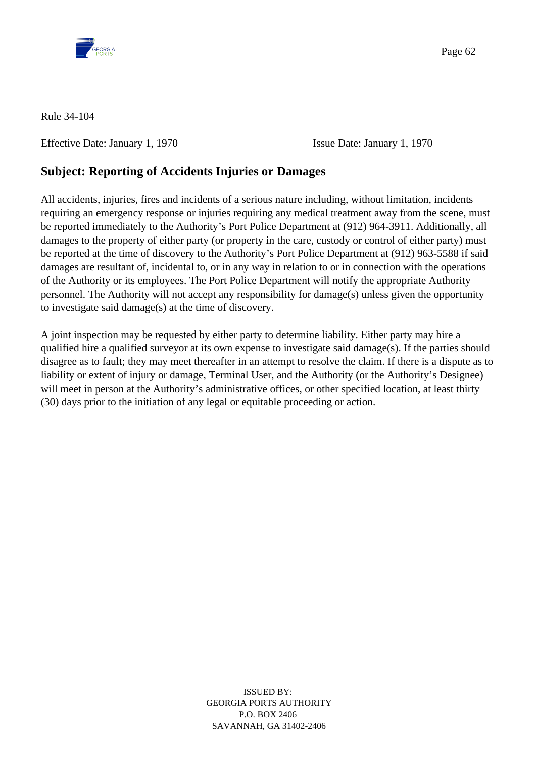

Effective Date: January 1, 1970 Issue Date: January 1, 1970

### **Subject: Reporting of Accidents Injuries or Damages**

All accidents, injuries, fires and incidents of a serious nature including, without limitation, incidents requiring an emergency response or injuries requiring any medical treatment away from the scene, must be reported immediately to the Authority's Port Police Department at (912) 964-3911. Additionally, all damages to the property of either party (or property in the care, custody or control of either party) must be reported at the time of discovery to the Authority's Port Police Department at (912) 963-5588 if said damages are resultant of, incidental to, or in any way in relation to or in connection with the operations of the Authority or its employees. The Port Police Department will notify the appropriate Authority personnel. The Authority will not accept any responsibility for damage(s) unless given the opportunity to investigate said damage(s) at the time of discovery.

A joint inspection may be requested by either party to determine liability. Either party may hire a qualified hire a qualified surveyor at its own expense to investigate said damage(s). If the parties should disagree as to fault; they may meet thereafter in an attempt to resolve the claim. If there is a dispute as to liability or extent of injury or damage, Terminal User, and the Authority (or the Authority's Designee) will meet in person at the Authority's administrative offices, or other specified location, at least thirty (30) days prior to the initiation of any legal or equitable proceeding or action.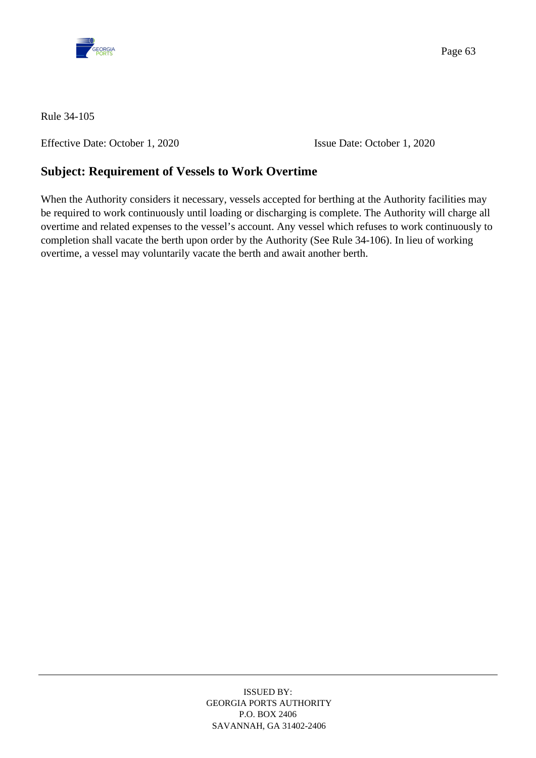

Effective Date: October 1, 2020 Issue Date: October 1, 2020

#### **Subject: Requirement of Vessels to Work Overtime**

When the Authority considers it necessary, vessels accepted for berthing at the Authority facilities may be required to work continuously until loading or discharging is complete. The Authority will charge all overtime and related expenses to the vessel's account. Any vessel which refuses to work continuously to completion shall vacate the berth upon order by the Authority (See Rule 34-106). In lieu of working overtime, a vessel may voluntarily vacate the berth and await another berth.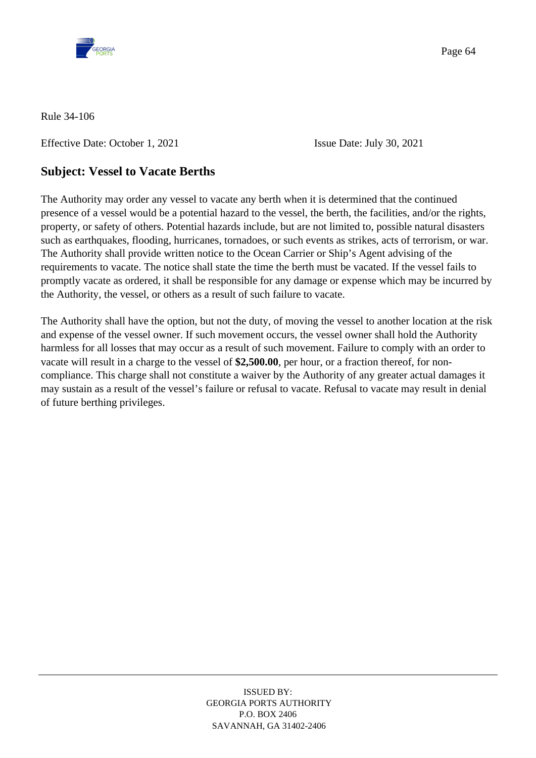

Effective Date: October 1, 2021 Issue Date: July 30, 2021

### **Subject: Vessel to Vacate Berths**

The Authority may order any vessel to vacate any berth when it is determined that the continued presence of a vessel would be a potential hazard to the vessel, the berth, the facilities, and/or the rights, property, or safety of others. Potential hazards include, but are not limited to, possible natural disasters such as earthquakes, flooding, hurricanes, tornadoes, or such events as strikes, acts of terrorism, or war. The Authority shall provide written notice to the Ocean Carrier or Ship's Agent advising of the requirements to vacate. The notice shall state the time the berth must be vacated. If the vessel fails to promptly vacate as ordered, it shall be responsible for any damage or expense which may be incurred by the Authority, the vessel, or others as a result of such failure to vacate.

The Authority shall have the option, but not the duty, of moving the vessel to another location at the risk and expense of the vessel owner. If such movement occurs, the vessel owner shall hold the Authority harmless for all losses that may occur as a result of such movement. Failure to comply with an order to vacate will result in a charge to the vessel of **\$2,500.00**, per hour, or a fraction thereof, for noncompliance. This charge shall not constitute a waiver by the Authority of any greater actual damages it may sustain as a result of the vessel's failure or refusal to vacate. Refusal to vacate may result in denial of future berthing privileges.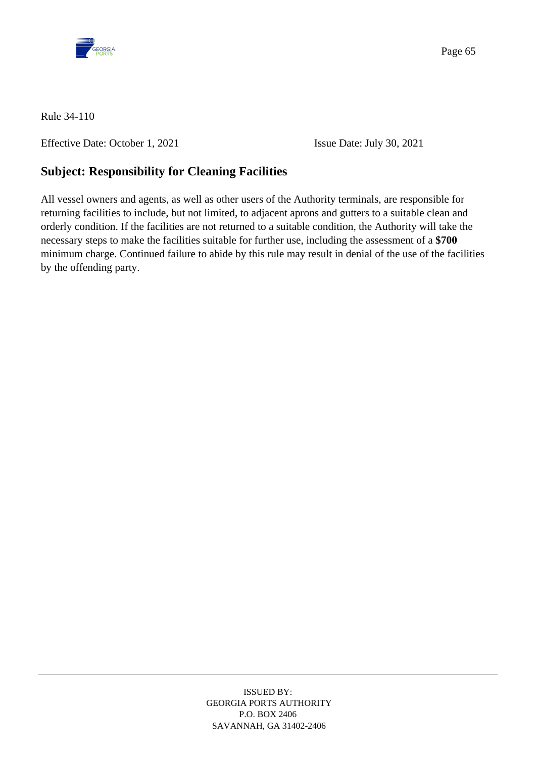

Effective Date: October 1, 2021 Issue Date: July 30, 2021

## **Subject: Responsibility for Cleaning Facilities**

All vessel owners and agents, as well as other users of the Authority terminals, are responsible for returning facilities to include, but not limited, to adjacent aprons and gutters to a suitable clean and orderly condition. If the facilities are not returned to a suitable condition, the Authority will take the necessary steps to make the facilities suitable for further use, including the assessment of a **\$700** minimum charge. Continued failure to abide by this rule may result in denial of the use of the facilities by the offending party.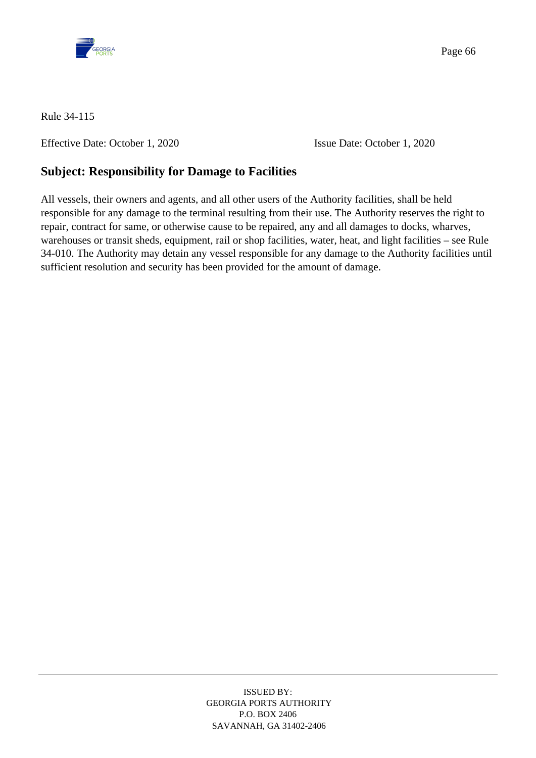

Effective Date: October 1, 2020 Issue Date: October 1, 2020

### **Subject: Responsibility for Damage to Facilities**

All vessels, their owners and agents, and all other users of the Authority facilities, shall be held responsible for any damage to the terminal resulting from their use. The Authority reserves the right to repair, contract for same, or otherwise cause to be repaired, any and all damages to docks, wharves, warehouses or transit sheds, equipment, rail or shop facilities, water, heat, and light facilities – see Rule 34-010. The Authority may detain any vessel responsible for any damage to the Authority facilities until sufficient resolution and security has been provided for the amount of damage.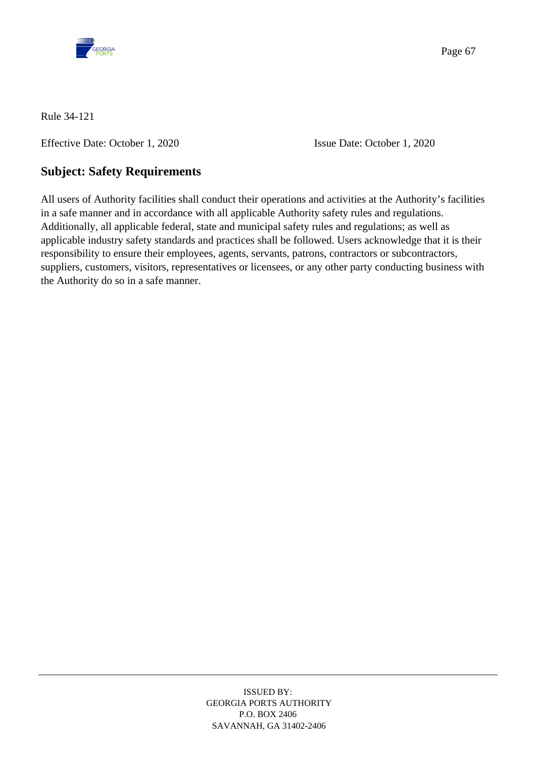

Effective Date: October 1, 2020 Issue Date: October 1, 2020

## **Subject: Safety Requirements**

All users of Authority facilities shall conduct their operations and activities at the Authority's facilities in a safe manner and in accordance with all applicable Authority safety rules and regulations. Additionally, all applicable federal, state and municipal safety rules and regulations; as well as applicable industry safety standards and practices shall be followed. Users acknowledge that it is their responsibility to ensure their employees, agents, servants, patrons, contractors or subcontractors, suppliers, customers, visitors, representatives or licensees, or any other party conducting business with the Authority do so in a safe manner.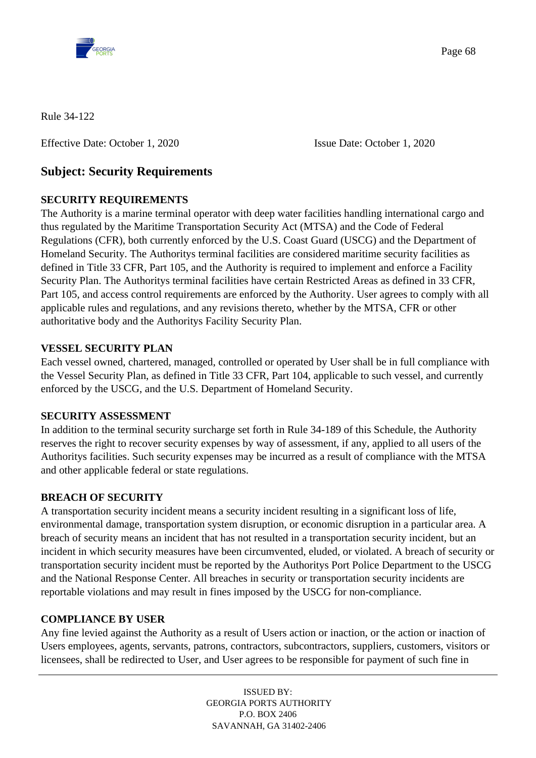

Effective Date: October 1, 2020 Issue Date: October 1, 2020

## **Subject: Security Requirements**

#### **SECURITY REQUIREMENTS**

The Authority is a marine terminal operator with deep water facilities handling international cargo and thus regulated by the Maritime Transportation Security Act (MTSA) and the Code of Federal Regulations (CFR), both currently enforced by the U.S. Coast Guard (USCG) and the Department of Homeland Security. The Authoritys terminal facilities are considered maritime security facilities as defined in Title 33 CFR, Part 105, and the Authority is required to implement and enforce a Facility Security Plan. The Authoritys terminal facilities have certain Restricted Areas as defined in 33 CFR, Part 105, and access control requirements are enforced by the Authority. User agrees to comply with all applicable rules and regulations, and any revisions thereto, whether by the MTSA, CFR or other authoritative body and the Authoritys Facility Security Plan.

#### **VESSEL SECURITY PLAN**

Each vessel owned, chartered, managed, controlled or operated by User shall be in full compliance with the Vessel Security Plan, as defined in Title 33 CFR, Part 104, applicable to such vessel, and currently enforced by the USCG, and the U.S. Department of Homeland Security.

#### **SECURITY ASSESSMENT**

In addition to the terminal security surcharge set forth in Rule 34-189 of this Schedule, the Authority reserves the right to recover security expenses by way of assessment, if any, applied to all users of the Authoritys facilities. Such security expenses may be incurred as a result of compliance with the MTSA and other applicable federal or state regulations.

#### **BREACH OF SECURITY**

A transportation security incident means a security incident resulting in a significant loss of life, environmental damage, transportation system disruption, or economic disruption in a particular area. A breach of security means an incident that has not resulted in a transportation security incident, but an incident in which security measures have been circumvented, eluded, or violated. A breach of security or transportation security incident must be reported by the Authoritys Port Police Department to the USCG and the National Response Center. All breaches in security or transportation security incidents are reportable violations and may result in fines imposed by the USCG for non-compliance.

#### **COMPLIANCE BY USER**

Any fine levied against the Authority as a result of Users action or inaction, or the action or inaction of Users employees, agents, servants, patrons, contractors, subcontractors, suppliers, customers, visitors or licensees, shall be redirected to User, and User agrees to be responsible for payment of such fine in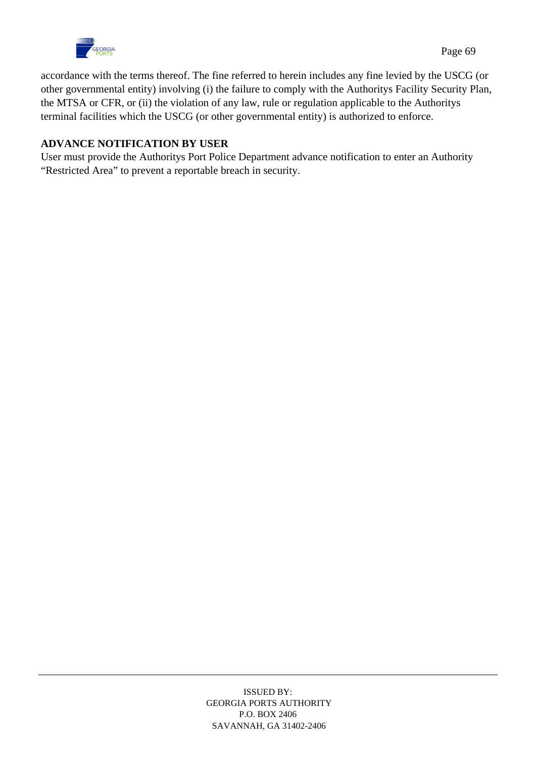

accordance with the terms thereof. The fine referred to herein includes any fine levied by the USCG (or other governmental entity) involving (i) the failure to comply with the Authoritys Facility Security Plan, the MTSA or CFR, or (ii) the violation of any law, rule or regulation applicable to the Authoritys terminal facilities which the USCG (or other governmental entity) is authorized to enforce.

#### **ADVANCE NOTIFICATION BY USER**

User must provide the Authoritys Port Police Department advance notification to enter an Authority "Restricted Area" to prevent a reportable breach in security.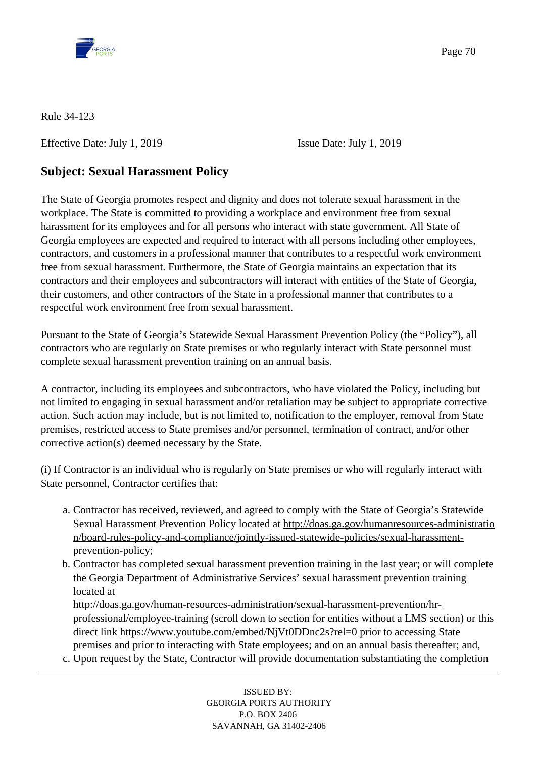

Effective Date: July 1, 2019 Issue Date: July 1, 2019

# **Subject: Sexual Harassment Policy**

The State of Georgia promotes respect and dignity and does not tolerate sexual harassment in the workplace. The State is committed to providing a workplace and environment free from sexual harassment for its employees and for all persons who interact with state government. All State of Georgia employees are expected and required to interact with all persons including other employees, contractors, and customers in a professional manner that contributes to a respectful work environment free from sexual harassment. Furthermore, the State of Georgia maintains an expectation that its contractors and their employees and subcontractors will interact with entities of the State of Georgia, their customers, and other contractors of the State in a professional manner that contributes to a respectful work environment free from sexual harassment.

Pursuant to the State of Georgia's Statewide Sexual Harassment Prevention Policy (the "Policy"), all contractors who are regularly on State premises or who regularly interact with State personnel must complete sexual harassment prevention training on an annual basis.

A contractor, including its employees and subcontractors, who have violated the Policy, including but not limited to engaging in sexual harassment and/or retaliation may be subject to appropriate corrective action. Such action may include, but is not limited to, notification to the employer, removal from State premises, restricted access to State premises and/or personnel, termination of contract, and/or other corrective action(s) deemed necessary by the State.

(i) If Contractor is an individual who is regularly on State premises or who will regularly interact with State personnel, Contractor certifies that:

- a. Contractor has received, reviewed, and agreed to comply with the State of Georgia's Statewide Sexual Harassment Prevention Policy located at http://doas.ga.gov/humanresources-administratio n/board-rules-policy-and-compliance/jointly-issued-statewide-policies/sexual-harassmentprevention-policy;
- b. Contractor has completed sexual harassment prevention training in the last year; or will complete the Georgia Department of Administrative Services' sexual harassment prevention training located at

http://doas.ga.gov/human-resources-administration/sexual-harassment-prevention/hrprofessional/employee-training (scroll down to section for entities without a LMS section) or this direct link https://www.youtube.com/embed/NjVt0DDnc2s?rel=0 prior to accessing State premises and prior to interacting with State employees; and on an annual basis thereafter; and,

c. Upon request by the State, Contractor will provide documentation substantiating the completion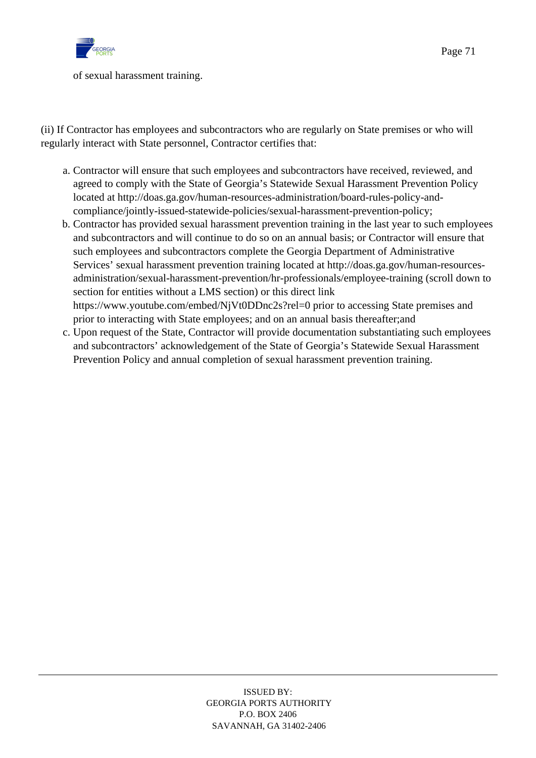

of sexual harassment training.

(ii) If Contractor has employees and subcontractors who are regularly on State premises or who will regularly interact with State personnel, Contractor certifies that:

- a. Contractor will ensure that such employees and subcontractors have received, reviewed, and agreed to comply with the State of Georgia's Statewide Sexual Harassment Prevention Policy located at http://doas.ga.gov/human-resources-administration/board-rules-policy-andcompliance/jointly-issued-statewide-policies/sexual-harassment-prevention-policy;
- b. Contractor has provided sexual harassment prevention training in the last year to such employees and subcontractors and will continue to do so on an annual basis; or Contractor will ensure that such employees and subcontractors complete the Georgia Department of Administrative Services' sexual harassment prevention training located at http://doas.ga.gov/human-resourcesadministration/sexual-harassment-prevention/hr-professionals/employee-training (scroll down to section for entities without a LMS section) or this direct link https://www.youtube.com/embed/NjVt0DDnc2s?rel=0 prior to accessing State premises and prior to interacting with State employees; and on an annual basis thereafter;and
- c. Upon request of the State, Contractor will provide documentation substantiating such employees and subcontractors' acknowledgement of the State of Georgia's Statewide Sexual Harassment Prevention Policy and annual completion of sexual harassment prevention training.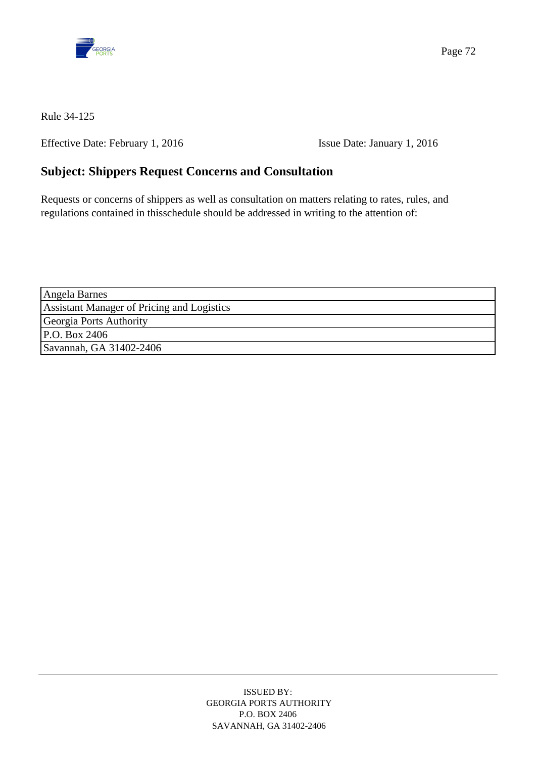

Effective Date: February 1, 2016 Issue Date: January 1, 2016

## **Subject: Shippers Request Concerns and Consultation**

Requests or concerns of shippers as well as consultation on matters relating to rates, rules, and regulations contained in thisschedule should be addressed in writing to the attention of:

| Angela Barnes                              |
|--------------------------------------------|
| Assistant Manager of Pricing and Logistics |
| Georgia Ports Authority                    |
| P.O. Box 2406                              |
| Savannah, GA 31402-2406                    |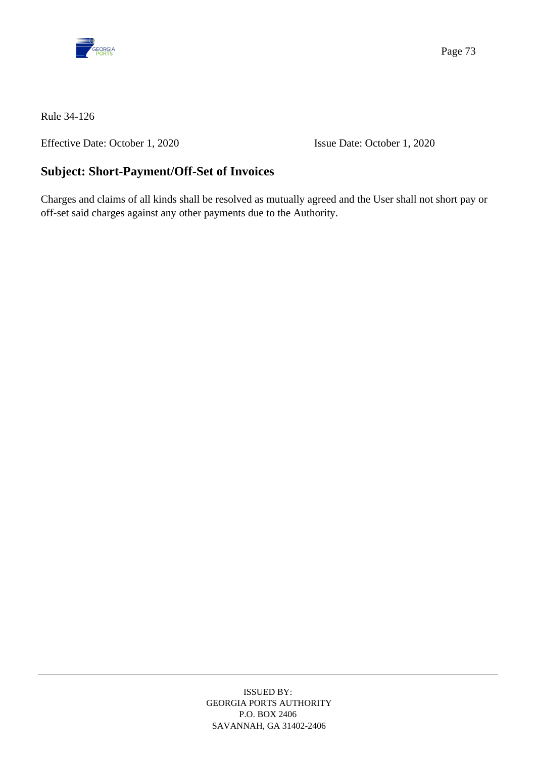

Effective Date: October 1, 2020 Issue Date: October 1, 2020

# **Subject: Short-Payment/Off-Set of Invoices**

Charges and claims of all kinds shall be resolved as mutually agreed and the User shall not short pay or off-set said charges against any other payments due to the Authority.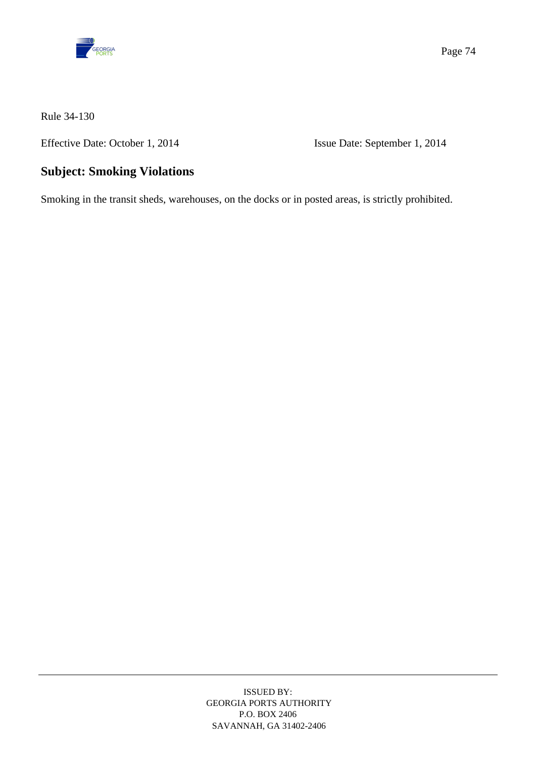

Effective Date: October 1, 2014 Issue Date: September 1, 2014

# **Subject: Smoking Violations**

Smoking in the transit sheds, warehouses, on the docks or in posted areas, is strictly prohibited.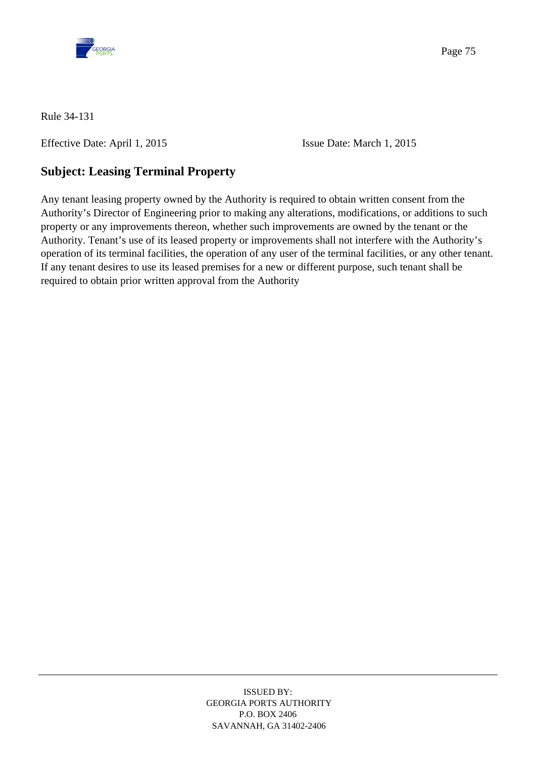

Effective Date: April 1, 2015 Issue Date: March 1, 2015

## **Subject: Leasing Terminal Property**

Any tenant leasing property owned by the Authority is required to obtain written consent from the Authority's Director of Engineering prior to making any alterations, modifications, or additions to such property or any improvements thereon, whether such improvements are owned by the tenant or the Authority. Tenant's use of its leased property or improvements shall not interfere with the Authority's operation of its terminal facilities, the operation of any user of the terminal facilities, or any other tenant. If any tenant desires to use its leased premises for a new or different purpose, such tenant shall be required to obtain prior written approval from the Authority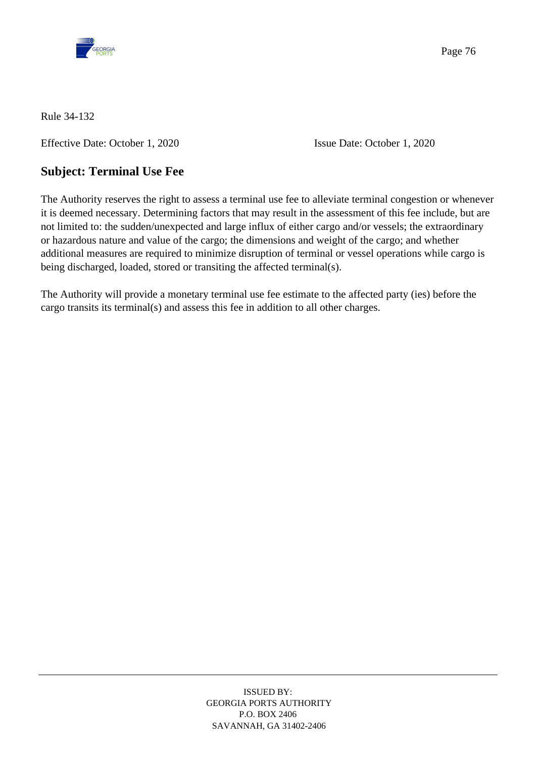

Effective Date: October 1, 2020 Issue Date: October 1, 2020

## **Subject: Terminal Use Fee**

The Authority reserves the right to assess a terminal use fee to alleviate terminal congestion or whenever it is deemed necessary. Determining factors that may result in the assessment of this fee include, but are not limited to: the sudden/unexpected and large influx of either cargo and/or vessels; the extraordinary or hazardous nature and value of the cargo; the dimensions and weight of the cargo; and whether additional measures are required to minimize disruption of terminal or vessel operations while cargo is being discharged, loaded, stored or transiting the affected terminal(s).

The Authority will provide a monetary terminal use fee estimate to the affected party (ies) before the cargo transits its terminal(s) and assess this fee in addition to all other charges.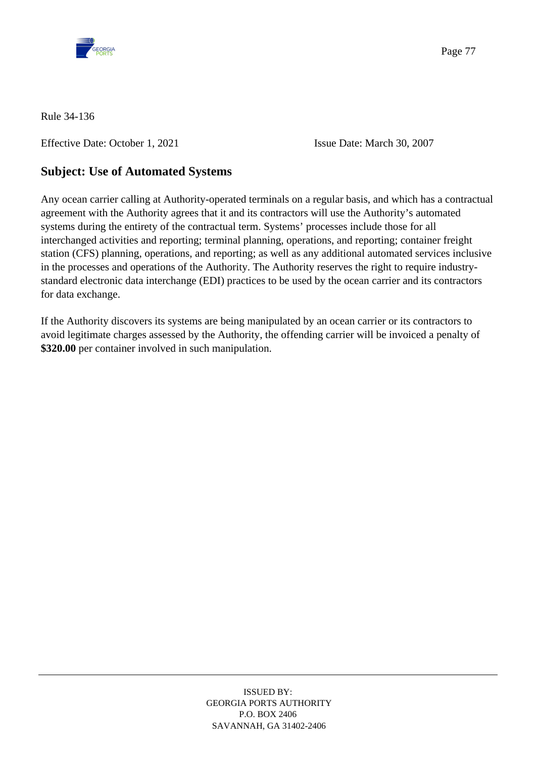

Effective Date: October 1, 2021 Issue Date: March 30, 2007

## **Subject: Use of Automated Systems**

Any ocean carrier calling at Authority-operated terminals on a regular basis, and which has a contractual agreement with the Authority agrees that it and its contractors will use the Authority's automated systems during the entirety of the contractual term. Systems' processes include those for all interchanged activities and reporting; terminal planning, operations, and reporting; container freight station (CFS) planning, operations, and reporting; as well as any additional automated services inclusive in the processes and operations of the Authority. The Authority reserves the right to require industrystandard electronic data interchange (EDI) practices to be used by the ocean carrier and its contractors for data exchange.

If the Authority discovers its systems are being manipulated by an ocean carrier or its contractors to avoid legitimate charges assessed by the Authority, the offending carrier will be invoiced a penalty of **\$320.00** per container involved in such manipulation.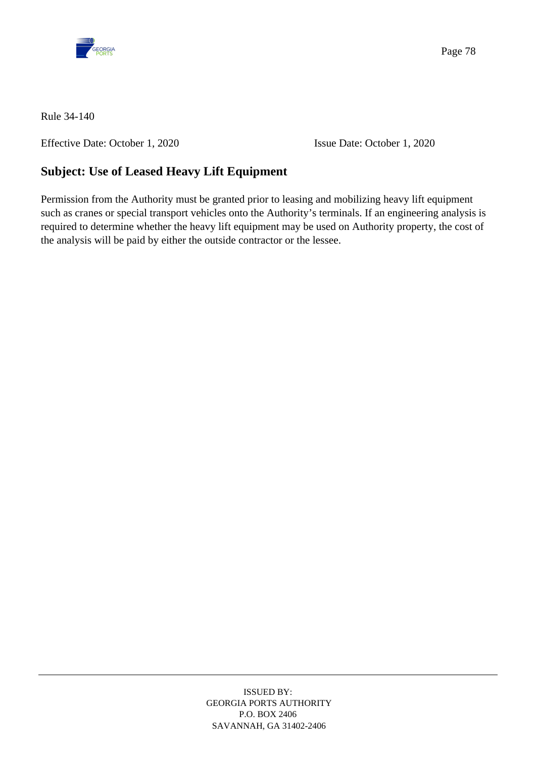

Effective Date: October 1, 2020 Issue Date: October 1, 2020

# **Subject: Use of Leased Heavy Lift Equipment**

Permission from the Authority must be granted prior to leasing and mobilizing heavy lift equipment such as cranes or special transport vehicles onto the Authority's terminals. If an engineering analysis is required to determine whether the heavy lift equipment may be used on Authority property, the cost of the analysis will be paid by either the outside contractor or the lessee.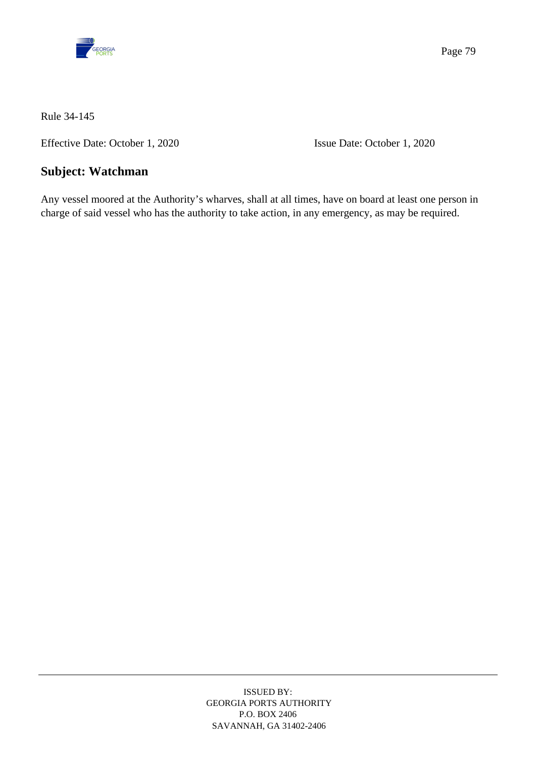

Effective Date: October 1, 2020 Issue Date: October 1, 2020

## **Subject: Watchman**

Any vessel moored at the Authority's wharves, shall at all times, have on board at least one person in charge of said vessel who has the authority to take action, in any emergency, as may be required.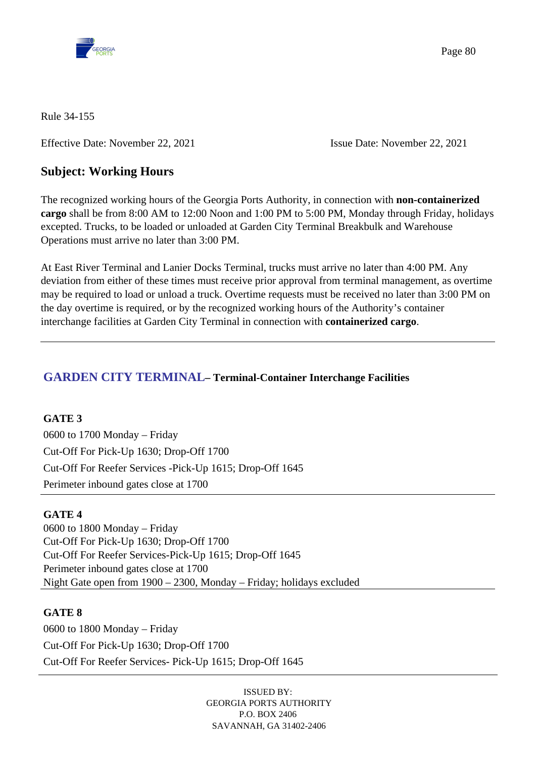

Effective Date: November 22, 2021 Issue Date: November 22, 2021

## **Subject: Working Hours**

The recognized working hours of the Georgia Ports Authority, in connection with **non-containerized cargo** shall be from 8:00 AM to 12:00 Noon and 1:00 PM to 5:00 PM, Monday through Friday, holidays excepted. Trucks, to be loaded or unloaded at Garden City Terminal Breakbulk and Warehouse Operations must arrive no later than 3:00 PM.

At East River Terminal and Lanier Docks Terminal, trucks must arrive no later than 4:00 PM. Any deviation from either of these times must receive prior approval from terminal management, as overtime may be required to load or unload a truck. Overtime requests must be received no later than 3:00 PM on the day overtime is required, or by the recognized working hours of the Authority's container interchange facilities at Garden City Terminal in connection with **containerized cargo**.

## **GARDEN CITY TERMINAL– Terminal-Container Interchange Facilities**

## **GATE 3**

0600 to 1700 Monday – Friday Cut-Off For Pick-Up 1630; Drop-Off 1700 Cut-Off For Reefer Services -Pick-Up 1615; Drop-Off 1645 Perimeter inbound gates close at 1700

## **GATE 4**

0600 to 1800 Monday – Friday Cut-Off For Pick-Up 1630; Drop-Off 1700 Cut-Off For Reefer Services-Pick-Up 1615; Drop-Off 1645 Perimeter inbound gates close at 1700 Night Gate open from 1900 – 2300, Monday – Friday; holidays excluded

## **GATE 8**

0600 to 1800 Monday – Friday Cut-Off For Pick-Up 1630; Drop-Off 1700 Cut-Off For Reefer Services- Pick-Up 1615; Drop-Off 1645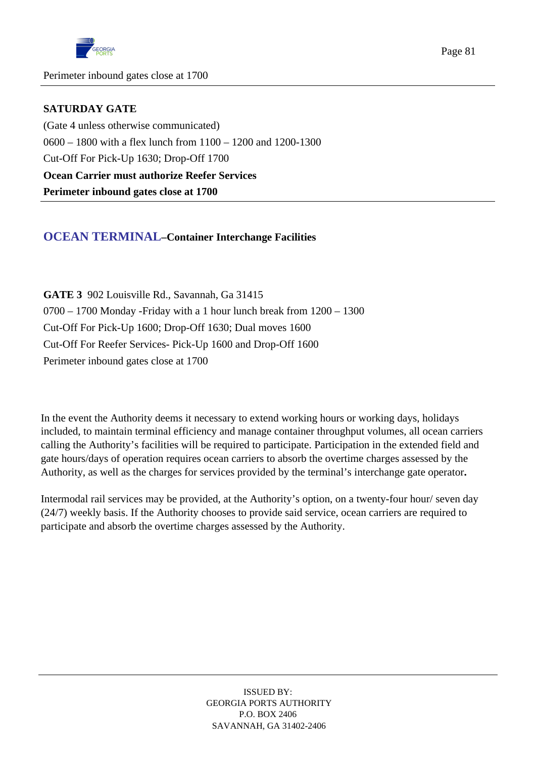

Perimeter inbound gates close at 1700

## **SATURDAY GATE**

(Gate 4 unless otherwise communicated) 0600 – 1800 with a flex lunch from 1100 – 1200 and 1200-1300 Cut-Off For Pick-Up 1630; Drop-Off 1700 **Ocean Carrier must authorize Reefer Services Perimeter inbound gates close at 1700**

## **OCEAN TERMINAL–Container Interchange Facilities**

**GATE 3** 902 Louisville Rd., Savannah, Ga 31415 0700 – 1700 Monday -Friday with a 1 hour lunch break from 1200 – 1300 Cut-Off For Pick-Up 1600; Drop-Off 1630; Dual moves 1600 Cut-Off For Reefer Services- Pick-Up 1600 and Drop-Off 1600 Perimeter inbound gates close at 1700

In the event the Authority deems it necessary to extend working hours or working days, holidays included, to maintain terminal efficiency and manage container throughput volumes, all ocean carriers calling the Authority's facilities will be required to participate. Participation in the extended field and gate hours/days of operation requires ocean carriers to absorb the overtime charges assessed by the Authority, as well as the charges for services provided by the terminal's interchange gate operator**.**

Intermodal rail services may be provided, at the Authority's option, on a twenty-four hour/ seven day (24/7) weekly basis. If the Authority chooses to provide said service, ocean carriers are required to participate and absorb the overtime charges assessed by the Authority.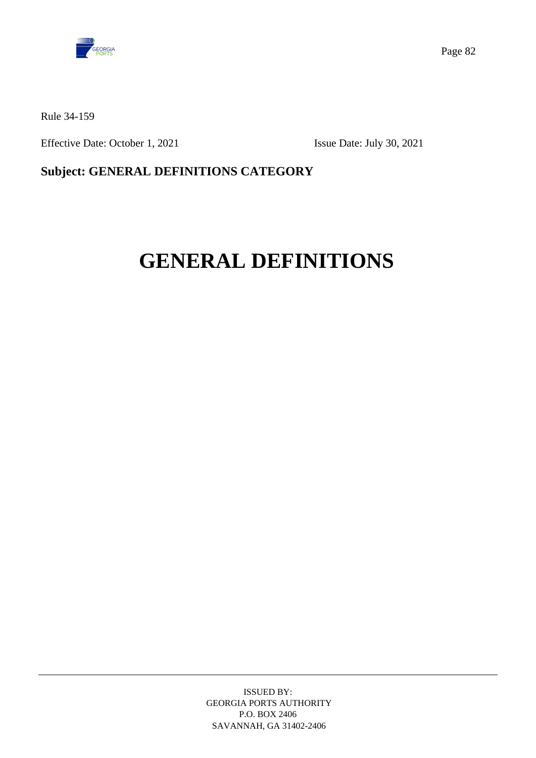

Effective Date: October 1, 2021 Issue Date: July 30, 2021

# **Subject: GENERAL DEFINITIONS CATEGORY**

# **GENERAL DEFINITIONS**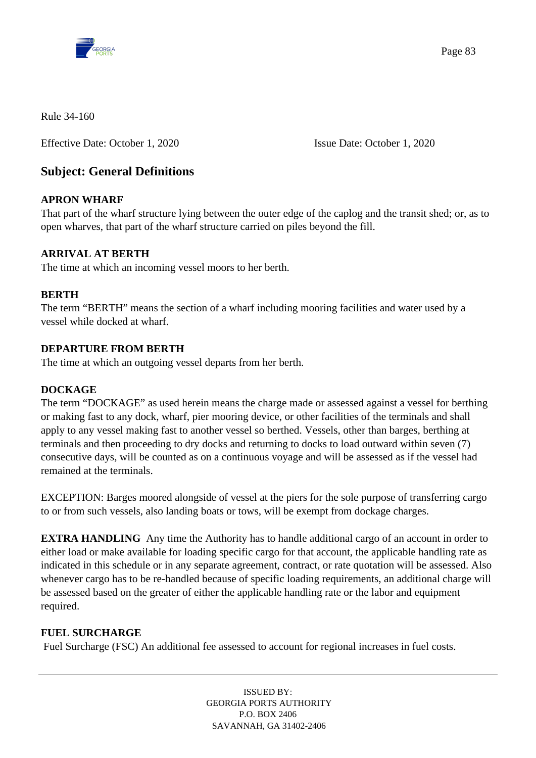

Effective Date: October 1, 2020 Issue Date: October 1, 2020

## **Subject: General Definitions**

## **APRON WHARF**

That part of the wharf structure lying between the outer edge of the caplog and the transit shed; or, as to open wharves, that part of the wharf structure carried on piles beyond the fill.

## **ARRIVAL AT BERTH**

The time at which an incoming vessel moors to her berth.

#### **BERTH**

The term "BERTH" means the section of a wharf including mooring facilities and water used by a vessel while docked at wharf.

## **DEPARTURE FROM BERTH**

The time at which an outgoing vessel departs from her berth.

#### **DOCKAGE**

The term "DOCKAGE" as used herein means the charge made or assessed against a vessel for berthing or making fast to any dock, wharf, pier mooring device, or other facilities of the terminals and shall apply to any vessel making fast to another vessel so berthed. Vessels, other than barges, berthing at terminals and then proceeding to dry docks and returning to docks to load outward within seven (7) consecutive days, will be counted as on a continuous voyage and will be assessed as if the vessel had remained at the terminals.

EXCEPTION: Barges moored alongside of vessel at the piers for the sole purpose of transferring cargo to or from such vessels, also landing boats or tows, will be exempt from dockage charges.

**EXTRA HANDLING** Any time the Authority has to handle additional cargo of an account in order to either load or make available for loading specific cargo for that account, the applicable handling rate as indicated in this schedule or in any separate agreement, contract, or rate quotation will be assessed. Also whenever cargo has to be re-handled because of specific loading requirements, an additional charge will be assessed based on the greater of either the applicable handling rate or the labor and equipment required.

## **FUEL SURCHARGE**

Fuel Surcharge (FSC) An additional fee assessed to account for regional increases in fuel costs.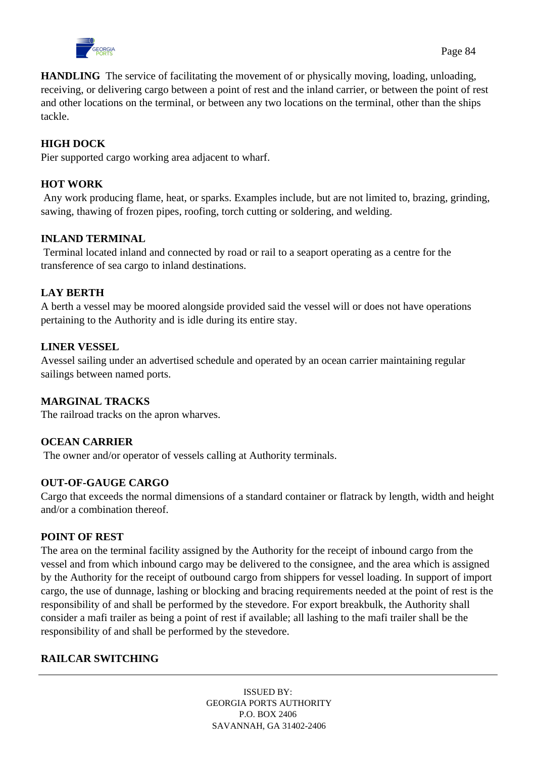

**HANDLING** The service of facilitating the movement of or physically moving, loading, unloading, receiving, or delivering cargo between a point of rest and the inland carrier, or between the point of rest and other locations on the terminal, or between any two locations on the terminal, other than the ships tackle.

## **HIGH DOCK**

Pier supported cargo working area adjacent to wharf.

## **HOT WORK**

Any work producing flame, heat, or sparks. Examples include, but are not limited to, brazing, grinding, sawing, thawing of frozen pipes, roofing, torch cutting or soldering, and welding.

#### **INLAND TERMINAL**

Terminal located inland and connected by road or rail to a seaport operating as a centre for the transference of sea cargo to inland destinations.

#### **LAY BERTH**

A berth a vessel may be moored alongside provided said the vessel will or does not have operations pertaining to the Authority and is idle during its entire stay.

## **LINER VESSEL**

Avessel sailing under an advertised schedule and operated by an ocean carrier maintaining regular sailings between named ports.

## **MARGINAL TRACKS**

The railroad tracks on the apron wharves.

## **OCEAN CARRIER**

The owner and/or operator of vessels calling at Authority terminals.

#### **OUT-OF-GAUGE CARGO**

Cargo that exceeds the normal dimensions of a standard container or flatrack by length, width and height and/or a combination thereof.

#### **POINT OF REST**

The area on the terminal facility assigned by the Authority for the receipt of inbound cargo from the vessel and from which inbound cargo may be delivered to the consignee, and the area which is assigned by the Authority for the receipt of outbound cargo from shippers for vessel loading. In support of import cargo, the use of dunnage, lashing or blocking and bracing requirements needed at the point of rest is the responsibility of and shall be performed by the stevedore. For export breakbulk, the Authority shall consider a mafi trailer as being a point of rest if available; all lashing to the mafi trailer shall be the responsibility of and shall be performed by the stevedore.

## **RAILCAR SWITCHING**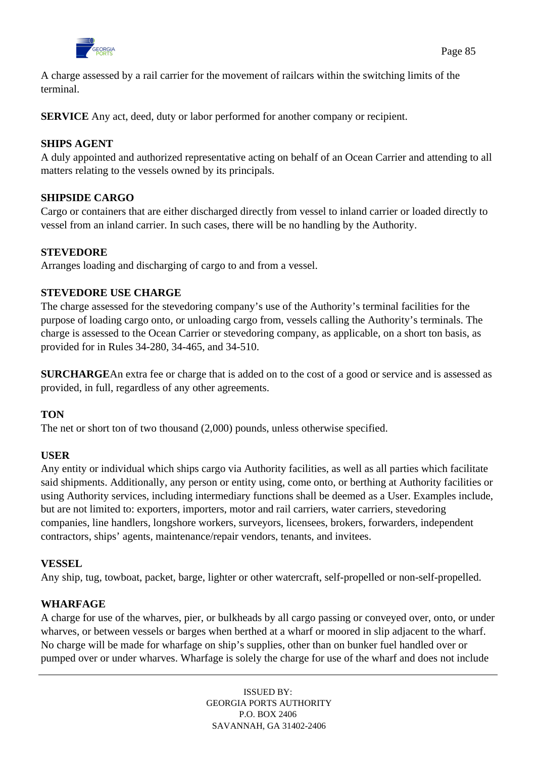

A charge assessed by a rail carrier for the movement of railcars within the switching limits of the terminal.

**SERVICE** Any act, deed, duty or labor performed for another company or recipient.

## **SHIPS AGENT**

A duly appointed and authorized representative acting on behalf of an Ocean Carrier and attending to all matters relating to the vessels owned by its principals.

## **SHIPSIDE CARGO**

Cargo or containers that are either discharged directly from vessel to inland carrier or loaded directly to vessel from an inland carrier. In such cases, there will be no handling by the Authority.

## **STEVEDORE**

Arranges loading and discharging of cargo to and from a vessel.

## **STEVEDORE USE CHARGE**

The charge assessed for the stevedoring company's use of the Authority's terminal facilities for the purpose of loading cargo onto, or unloading cargo from, vessels calling the Authority's terminals. The charge is assessed to the Ocean Carrier or stevedoring company, as applicable, on a short ton basis, as provided for in Rules 34-280, 34-465, and 34-510.

**SURCHARGE**An extra fee or charge that is added on to the cost of a good or service and is assessed as provided, in full, regardless of any other agreements.

## **TON**

The net or short ton of two thousand (2,000) pounds, unless otherwise specified.

## **USER**

Any entity or individual which ships cargo via Authority facilities, as well as all parties which facilitate said shipments. Additionally, any person or entity using, come onto, or berthing at Authority facilities or using Authority services, including intermediary functions shall be deemed as a User. Examples include, but are not limited to: exporters, importers, motor and rail carriers, water carriers, stevedoring companies, line handlers, longshore workers, surveyors, licensees, brokers, forwarders, independent contractors, ships' agents, maintenance/repair vendors, tenants, and invitees.

## **VESSEL**

Any ship, tug, towboat, packet, barge, lighter or other watercraft, self-propelled or non-self-propelled.

## **WHARFAGE**

A charge for use of the wharves, pier, or bulkheads by all cargo passing or conveyed over, onto, or under wharves, or between vessels or barges when berthed at a wharf or moored in slip adjacent to the wharf. No charge will be made for wharfage on ship's supplies, other than on bunker fuel handled over or pumped over or under wharves. Wharfage is solely the charge for use of the wharf and does not include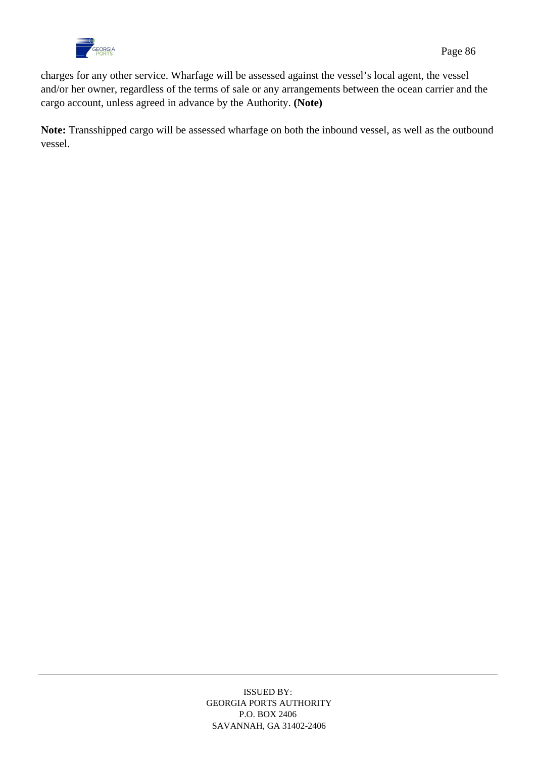

charges for any other service. Wharfage will be assessed against the vessel's local agent, the vessel and/or her owner, regardless of the terms of sale or any arrangements between the ocean carrier and the cargo account, unless agreed in advance by the Authority. **(Note)**

**Note:** Transshipped cargo will be assessed wharfage on both the inbound vessel, as well as the outbound vessel.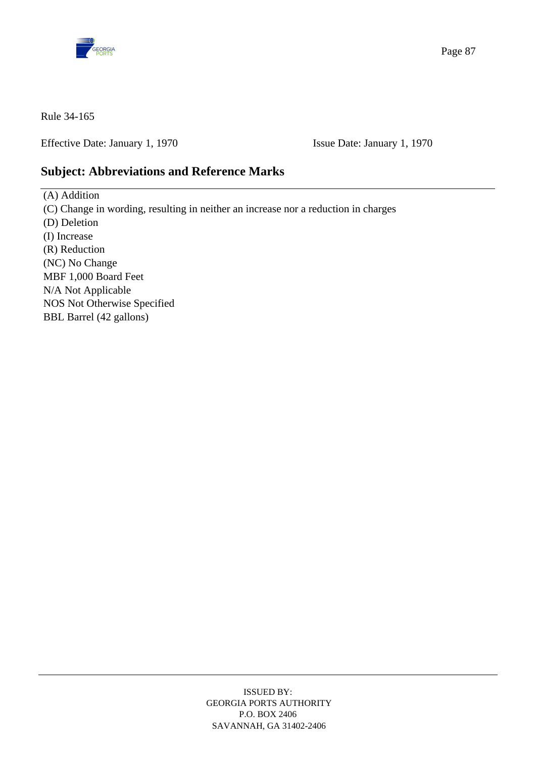

Effective Date: January 1, 1970 Issue Date: January 1, 1970

## **Subject: Abbreviations and Reference Marks**

(A) Addition (C) Change in wording, resulting in neither an increase nor a reduction in charges (D) Deletion (I) Increase (R) Reduction (NC) No Change MBF 1,000 Board Feet N/A Not Applicable NOS Not Otherwise Specified BBL Barrel (42 gallons)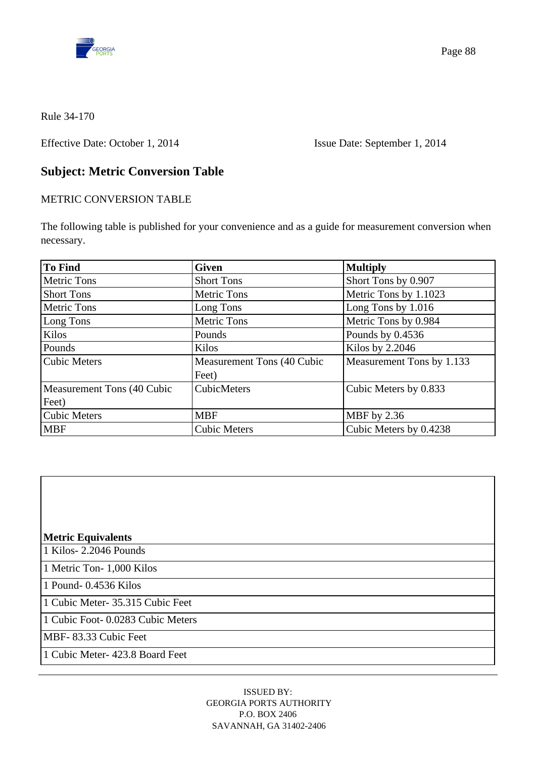

Effective Date: October 1, 2014 Issue Date: September 1, 2014

## **Subject: Metric Conversion Table**

## METRIC CONVERSION TABLE

The following table is published for your convenience and as a guide for measurement conversion when necessary.

| <b>To Find</b>             | Given                      | <b>Multiply</b>           |
|----------------------------|----------------------------|---------------------------|
| <b>Metric Tons</b>         | <b>Short Tons</b>          | Short Tons by 0.907       |
| <b>Short Tons</b>          | <b>Metric Tons</b>         | Metric Tons by 1.1023     |
| <b>Metric Tons</b>         | Long Tons                  | Long Tons by $1.016$      |
| Long Tons                  | <b>Metric Tons</b>         | Metric Tons by 0.984      |
| Kilos                      | Pounds                     | Pounds by 0.4536          |
| Pounds                     | Kilos                      | Kilos by 2.2046           |
| <b>Cubic Meters</b>        | Measurement Tons (40 Cubic | Measurement Tons by 1.133 |
|                            | Feet)                      |                           |
| Measurement Tons (40 Cubic | CubicMeters                | Cubic Meters by 0.833     |
| Feet)                      |                            |                           |
| <b>Cubic Meters</b>        | <b>MBF</b>                 | MBF by 2.36               |
| <b>MBF</b>                 | <b>Cubic Meters</b>        | Cubic Meters by 0.4238    |

| <b>Metric Equivalents</b>        |
|----------------------------------|
| 1 Kilos-2.2046 Pounds            |
| 1 Metric Ton-1,000 Kilos         |
| 1 Pound-0.4536 Kilos             |
| 1 Cubic Meter-35.315 Cubic Feet  |
| 1 Cubic Foot-0.0283 Cubic Meters |
| MBF-83.33 Cubic Feet             |
| 1 Cubic Meter-423.8 Board Feet   |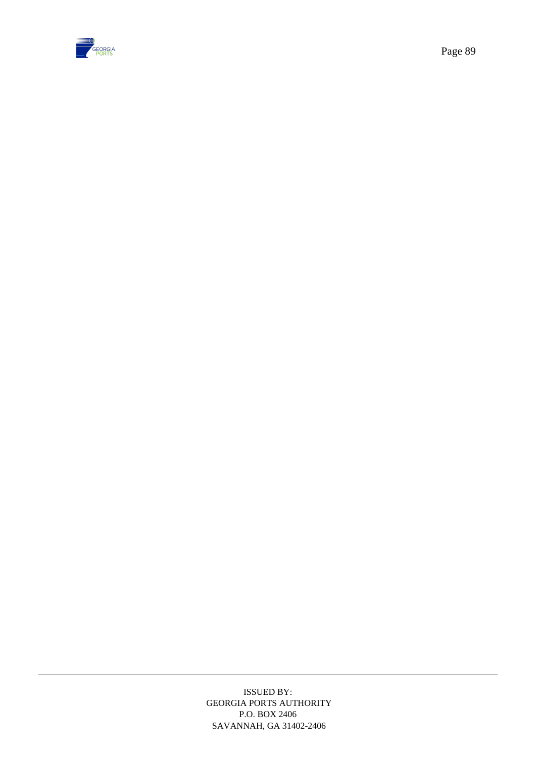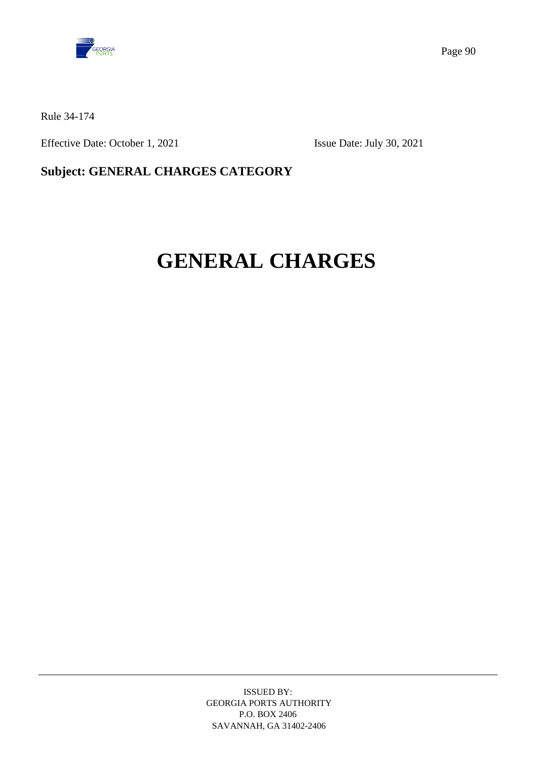

Effective Date: October 1, 2021 Issue Date: July 30, 2021

**Subject: GENERAL CHARGES CATEGORY**

# **GENERAL CHARGES**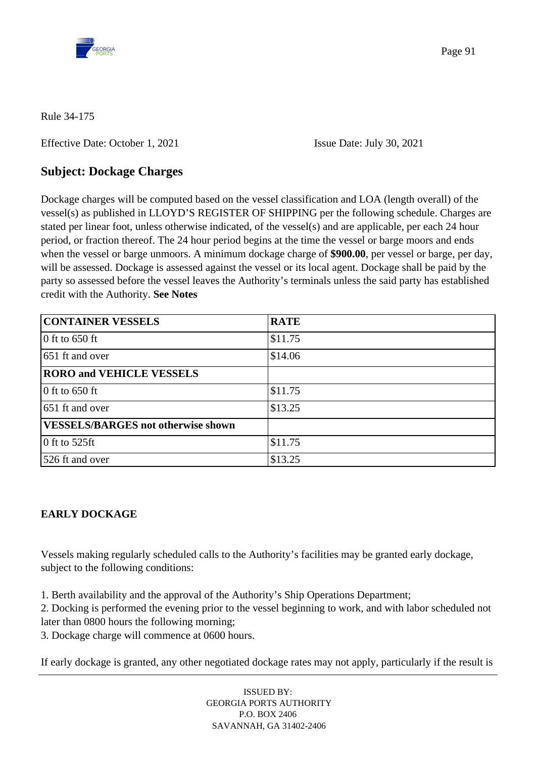

Effective Date: October 1, 2021 Issue Date: July 30, 2021

## **Subject: Dockage Charges**

Dockage charges will be computed based on the vessel classification and LOA (length overall) of the vessel(s) as published in LLOYD'S REGISTER OF SHIPPING per the following schedule. Charges are stated per linear foot, unless otherwise indicated, of the vessel(s) and are applicable, per each 24 hour period, or fraction thereof. The 24 hour period begins at the time the vessel or barge moors and ends when the vessel or barge unmoors. A minimum dockage charge of **\$900.00**, per vessel or barge, per day, will be assessed. Dockage is assessed against the vessel or its local agent. Dockage shall be paid by the party so assessed before the vessel leaves the Authority's terminals unless the said party has established credit with the Authority. **See Notes**

| <b>CONTAINER VESSELS</b>                  | <b>RATE</b> |
|-------------------------------------------|-------------|
| 0 ft to $650$ ft                          | \$11.75     |
| 651 ft and over                           | \$14.06     |
| <b>RORO and VEHICLE VESSELS</b>           |             |
| 0 ft to $650$ ft                          | \$11.75     |
| 651 ft and over                           | \$13.25     |
| <b>VESSELS/BARGES</b> not otherwise shown |             |
| 0 ft to $525$ ft                          | \$11.75     |
| 526 ft and over                           | \$13.25     |

## **EARLY DOCKAGE**

Vessels making regularly scheduled calls to the Authority's facilities may be granted early dockage, subject to the following conditions:

- 1. Berth availability and the approval of the Authority's Ship Operations Department;
- 2. Docking is performed the evening prior to the vessel beginning to work, and with labor scheduled not later than 0800 hours the following morning;
- 3. Dockage charge will commence at 0600 hours.

If early dockage is granted, any other negotiated dockage rates may not apply, particularly if the result is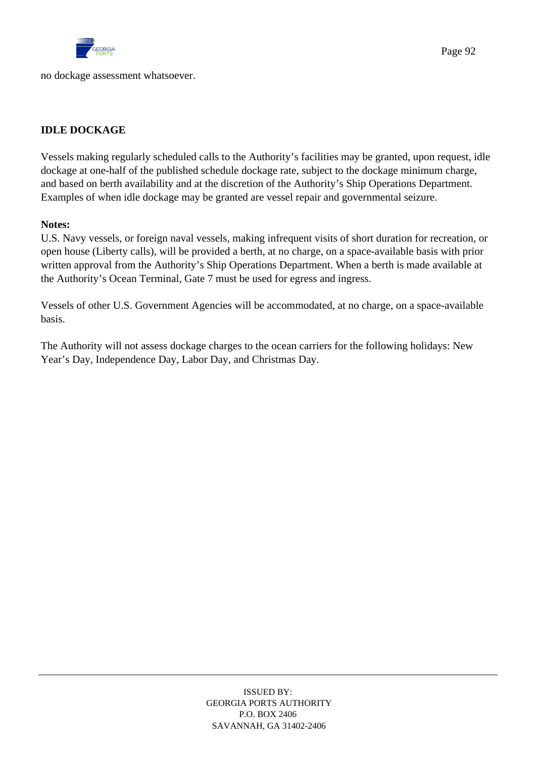

no dockage assessment whatsoever.

## **IDLE DOCKAGE**

Vessels making regularly scheduled calls to the Authority's facilities may be granted, upon request, idle dockage at one-half of the published schedule dockage rate, subject to the dockage minimum charge, and based on berth availability and at the discretion of the Authority's Ship Operations Department. Examples of when idle dockage may be granted are vessel repair and governmental seizure.

#### **Notes:**

U.S. Navy vessels, or foreign naval vessels, making infrequent visits of short duration for recreation, or open house (Liberty calls), will be provided a berth, at no charge, on a space-available basis with prior written approval from the Authority's Ship Operations Department. When a berth is made available at the Authority's Ocean Terminal, Gate 7 must be used for egress and ingress.

Vessels of other U.S. Government Agencies will be accommodated, at no charge, on a space-available basis.

The Authority will not assess dockage charges to the ocean carriers for the following holidays: New Year's Day, Independence Day, Labor Day, and Christmas Day.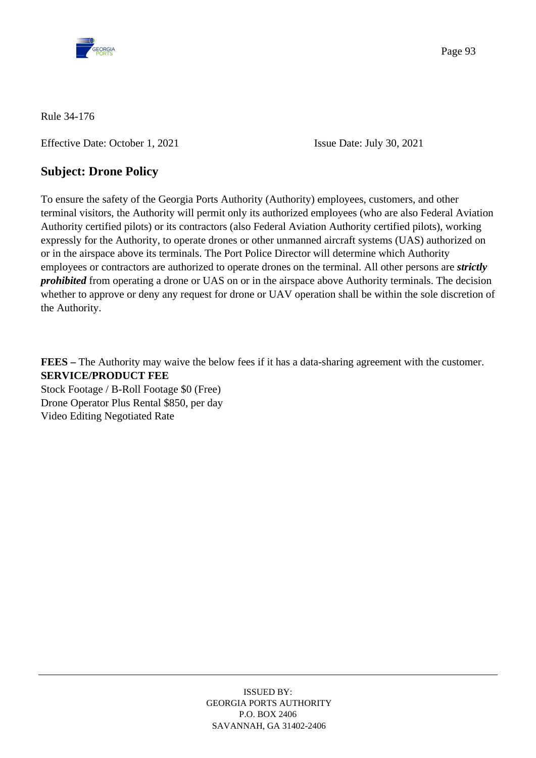

Effective Date: October 1, 2021 Issue Date: July 30, 2021

## **Subject: Drone Policy**

To ensure the safety of the Georgia Ports Authority (Authority) employees, customers, and other terminal visitors, the Authority will permit only its authorized employees (who are also Federal Aviation Authority certified pilots) or its contractors (also Federal Aviation Authority certified pilots), working expressly for the Authority, to operate drones or other unmanned aircraft systems (UAS) authorized on or in the airspace above its terminals. The Port Police Director will determine which Authority employees or contractors are authorized to operate drones on the terminal. All other persons are *strictly prohibited* from operating a drone or UAS on or in the airspace above Authority terminals. The decision whether to approve or deny any request for drone or UAV operation shall be within the sole discretion of the Authority.

**FEES –** The Authority may waive the below fees if it has a data-sharing agreement with the customer. **SERVICE/PRODUCT FEE** Stock Footage / B-Roll Footage \$0 (Free) Drone Operator Plus Rental \$850, per day Video Editing Negotiated Rate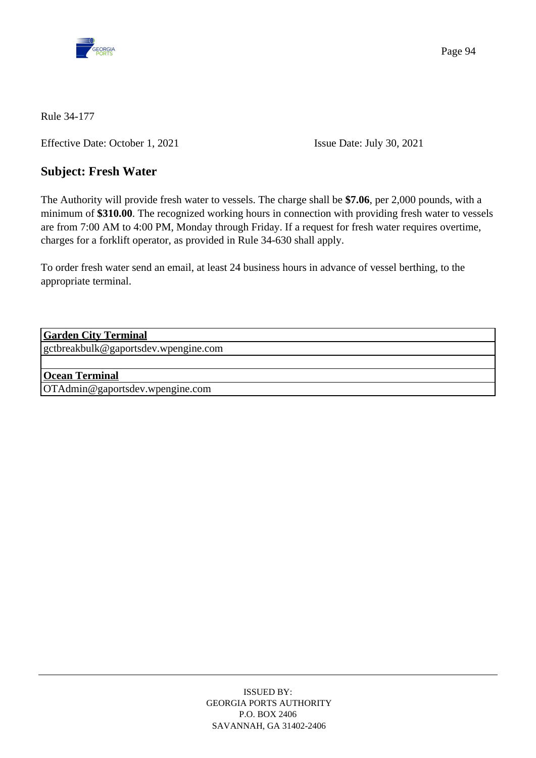

Effective Date: October 1, 2021 Issue Date: July 30, 2021

## **Subject: Fresh Water**

The Authority will provide fresh water to vessels. The charge shall be **\$7.06**, per 2,000 pounds, with a minimum of **\$310.00**. The recognized working hours in connection with providing fresh water to vessels are from 7:00 AM to 4:00 PM, Monday through Friday. If a request for fresh water requires overtime, charges for a forklift operator, as provided in Rule 34-630 shall apply.

To order fresh water send an email, at least 24 business hours in advance of vessel berthing, to the appropriate terminal.

## **Garden City Terminal**

gctbreakbulk@gaportsdev.wpengine.com

#### **Ocean Terminal**

OTAdmin@gaportsdev.wpengine.com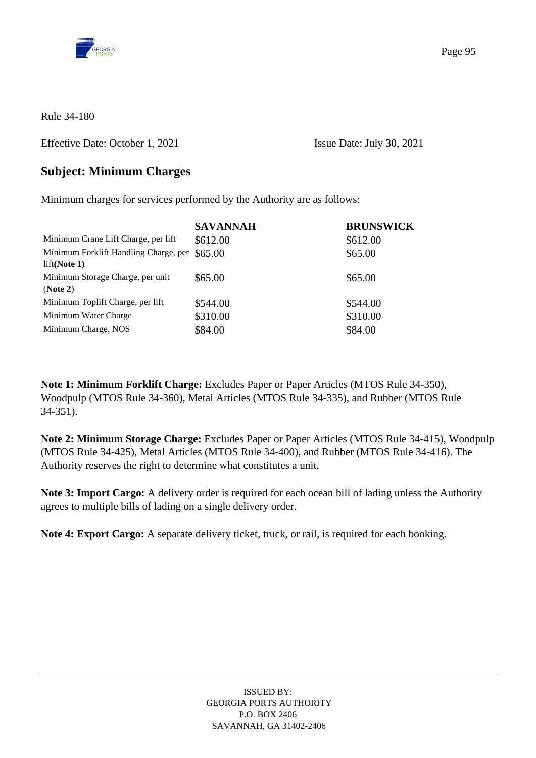

Effective Date: October 1, 2021 Issue Date: July 30, 2021

## **Subject: Minimum Charges**

Minimum charges for services performed by the Authority are as follows:

|                                                       | <b>SAVANNAH</b> | <b>BRUNSWICK</b> |
|-------------------------------------------------------|-----------------|------------------|
| Minimum Crane Lift Charge, per lift                   | \$612.00        | \$612.00         |
| Minimum Forklift Handling Charge, per<br>lift(Note 1) | \$65.00         | \$65.00          |
| Minimum Storage Charge, per unit<br>(Note 2)          | \$65.00         | \$65.00          |
| Minimum Toplift Charge, per lift                      | \$544.00        | \$544.00         |
| Minimum Water Charge                                  | \$310.00        | \$310.00         |
| Minimum Charge, NOS                                   | \$84.00         | \$84.00          |

**Note 1: Minimum Forklift Charge:** Excludes Paper or Paper Articles (MTOS Rule 34-350), Woodpulp (MTOS Rule 34-360), Metal Articles (MTOS Rule 34-335), and Rubber (MTOS Rule 34-351).

**Note 2: Minimum Storage Charge:** Excludes Paper or Paper Articles (MTOS Rule 34-415), Woodpulp (MTOS Rule 34-425), Metal Articles (MTOS Rule 34-400), and Rubber (MTOS Rule 34-416). The Authority reserves the right to determine what constitutes a unit.

**Note 3: Import Cargo:** A delivery order is required for each ocean bill of lading unless the Authority agrees to multiple bills of lading on a single delivery order.

**Note 4: Export Cargo:** A separate delivery ticket, truck, or rail, is required for each booking.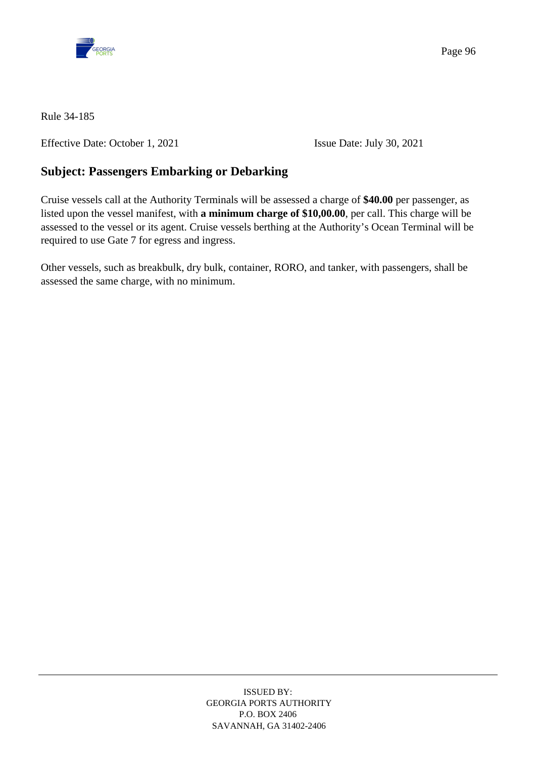

Effective Date: October 1, 2021 Issue Date: July 30, 2021

## **Subject: Passengers Embarking or Debarking**

Cruise vessels call at the Authority Terminals will be assessed a charge of **\$40.00** per passenger, as listed upon the vessel manifest, with **a minimum charge of \$10,00.00**, per call. This charge will be assessed to the vessel or its agent. Cruise vessels berthing at the Authority's Ocean Terminal will be required to use Gate 7 for egress and ingress.

Other vessels, such as breakbulk, dry bulk, container, RORO, and tanker, with passengers, shall be assessed the same charge, with no minimum.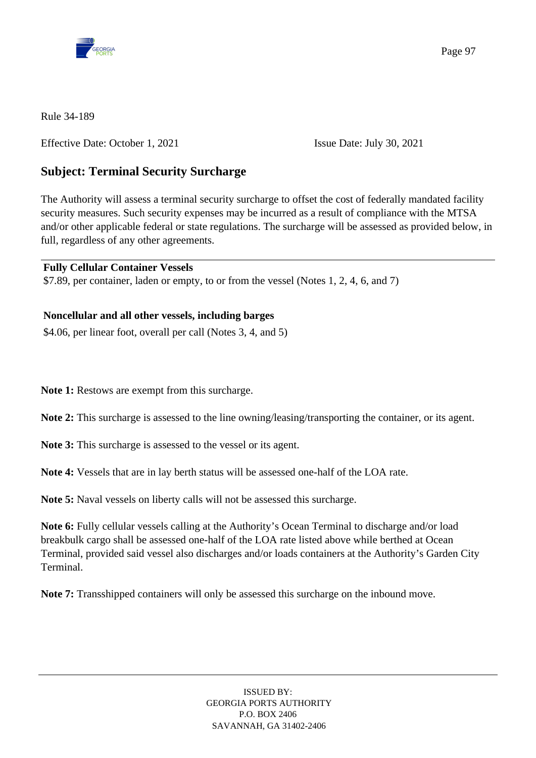

Effective Date: October 1, 2021 Issue Date: July 30, 2021

## **Subject: Terminal Security Surcharge**

The Authority will assess a terminal security surcharge to offset the cost of federally mandated facility security measures. Such security expenses may be incurred as a result of compliance with the MTSA and/or other applicable federal or state regulations. The surcharge will be assessed as provided below, in full, regardless of any other agreements.

## **Fully Cellular Container Vessels**

\$7.89, per container, laden or empty, to or from the vessel (Notes 1, 2, 4, 6, and 7)

## **Noncellular and all other vessels, including barges**

\$4.06, per linear foot, overall per call (Notes 3, 4, and 5)

**Note 1:** Restows are exempt from this surcharge.

**Note 2:** This surcharge is assessed to the line owning/leasing/transporting the container, or its agent.

**Note 3:** This surcharge is assessed to the vessel or its agent.

**Note 4:** Vessels that are in lay berth status will be assessed one-half of the LOA rate.

**Note 5:** Naval vessels on liberty calls will not be assessed this surcharge.

**Note 6:** Fully cellular vessels calling at the Authority's Ocean Terminal to discharge and/or load breakbulk cargo shall be assessed one-half of the LOA rate listed above while berthed at Ocean Terminal, provided said vessel also discharges and/or loads containers at the Authority's Garden City Terminal.

**Note 7:** Transshipped containers will only be assessed this surcharge on the inbound move.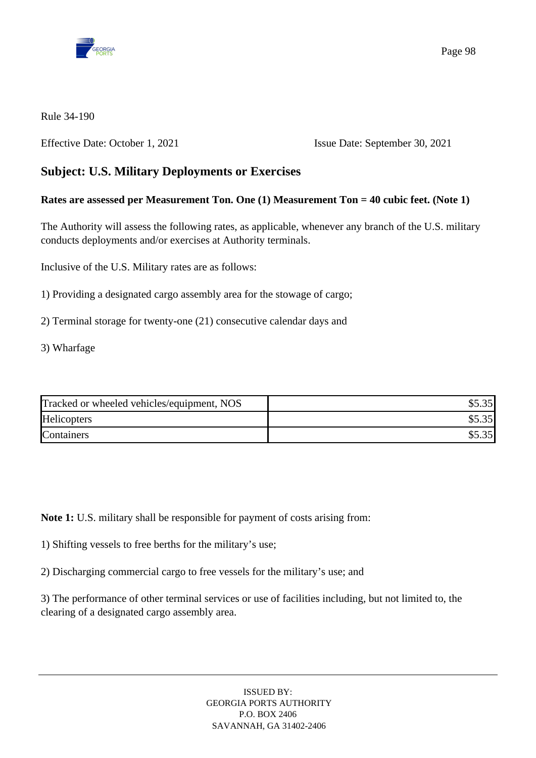

Effective Date: October 1, 2021 Issue Date: September 30, 2021

## **Subject: U.S. Military Deployments or Exercises**

## **Rates are assessed per Measurement Ton. One (1) Measurement Ton = 40 cubic feet. (Note 1)**

The Authority will assess the following rates, as applicable, whenever any branch of the U.S. military conducts deployments and/or exercises at Authority terminals.

Inclusive of the U.S. Military rates are as follows:

- 1) Providing a designated cargo assembly area for the stowage of cargo;
- 2) Terminal storage for twenty-one (21) consecutive calendar days and
- 3) Wharfage

| Tracked or wheeled vehicles/equipment, NOS |  |
|--------------------------------------------|--|
| <b>Helicopters</b>                         |  |
| Containers                                 |  |

**Note 1:** U.S. military shall be responsible for payment of costs arising from:

1) Shifting vessels to free berths for the military's use;

2) Discharging commercial cargo to free vessels for the military's use; and

3) The performance of other terminal services or use of facilities including, but not limited to, the clearing of a designated cargo assembly area.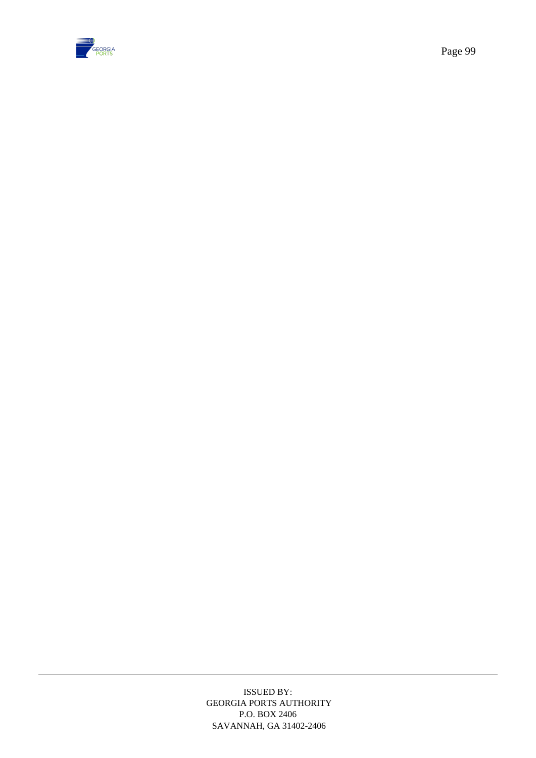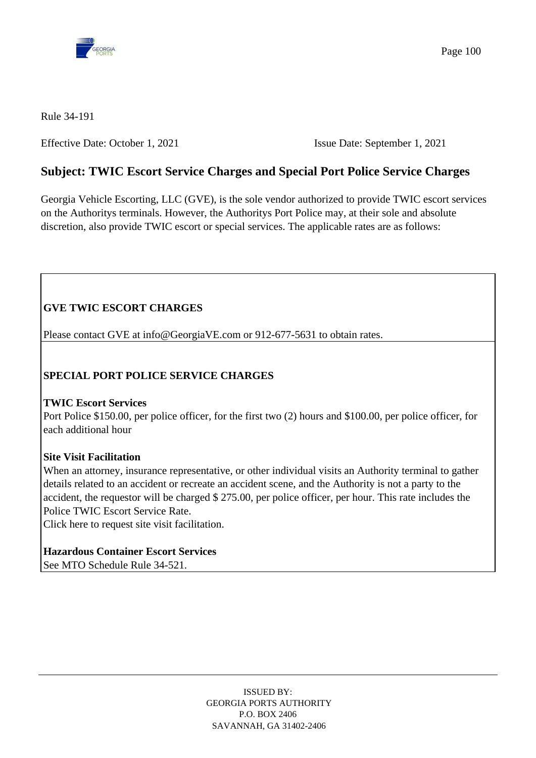

Effective Date: October 1, 2021 Issue Date: September 1, 2021

## **Subject: TWIC Escort Service Charges and Special Port Police Service Charges**

Georgia Vehicle Escorting, LLC (GVE), is the sole vendor authorized to provide TWIC escort services on the Authoritys terminals. However, the Authoritys Port Police may, at their sole and absolute discretion, also provide TWIC escort or special services. The applicable rates are as follows:

## **GVE TWIC ESCORT CHARGES**

Please contact GVE at info@GeorgiaVE.com or 912-677-5631 to obtain rates.

## **SPECIAL PORT POLICE SERVICE CHARGES**

## **TWIC Escort Services**

Port Police \$150.00, per police officer, for the first two (2) hours and \$100.00, per police officer, for each additional hour

## **Site Visit Facilitation**

When an attorney, insurance representative, or other individual visits an Authority terminal to gather details related to an accident or recreate an accident scene, and the Authority is not a party to the accident, the requestor will be charged \$ 275.00, per police officer, per hour. This rate includes the Police TWIC Escort Service Rate.

Click here to request site visit facilitation.

## **Hazardous Container Escort Services** See MTO Schedule Rule 34-521.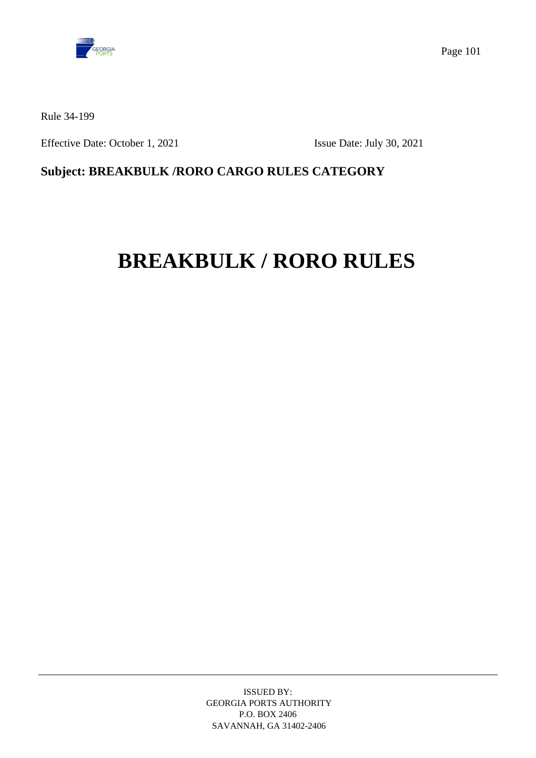

Effective Date: October 1, 2021 Issue Date: July 30, 2021

# **Subject: BREAKBULK /RORO CARGO RULES CATEGORY**

# **BREAKBULK / RORO RULES**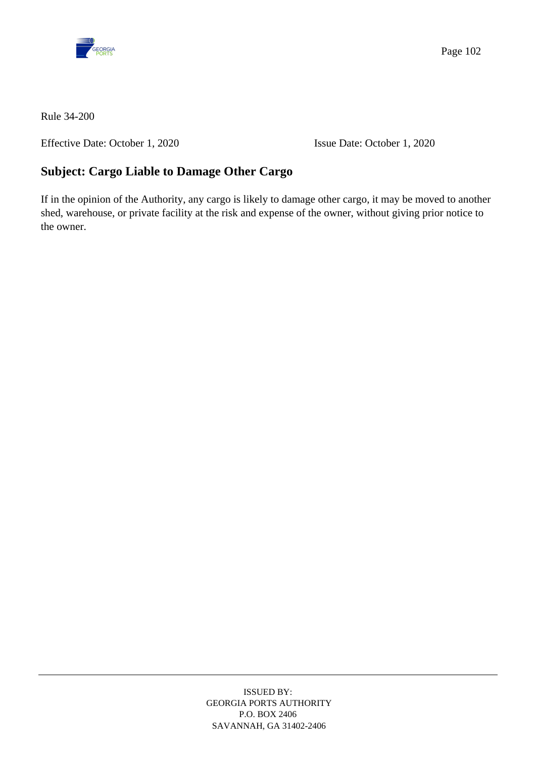

Effective Date: October 1, 2020 Issue Date: October 1, 2020

# **Subject: Cargo Liable to Damage Other Cargo**

If in the opinion of the Authority, any cargo is likely to damage other cargo, it may be moved to another shed, warehouse, or private facility at the risk and expense of the owner, without giving prior notice to the owner.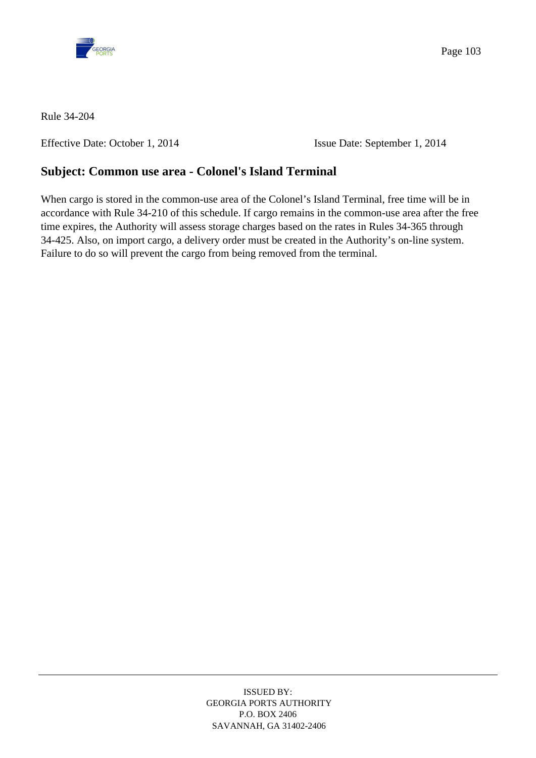

Effective Date: October 1, 2014 Issue Date: September 1, 2014

## **Subject: Common use area - Colonel's Island Terminal**

When cargo is stored in the common-use area of the Colonel's Island Terminal, free time will be in accordance with Rule 34-210 of this schedule. If cargo remains in the common-use area after the free time expires, the Authority will assess storage charges based on the rates in Rules 34-365 through 34-425. Also, on import cargo, a delivery order must be created in the Authority's on-line system. Failure to do so will prevent the cargo from being removed from the terminal.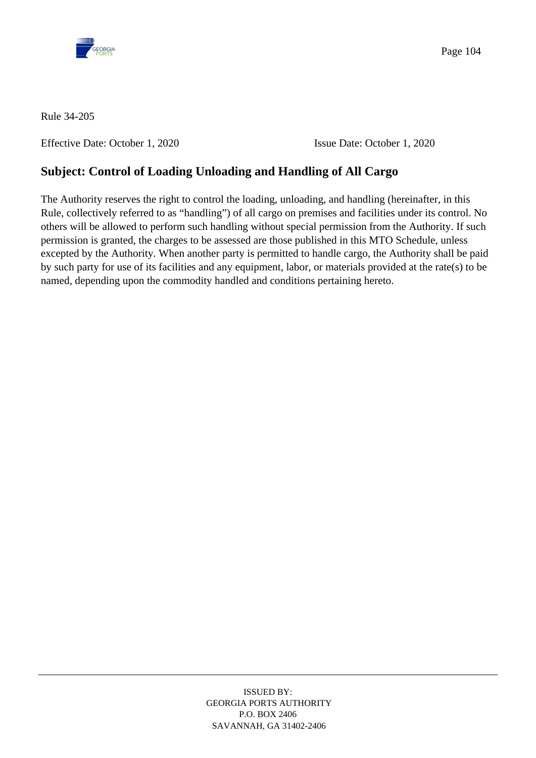

Effective Date: October 1, 2020 Issue Date: October 1, 2020

# **Subject: Control of Loading Unloading and Handling of All Cargo**

The Authority reserves the right to control the loading, unloading, and handling (hereinafter, in this Rule, collectively referred to as "handling") of all cargo on premises and facilities under its control. No others will be allowed to perform such handling without special permission from the Authority. If such permission is granted, the charges to be assessed are those published in this MTO Schedule, unless excepted by the Authority. When another party is permitted to handle cargo, the Authority shall be paid by such party for use of its facilities and any equipment, labor, or materials provided at the rate(s) to be named, depending upon the commodity handled and conditions pertaining hereto.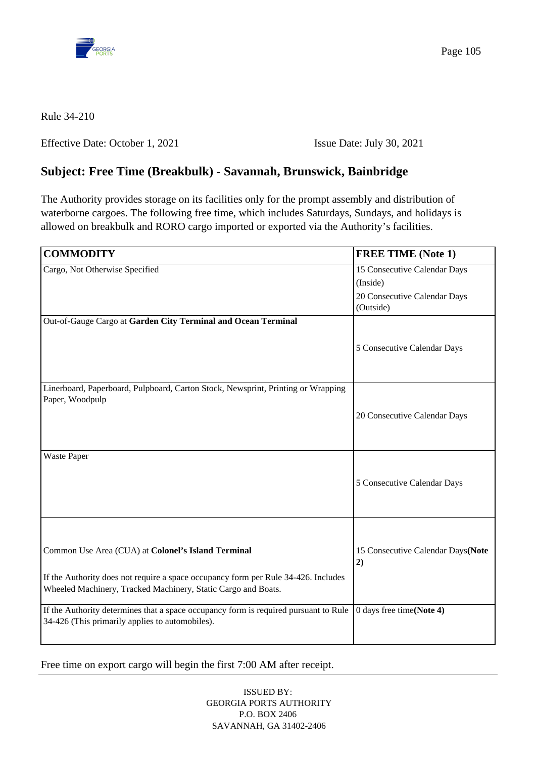

Effective Date: October 1, 2021 Issue Date: July 30, 2021

## **Subject: Free Time (Breakbulk) - Savannah, Brunswick, Bainbridge**

The Authority provides storage on its facilities only for the prompt assembly and distribution of waterborne cargoes. The following free time, which includes Saturdays, Sundays, and holidays is allowed on breakbulk and RORO cargo imported or exported via the Authority's facilities.

| <b>COMMODITY</b>                                                                                                                                    | <b>FREE TIME (Note 1)</b>                 |
|-----------------------------------------------------------------------------------------------------------------------------------------------------|-------------------------------------------|
| Cargo, Not Otherwise Specified                                                                                                                      | 15 Consecutive Calendar Days<br>(Inside)  |
|                                                                                                                                                     | 20 Consecutive Calendar Days<br>(Outside) |
| Out-of-Gauge Cargo at Garden City Terminal and Ocean Terminal                                                                                       | 5 Consecutive Calendar Days               |
|                                                                                                                                                     |                                           |
| Linerboard, Paperboard, Pulpboard, Carton Stock, Newsprint, Printing or Wrapping<br>Paper, Woodpulp                                                 |                                           |
|                                                                                                                                                     | 20 Consecutive Calendar Days              |
| <b>Waste Paper</b>                                                                                                                                  | 5 Consecutive Calendar Days               |
|                                                                                                                                                     |                                           |
|                                                                                                                                                     |                                           |
| Common Use Area (CUA) at Colonel's Island Terminal                                                                                                  | 15 Consecutive Calendar Days(Note<br>2)   |
| If the Authority does not require a space occupancy form per Rule 34-426. Includes<br>Wheeled Machinery, Tracked Machinery, Static Cargo and Boats. |                                           |
| If the Authority determines that a space occupancy form is required pursuant to Rule<br>34-426 (This primarily applies to automobiles).             | 0 days free time(Note 4)                  |

Free time on export cargo will begin the first 7:00 AM after receipt.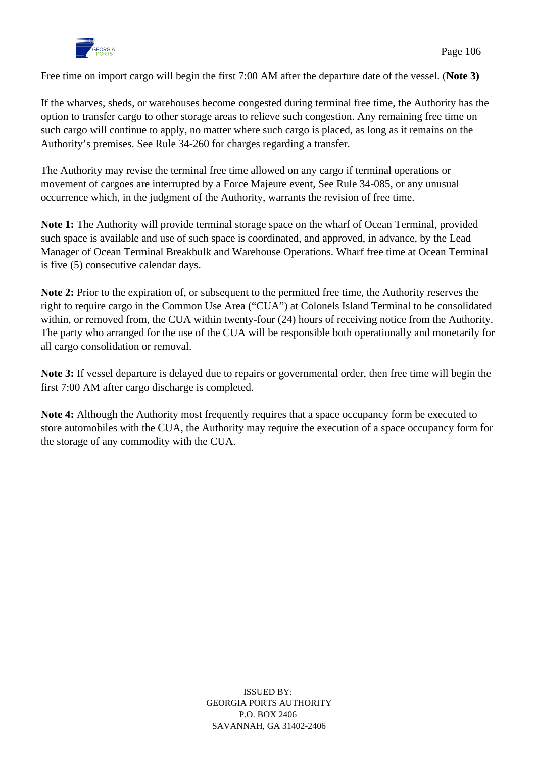

Free time on import cargo will begin the first 7:00 AM after the departure date of the vessel. (**Note 3)**

If the wharves, sheds, or warehouses become congested during terminal free time, the Authority has the option to transfer cargo to other storage areas to relieve such congestion. Any remaining free time on such cargo will continue to apply, no matter where such cargo is placed, as long as it remains on the Authority's premises. See Rule 34-260 for charges regarding a transfer.

The Authority may revise the terminal free time allowed on any cargo if terminal operations or movement of cargoes are interrupted by a Force Majeure event, See Rule 34-085, or any unusual occurrence which, in the judgment of the Authority, warrants the revision of free time.

**Note 1:** The Authority will provide terminal storage space on the wharf of Ocean Terminal, provided such space is available and use of such space is coordinated, and approved, in advance, by the Lead Manager of Ocean Terminal Breakbulk and Warehouse Operations. Wharf free time at Ocean Terminal is five (5) consecutive calendar days.

**Note 2:** Prior to the expiration of, or subsequent to the permitted free time, the Authority reserves the right to require cargo in the Common Use Area ("CUA") at Colonels Island Terminal to be consolidated within, or removed from, the CUA within twenty-four (24) hours of receiving notice from the Authority. The party who arranged for the use of the CUA will be responsible both operationally and monetarily for all cargo consolidation or removal.

**Note 3:** If vessel departure is delayed due to repairs or governmental order, then free time will begin the first 7:00 AM after cargo discharge is completed.

**Note 4:** Although the Authority most frequently requires that a space occupancy form be executed to store automobiles with the CUA, the Authority may require the execution of a space occupancy form for the storage of any commodity with the CUA.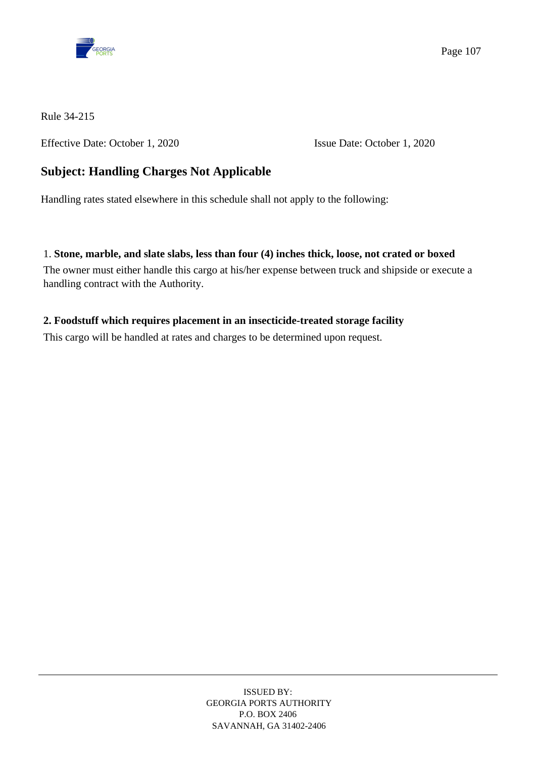

Effective Date: October 1, 2020 Issue Date: October 1, 2020

## **Subject: Handling Charges Not Applicable**

Handling rates stated elsewhere in this schedule shall not apply to the following:

## 1. **Stone, marble, and slate slabs, less than four (4) inches thick, loose, not crated or boxed**

The owner must either handle this cargo at his/her expense between truck and shipside or execute a handling contract with the Authority.

## **2. Foodstuff which requires placement in an insecticide-treated storage facility**

This cargo will be handled at rates and charges to be determined upon request.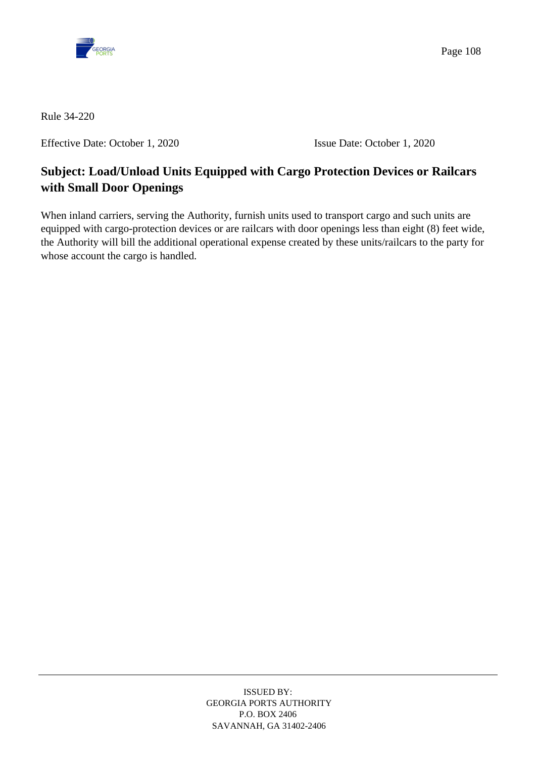

Effective Date: October 1, 2020 Issue Date: October 1, 2020

# **Subject: Load/Unload Units Equipped with Cargo Protection Devices or Railcars with Small Door Openings**

When inland carriers, serving the Authority, furnish units used to transport cargo and such units are equipped with cargo-protection devices or are railcars with door openings less than eight (8) feet wide, the Authority will bill the additional operational expense created by these units/railcars to the party for whose account the cargo is handled.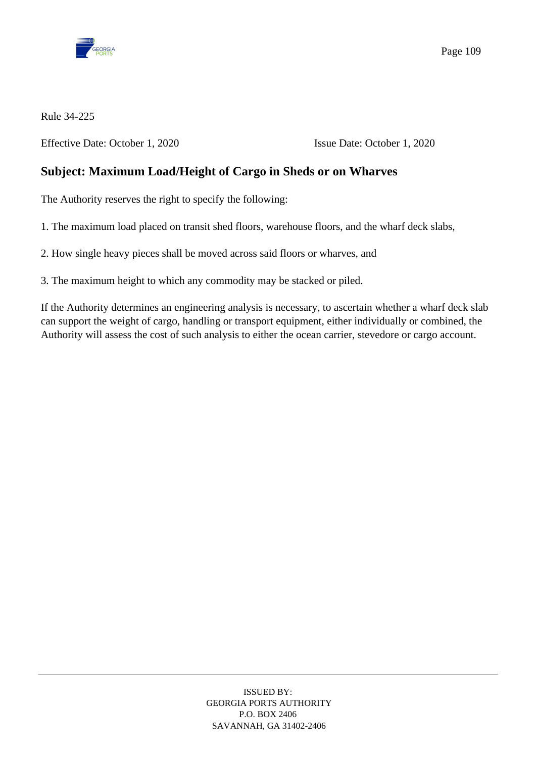

Effective Date: October 1, 2020 Issue Date: October 1, 2020

## **Subject: Maximum Load/Height of Cargo in Sheds or on Wharves**

The Authority reserves the right to specify the following:

1. The maximum load placed on transit shed floors, warehouse floors, and the wharf deck slabs,

2. How single heavy pieces shall be moved across said floors or wharves, and

3. The maximum height to which any commodity may be stacked or piled.

If the Authority determines an engineering analysis is necessary, to ascertain whether a wharf deck slab can support the weight of cargo, handling or transport equipment, either individually or combined, the Authority will assess the cost of such analysis to either the ocean carrier, stevedore or cargo account.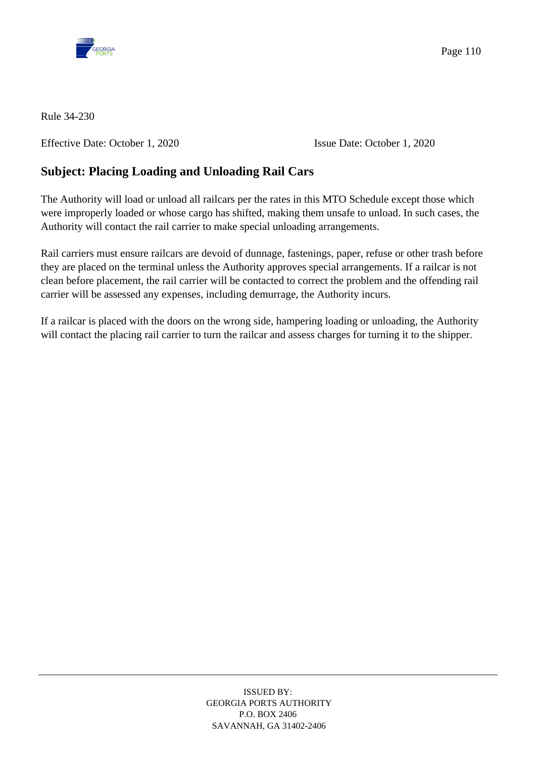

Effective Date: October 1, 2020 Issue Date: October 1, 2020

## **Subject: Placing Loading and Unloading Rail Cars**

The Authority will load or unload all railcars per the rates in this MTO Schedule except those which were improperly loaded or whose cargo has shifted, making them unsafe to unload. In such cases, the Authority will contact the rail carrier to make special unloading arrangements.

Rail carriers must ensure railcars are devoid of dunnage, fastenings, paper, refuse or other trash before they are placed on the terminal unless the Authority approves special arrangements. If a railcar is not clean before placement, the rail carrier will be contacted to correct the problem and the offending rail carrier will be assessed any expenses, including demurrage, the Authority incurs.

If a railcar is placed with the doors on the wrong side, hampering loading or unloading, the Authority will contact the placing rail carrier to turn the railcar and assess charges for turning it to the shipper.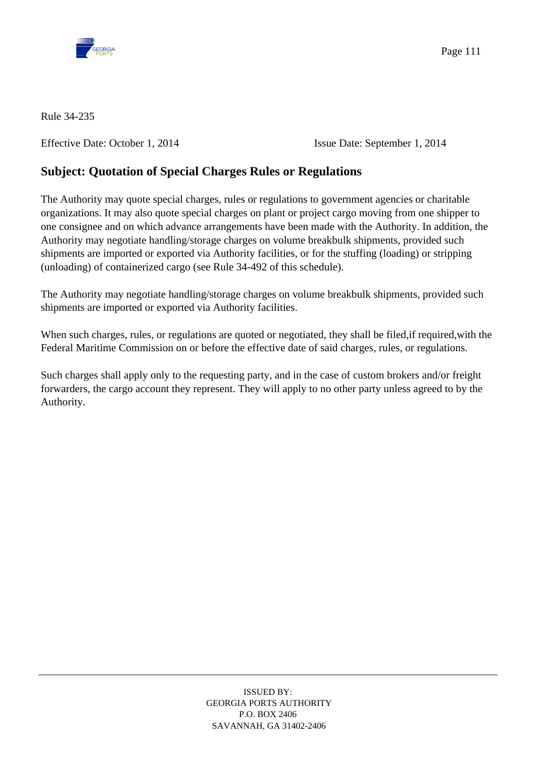

Effective Date: October 1, 2014 Issue Date: September 1, 2014

## **Subject: Quotation of Special Charges Rules or Regulations**

The Authority may quote special charges, rules or regulations to government agencies or charitable organizations. It may also quote special charges on plant or project cargo moving from one shipper to one consignee and on which advance arrangements have been made with the Authority. In addition, the Authority may negotiate handling/storage charges on volume breakbulk shipments, provided such shipments are imported or exported via Authority facilities, or for the stuffing (loading) or stripping (unloading) of containerized cargo (see Rule 34-492 of this schedule).

The Authority may negotiate handling/storage charges on volume breakbulk shipments, provided such shipments are imported or exported via Authority facilities.

When such charges, rules, or regulations are quoted or negotiated, they shall be filed,if required,with the Federal Maritime Commission on or before the effective date of said charges, rules, or regulations.

Such charges shall apply only to the requesting party, and in the case of custom brokers and/or freight forwarders, the cargo account they represent. They will apply to no other party unless agreed to by the Authority.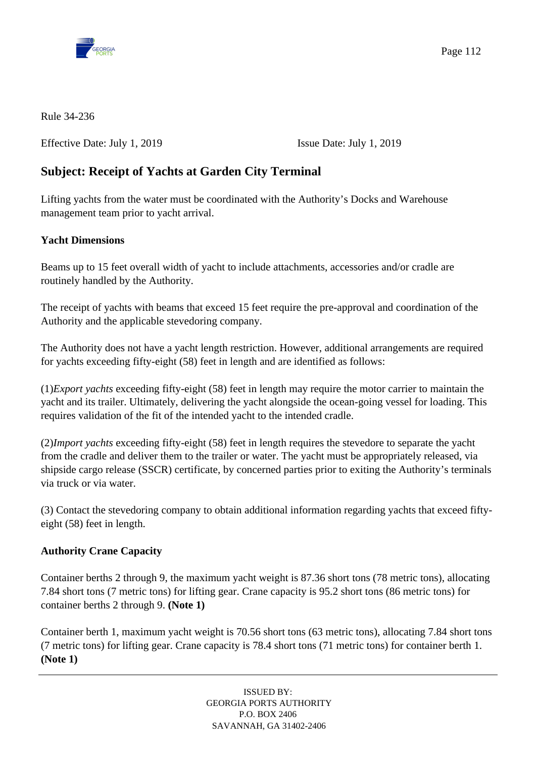

Effective Date: July 1, 2019 Issue Date: July 1, 2019

## **Subject: Receipt of Yachts at Garden City Terminal**

Lifting yachts from the water must be coordinated with the Authority's Docks and Warehouse management team prior to yacht arrival.

#### **Yacht Dimensions**

Beams up to 15 feet overall width of yacht to include attachments, accessories and/or cradle are routinely handled by the Authority.

The receipt of yachts with beams that exceed 15 feet require the pre-approval and coordination of the Authority and the applicable stevedoring company.

The Authority does not have a yacht length restriction. However, additional arrangements are required for yachts exceeding fifty-eight (58) feet in length and are identified as follows:

(1)*Export yachts* exceeding fifty-eight (58) feet in length may require the motor carrier to maintain the yacht and its trailer. Ultimately, delivering the yacht alongside the ocean-going vessel for loading. This requires validation of the fit of the intended yacht to the intended cradle.

(2)*Import yachts* exceeding fifty-eight (58) feet in length requires the stevedore to separate the yacht from the cradle and deliver them to the trailer or water. The yacht must be appropriately released, via shipside cargo release (SSCR) certificate, by concerned parties prior to exiting the Authority's terminals via truck or via water.

(3) Contact the stevedoring company to obtain additional information regarding yachts that exceed fiftyeight (58) feet in length.

#### **Authority Crane Capacity**

Container berths 2 through 9, the maximum yacht weight is 87.36 short tons (78 metric tons), allocating 7.84 short tons (7 metric tons) for lifting gear. Crane capacity is 95.2 short tons (86 metric tons) for container berths 2 through 9. **(Note 1)**

Container berth 1, maximum yacht weight is 70.56 short tons (63 metric tons), allocating 7.84 short tons (7 metric tons) for lifting gear. Crane capacity is 78.4 short tons (71 metric tons) for container berth 1. **(Note 1)**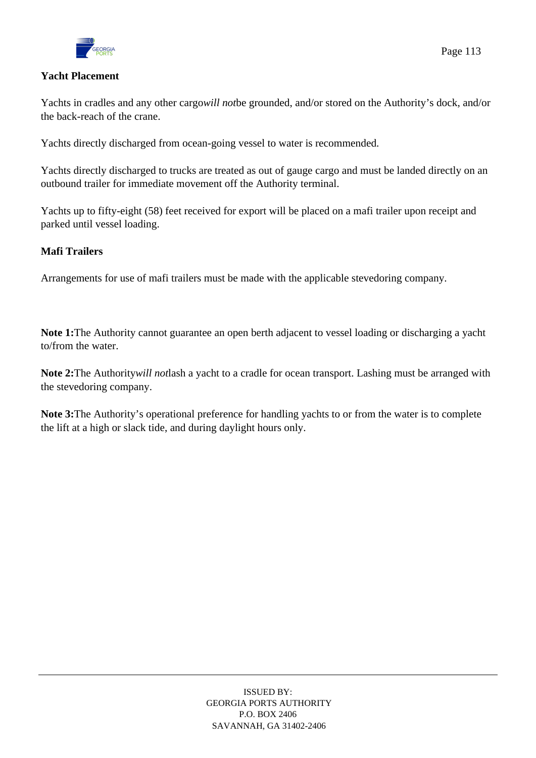

#### **Yacht Placement**

Yachts in cradles and any other cargo*will not*be grounded, and/or stored on the Authority's dock, and/or the back-reach of the crane.

Yachts directly discharged from ocean-going vessel to water is recommended.

Yachts directly discharged to trucks are treated as out of gauge cargo and must be landed directly on an outbound trailer for immediate movement off the Authority terminal.

Yachts up to fifty-eight (58) feet received for export will be placed on a mafi trailer upon receipt and parked until vessel loading.

#### **Mafi Trailers**

Arrangements for use of mafi trailers must be made with the applicable stevedoring company.

**Note 1:**The Authority cannot guarantee an open berth adjacent to vessel loading or discharging a yacht to/from the water.

**Note 2:**The Authority*will not*lash a yacht to a cradle for ocean transport. Lashing must be arranged with the stevedoring company.

**Note 3:**The Authority's operational preference for handling yachts to or from the water is to complete the lift at a high or slack tide, and during daylight hours only.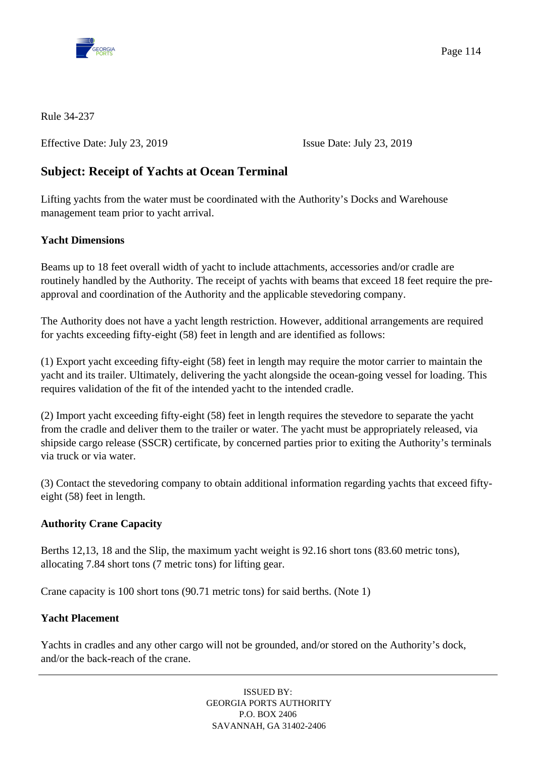

Effective Date: July 23, 2019 Issue Date: July 23, 2019

## **Subject: Receipt of Yachts at Ocean Terminal**

Lifting yachts from the water must be coordinated with the Authority's Docks and Warehouse management team prior to yacht arrival.

#### **Yacht Dimensions**

Beams up to 18 feet overall width of yacht to include attachments, accessories and/or cradle are routinely handled by the Authority. The receipt of yachts with beams that exceed 18 feet require the preapproval and coordination of the Authority and the applicable stevedoring company.

The Authority does not have a yacht length restriction. However, additional arrangements are required for yachts exceeding fifty-eight (58) feet in length and are identified as follows:

(1) Export yacht exceeding fifty-eight (58) feet in length may require the motor carrier to maintain the yacht and its trailer. Ultimately, delivering the yacht alongside the ocean-going vessel for loading. This requires validation of the fit of the intended yacht to the intended cradle.

(2) Import yacht exceeding fifty-eight (58) feet in length requires the stevedore to separate the yacht from the cradle and deliver them to the trailer or water. The yacht must be appropriately released, via shipside cargo release (SSCR) certificate, by concerned parties prior to exiting the Authority's terminals via truck or via water.

(3) Contact the stevedoring company to obtain additional information regarding yachts that exceed fiftyeight (58) feet in length.

#### **Authority Crane Capacity**

Berths 12,13, 18 and the Slip, the maximum yacht weight is 92.16 short tons (83.60 metric tons), allocating 7.84 short tons (7 metric tons) for lifting gear.

Crane capacity is 100 short tons (90.71 metric tons) for said berths. (Note 1)

#### **Yacht Placement**

Yachts in cradles and any other cargo will not be grounded, and/or stored on the Authority's dock, and/or the back-reach of the crane.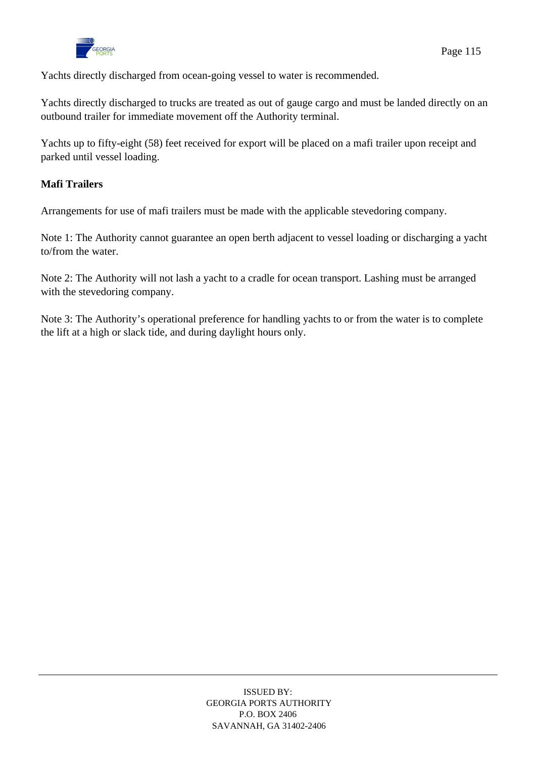

Yachts directly discharged from ocean-going vessel to water is recommended.

Yachts directly discharged to trucks are treated as out of gauge cargo and must be landed directly on an outbound trailer for immediate movement off the Authority terminal.

Yachts up to fifty-eight (58) feet received for export will be placed on a mafi trailer upon receipt and parked until vessel loading.

#### **Mafi Trailers**

Arrangements for use of mafi trailers must be made with the applicable stevedoring company.

Note 1: The Authority cannot guarantee an open berth adjacent to vessel loading or discharging a yacht to/from the water.

Note 2: The Authority will not lash a yacht to a cradle for ocean transport. Lashing must be arranged with the stevedoring company.

Note 3: The Authority's operational preference for handling yachts to or from the water is to complete the lift at a high or slack tide, and during daylight hours only.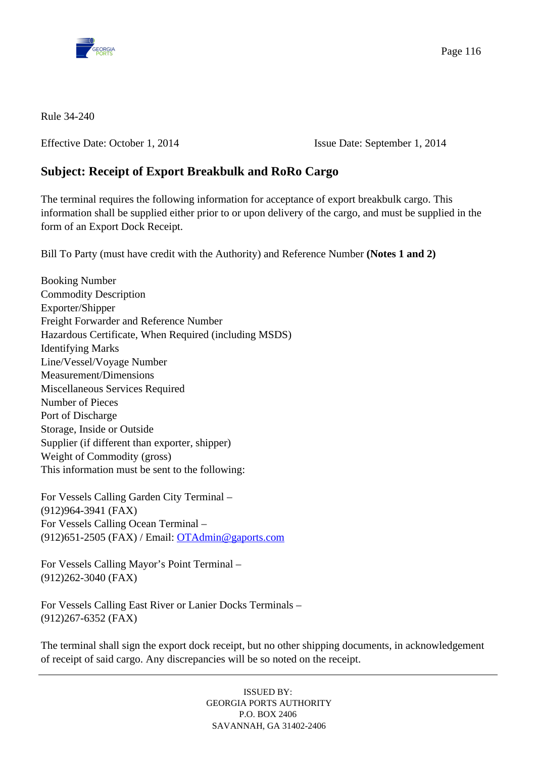

Effective Date: October 1, 2014 Issue Date: September 1, 2014

## **Subject: Receipt of Export Breakbulk and RoRo Cargo**

The terminal requires the following information for acceptance of export breakbulk cargo. This information shall be supplied either prior to or upon delivery of the cargo, and must be supplied in the form of an Export Dock Receipt.

Bill To Party (must have credit with the Authority) and Reference Number **(Notes 1 and 2)**

Booking Number Commodity Description Exporter/Shipper Freight Forwarder and Reference Number Hazardous Certificate, When Required (including MSDS) Identifying Marks Line/Vessel/Voyage Number Measurement/Dimensions Miscellaneous Services Required Number of Pieces Port of Discharge Storage, Inside or Outside Supplier (if different than exporter, shipper) Weight of Commodity (gross) This information must be sent to the following:

For Vessels Calling Garden City Terminal – (912)964-3941 (FAX) For Vessels Calling Ocean Terminal – (912)651-2505 (FAX) / Email: [OTAdmin@gaports.com](mailto:OTAdmin@gaports.com)

For Vessels Calling Mayor's Point Terminal – (912)262-3040 (FAX)

For Vessels Calling East River or Lanier Docks Terminals – (912)267-6352 (FAX)

The terminal shall sign the export dock receipt, but no other shipping documents, in acknowledgement of receipt of said cargo. Any discrepancies will be so noted on the receipt.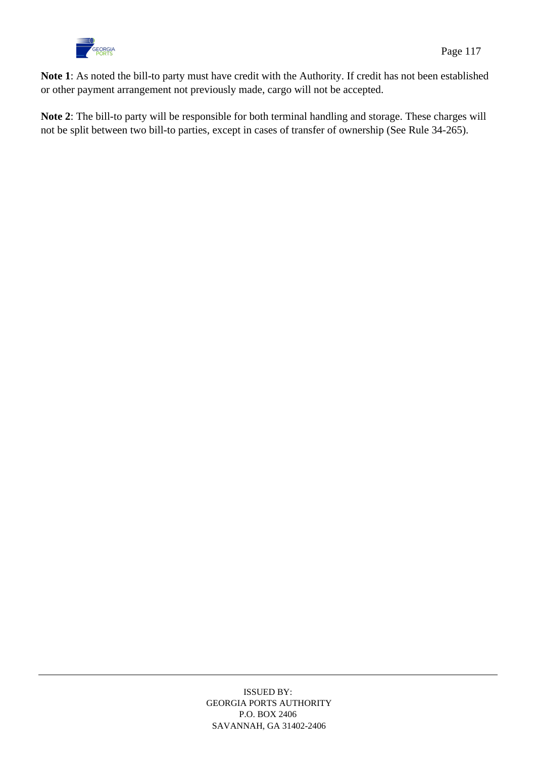

**Note 1**: As noted the bill-to party must have credit with the Authority. If credit has not been established or other payment arrangement not previously made, cargo will not be accepted.

**Note 2**: The bill-to party will be responsible for both terminal handling and storage. These charges will not be split between two bill-to parties, except in cases of transfer of ownership (See Rule 34-265).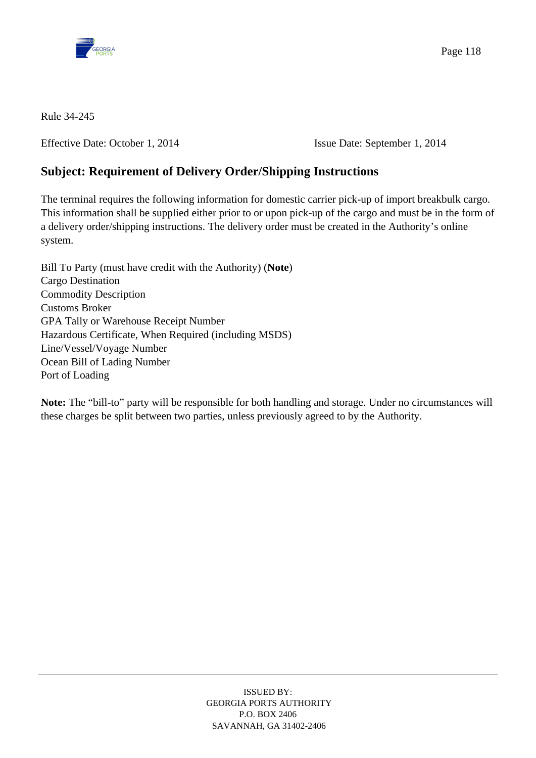

Effective Date: October 1, 2014 Issue Date: September 1, 2014

## **Subject: Requirement of Delivery Order/Shipping Instructions**

The terminal requires the following information for domestic carrier pick-up of import breakbulk cargo. This information shall be supplied either prior to or upon pick-up of the cargo and must be in the form of a delivery order/shipping instructions. The delivery order must be created in the Authority's online system.

Bill To Party (must have credit with the Authority) (**Note**) Cargo Destination Commodity Description Customs Broker GPA Tally or Warehouse Receipt Number Hazardous Certificate, When Required (including MSDS) Line/Vessel/Voyage Number Ocean Bill of Lading Number Port of Loading

**Note:** The "bill-to" party will be responsible for both handling and storage. Under no circumstances will these charges be split between two parties, unless previously agreed to by the Authority.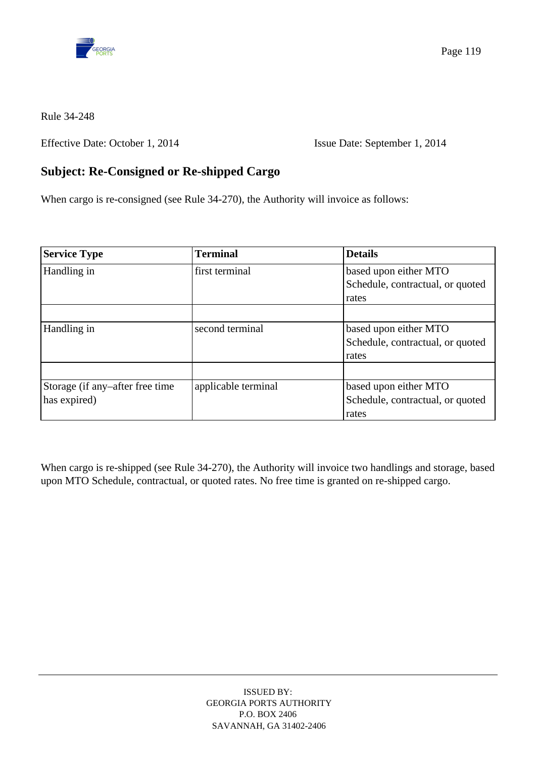

Effective Date: October 1, 2014 Issue Date: September 1, 2014

### **Subject: Re-Consigned or Re-shipped Cargo**

When cargo is re-consigned (see Rule 34-270), the Authority will invoice as follows:

| <b>Service Type</b>              | <b>Terminal</b>     | <b>Details</b>                   |
|----------------------------------|---------------------|----------------------------------|
| Handling in                      | first terminal      | based upon either MTO            |
|                                  |                     | Schedule, contractual, or quoted |
|                                  |                     | rates                            |
|                                  |                     |                                  |
| Handling in                      | second terminal     | based upon either MTO            |
|                                  |                     | Schedule, contractual, or quoted |
|                                  |                     | rates                            |
|                                  |                     |                                  |
| Storage (if any-after free time) | applicable terminal | based upon either MTO            |
| has expired)                     |                     | Schedule, contractual, or quoted |
|                                  |                     | rates                            |

When cargo is re-shipped (see Rule 34-270), the Authority will invoice two handlings and storage, based upon MTO Schedule, contractual, or quoted rates. No free time is granted on re-shipped cargo.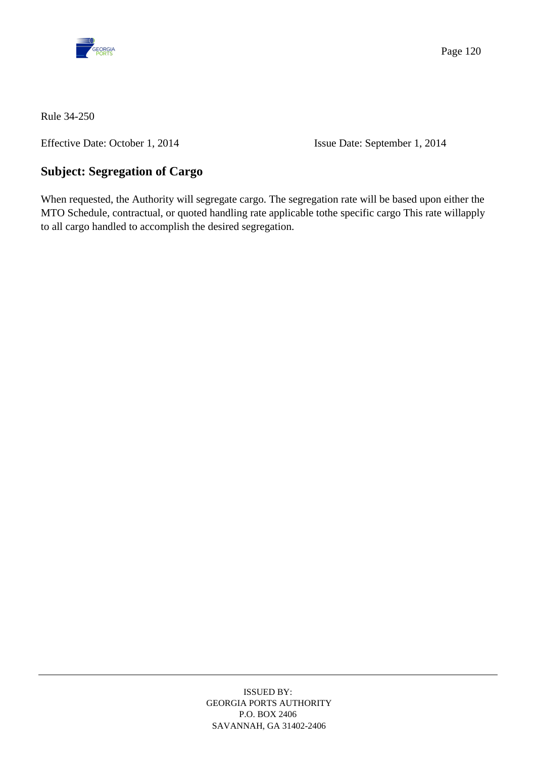

Effective Date: October 1, 2014 Issue Date: September 1, 2014

## **Subject: Segregation of Cargo**

When requested, the Authority will segregate cargo. The segregation rate will be based upon either the MTO Schedule, contractual, or quoted handling rate applicable tothe specific cargo This rate willapply to all cargo handled to accomplish the desired segregation.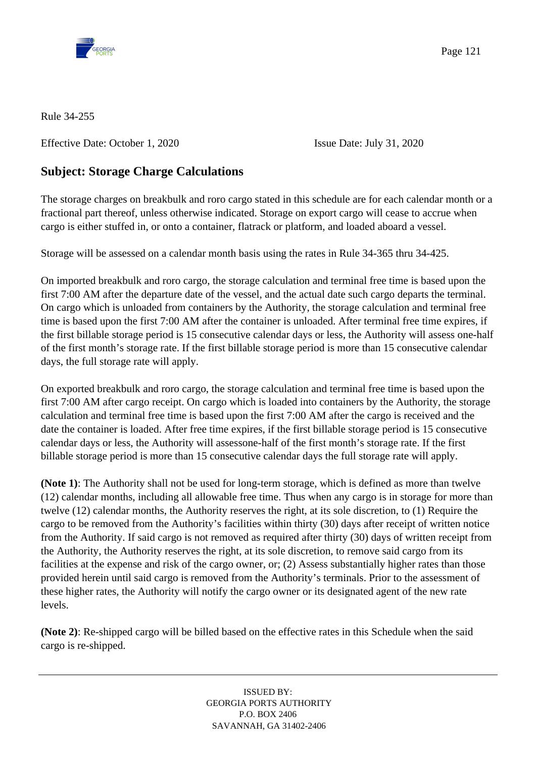

Effective Date: October 1, 2020 Issue Date: July 31, 2020

## **Subject: Storage Charge Calculations**

The storage charges on breakbulk and roro cargo stated in this schedule are for each calendar month or a fractional part thereof, unless otherwise indicated. Storage on export cargo will cease to accrue when cargo is either stuffed in, or onto a container, flatrack or platform, and loaded aboard a vessel.

Storage will be assessed on a calendar month basis using the rates in Rule 34-365 thru 34-425.

On imported breakbulk and roro cargo, the storage calculation and terminal free time is based upon the first 7:00 AM after the departure date of the vessel, and the actual date such cargo departs the terminal. On cargo which is unloaded from containers by the Authority, the storage calculation and terminal free time is based upon the first 7:00 AM after the container is unloaded. After terminal free time expires, if the first billable storage period is 15 consecutive calendar days or less, the Authority will assess one-half of the first month's storage rate. If the first billable storage period is more than 15 consecutive calendar days, the full storage rate will apply.

On exported breakbulk and roro cargo, the storage calculation and terminal free time is based upon the first 7:00 AM after cargo receipt. On cargo which is loaded into containers by the Authority, the storage calculation and terminal free time is based upon the first 7:00 AM after the cargo is received and the date the container is loaded. After free time expires, if the first billable storage period is 15 consecutive calendar days or less, the Authority will assessone-half of the first month's storage rate. If the first billable storage period is more than 15 consecutive calendar days the full storage rate will apply.

**(Note 1)**: The Authority shall not be used for long-term storage, which is defined as more than twelve (12) calendar months, including all allowable free time. Thus when any cargo is in storage for more than twelve (12) calendar months, the Authority reserves the right, at its sole discretion, to (1) Require the cargo to be removed from the Authority's facilities within thirty (30) days after receipt of written notice from the Authority. If said cargo is not removed as required after thirty (30) days of written receipt from the Authority, the Authority reserves the right, at its sole discretion, to remove said cargo from its facilities at the expense and risk of the cargo owner, or; (2) Assess substantially higher rates than those provided herein until said cargo is removed from the Authority's terminals. Prior to the assessment of these higher rates, the Authority will notify the cargo owner or its designated agent of the new rate levels.

**(Note 2)**: Re-shipped cargo will be billed based on the effective rates in this Schedule when the said cargo is re-shipped.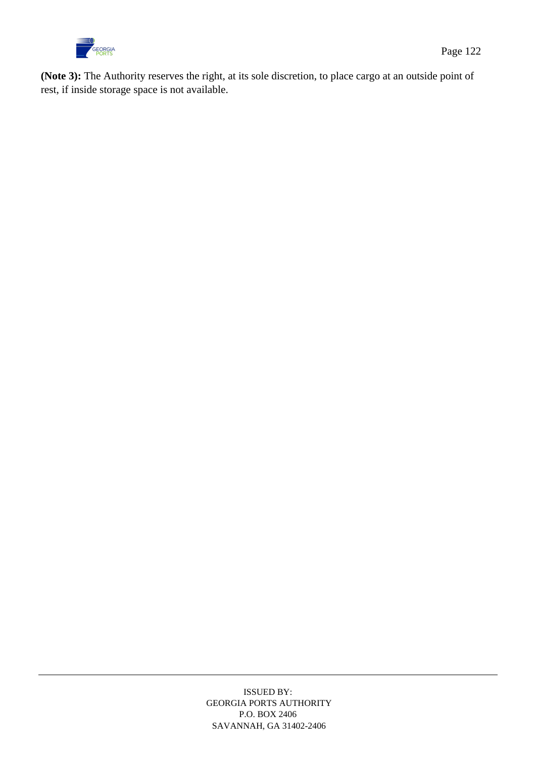

**(Note 3):** The Authority reserves the right, at its sole discretion, to place cargo at an outside point of rest, if inside storage space is not available.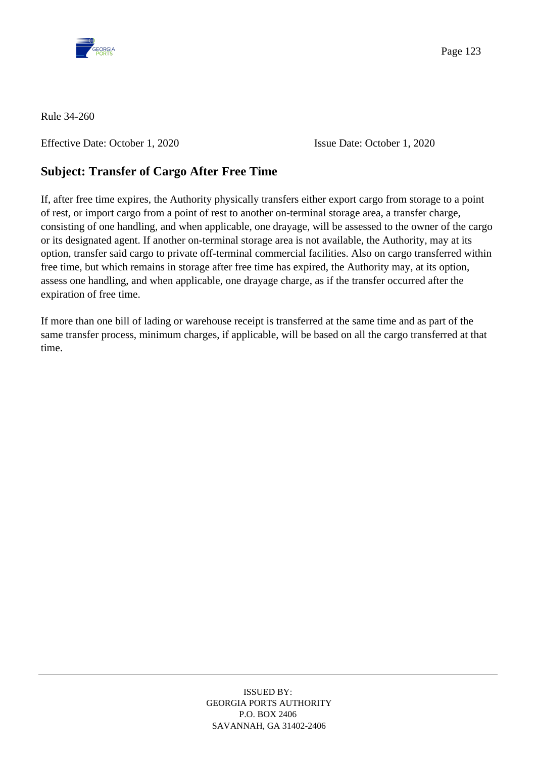

Effective Date: October 1, 2020 Issue Date: October 1, 2020

## **Subject: Transfer of Cargo After Free Time**

If, after free time expires, the Authority physically transfers either export cargo from storage to a point of rest, or import cargo from a point of rest to another on-terminal storage area, a transfer charge, consisting of one handling, and when applicable, one drayage, will be assessed to the owner of the cargo or its designated agent. If another on-terminal storage area is not available, the Authority, may at its option, transfer said cargo to private off-terminal commercial facilities. Also on cargo transferred within free time, but which remains in storage after free time has expired, the Authority may, at its option, assess one handling, and when applicable, one drayage charge, as if the transfer occurred after the expiration of free time.

If more than one bill of lading or warehouse receipt is transferred at the same time and as part of the same transfer process, minimum charges, if applicable, will be based on all the cargo transferred at that time.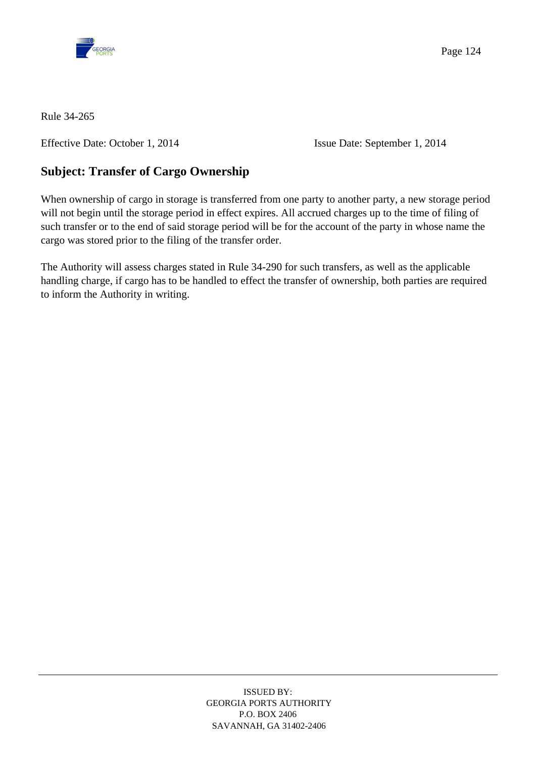

Effective Date: October 1, 2014 Issue Date: September 1, 2014

## **Subject: Transfer of Cargo Ownership**

When ownership of cargo in storage is transferred from one party to another party, a new storage period will not begin until the storage period in effect expires. All accrued charges up to the time of filing of such transfer or to the end of said storage period will be for the account of the party in whose name the cargo was stored prior to the filing of the transfer order.

The Authority will assess charges stated in Rule 34-290 for such transfers, as well as the applicable handling charge, if cargo has to be handled to effect the transfer of ownership, both parties are required to inform the Authority in writing.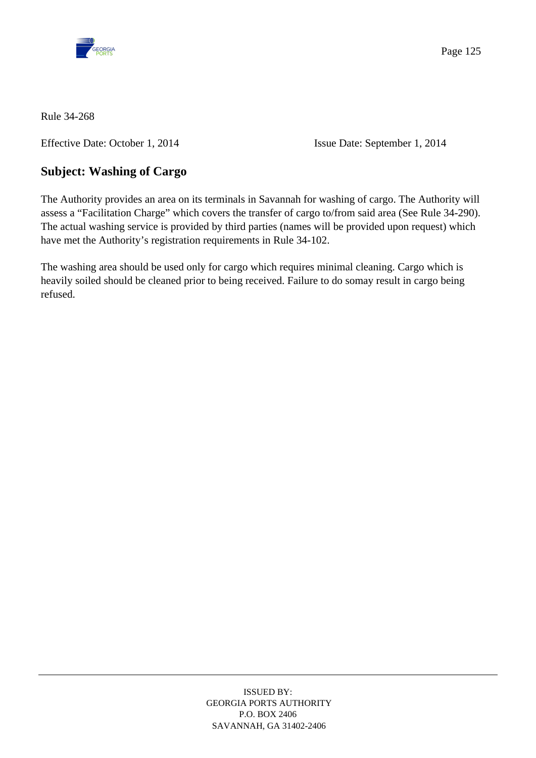

Effective Date: October 1, 2014 Issue Date: September 1, 2014

## **Subject: Washing of Cargo**

The Authority provides an area on its terminals in Savannah for washing of cargo. The Authority will assess a "Facilitation Charge" which covers the transfer of cargo to/from said area (See Rule 34-290). The actual washing service is provided by third parties (names will be provided upon request) which have met the Authority's registration requirements in Rule 34-102.

The washing area should be used only for cargo which requires minimal cleaning. Cargo which is heavily soiled should be cleaned prior to being received. Failure to do somay result in cargo being refused.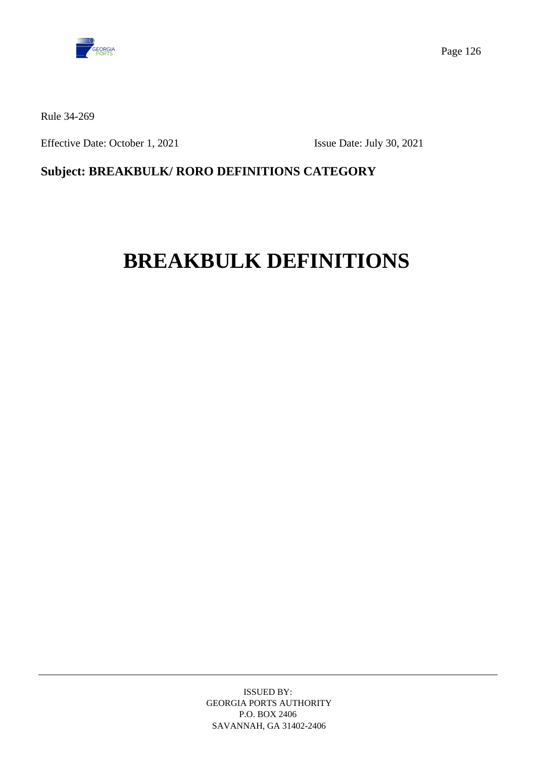

Effective Date: October 1, 2021 Issue Date: July 30, 2021

# **Subject: BREAKBULK/ RORO DEFINITIONS CATEGORY**

# **BREAKBULK DEFINITIONS**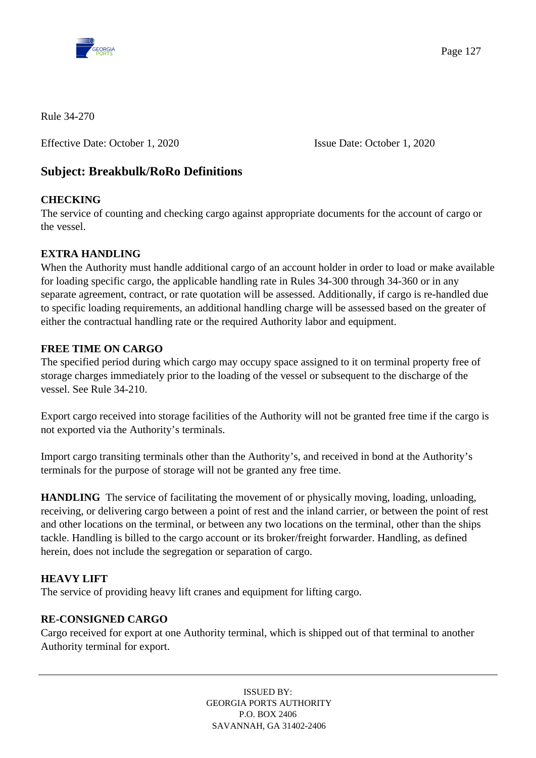

Effective Date: October 1, 2020 Issue Date: October 1, 2020

## **Subject: Breakbulk/RoRo Definitions**

#### **CHECKING**

The service of counting and checking cargo against appropriate documents for the account of cargo or the vessel.

#### **EXTRA HANDLING**

When the Authority must handle additional cargo of an account holder in order to load or make available for loading specific cargo, the applicable handling rate in Rules 34-300 through 34-360 or in any separate agreement, contract, or rate quotation will be assessed. Additionally, if cargo is re-handled due to specific loading requirements, an additional handling charge will be assessed based on the greater of either the contractual handling rate or the required Authority labor and equipment.

#### **FREE TIME ON CARGO**

The specified period during which cargo may occupy space assigned to it on terminal property free of storage charges immediately prior to the loading of the vessel or subsequent to the discharge of the vessel. See Rule 34-210.

Export cargo received into storage facilities of the Authority will not be granted free time if the cargo is not exported via the Authority's terminals.

Import cargo transiting terminals other than the Authority's, and received in bond at the Authority's terminals for the purpose of storage will not be granted any free time.

**HANDLING** The service of facilitating the movement of or physically moving, loading, unloading, receiving, or delivering cargo between a point of rest and the inland carrier, or between the point of rest and other locations on the terminal, or between any two locations on the terminal, other than the ships tackle. Handling is billed to the cargo account or its broker/freight forwarder. Handling, as defined herein, does not include the segregation or separation of cargo.

#### **HEAVY LIFT**

The service of providing heavy lift cranes and equipment for lifting cargo.

#### **RE-CONSIGNED CARGO**

Cargo received for export at one Authority terminal, which is shipped out of that terminal to another Authority terminal for export.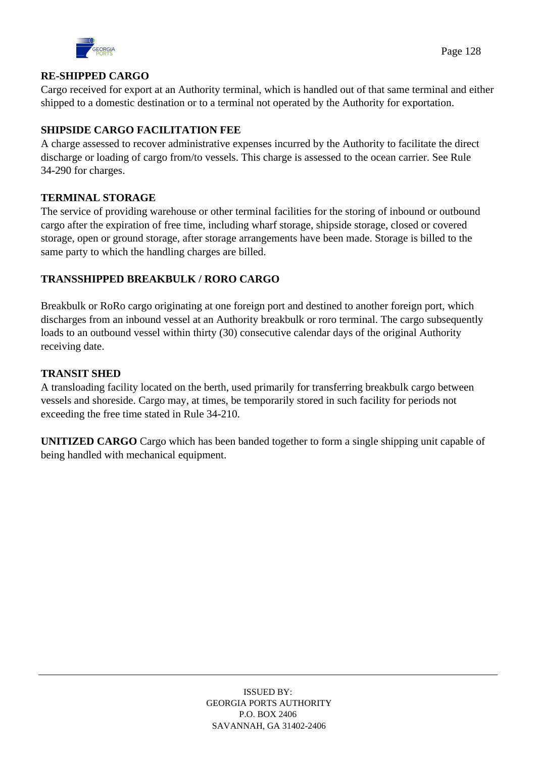

#### **RE-SHIPPED CARGO**

Cargo received for export at an Authority terminal, which is handled out of that same terminal and either shipped to a domestic destination or to a terminal not operated by the Authority for exportation.

#### **SHIPSIDE CARGO FACILITATION FEE**

A charge assessed to recover administrative expenses incurred by the Authority to facilitate the direct discharge or loading of cargo from/to vessels. This charge is assessed to the ocean carrier. See Rule 34-290 for charges.

#### **TERMINAL STORAGE**

The service of providing warehouse or other terminal facilities for the storing of inbound or outbound cargo after the expiration of free time, including wharf storage, shipside storage, closed or covered storage, open or ground storage, after storage arrangements have been made. Storage is billed to the same party to which the handling charges are billed.

#### **TRANSSHIPPED BREAKBULK / RORO CARGO**

Breakbulk or RoRo cargo originating at one foreign port and destined to another foreign port, which discharges from an inbound vessel at an Authority breakbulk or roro terminal. The cargo subsequently loads to an outbound vessel within thirty (30) consecutive calendar days of the original Authority receiving date.

#### **TRANSIT SHED**

A transloading facility located on the berth, used primarily for transferring breakbulk cargo between vessels and shoreside. Cargo may, at times, be temporarily stored in such facility for periods not exceeding the free time stated in Rule 34-210.

**UNITIZED CARGO** Cargo which has been banded together to form a single shipping unit capable of being handled with mechanical equipment.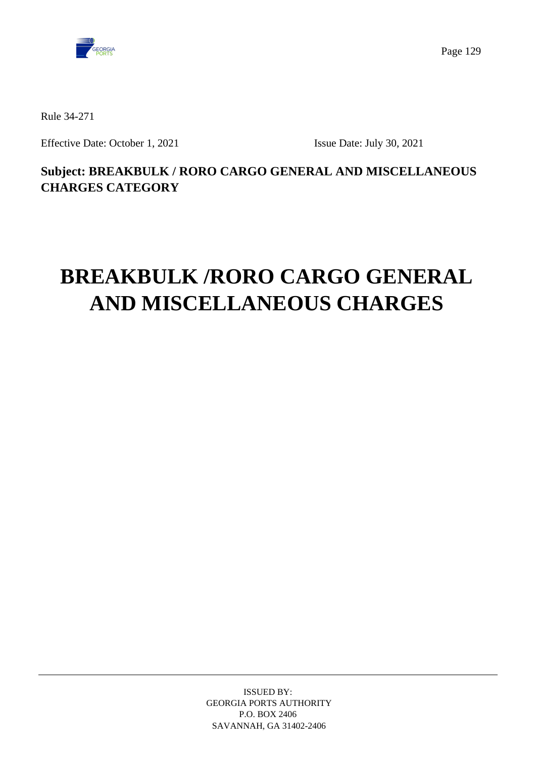

Effective Date: October 1, 2021 Issue Date: July 30, 2021

**Subject: BREAKBULK / RORO CARGO GENERAL AND MISCELLANEOUS CHARGES CATEGORY**

# **BREAKBULK /RORO CARGO GENERAL AND MISCELLANEOUS CHARGES**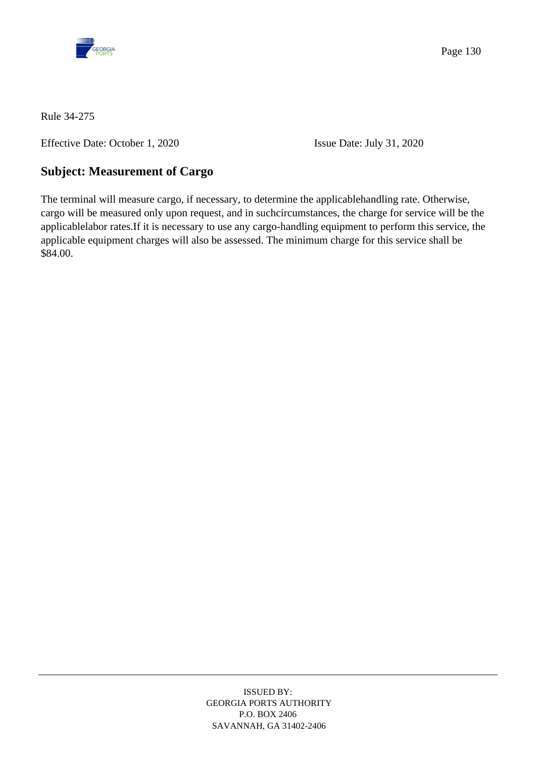

Effective Date: October 1, 2020 Issue Date: July 31, 2020

## **Subject: Measurement of Cargo**

The terminal will measure cargo, if necessary, to determine the applicablehandling rate. Otherwise, cargo will be measured only upon request, and in suchcircumstances, the charge for service will be the applicablelabor rates.If it is necessary to use any cargo-handling equipment to perform this service, the applicable equipment charges will also be assessed. The minimum charge for this service shall be \$84.00.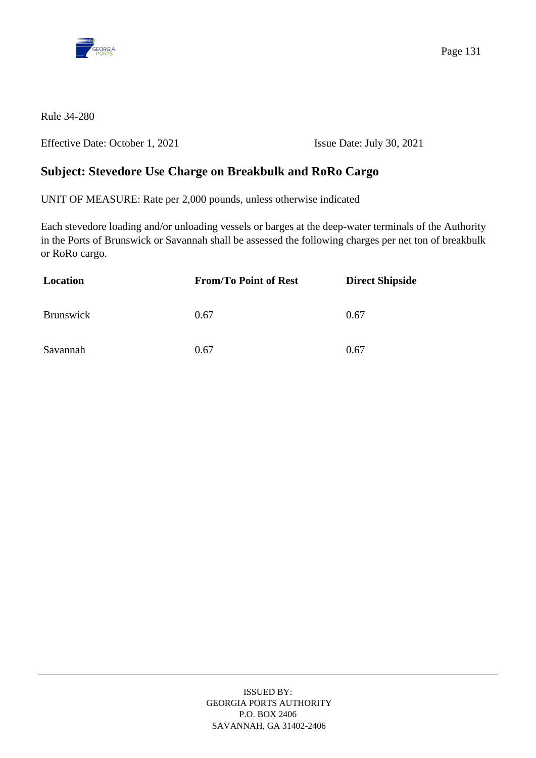

Effective Date: October 1, 2021 Issue Date: July 30, 2021

## **Subject: Stevedore Use Charge on Breakbulk and RoRo Cargo**

UNIT OF MEASURE: Rate per 2,000 pounds, unless otherwise indicated

Each stevedore loading and/or unloading vessels or barges at the deep-water terminals of the Authority in the Ports of Brunswick or Savannah shall be assessed the following charges per net ton of breakbulk or RoRo cargo.

| <b>Location</b>  | <b>From/To Point of Rest</b> | <b>Direct Shipside</b> |
|------------------|------------------------------|------------------------|
| <b>Brunswick</b> | 0.67                         | 0.67                   |
| Savannah         | 0.67                         | 0.67                   |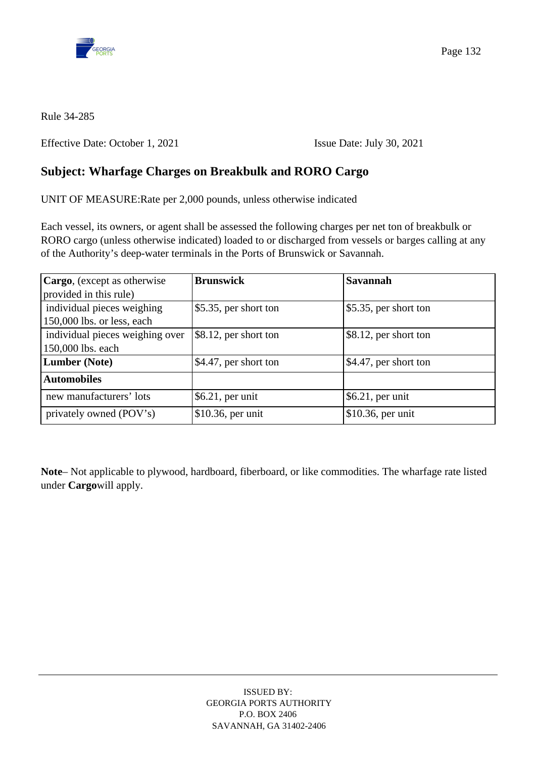

Effective Date: October 1, 2021 Issue Date: July 30, 2021

## **Subject: Wharfage Charges on Breakbulk and RORO Cargo**

UNIT OF MEASURE:Rate per 2,000 pounds, unless otherwise indicated

Each vessel, its owners, or agent shall be assessed the following charges per net ton of breakbulk or RORO cargo (unless otherwise indicated) loaded to or discharged from vessels or barges calling at any of the Authority's deep-water terminals in the Ports of Brunswick or Savannah.

| Cargo, (except as otherwise     | <b>Brunswick</b>      | <b>Savannah</b>                   |
|---------------------------------|-----------------------|-----------------------------------|
| provided in this rule)          |                       |                                   |
| individual pieces weighing      | \$5.35, per short ton | $\frac{1}{5.35}$ , per short ton  |
| 150,000 lbs. or less, each      |                       |                                   |
| individual pieces weighing over | \$8.12, per short ton | $\frac{1}{88.12}$ , per short ton |
| 150,000 lbs. each               |                       |                                   |
| <b>Lumber (Note)</b>            | \$4.47, per short ton | \$4.47, per short ton             |
| <b>Automobiles</b>              |                       |                                   |
| new manufacturers' lots         | $$6.21$ , per unit    | $\vert$ \$6.21, per unit          |
| privately owned (POV's)         | $$10.36$ , per unit   | $\vert$ \$10.36, per unit         |

**Note**– Not applicable to plywood, hardboard, fiberboard, or like commodities. The wharfage rate listed under **Cargo**will apply.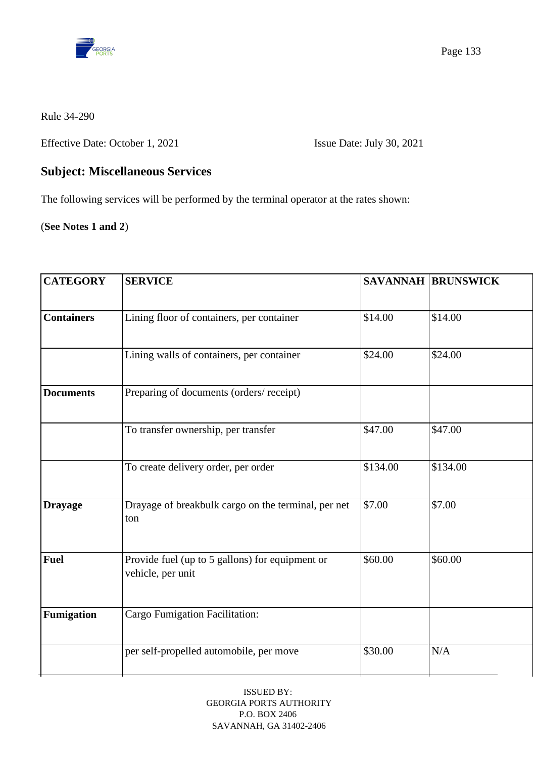

Effective Date: October 1, 2021 Issue Date: July 30, 2021

### **Subject: Miscellaneous Services**

The following services will be performed by the terminal operator at the rates shown:

(**See Notes 1 and 2**)

| <b>CATEGORY</b>   | <b>SERVICE</b>                                                       |          | <b>SAVANNAH BRUNSWICK</b> |
|-------------------|----------------------------------------------------------------------|----------|---------------------------|
| <b>Containers</b> | Lining floor of containers, per container                            | \$14.00  | \$14.00                   |
|                   | Lining walls of containers, per container                            | \$24.00  | \$24.00                   |
| <b>Documents</b>  | Preparing of documents (orders/receipt)                              |          |                           |
|                   | To transfer ownership, per transfer                                  | \$47.00  | \$47.00                   |
|                   | To create delivery order, per order                                  | \$134.00 | \$134.00                  |
| <b>Drayage</b>    | Drayage of breakbulk cargo on the terminal, per net<br>ton           | \$7.00   | \$7.00                    |
| <b>Fuel</b>       | Provide fuel (up to 5 gallons) for equipment or<br>vehicle, per unit | \$60.00  | \$60.00                   |
| Fumigation        | Cargo Fumigation Facilitation:                                       |          |                           |
|                   | per self-propelled automobile, per move                              | \$30.00  | N/A                       |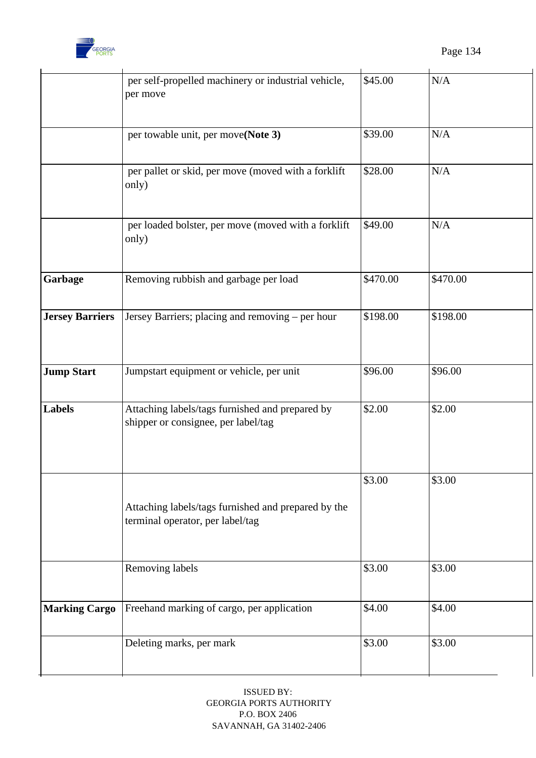

|                        | per self-propelled machinery or industrial vehicle,<br>per move                         | \$45.00  | N/A      |  |
|------------------------|-----------------------------------------------------------------------------------------|----------|----------|--|
|                        | per towable unit, per move(Note 3)                                                      | \$39.00  | N/A      |  |
|                        | per pallet or skid, per move (moved with a forklift<br>only)                            | \$28.00  | N/A      |  |
|                        | per loaded bolster, per move (moved with a forklift<br>only)                            | \$49.00  | N/A      |  |
| Garbage                | Removing rubbish and garbage per load                                                   | \$470.00 | \$470.00 |  |
| <b>Jersey Barriers</b> | Jersey Barriers; placing and removing – per hour                                        | \$198.00 | \$198.00 |  |
| <b>Jump Start</b>      | Jumpstart equipment or vehicle, per unit                                                | \$96.00  | \$96.00  |  |
| <b>Labels</b>          | Attaching labels/tags furnished and prepared by<br>shipper or consignee, per label/tag  | \$2.00   | \$2.00   |  |
|                        |                                                                                         | \$3.00   | \$3.00   |  |
|                        | Attaching labels/tags furnished and prepared by the<br>terminal operator, per label/tag |          |          |  |
|                        | Removing labels                                                                         | \$3.00   | \$3.00   |  |
| <b>Marking Cargo</b>   | Freehand marking of cargo, per application                                              | \$4.00   | \$4.00   |  |
|                        | Deleting marks, per mark                                                                | \$3.00   | \$3.00   |  |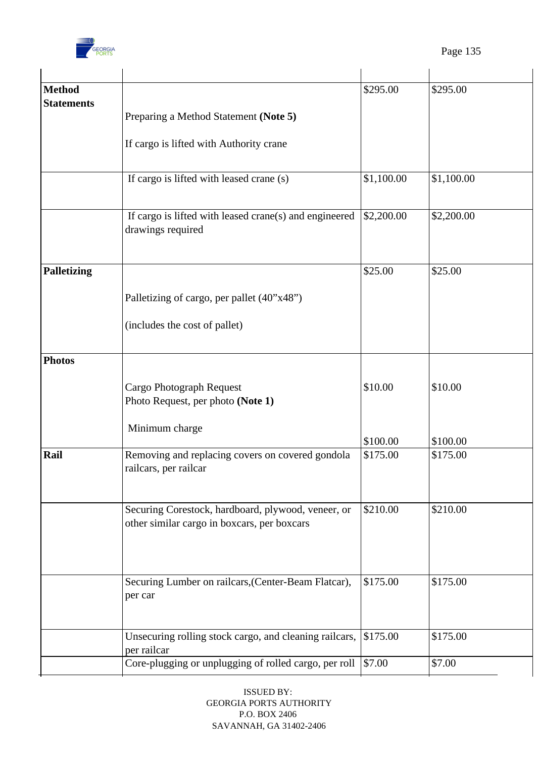

| <b>Method</b><br><b>Statements</b> |                                                                                                   | \$295.00   | \$295.00   |
|------------------------------------|---------------------------------------------------------------------------------------------------|------------|------------|
|                                    | Preparing a Method Statement (Note 5)                                                             |            |            |
|                                    | If cargo is lifted with Authority crane                                                           |            |            |
|                                    | If cargo is lifted with leased crane (s)                                                          | \$1,100.00 | \$1,100.00 |
|                                    | If cargo is lifted with leased crane(s) and engineered<br>drawings required                       | \$2,200.00 | \$2,200.00 |
| <b>Palletizing</b>                 |                                                                                                   | \$25.00    | \$25.00    |
|                                    | Palletizing of cargo, per pallet (40"x48")                                                        |            |            |
|                                    | (includes the cost of pallet)                                                                     |            |            |
| <b>Photos</b>                      |                                                                                                   |            |            |
|                                    | Cargo Photograph Request<br>Photo Request, per photo (Note 1)                                     | \$10.00    | \$10.00    |
|                                    | Minimum charge                                                                                    | \$100.00   | \$100.00   |
| Rail                               | Removing and replacing covers on covered gondola<br>railcars, per railcar                         | \$175.00   | \$175.00   |
|                                    | Securing Corestock, hardboard, plywood, veneer, or<br>other similar cargo in boxcars, per boxcars | \$210.00   | \$210.00   |
|                                    | Securing Lumber on railcars, (Center-Beam Flatcar),<br>per car                                    | \$175.00   | \$175.00   |
|                                    | Unsecuring rolling stock cargo, and cleaning railcars,<br>per railcar                             | \$175.00   | \$175.00   |
|                                    | Core-plugging or unplugging of rolled cargo, per roll                                             | \$7.00     | \$7.00     |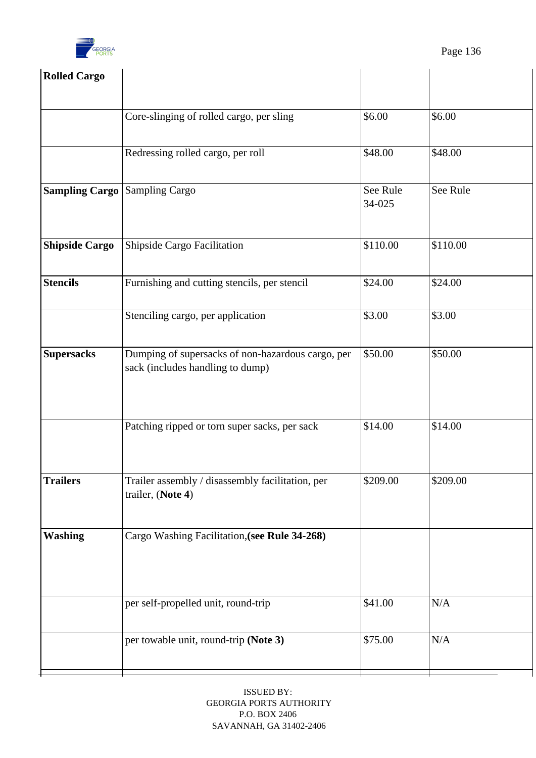

| <b>Rolled Cargo</b>                  |                                                                                       |                    |           |
|--------------------------------------|---------------------------------------------------------------------------------------|--------------------|-----------|
|                                      | Core-slinging of rolled cargo, per sling                                              | \$6.00             | \$6.00    |
|                                      | Redressing rolled cargo, per roll                                                     | \$48.00            | \$48.00   |
| <b>Sampling Cargo Sampling Cargo</b> |                                                                                       | See Rule<br>34-025 | See Rule  |
| <b>Shipside Cargo</b>                | Shipside Cargo Facilitation                                                           | \$110.00           | \$110.00  |
| <b>Stencils</b>                      | Furnishing and cutting stencils, per stencil                                          | \$24.00            | \$24.00   |
|                                      | Stenciling cargo, per application                                                     | \$3.00             | \$3.00    |
| <b>Supersacks</b>                    | Dumping of supersacks of non-hazardous cargo, per<br>sack (includes handling to dump) | \$50.00            | \$50.00   |
|                                      | Patching ripped or torn super sacks, per sack                                         | \$14.00            | \$14.00   |
| <b>Trailers</b>                      | Trailer assembly / disassembly facilitation, per<br>trailer, (Note 4)                 | \$209.00           | \$209.00  |
| <b>Washing</b>                       | Cargo Washing Facilitation, (see Rule 34-268)                                         |                    |           |
|                                      | per self-propelled unit, round-trip                                                   | \$41.00            | N/A       |
|                                      | per towable unit, round-trip (Note 3)                                                 | \$75.00            | $\rm N/A$ |
|                                      |                                                                                       |                    |           |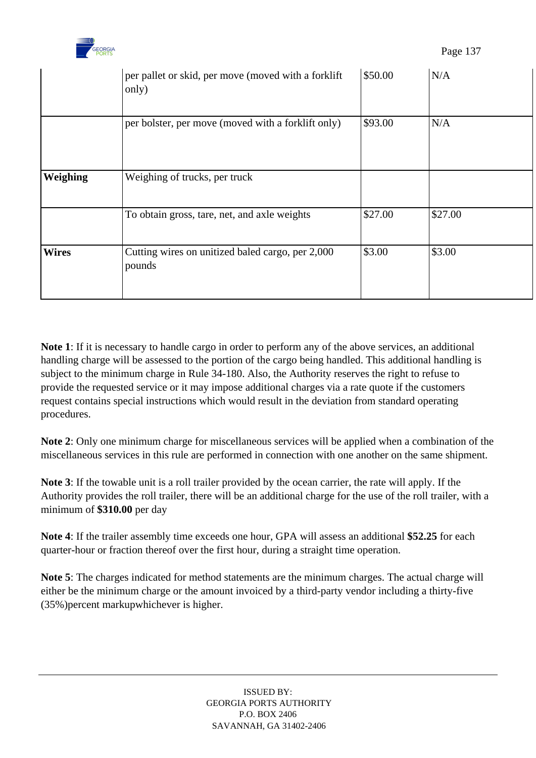

|              | per pallet or skid, per move (moved with a forklift<br>only) | \$50.00 | N/A     |
|--------------|--------------------------------------------------------------|---------|---------|
|              | per bolster, per move (moved with a forklift only)           | \$93.00 | N/A     |
| Weighing     | Weighing of trucks, per truck                                |         |         |
|              | To obtain gross, tare, net, and axle weights                 | \$27.00 | \$27.00 |
| <b>Wires</b> | Cutting wires on unitized baled cargo, per 2,000<br>pounds   | \$3.00  | \$3.00  |

**Note 1**: If it is necessary to handle cargo in order to perform any of the above services, an additional handling charge will be assessed to the portion of the cargo being handled. This additional handling is subject to the minimum charge in Rule 34-180. Also, the Authority reserves the right to refuse to provide the requested service or it may impose additional charges via a rate quote if the customers request contains special instructions which would result in the deviation from standard operating procedures.

**Note 2**: Only one minimum charge for miscellaneous services will be applied when a combination of the miscellaneous services in this rule are performed in connection with one another on the same shipment.

**Note 3**: If the towable unit is a roll trailer provided by the ocean carrier, the rate will apply. If the Authority provides the roll trailer, there will be an additional charge for the use of the roll trailer, with a minimum of **\$310.00** per day

**Note 4**: If the trailer assembly time exceeds one hour, GPA will assess an additional **\$52.25** for each quarter-hour or fraction thereof over the first hour, during a straight time operation.

**Note 5**: The charges indicated for method statements are the minimum charges. The actual charge will either be the minimum charge or the amount invoiced by a third-party vendor including a thirty-five (35%)percent markupwhichever is higher.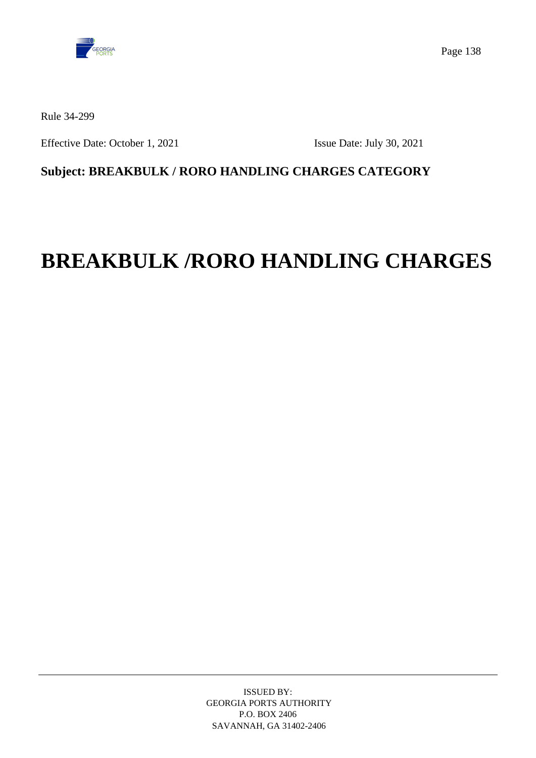

Effective Date: October 1, 2021 Issue Date: July 30, 2021

## **Subject: BREAKBULK / RORO HANDLING CHARGES CATEGORY**

# **BREAKBULK /RORO HANDLING CHARGES**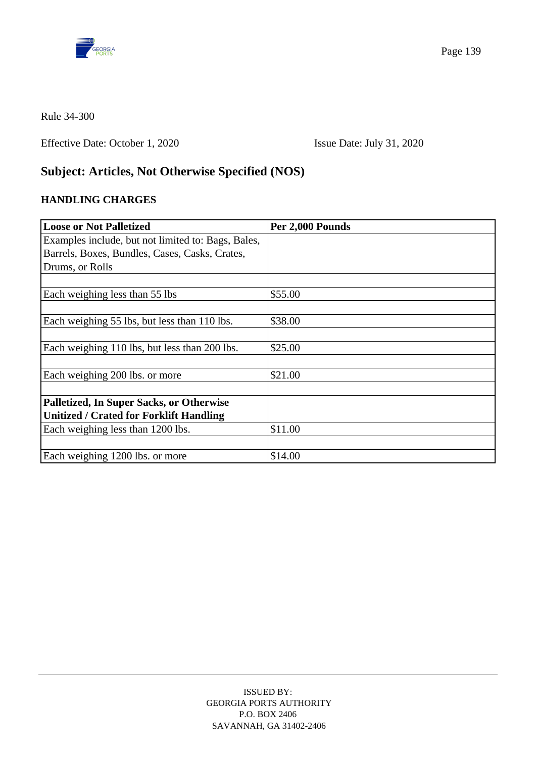

Effective Date: October 1, 2020 Issue Date: July 31, 2020

# **Subject: Articles, Not Otherwise Specified (NOS)**

#### **HANDLING CHARGES**

| <b>Loose or Not Palletized</b>                     | Per 2,000 Pounds |
|----------------------------------------------------|------------------|
| Examples include, but not limited to: Bags, Bales, |                  |
| Barrels, Boxes, Bundles, Cases, Casks, Crates,     |                  |
| Drums, or Rolls                                    |                  |
|                                                    |                  |
| Each weighing less than 55 lbs                     | \$55.00          |
|                                                    |                  |
| Each weighing 55 lbs, but less than 110 lbs.       | \$38.00          |
|                                                    |                  |
| Each weighing 110 lbs, but less than 200 lbs.      | \$25.00          |
|                                                    |                  |
| Each weighing 200 lbs. or more                     | \$21.00          |
|                                                    |                  |
| <b>Palletized, In Super Sacks, or Otherwise</b>    |                  |
| <b>Unitized / Crated for Forklift Handling</b>     |                  |
| Each weighing less than 1200 lbs.                  | \$11.00          |
|                                                    |                  |
| Each weighing 1200 lbs. or more                    | \$14.00          |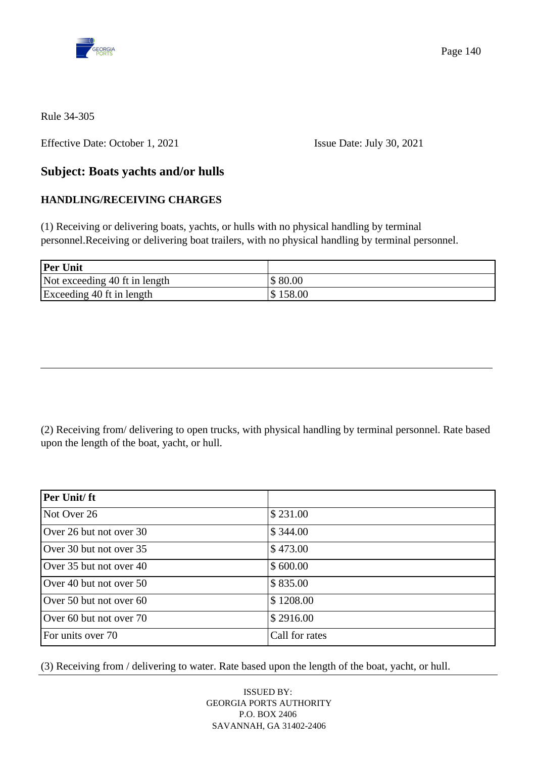

Effective Date: October 1, 2021 Issue Date: July 30, 2021

### **Subject: Boats yachts and/or hulls**

#### **HANDLING/RECEIVING CHARGES**

(1) Receiving or delivering boats, yachts, or hulls with no physical handling by terminal personnel.Receiving or delivering boat trailers, with no physical handling by terminal personnel.

| <b>Per Unit</b>               |              |
|-------------------------------|--------------|
| Not exceeding 40 ft in length | \$80.00      |
| Exceeding 40 ft in length     | $\pm 158.00$ |

(2) Receiving from/ delivering to open trucks, with physical handling by terminal personnel. Rate based upon the length of the boat, yacht, or hull.

| Per Unit/ft             |                |
|-------------------------|----------------|
| Not Over 26             | \$231.00       |
| Over 26 but not over 30 | \$344.00       |
| Over 30 but not over 35 | \$473.00       |
| Over 35 but not over 40 | \$600.00       |
| Over 40 but not over 50 | \$835.00       |
| Over 50 but not over 60 | \$1208.00      |
| Over 60 but not over 70 | \$2916.00      |
| For units over 70       | Call for rates |

(3) Receiving from / delivering to water. Rate based upon the length of the boat, yacht, or hull.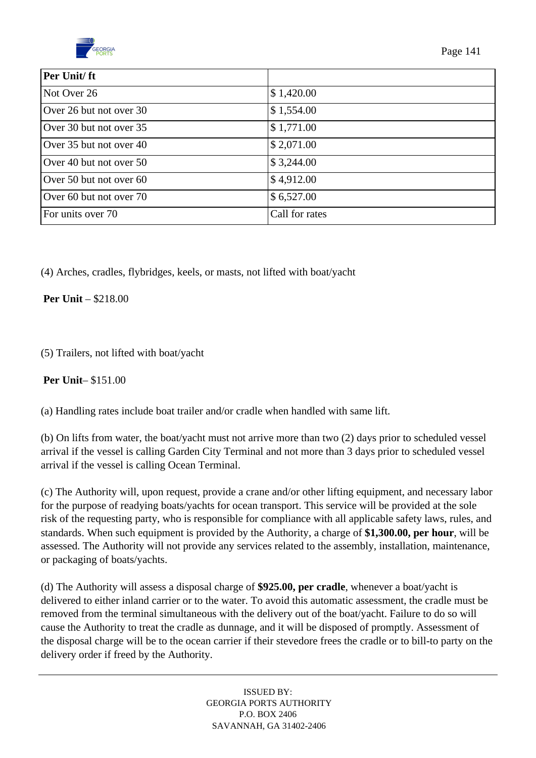

| Per Unit/ft             |                |
|-------------------------|----------------|
| Not Over 26             | \$1,420.00     |
| Over 26 but not over 30 | \$1,554.00     |
| Over 30 but not over 35 | \$1,771.00     |
| Over 35 but not over 40 | \$2,071.00     |
| Over 40 but not over 50 | \$3,244.00     |
| Over 50 but not over 60 | \$4,912.00     |
| Over 60 but not over 70 | \$6,527.00     |
| For units over 70       | Call for rates |

(4) Arches, cradles, flybridges, keels, or masts, not lifted with boat/yacht

**Per Unit** – \$218.00

(5) Trailers, not lifted with boat/yacht

**Per Unit**– \$151.00

(a) Handling rates include boat trailer and/or cradle when handled with same lift.

(b) On lifts from water, the boat/yacht must not arrive more than two (2) days prior to scheduled vessel arrival if the vessel is calling Garden City Terminal and not more than 3 days prior to scheduled vessel arrival if the vessel is calling Ocean Terminal.

(c) The Authority will, upon request, provide a crane and/or other lifting equipment, and necessary labor for the purpose of readying boats/yachts for ocean transport. This service will be provided at the sole risk of the requesting party, who is responsible for compliance with all applicable safety laws, rules, and standards. When such equipment is provided by the Authority, a charge of **\$1,300.00, per hour**, will be assessed. The Authority will not provide any services related to the assembly, installation, maintenance, or packaging of boats/yachts.

(d) The Authority will assess a disposal charge of **\$925.00, per cradle**, whenever a boat/yacht is delivered to either inland carrier or to the water. To avoid this automatic assessment, the cradle must be removed from the terminal simultaneous with the delivery out of the boat/yacht. Failure to do so will cause the Authority to treat the cradle as dunnage, and it will be disposed of promptly. Assessment of the disposal charge will be to the ocean carrier if their stevedore frees the cradle or to bill-to party on the delivery order if freed by the Authority.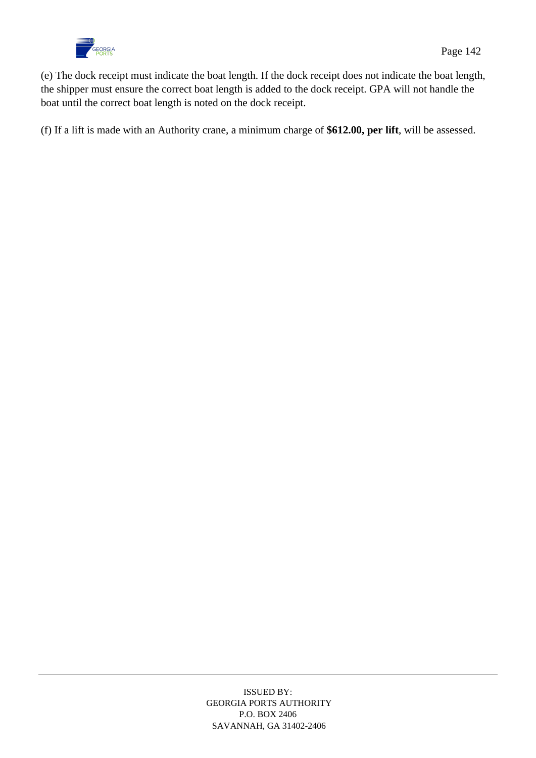

(e) The dock receipt must indicate the boat length. If the dock receipt does not indicate the boat length, the shipper must ensure the correct boat length is added to the dock receipt. GPA will not handle the boat until the correct boat length is noted on the dock receipt.

(f) If a lift is made with an Authority crane, a minimum charge of **\$612.00, per lift**, will be assessed.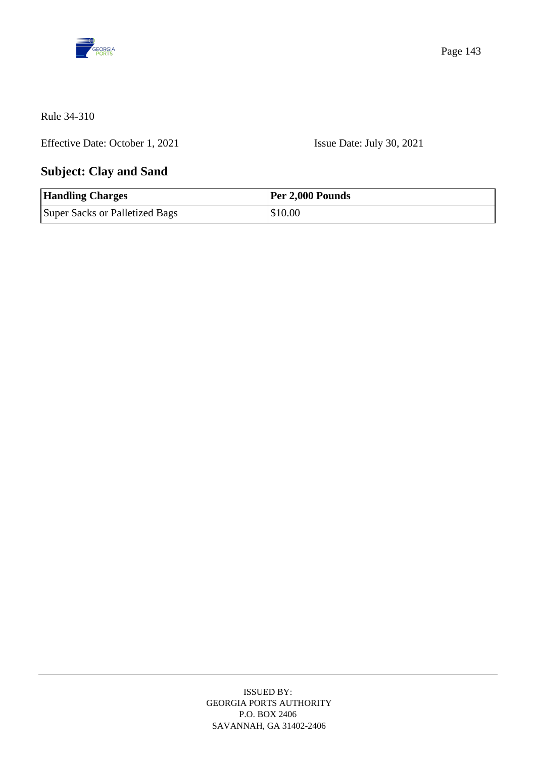

Effective Date: October 1, 2021 Issue Date: July 30, 2021

# **Subject: Clay and Sand**

| <b>Handling Charges</b>        | $\text{Per } 2,000 \text{ Pounds}$ |
|--------------------------------|------------------------------------|
| Super Sacks or Palletized Bags | \$10.00                            |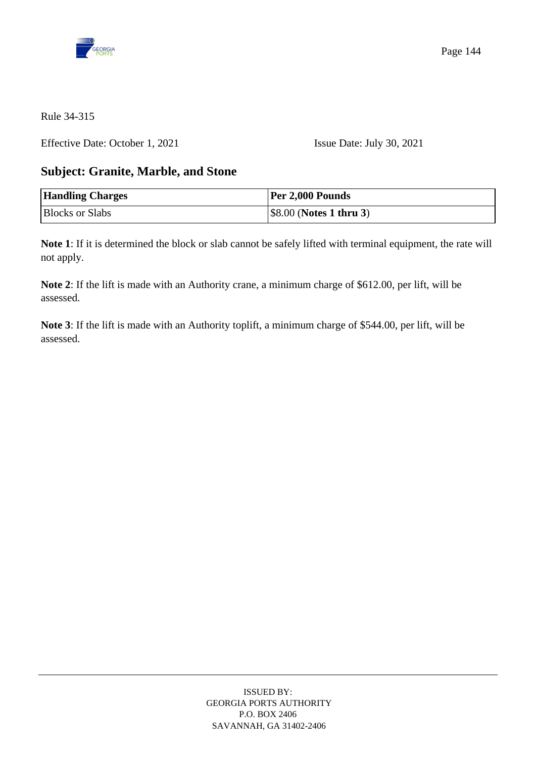

Effective Date: October 1, 2021 Issue Date: July 30, 2021

## **Subject: Granite, Marble, and Stone**

| <b>Handling Charges</b> | Per 2,000 Pounds          |
|-------------------------|---------------------------|
| <b>Blocks or Slabs</b>  | $ $8.00$ (Notes 1 thru 3) |

**Note 1**: If it is determined the block or slab cannot be safely lifted with terminal equipment, the rate will not apply.

**Note 2**: If the lift is made with an Authority crane, a minimum charge of \$612.00, per lift, will be assessed.

**Note 3**: If the lift is made with an Authority toplift, a minimum charge of \$544.00, per lift, will be assessed.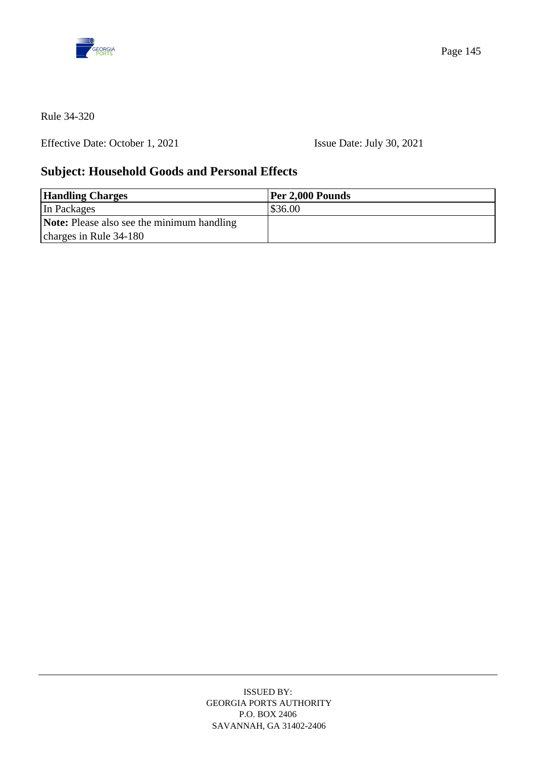

Effective Date: October 1, 2021 Issue Date: July 30, 2021

## **Subject: Household Goods and Personal Effects**

| <b>Handling Charges</b>                           | Per 2,000 Pounds |
|---------------------------------------------------|------------------|
| In Packages                                       | \$36.00          |
| <b>Note:</b> Please also see the minimum handling |                  |
| charges in Rule 34-180                            |                  |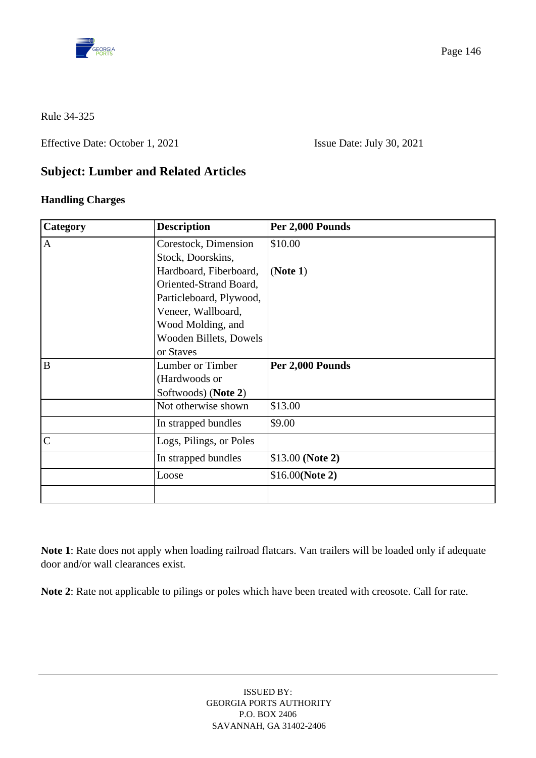

Effective Date: October 1, 2021 Issue Date: July 30, 2021

## **Subject: Lumber and Related Articles**

#### **Handling Charges**

| Category     | <b>Description</b>      | Per 2,000 Pounds |  |
|--------------|-------------------------|------------------|--|
| $\mathbf{A}$ | Corestock, Dimension    | \$10.00          |  |
|              | Stock, Doorskins,       |                  |  |
|              | Hardboard, Fiberboard,  | (Note 1)         |  |
|              | Oriented-Strand Board,  |                  |  |
|              | Particleboard, Plywood, |                  |  |
|              | Veneer, Wallboard,      |                  |  |
|              | Wood Molding, and       |                  |  |
|              | Wooden Billets, Dowels  |                  |  |
|              | or Staves               |                  |  |
| B            | Lumber or Timber        | Per 2,000 Pounds |  |
|              | (Hardwoods or           |                  |  |
|              | Softwoods) (Note 2)     |                  |  |
|              | Not otherwise shown     | \$13.00          |  |
|              | In strapped bundles     | \$9.00           |  |
| $\mathsf{C}$ | Logs, Pilings, or Poles |                  |  |
|              | In strapped bundles     | \$13.00 (Note 2) |  |
|              | Loose                   | \$16.00(Note 2)  |  |
|              |                         |                  |  |

**Note 1**: Rate does not apply when loading railroad flatcars. Van trailers will be loaded only if adequate door and/or wall clearances exist.

**Note 2**: Rate not applicable to pilings or poles which have been treated with creosote. Call for rate.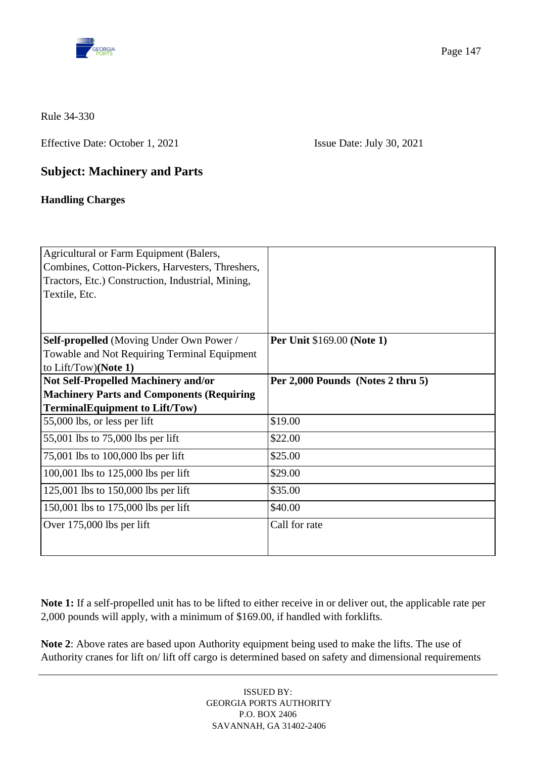

Effective Date: October 1, 2021 Issue Date: July 30, 2021

## **Subject: Machinery and Parts**

#### **Handling Charges**

| Agricultural or Farm Equipment (Balers,           |                                   |
|---------------------------------------------------|-----------------------------------|
| Combines, Cotton-Pickers, Harvesters, Threshers,  |                                   |
| Tractors, Etc.) Construction, Industrial, Mining, |                                   |
| Textile, Etc.                                     |                                   |
|                                                   |                                   |
|                                                   |                                   |
| Self-propelled (Moving Under Own Power /          | <b>Per Unit \$169.00 (Note 1)</b> |
| Towable and Not Requiring Terminal Equipment      |                                   |
| to Lift/Tow)(Note 1)                              |                                   |
| Not Self-Propelled Machinery and/or               | Per 2,000 Pounds (Notes 2 thru 5) |
| <b>Machinery Parts and Components (Requiring</b>  |                                   |
| <b>TerminalEquipment to Lift/Tow)</b>             |                                   |
|                                                   |                                   |
| 55,000 lbs, or less per lift                      | \$19.00                           |
| 55,001 lbs to 75,000 lbs per lift                 | \$22.00                           |
| 75,001 lbs to 100,000 lbs per lift                | \$25.00                           |
| 100,001 lbs to 125,000 lbs per lift               | \$29.00                           |
| 125,001 lbs to $150,000$ lbs per lift             | \$35.00                           |
| 150,001 lbs to 175,000 lbs per lift               | \$40.00                           |
| Over 175,000 lbs per lift                         | Call for rate                     |
|                                                   |                                   |

**Note 1:** If a self-propelled unit has to be lifted to either receive in or deliver out, the applicable rate per 2,000 pounds will apply, with a minimum of \$169.00, if handled with forklifts.

**Note 2**: Above rates are based upon Authority equipment being used to make the lifts. The use of Authority cranes for lift on/ lift off cargo is determined based on safety and dimensional requirements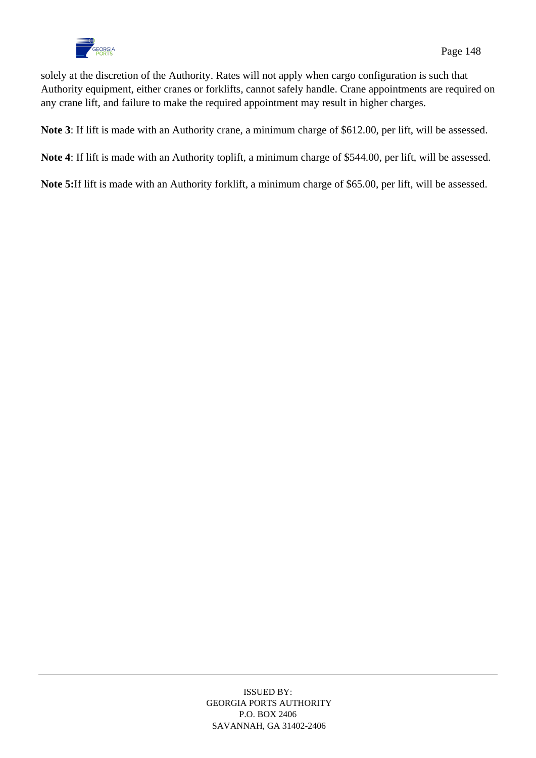solely at the discretion of the Authority. Rates will not apply when cargo configuration is such that Authority equipment, either cranes or forklifts, cannot safely handle. Crane appointments are required on any crane lift, and failure to make the required appointment may result in higher charges.

**Note 3**: If lift is made with an Authority crane, a minimum charge of \$612.00, per lift, will be assessed.

**Note 4**: If lift is made with an Authority toplift, a minimum charge of \$544.00, per lift, will be assessed.

**Note 5:**If lift is made with an Authority forklift, a minimum charge of \$65.00, per lift, will be assessed.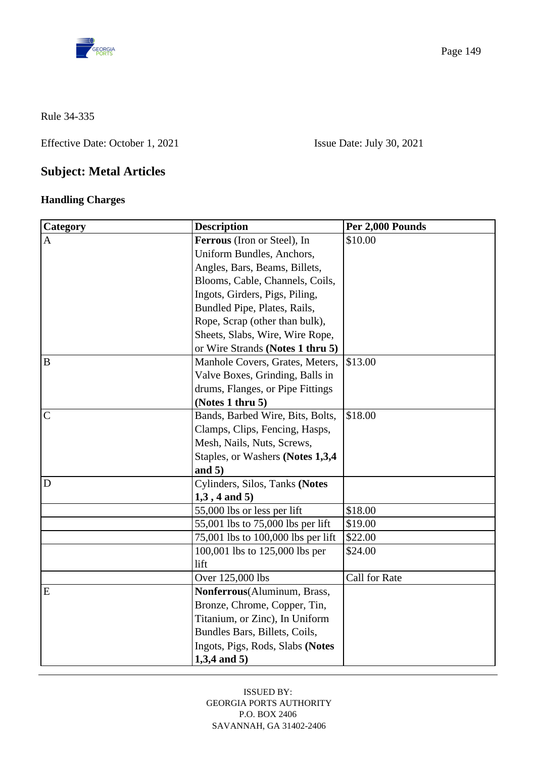

Effective Date: October 1, 2021 Issue Date: July 30, 2021

## **Subject: Metal Articles**

#### **Handling Charges**

| Category       | <b>Description</b>                 | Per 2,000 Pounds     |
|----------------|------------------------------------|----------------------|
| A              | Ferrous (Iron or Steel), In        | \$10.00              |
|                | Uniform Bundles, Anchors,          |                      |
|                | Angles, Bars, Beams, Billets,      |                      |
|                | Blooms, Cable, Channels, Coils,    |                      |
|                | Ingots, Girders, Pigs, Piling,     |                      |
|                | Bundled Pipe, Plates, Rails,       |                      |
|                | Rope, Scrap (other than bulk),     |                      |
|                | Sheets, Slabs, Wire, Wire Rope,    |                      |
|                | or Wire Strands (Notes 1 thru 5)   |                      |
| B              | Manhole Covers, Grates, Meters,    | \$13.00              |
|                | Valve Boxes, Grinding, Balls in    |                      |
|                | drums, Flanges, or Pipe Fittings   |                      |
|                | (Notes 1 thru 5)                   |                      |
| $\overline{C}$ | Bands, Barbed Wire, Bits, Bolts,   | \$18.00              |
|                | Clamps, Clips, Fencing, Hasps,     |                      |
|                | Mesh, Nails, Nuts, Screws,         |                      |
|                | Staples, or Washers (Notes 1,3,4   |                      |
|                | and $5)$                           |                      |
| D              | Cylinders, Silos, Tanks (Notes     |                      |
|                | $1,3$ , 4 and 5)                   |                      |
|                | 55,000 lbs or less per lift        | \$18.00              |
|                | 55,001 lbs to 75,000 lbs per lift  | \$19.00              |
|                | 75,001 lbs to 100,000 lbs per lift | \$22.00              |
|                | 100,001 lbs to 125,000 lbs per     | \$24.00              |
|                | lift                               |                      |
|                | Over 125,000 lbs                   | <b>Call for Rate</b> |
| E              | Nonferrous(Aluminum, Brass,        |                      |
|                | Bronze, Chrome, Copper, Tin,       |                      |
|                | Titanium, or Zinc), In Uniform     |                      |
|                | Bundles Bars, Billets, Coils,      |                      |
|                | Ingots, Pigs, Rods, Slabs (Notes   |                      |
|                | $1,3,4$ and 5)                     |                      |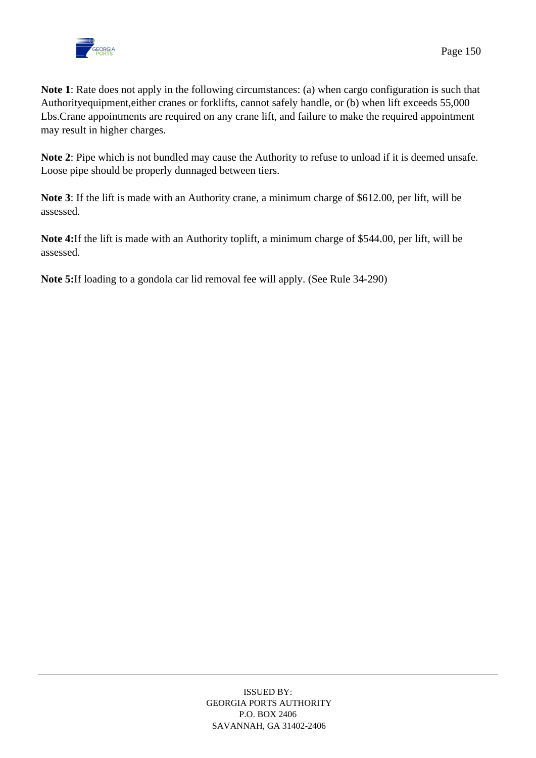

**Note 1**: Rate does not apply in the following circumstances: (a) when cargo configuration is such that Authorityequipment,either cranes or forklifts, cannot safely handle, or (b) when lift exceeds 55,000 Lbs.Crane appointments are required on any crane lift, and failure to make the required appointment may result in higher charges.

**Note 2**: Pipe which is not bundled may cause the Authority to refuse to unload if it is deemed unsafe. Loose pipe should be properly dunnaged between tiers.

**Note 3**: If the lift is made with an Authority crane, a minimum charge of \$612.00, per lift, will be assessed.

**Note 4:**If the lift is made with an Authority toplift, a minimum charge of \$544.00, per lift, will be assessed.

**Note 5:**If loading to a gondola car lid removal fee will apply. (See Rule 34-290)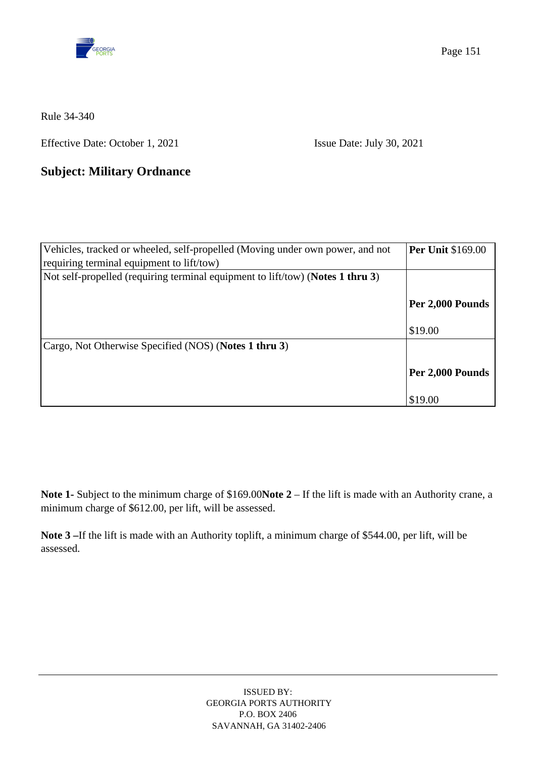

Effective Date: October 1, 2021 Issue Date: July 30, 2021

## **Subject: Military Ordnance**

| Vehicles, tracked or wheeled, self-propelled (Moving under own power, and not  | <b>Per Unit \$169.00</b> |
|--------------------------------------------------------------------------------|--------------------------|
| requiring terminal equipment to lift/tow)                                      |                          |
| Not self-propelled (requiring terminal equipment to lift/tow) (Notes 1 thru 3) |                          |
|                                                                                |                          |
|                                                                                | Per 2,000 Pounds         |
|                                                                                |                          |
|                                                                                | \$19.00                  |
| Cargo, Not Otherwise Specified (NOS) (Notes 1 thru 3)                          |                          |
|                                                                                |                          |
|                                                                                | Per 2,000 Pounds         |
|                                                                                |                          |
|                                                                                | \$19.00                  |

**Note 1-** Subject to the minimum charge of \$169.00**Note 2** – If the lift is made with an Authority crane, a minimum charge of \$612.00, per lift, will be assessed.

**Note 3 –**If the lift is made with an Authority toplift, a minimum charge of \$544.00, per lift, will be assessed.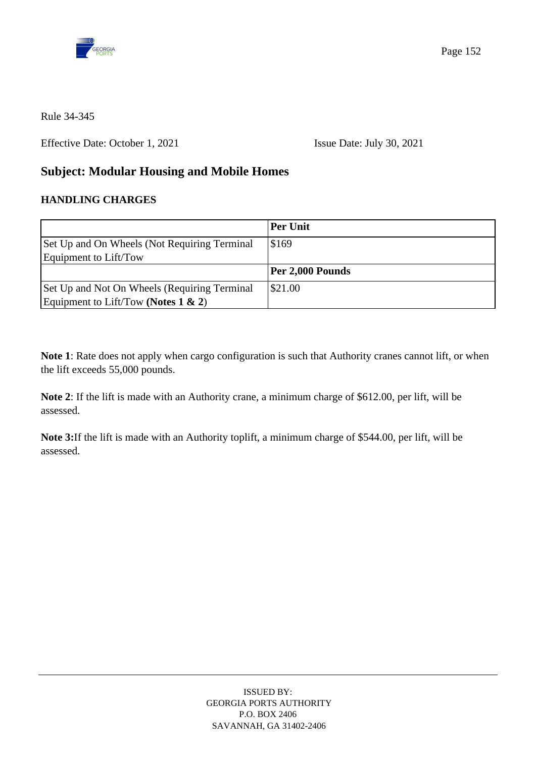

Effective Date: October 1, 2021 Issue Date: July 30, 2021

## **Subject: Modular Housing and Mobile Homes**

#### **HANDLING CHARGES**

|                                              | <b>Per Unit</b>  |
|----------------------------------------------|------------------|
| Set Up and On Wheels (Not Requiring Terminal | \$169            |
| Equipment to Lift/Tow                        |                  |
|                                              | Per 2,000 Pounds |
| Set Up and Not On Wheels (Requiring Terminal | \$21.00          |
| Equipment to Lift/Tow (Notes $1 \& 2$ )      |                  |

**Note 1**: Rate does not apply when cargo configuration is such that Authority cranes cannot lift, or when the lift exceeds 55,000 pounds.

**Note 2**: If the lift is made with an Authority crane, a minimum charge of \$612.00, per lift, will be assessed.

**Note 3:**If the lift is made with an Authority toplift, a minimum charge of \$544.00, per lift, will be assessed.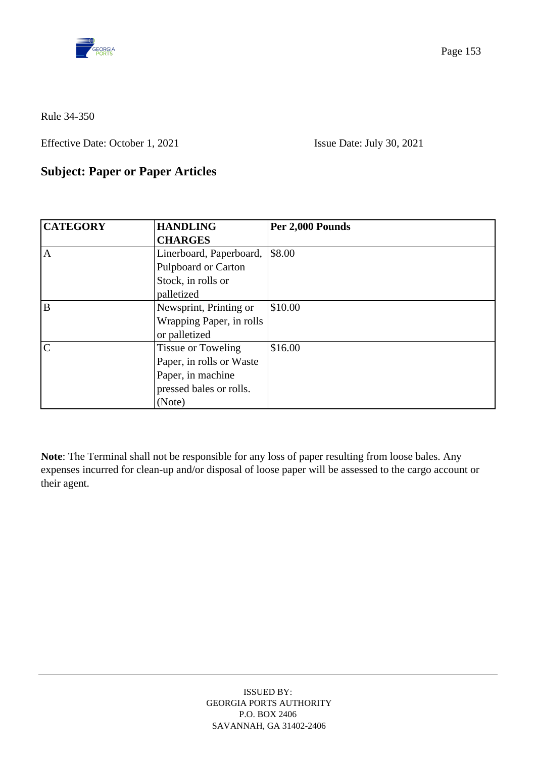

Effective Date: October 1, 2021 Issue Date: July 30, 2021

## **Subject: Paper or Paper Articles**

| <b>CATEGORY</b> | <b>HANDLING</b>           | Per 2,000 Pounds |  |
|-----------------|---------------------------|------------------|--|
|                 | <b>CHARGES</b>            |                  |  |
| $\mathbf{A}$    | Linerboard, Paperboard,   | \$8.00           |  |
|                 | Pulpboard or Carton       |                  |  |
|                 | Stock, in rolls or        |                  |  |
|                 | palletized                |                  |  |
| B               | Newsprint, Printing or    | \$10.00          |  |
|                 | Wrapping Paper, in rolls  |                  |  |
|                 | or palletized             |                  |  |
| $\mathsf{C}$    | <b>Tissue or Toweling</b> | \$16.00          |  |
|                 | Paper, in rolls or Waste  |                  |  |
|                 | Paper, in machine         |                  |  |
|                 | pressed bales or rolls.   |                  |  |
|                 | (Note)                    |                  |  |

**Note**: The Terminal shall not be responsible for any loss of paper resulting from loose bales. Any expenses incurred for clean-up and/or disposal of loose paper will be assessed to the cargo account or their agent.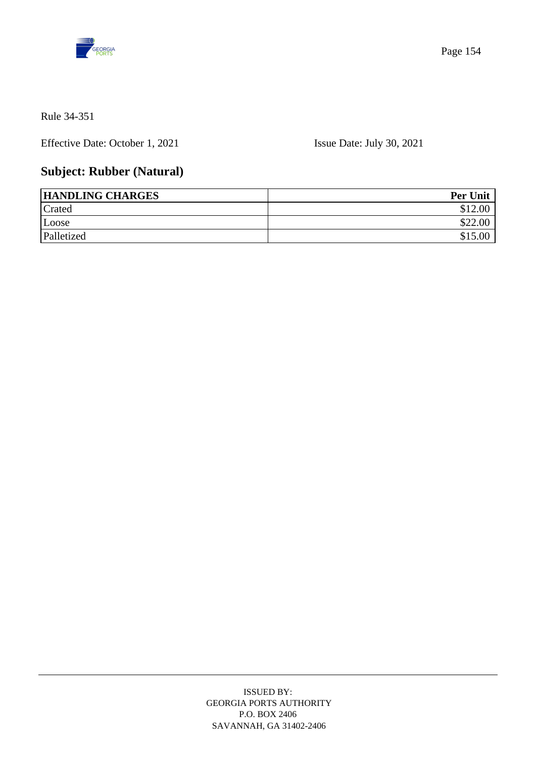

Effective Date: October 1, 2021 Issue Date: July 30, 2021

## **Subject: Rubber (Natural)**

| <b>HANDLING CHARGES</b> | <b>Per Unit</b> |
|-------------------------|-----------------|
| <b>Crated</b>           | \$12.00         |
| Loose                   | \$22.00         |
| Palletized              | \$15.00         |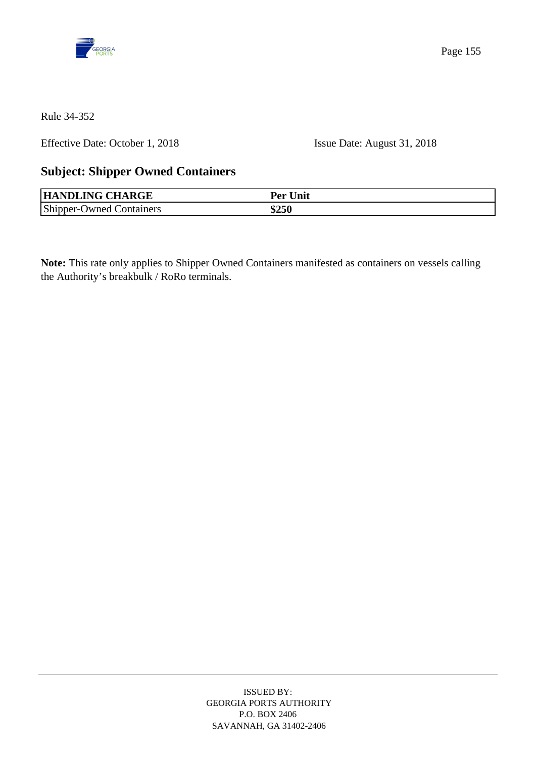

Effective Date: October 1, 2018 Issue Date: August 31, 2018

## **Subject: Shipper Owned Containers**

| <b>HANDLING CHARGE</b>          | Unit<br>Per |
|---------------------------------|-------------|
| <b>Shipper-Owned Containers</b> | \$250       |

**Note:** This rate only applies to Shipper Owned Containers manifested as containers on vessels calling the Authority's breakbulk / RoRo terminals.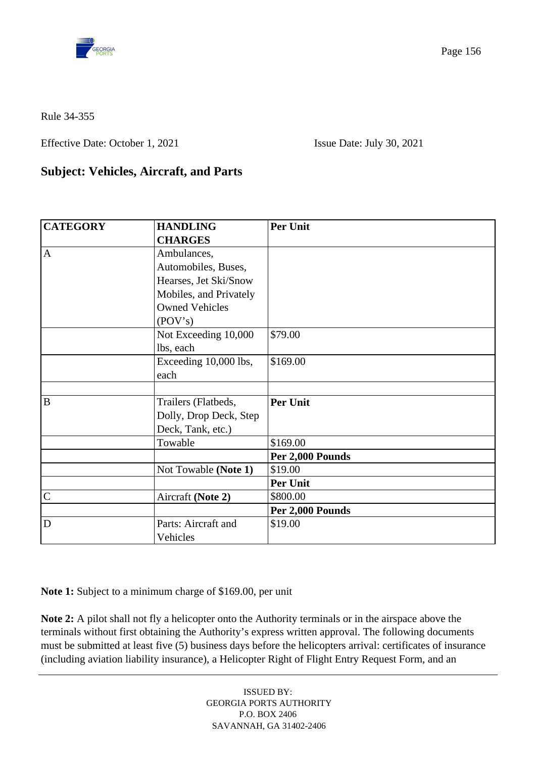

Effective Date: October 1, 2021 Issue Date: July 30, 2021

## **Subject: Vehicles, Aircraft, and Parts**

| <b>CATEGORY</b> | <b>HANDLING</b>        | <b>Per Unit</b>  |
|-----------------|------------------------|------------------|
|                 | <b>CHARGES</b>         |                  |
| A               | Ambulances,            |                  |
|                 | Automobiles, Buses,    |                  |
|                 | Hearses, Jet Ski/Snow  |                  |
|                 | Mobiles, and Privately |                  |
|                 | <b>Owned Vehicles</b>  |                  |
|                 | (POV's)                |                  |
|                 | Not Exceeding 10,000   | \$79.00          |
|                 | lbs, each              |                  |
|                 | Exceeding 10,000 lbs,  | \$169.00         |
|                 | each                   |                  |
|                 |                        |                  |
| B               | Trailers (Flatbeds,    | <b>Per Unit</b>  |
|                 | Dolly, Drop Deck, Step |                  |
|                 | Deck, Tank, etc.)      |                  |
|                 | Towable                | \$169.00         |
|                 |                        | Per 2,000 Pounds |
|                 | Not Towable (Note 1)   | \$19.00          |
|                 |                        | Per Unit         |
| $\mathcal{C}$   | Aircraft (Note 2)      | \$800.00         |
|                 |                        | Per 2,000 Pounds |
| D               | Parts: Aircraft and    | \$19.00          |
|                 | Vehicles               |                  |

**Note 1:** Subject to a minimum charge of \$169.00, per unit

**Note 2:** A pilot shall not fly a helicopter onto the Authority terminals or in the airspace above the terminals without first obtaining the Authority's express written approval. The following documents must be submitted at least five (5) business days before the helicopters arrival: certificates of insurance (including aviation liability insurance), a Helicopter Right of Flight Entry Request Form, and an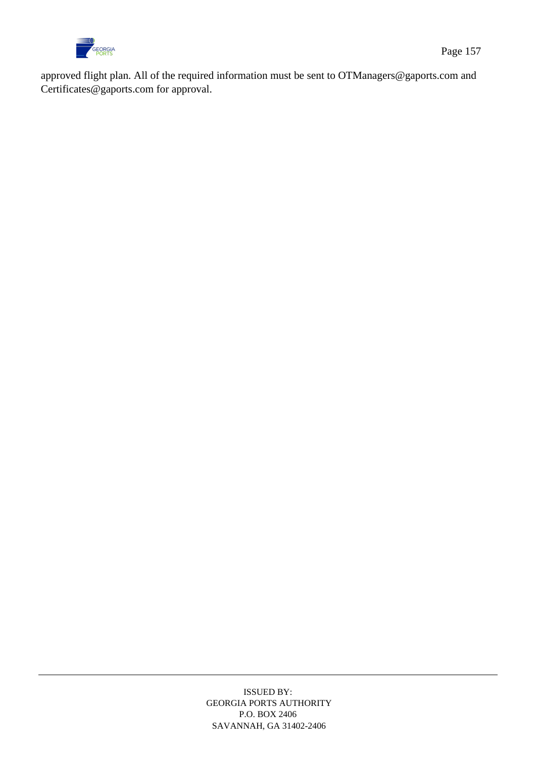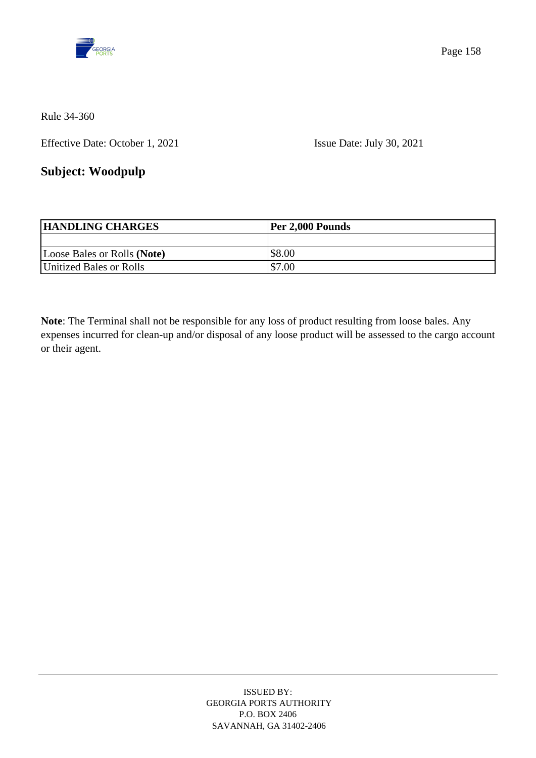

Effective Date: October 1, 2021 Issue Date: July 30, 2021

## **Subject: Woodpulp**

| <b>HANDLING CHARGES</b>     | Per 2,000 Pounds |  |
|-----------------------------|------------------|--|
|                             |                  |  |
| Loose Bales or Rolls (Note) | \$8.00           |  |
| Unitized Bales or Rolls     | \$7.00           |  |

**Note**: The Terminal shall not be responsible for any loss of product resulting from loose bales. Any expenses incurred for clean-up and/or disposal of any loose product will be assessed to the cargo account or their agent.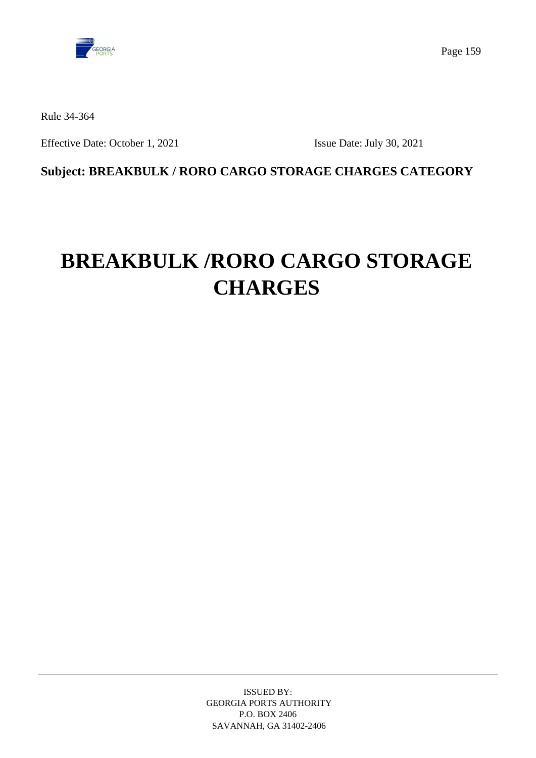

Effective Date: October 1, 2021 Issue Date: July 30, 2021

## **Subject: BREAKBULK / RORO CARGO STORAGE CHARGES CATEGORY**

# **BREAKBULK /RORO CARGO STORAGE CHARGES**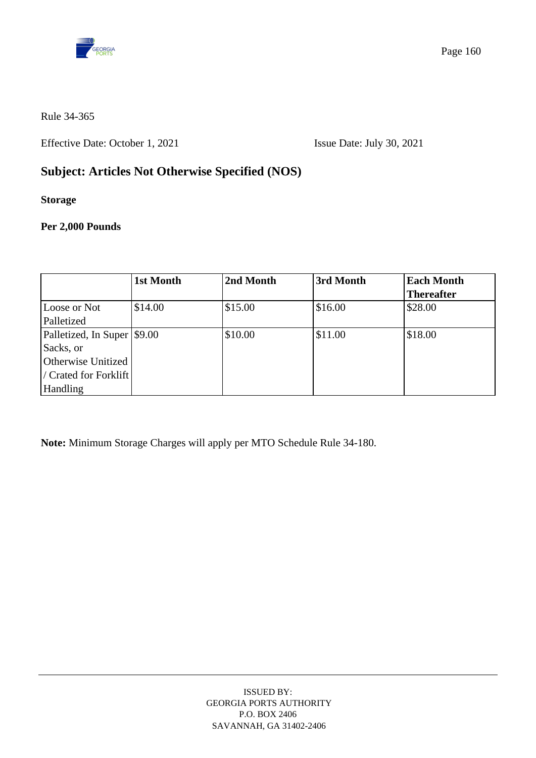

Effective Date: October 1, 2021 Issue Date: July 30, 2021

## **Subject: Articles Not Otherwise Specified (NOS)**

**Storage**

## **Per 2,000 Pounds**

|                              | 1st Month | 2nd Month | 3rd Month | <b>Each Month</b> |
|------------------------------|-----------|-----------|-----------|-------------------|
|                              |           |           |           | <b>Thereafter</b> |
| Loose or Not                 | \$14.00   | \$15.00   | \$16.00   | \$28.00           |
| Palletized                   |           |           |           |                   |
| Palletized, In Super \\$9.00 |           | \$10.00   | \$11.00   | \$18.00           |
| Sacks, or                    |           |           |           |                   |
| Otherwise Unitized           |           |           |           |                   |
| / Crated for Forklift        |           |           |           |                   |
| Handling                     |           |           |           |                   |

**Note:** Minimum Storage Charges will apply per MTO Schedule Rule 34-180.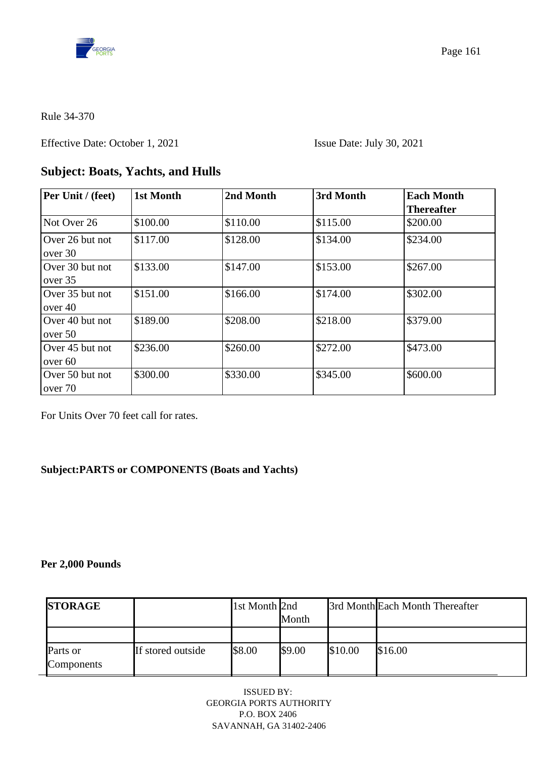

Effective Date: October 1, 2021 Issue Date: July 30, 2021

#### **Per Unit / (feet) 1st Month 2nd Month 3rd Month Each Month Thereafter** Not Over 26 \$100.00 \$110.00 \$115.00 \$200.00 Over 26 but not over 30 \$117.00 \$128.00 \$134.00 \$234.00 Over 30 but not over 35  $$133.00$   $$147.00$   $$153.00$   $$267.00$ Over 35 but not over 40  $$151.00$   $$166.00$   $$174.00$   $$302.00$ Over 40 but not over 50 \$189.00 \$208.00 \$218.00 \$379.00 Over 45 but not over 60  $$236.00$   $$260.00$   $$272.00$   $$473.00$ Over 50 but not over 70  $$300.00$   $$330.00$   $$345.00$   $$600.00$

## **Subject: Boats, Yachts, and Hulls**

For Units Over 70 feet call for rates.

#### **Subject:PARTS or COMPONENTS (Boats and Yachts)**

#### **Per 2,000 Pounds**

| <b>STORAGE</b>         |                   | 1st Month 2nd | Month  |         | 3rd Month Each Month Thereafter |
|------------------------|-------------------|---------------|--------|---------|---------------------------------|
|                        |                   |               |        |         |                                 |
| Parts or<br>Components | If stored outside | \$8.00        | \$9.00 | \$10.00 | \$16.00                         |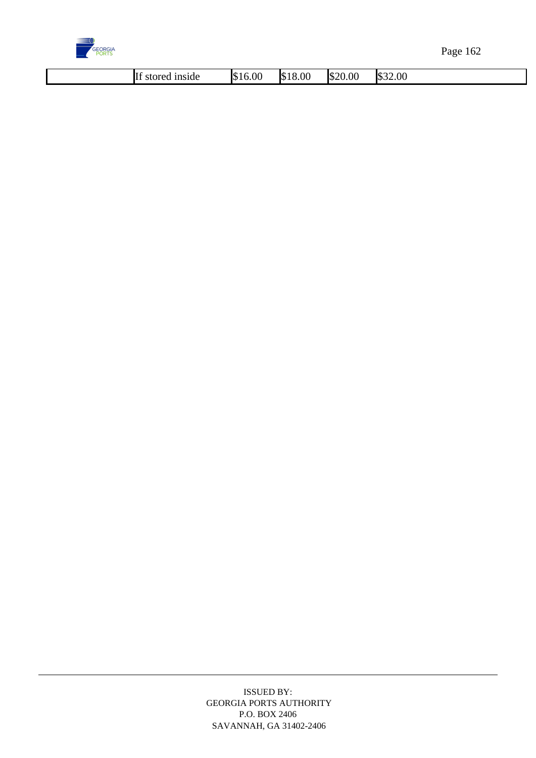

|  | Ιt<br>٦6<br>- 11 | $\sim$<br>הו<br>6.00 | 0 <sup>0</sup><br>IФ<br>. IN | 10 <sup>7</sup><br>I٣ | ΩG<br>. .<br>____ |
|--|------------------|----------------------|------------------------------|-----------------------|-------------------|
|--|------------------|----------------------|------------------------------|-----------------------|-------------------|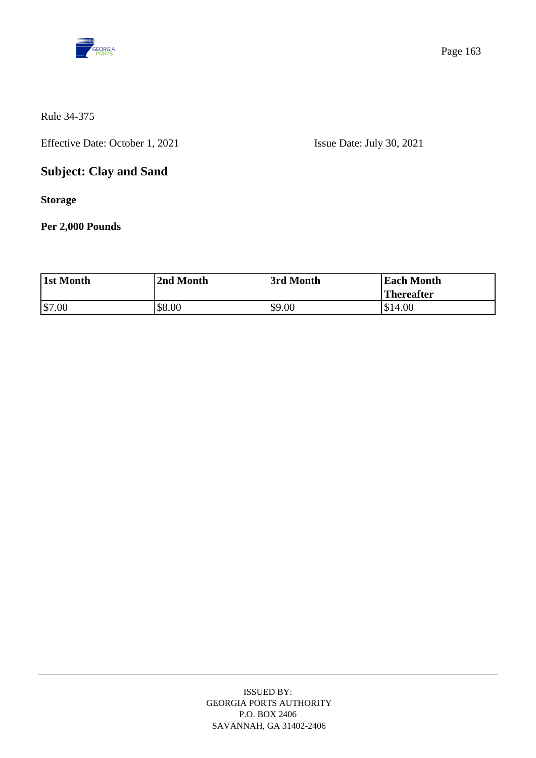

Effective Date: October 1, 2021 Issue Date: July 30, 2021

## **Subject: Clay and Sand**

**Storage** 

| <b>1st Month</b> | 2nd Month | 3rd Month | <b>Each Month</b><br><b>Thereafter</b> |
|------------------|-----------|-----------|----------------------------------------|
| \$7.00           | \$8.00    | \$9.00    | \$14.00                                |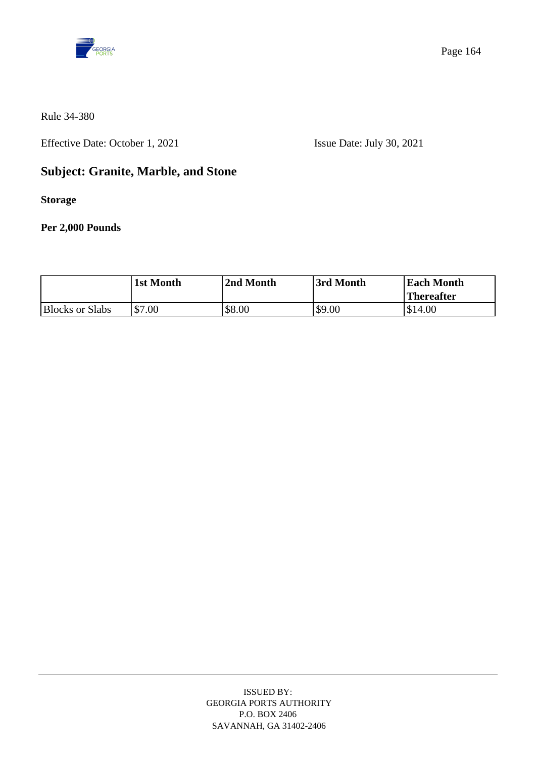

Effective Date: October 1, 2021 Issue Date: July 30, 2021

## **Subject: Granite, Marble, and Stone**

**Storage** 

|                        | 1st Month | 2nd Month | 3rd Month | <b>Each Month</b><br><b>Thereafter</b> |
|------------------------|-----------|-----------|-----------|----------------------------------------|
| <b>Blocks or Slabs</b> | \$7.00    | \$8.00    | \$9.00    | \$14.00                                |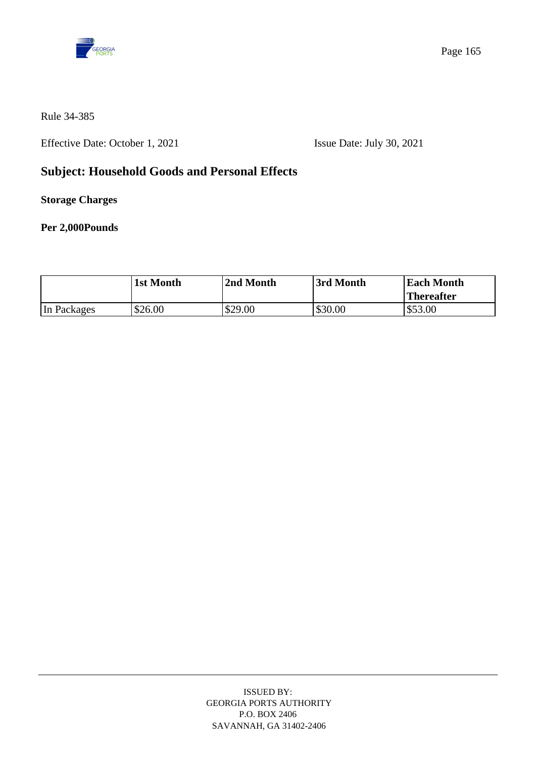

Effective Date: October 1, 2021 Issue Date: July 30, 2021

## **Subject: Household Goods and Personal Effects**

**Storage Charges**

|             | 1st Month | 2nd Month | 3rd Month | <b>Each Month</b><br><b>Thereafter</b> |
|-------------|-----------|-----------|-----------|----------------------------------------|
| In Packages | \$26.00   | \$29.00   | \$30.00   | \$53.00                                |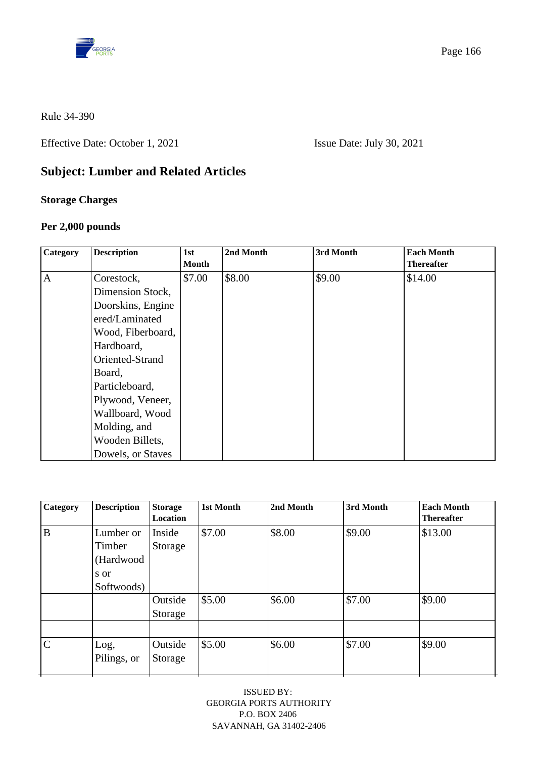

Effective Date: October 1, 2021 Issue Date: July 30, 2021

## **Subject: Lumber and Related Articles**

#### **Storage Charges**

## **Per 2,000 pounds**

| Category     | <b>Description</b> | 1st<br>Month | 2nd Month | 3rd Month | <b>Each Month</b><br><b>Thereafter</b> |
|--------------|--------------------|--------------|-----------|-----------|----------------------------------------|
| $\mathbf{A}$ | Corestock,         | \$7.00       | \$8.00    | \$9.00    | \$14.00                                |
|              | Dimension Stock,   |              |           |           |                                        |
|              | Doorskins, Engine  |              |           |           |                                        |
|              | ered/Laminated     |              |           |           |                                        |
|              | Wood, Fiberboard,  |              |           |           |                                        |
|              | Hardboard,         |              |           |           |                                        |
|              | Oriented-Strand    |              |           |           |                                        |
|              | Board,             |              |           |           |                                        |
|              | Particleboard,     |              |           |           |                                        |
|              | Plywood, Veneer,   |              |           |           |                                        |
|              | Wallboard, Wood    |              |           |           |                                        |
|              | Molding, and       |              |           |           |                                        |
|              | Wooden Billets,    |              |           |           |                                        |
|              | Dowels, or Staves  |              |           |           |                                        |

| <b>Category</b> | <b>Description</b> | <b>Storage</b><br>Location | 1st Month | 2nd Month | 3rd Month | <b>Each Month</b><br><b>Thereafter</b> |
|-----------------|--------------------|----------------------------|-----------|-----------|-----------|----------------------------------------|
| $\bf{B}$        | Lumber or          | Inside                     | \$7.00    | \$8.00    | \$9.00    | \$13.00                                |
|                 | Timber             | Storage                    |           |           |           |                                        |
|                 | (Hardwood          |                            |           |           |           |                                        |
|                 | s or               |                            |           |           |           |                                        |
|                 | Softwoods)         |                            |           |           |           |                                        |
|                 |                    | Outside                    | \$5.00    | \$6.00    | \$7.00    | \$9.00                                 |
|                 |                    | Storage                    |           |           |           |                                        |
|                 |                    |                            |           |           |           |                                        |
| $\mathcal{C}$   | Log,               | Outside                    | \$5.00    | \$6.00    | \$7.00    | \$9.00                                 |
|                 | Pilings, or        | Storage                    |           |           |           |                                        |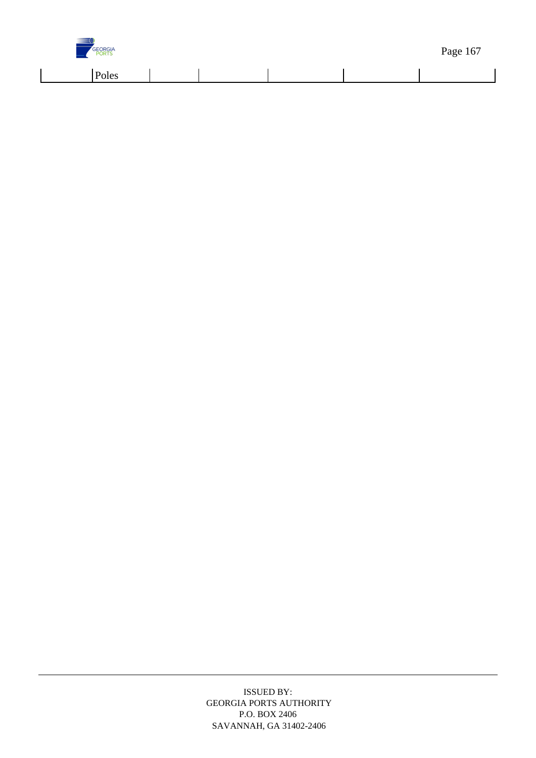| $\equiv$ $\Theta$ | <b>V</b> GEORGIA |  |  | Page 167 |
|-------------------|------------------|--|--|----------|
|                   | Poles            |  |  |          |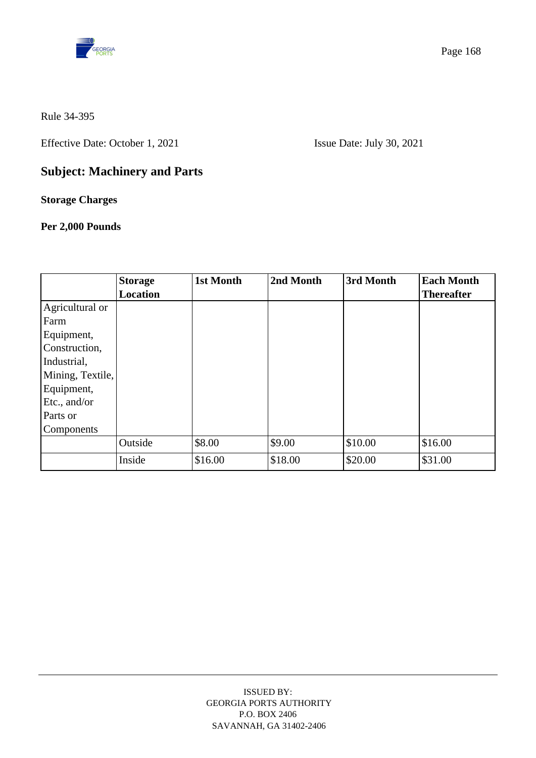

Effective Date: October 1, 2021 Issue Date: July 30, 2021

## **Subject: Machinery and Parts**

## **Storage Charges**

|                  | <b>Storage</b><br><b>Location</b> | <b>1st Month</b> | 2nd Month | 3rd Month | <b>Each Month</b><br><b>Thereafter</b> |
|------------------|-----------------------------------|------------------|-----------|-----------|----------------------------------------|
| Agricultural or  |                                   |                  |           |           |                                        |
| Farm             |                                   |                  |           |           |                                        |
| Equipment,       |                                   |                  |           |           |                                        |
| Construction,    |                                   |                  |           |           |                                        |
| Industrial,      |                                   |                  |           |           |                                        |
| Mining, Textile, |                                   |                  |           |           |                                        |
| Equipment,       |                                   |                  |           |           |                                        |
| Etc., and/or     |                                   |                  |           |           |                                        |
| Parts or         |                                   |                  |           |           |                                        |
| Components       |                                   |                  |           |           |                                        |
|                  | Outside                           | \$8.00           | \$9.00    | \$10.00   | \$16.00                                |
|                  | Inside                            | \$16.00          | \$18.00   | \$20.00   | \$31.00                                |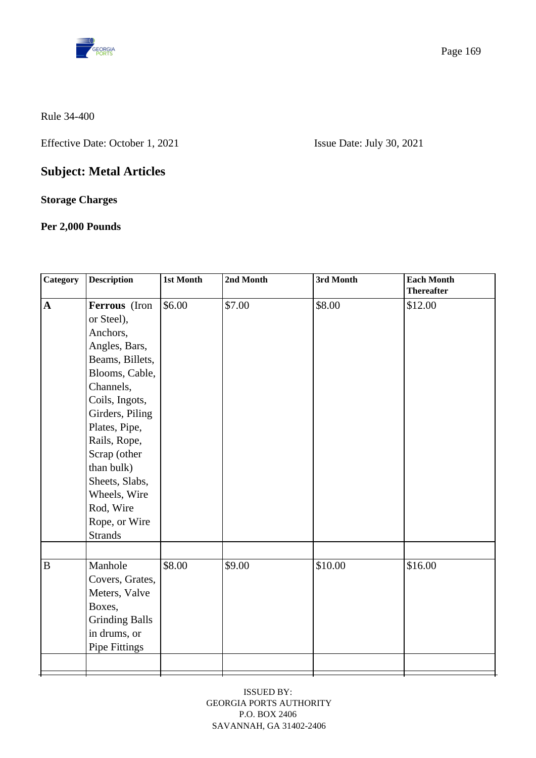

Effective Date: October 1, 2021 Issue Date: July 30, 2021

## **Subject: Metal Articles**

#### **Storage Charges**

## **Per 2,000 Pounds**

| Category              | <b>Description</b>    | <b>1st Month</b> | 2nd Month | 3rd Month | <b>Each Month</b> |
|-----------------------|-----------------------|------------------|-----------|-----------|-------------------|
|                       |                       |                  |           |           | <b>Thereafter</b> |
| $\boldsymbol{\rm{A}}$ | Ferrous (Iron         | \$6.00           | \$7.00    | \$8.00    | \$12.00           |
|                       | or Steel),            |                  |           |           |                   |
|                       | Anchors,              |                  |           |           |                   |
|                       | Angles, Bars,         |                  |           |           |                   |
|                       | Beams, Billets,       |                  |           |           |                   |
|                       | Blooms, Cable,        |                  |           |           |                   |
|                       | Channels,             |                  |           |           |                   |
|                       | Coils, Ingots,        |                  |           |           |                   |
|                       | Girders, Piling       |                  |           |           |                   |
|                       | Plates, Pipe,         |                  |           |           |                   |
|                       | Rails, Rope,          |                  |           |           |                   |
|                       | Scrap (other          |                  |           |           |                   |
|                       | than bulk)            |                  |           |           |                   |
|                       | Sheets, Slabs,        |                  |           |           |                   |
|                       | Wheels, Wire          |                  |           |           |                   |
|                       | Rod, Wire             |                  |           |           |                   |
|                       | Rope, or Wire         |                  |           |           |                   |
|                       | <b>Strands</b>        |                  |           |           |                   |
|                       |                       |                  |           |           |                   |
| $\mathbf B$           | Manhole               | \$8.00           | \$9.00    | \$10.00   | \$16.00           |
|                       | Covers, Grates,       |                  |           |           |                   |
|                       | Meters, Valve         |                  |           |           |                   |
|                       | Boxes,                |                  |           |           |                   |
|                       | <b>Grinding Balls</b> |                  |           |           |                   |
|                       | in drums, or          |                  |           |           |                   |
|                       | <b>Pipe Fittings</b>  |                  |           |           |                   |
|                       |                       |                  |           |           |                   |
|                       |                       |                  |           |           |                   |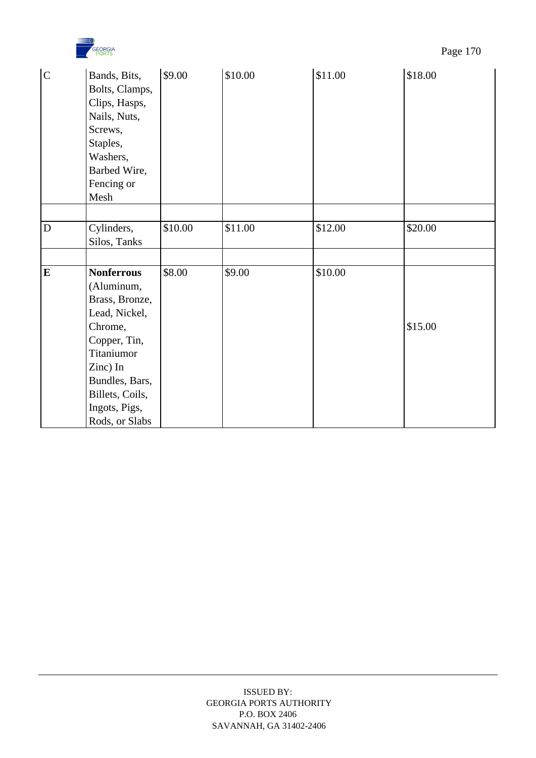

| $\overline{C}$ | Bands, Bits,<br>Bolts, Clamps,<br>Clips, Hasps,<br>Nails, Nuts,<br>Screws,<br>Staples,<br>Washers,<br>Barbed Wire,<br>Fencing or<br>Mesh                                                        | \$9.00  | \$10.00 | \$11.00 | \$18.00 |
|----------------|-------------------------------------------------------------------------------------------------------------------------------------------------------------------------------------------------|---------|---------|---------|---------|
|                |                                                                                                                                                                                                 |         |         |         |         |
| D              | Cylinders,<br>Silos, Tanks                                                                                                                                                                      | \$10.00 | \$11.00 | \$12.00 | \$20.00 |
|                |                                                                                                                                                                                                 |         |         |         |         |
| E              | <b>Nonferrous</b><br>(Aluminum,<br>Brass, Bronze,<br>Lead, Nickel,<br>Chrome,<br>Copper, Tin,<br>Titaniumor<br>Zinc) In<br>Bundles, Bars,<br>Billets, Coils,<br>Ingots, Pigs,<br>Rods, or Slabs | \$8.00  | \$9.00  | \$10.00 | \$15.00 |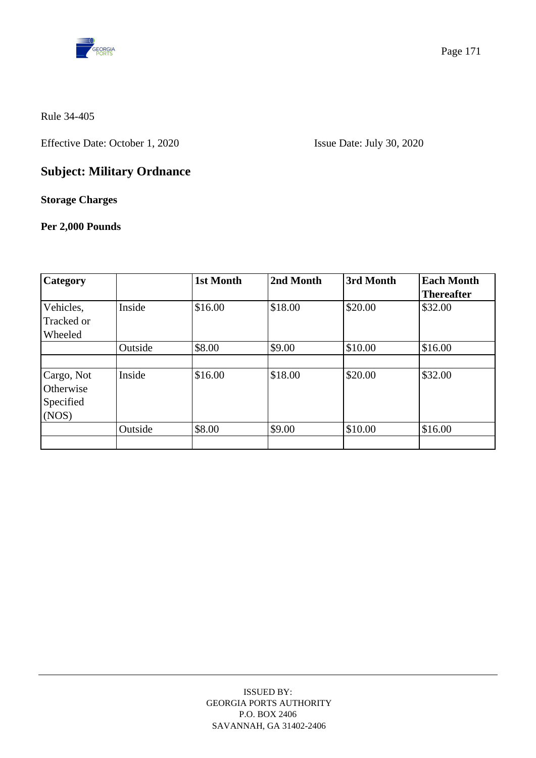

Effective Date: October 1, 2020 Issue Date: July 30, 2020

## **Subject: Military Ordnance**

#### **Storage Charges**

| <b>Category</b> |         | 1st Month | 2nd Month | 3rd Month | <b>Each Month</b> |
|-----------------|---------|-----------|-----------|-----------|-------------------|
|                 |         |           |           |           | <b>Thereafter</b> |
| Vehicles,       | Inside  | \$16.00   | \$18.00   | \$20.00   | \$32.00           |
| Tracked or      |         |           |           |           |                   |
| Wheeled         |         |           |           |           |                   |
|                 | Outside | \$8.00    | \$9.00    | \$10.00   | \$16.00           |
|                 |         |           |           |           |                   |
| Cargo, Not      | Inside  | \$16.00   | \$18.00   | \$20.00   | \$32.00           |
| Otherwise       |         |           |           |           |                   |
| Specified       |         |           |           |           |                   |
| (NOS)           |         |           |           |           |                   |
|                 | Outside | \$8.00    | \$9.00    | \$10.00   | \$16.00           |
|                 |         |           |           |           |                   |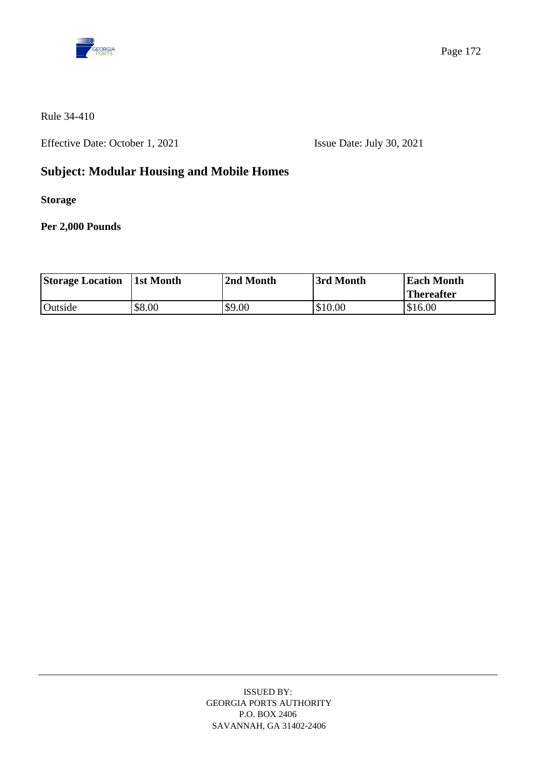

Effective Date: October 1, 2021 Issue Date: July 30, 2021

## **Subject: Modular Housing and Mobile Homes**

**Storage**

| <b>Storage Location</b> | <b>Ist Month</b> | <sup>1</sup> 2nd Month | 3rd Month | <b>Each Month</b><br><b>Thereafter</b> |
|-------------------------|------------------|------------------------|-----------|----------------------------------------|
| Outside                 | \$8.00           | \$9.00                 | \$10.00   | \$16.00                                |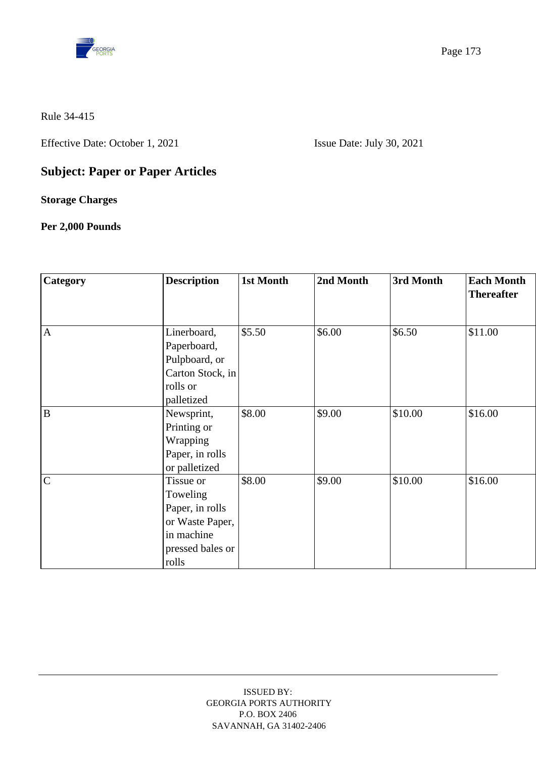

Effective Date: October 1, 2021 Issue Date: July 30, 2021

## **Subject: Paper or Paper Articles**

## **Storage Charges**

| Category       | <b>Description</b>                                                                                     | 1st Month | 2nd Month | 3rd Month | <b>Each Month</b><br><b>Thereafter</b> |
|----------------|--------------------------------------------------------------------------------------------------------|-----------|-----------|-----------|----------------------------------------|
| $\mathbf{A}$   | Linerboard,<br>Paperboard,<br>Pulpboard, or<br>Carton Stock, in<br>rolls or<br>palletized              | \$5.50    | \$6.00    | \$6.50    | \$11.00                                |
| $\overline{B}$ | Newsprint,<br>Printing or<br>Wrapping<br>Paper, in rolls<br>or palletized                              | \$8.00    | \$9.00    | \$10.00   | \$16.00                                |
| $\mathcal{C}$  | Tissue or<br>Toweling<br>Paper, in rolls<br>or Waste Paper,<br>in machine<br>pressed bales or<br>rolls | \$8.00    | \$9.00    | \$10.00   | \$16.00                                |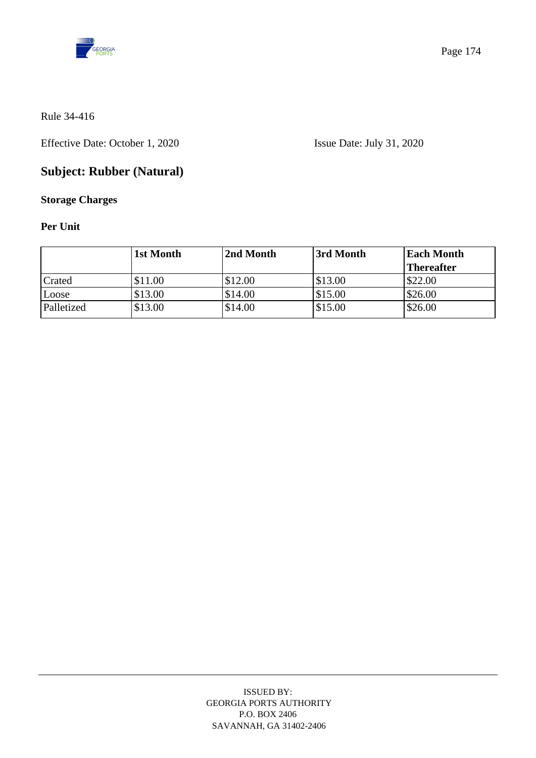

Effective Date: October 1, 2020 Issue Date: July 31, 2020

## **Subject: Rubber (Natural)**

#### **Storage Charges**

#### **Per Unit**

|            | 1st Month | 2nd Month | 3rd Month | <b>Each Month</b><br><b>Thereafter</b> |
|------------|-----------|-----------|-----------|----------------------------------------|
| Crated     | \$11.00   | \$12.00   | \$13.00   | \$22.00                                |
| Loose      | \$13.00   | \$14.00   | \$15.00   | \$26.00                                |
| Palletized | \$13.00   | \$14.00   | \$15.00   | \$26.00                                |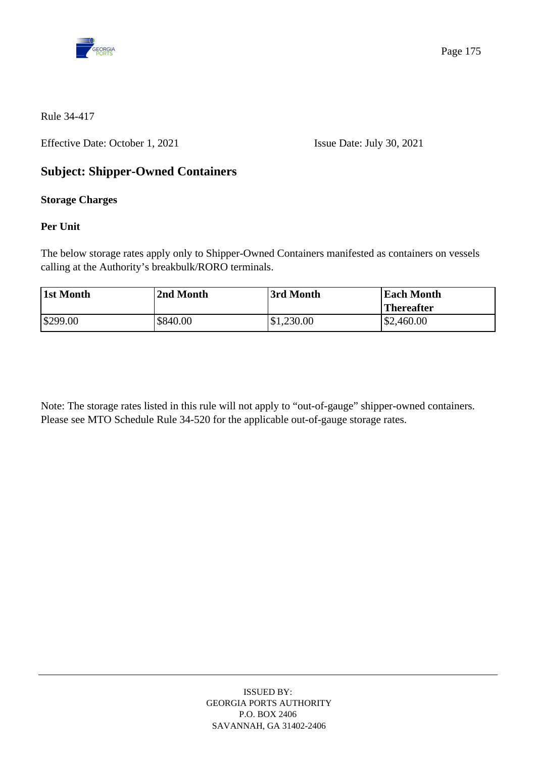

Effective Date: October 1, 2021 Issue Date: July 30, 2021

## **Subject: Shipper-Owned Containers**

#### **Storage Charges**

#### **Per Unit**

The below storage rates apply only to Shipper-Owned Containers manifested as containers on vessels calling at the Authority's breakbulk/RORO terminals.

| <b>Ist Month</b>    | 2nd Month | 3rd Month  | <b>Each Month</b><br>Thereafter |
|---------------------|-----------|------------|---------------------------------|
| $\frac{1}{2}$ 99.00 | \$840.00  | \$1,230.00 | \$2,460.00                      |

Note: The storage rates listed in this rule will not apply to "out-of-gauge" shipper-owned containers. Please see MTO Schedule Rule 34-520 for the applicable out-of-gauge storage rates.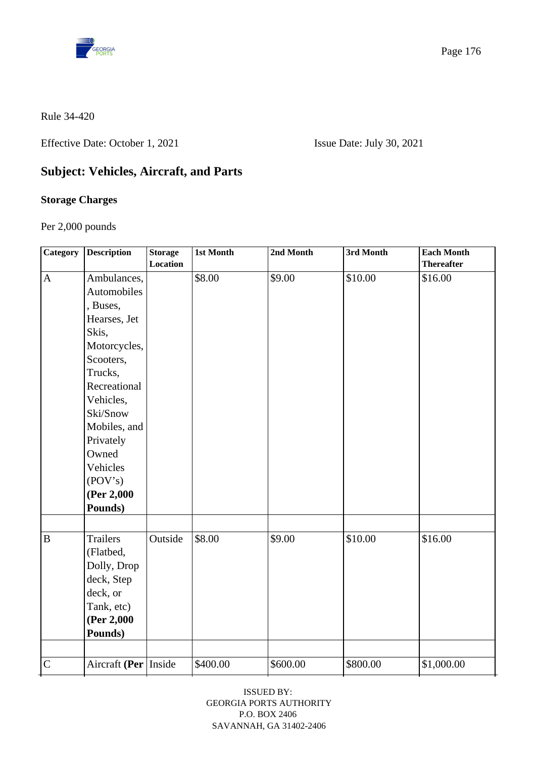

Effective Date: October 1, 2021 Issue Date: July 30, 2021

## **Subject: Vehicles, Aircraft, and Parts**

#### **Storage Charges**

Per 2,000 pounds

| <b>Category</b> | <b>Description</b>     | <b>Storage</b> | <b>1st Month</b> | 2nd Month | 3rd Month | <b>Each Month</b> |
|-----------------|------------------------|----------------|------------------|-----------|-----------|-------------------|
|                 |                        | Location       |                  |           |           | <b>Thereafter</b> |
| $\mathbf{A}$    | Ambulances,            |                | \$8.00           | \$9.00    | \$10.00   | \$16.00           |
|                 | Automobiles            |                |                  |           |           |                   |
|                 | , Buses,               |                |                  |           |           |                   |
|                 | Hearses, Jet           |                |                  |           |           |                   |
|                 | Skis,                  |                |                  |           |           |                   |
|                 | Motorcycles,           |                |                  |           |           |                   |
|                 | Scooters,              |                |                  |           |           |                   |
|                 | Trucks,                |                |                  |           |           |                   |
|                 | Recreational           |                |                  |           |           |                   |
|                 | Vehicles,              |                |                  |           |           |                   |
|                 | Ski/Snow               |                |                  |           |           |                   |
|                 | Mobiles, and           |                |                  |           |           |                   |
|                 | Privately              |                |                  |           |           |                   |
|                 | Owned                  |                |                  |           |           |                   |
|                 | Vehicles               |                |                  |           |           |                   |
|                 | (POV's)                |                |                  |           |           |                   |
|                 | (Per 2,000)            |                |                  |           |           |                   |
|                 | Pounds)                |                |                  |           |           |                   |
|                 |                        |                |                  |           |           |                   |
| $\overline{B}$  | <b>Trailers</b>        | Outside        | \$8.00           | \$9.00    | \$10.00   | \$16.00           |
|                 | (Flatbed,              |                |                  |           |           |                   |
|                 | Dolly, Drop            |                |                  |           |           |                   |
|                 | deck, Step             |                |                  |           |           |                   |
|                 | deck, or               |                |                  |           |           |                   |
|                 | Tank, etc)             |                |                  |           |           |                   |
|                 | (Per 2,000)            |                |                  |           |           |                   |
|                 | Pounds)                |                |                  |           |           |                   |
|                 |                        |                |                  |           |           |                   |
| $\mathsf{C}$    | Aircraft (Per   Inside |                | \$400.00         | \$600.00  | \$800.00  | \$1,000.00        |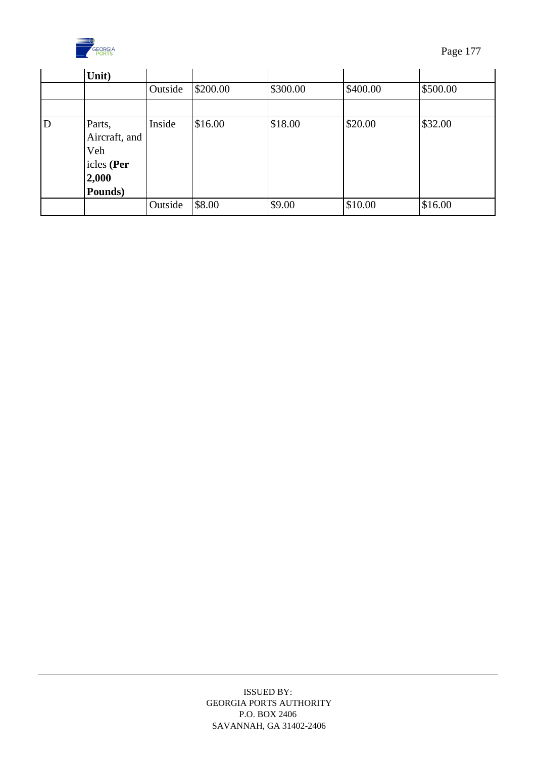

|   | Unit)                                                            |         |          |          |          |          |
|---|------------------------------------------------------------------|---------|----------|----------|----------|----------|
|   |                                                                  | Outside | \$200.00 | \$300.00 | \$400.00 | \$500.00 |
|   |                                                                  |         |          |          |          |          |
| D | Parts,<br>Aircraft, and<br>Veh<br>icles (Per<br>2,000<br>Pounds) | Inside  | \$16.00  | \$18.00  | \$20.00  | \$32.00  |
|   |                                                                  | Outside | \$8.00   | \$9.00   | \$10.00  | \$16.00  |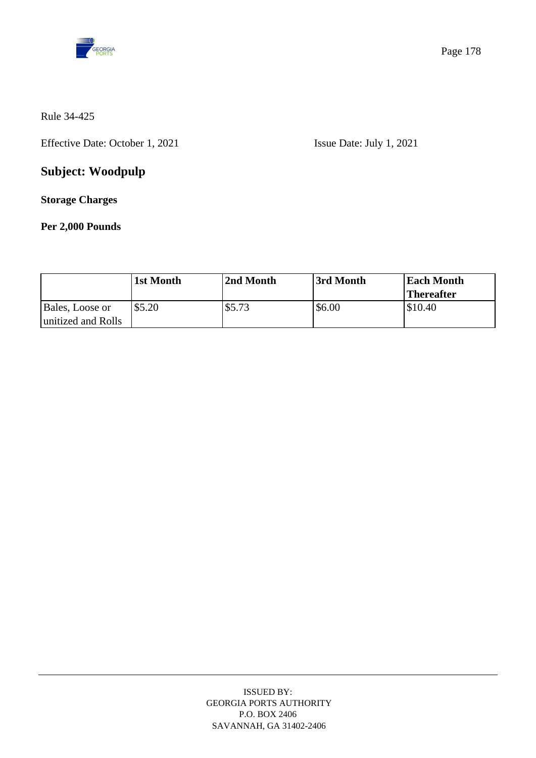

Effective Date: October 1, 2021 Issue Date: July 1, 2021

## **Subject: Woodpulp**

**Storage Charges**

|                    | 1st Month | 2nd Month | 3rd Month | Each Month        |
|--------------------|-----------|-----------|-----------|-------------------|
|                    |           |           |           | <b>Thereafter</b> |
| Bales, Loose or    | \$5.20    | \$5.73    | \$6.00    | \$10.40           |
| unitized and Rolls |           |           |           |                   |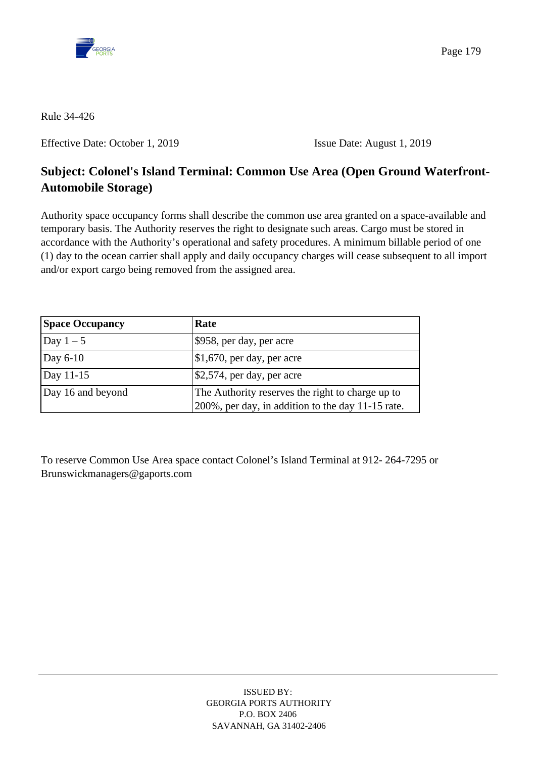

Effective Date: October 1, 2019 Issue Date: August 1, 2019

## **Subject: Colonel's Island Terminal: Common Use Area (Open Ground Waterfront-Automobile Storage)**

Authority space occupancy forms shall describe the common use area granted on a space-available and temporary basis. The Authority reserves the right to designate such areas. Cargo must be stored in accordance with the Authority's operational and safety procedures. A minimum billable period of one (1) day to the ocean carrier shall apply and daily occupancy charges will cease subsequent to all import and/or export cargo being removed from the assigned area.

| <b>Space Occupancy</b> | Rate                                              |
|------------------------|---------------------------------------------------|
| Day $1-5$              | \$958, per day, per acre                          |
| Day $6-10$             | $\vert$ \$1,670, per day, per acre                |
| Day 11-15              | $\frac{1}{2}$ , \$2,574, per day, per acre        |
| Day 16 and beyond      | The Authority reserves the right to charge up to  |
|                        | 200%, per day, in addition to the day 11-15 rate. |

To reserve Common Use Area space contact Colonel's Island Terminal at 912- 264-7295 or Brunswickmanagers@gaports.com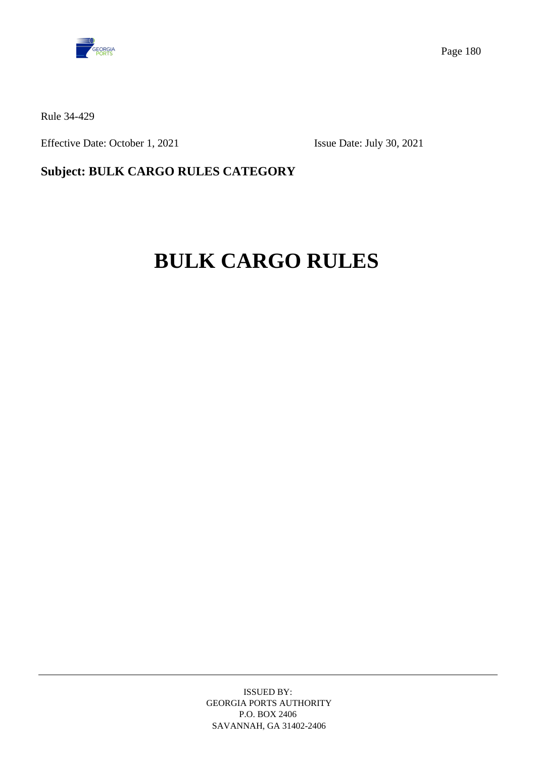

Effective Date: October 1, 2021 Issue Date: July 30, 2021

**Subject: BULK CARGO RULES CATEGORY**

# **BULK CARGO RULES**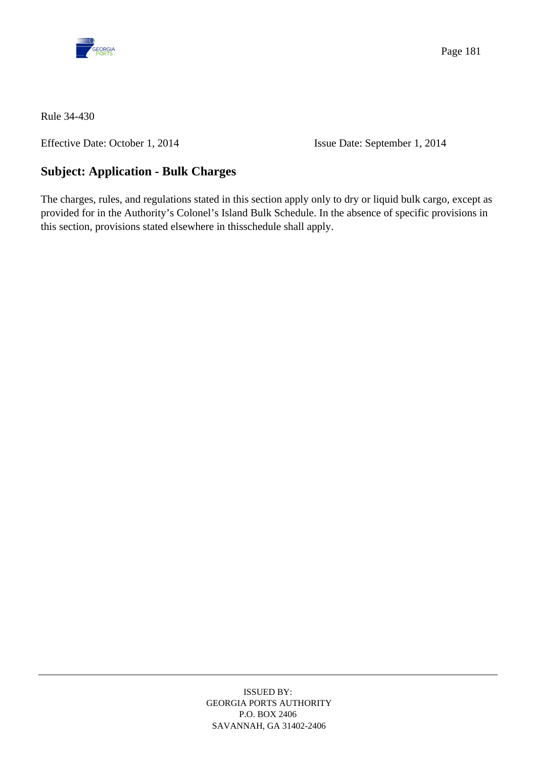

Effective Date: October 1, 2014 Issue Date: September 1, 2014

## **Subject: Application - Bulk Charges**

The charges, rules, and regulations stated in this section apply only to dry or liquid bulk cargo, except as provided for in the Authority's Colonel's Island Bulk Schedule. In the absence of specific provisions in this section, provisions stated elsewhere in thisschedule shall apply.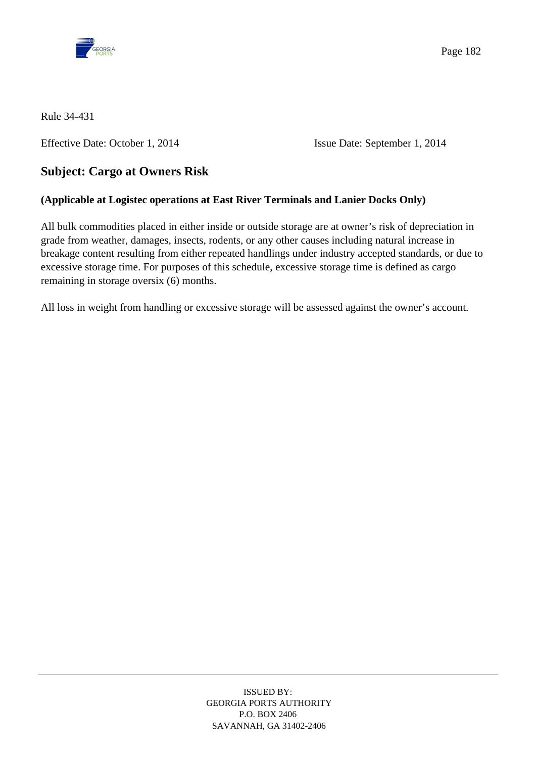

Effective Date: October 1, 2014 Issue Date: September 1, 2014

## **Subject: Cargo at Owners Risk**

### **(Applicable at Logistec operations at East River Terminals and Lanier Docks Only)**

All bulk commodities placed in either inside or outside storage are at owner's risk of depreciation in grade from weather, damages, insects, rodents, or any other causes including natural increase in breakage content resulting from either repeated handlings under industry accepted standards, or due to excessive storage time. For purposes of this schedule, excessive storage time is defined as cargo remaining in storage oversix (6) months.

All loss in weight from handling or excessive storage will be assessed against the owner's account.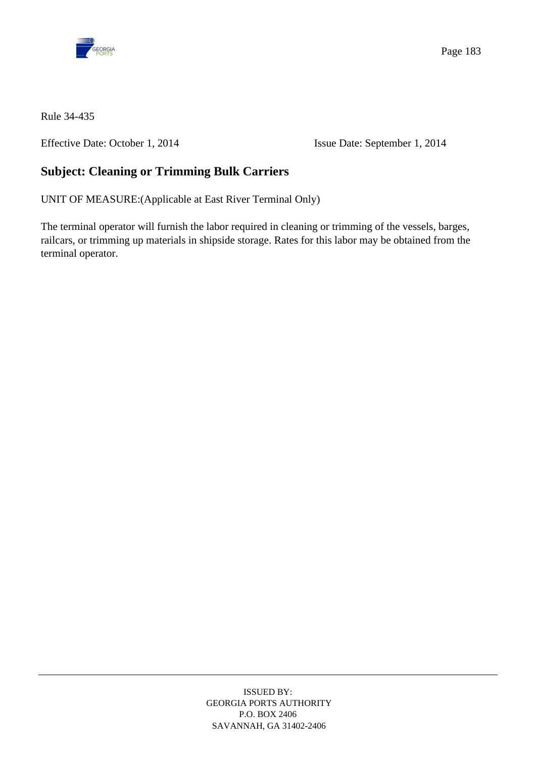

Effective Date: October 1, 2014 Issue Date: September 1, 2014

## **Subject: Cleaning or Trimming Bulk Carriers**

UNIT OF MEASURE:(Applicable at East River Terminal Only)

The terminal operator will furnish the labor required in cleaning or trimming of the vessels, barges, railcars, or trimming up materials in shipside storage. Rates for this labor may be obtained from the terminal operator.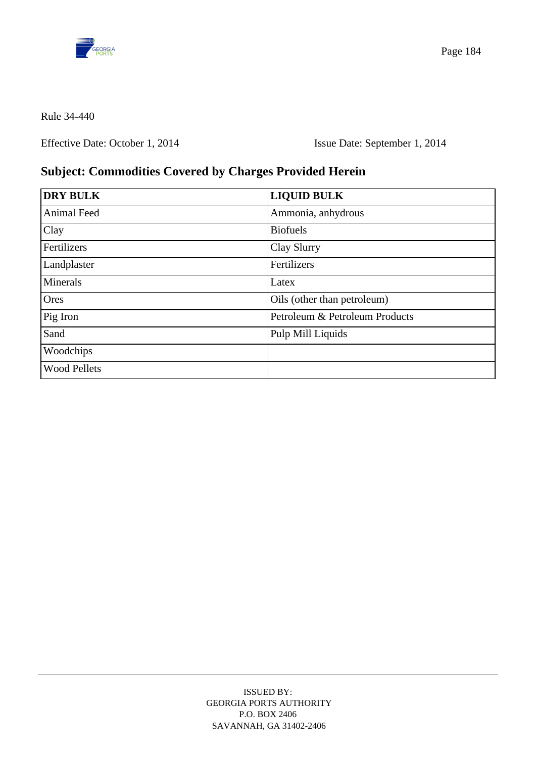

Effective Date: October 1, 2014 Issue Date: September 1, 2014

## **Subject: Commodities Covered by Charges Provided Herein**

| <b>DRY BULK</b>     | <b>LIQUID BULK</b>             |
|---------------------|--------------------------------|
| Animal Feed         | Ammonia, anhydrous             |
| Clay                | <b>Biofuels</b>                |
| Fertilizers         | Clay Slurry                    |
| Landplaster         | Fertilizers                    |
| Minerals            | Latex                          |
| Ores                | Oils (other than petroleum)    |
| Pig Iron            | Petroleum & Petroleum Products |
| Sand                | Pulp Mill Liquids              |
| Woodchips           |                                |
| <b>Wood Pellets</b> |                                |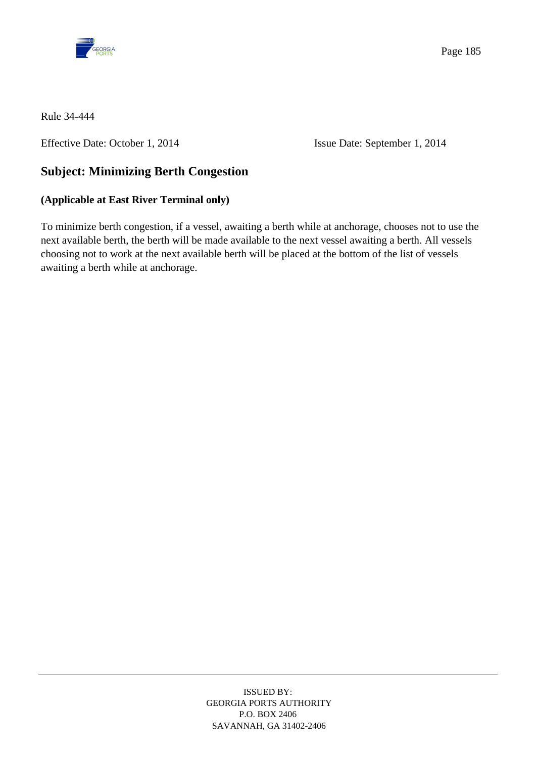

Effective Date: October 1, 2014 Issue Date: September 1, 2014

## **Subject: Minimizing Berth Congestion**

#### **(Applicable at East River Terminal only)**

To minimize berth congestion, if a vessel, awaiting a berth while at anchorage, chooses not to use the next available berth, the berth will be made available to the next vessel awaiting a berth. All vessels choosing not to work at the next available berth will be placed at the bottom of the list of vessels awaiting a berth while at anchorage.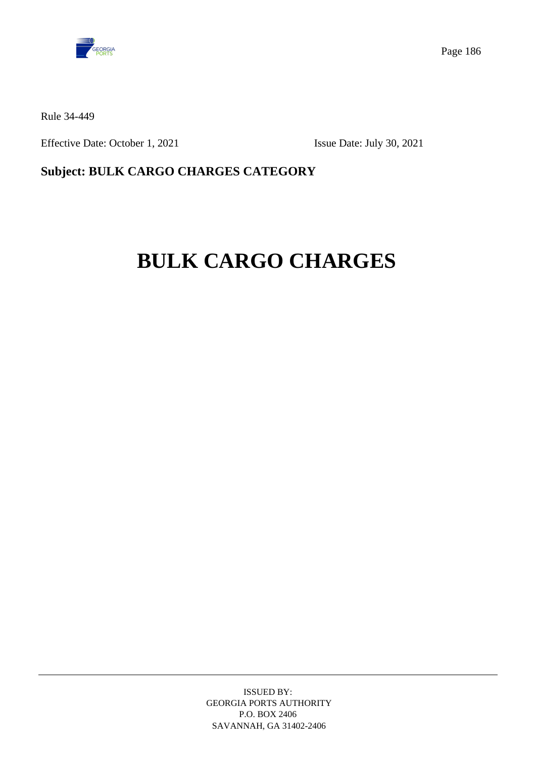

Effective Date: October 1, 2021 Issue Date: July 30, 2021

## **Subject: BULK CARGO CHARGES CATEGORY**

# **BULK CARGO CHARGES**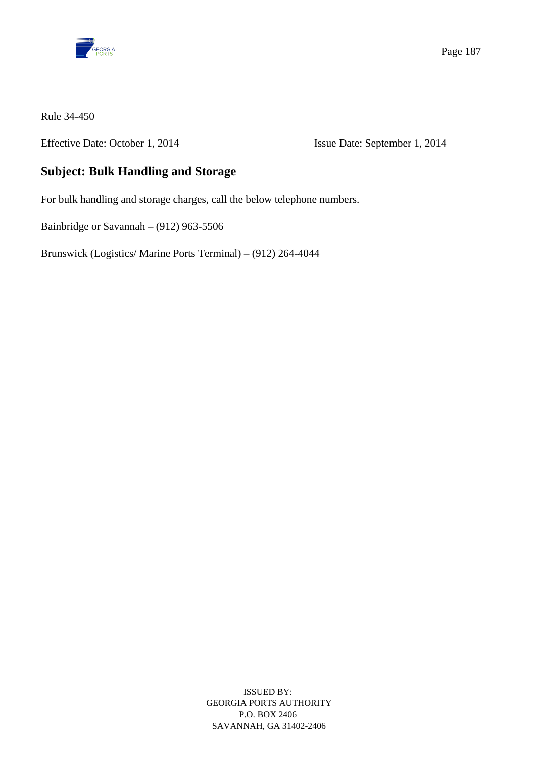

Effective Date: October 1, 2014 Issue Date: September 1, 2014

## **Subject: Bulk Handling and Storage**

For bulk handling and storage charges, call the below telephone numbers.

Bainbridge or Savannah – (912) 963-5506

Brunswick (Logistics/ Marine Ports Terminal) – (912) 264-4044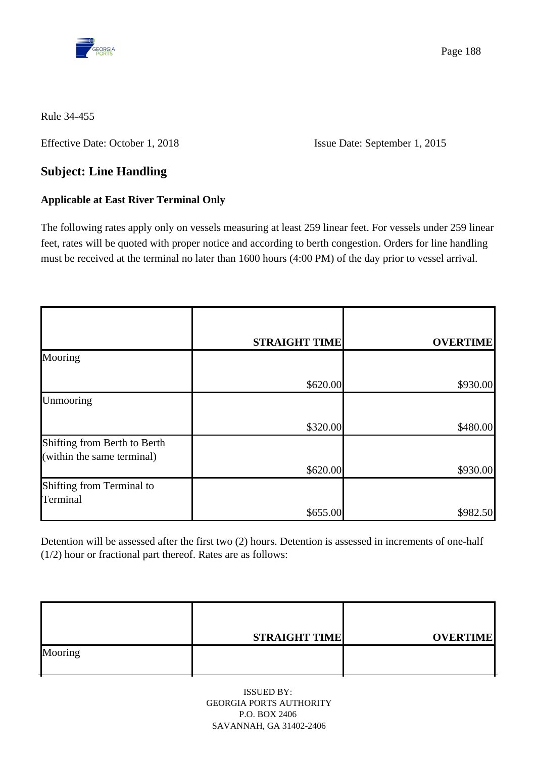

Effective Date: October 1, 2018 Issue Date: September 1, 2015

## **Subject: Line Handling**

### **Applicable at East River Terminal Only**

The following rates apply only on vessels measuring at least 259 linear feet. For vessels under 259 linear feet, rates will be quoted with proper notice and according to berth congestion. Orders for line handling must be received at the terminal no later than 1600 hours (4:00 PM) of the day prior to vessel arrival.

|                                                            | <b>STRAIGHT TIME</b> | <b>OVERTIME</b> |
|------------------------------------------------------------|----------------------|-----------------|
| Mooring                                                    |                      |                 |
|                                                            | \$620.00             | \$930.00        |
| Unmooring                                                  |                      |                 |
|                                                            | \$320.00             | \$480.00        |
| Shifting from Berth to Berth<br>(within the same terminal) |                      |                 |
|                                                            | \$620.00             | \$930.00        |
| Shifting from Terminal to                                  |                      |                 |
| Terminal                                                   | \$655.00             | \$982.50        |

Detention will be assessed after the first two (2) hours. Detention is assessed in increments of one-half (1/2) hour or fractional part thereof. Rates are as follows:

|         | <b>STRAIGHT TIME</b> | <b>OVERTIME</b> |
|---------|----------------------|-----------------|
| Mooring |                      |                 |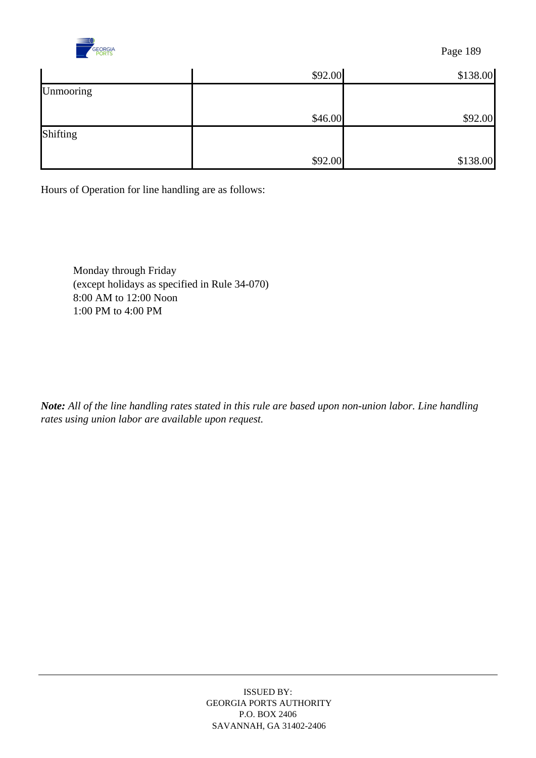

|           | \$92.00 | \$138.00 |
|-----------|---------|----------|
| Unmooring |         |          |
|           |         |          |
|           | \$46.00 | \$92.00  |
| Shifting  |         |          |
|           | \$92.00 | \$138.00 |

Hours of Operation for line handling are as follows:

Monday through Friday (except holidays as specified in Rule 34-070) 8:00 AM to 12:00 Noon 1:00 PM to 4:00 PM

*Note: All of the line handling rates stated in this rule are based upon non-union labor. Line handling rates using union labor are available upon request.*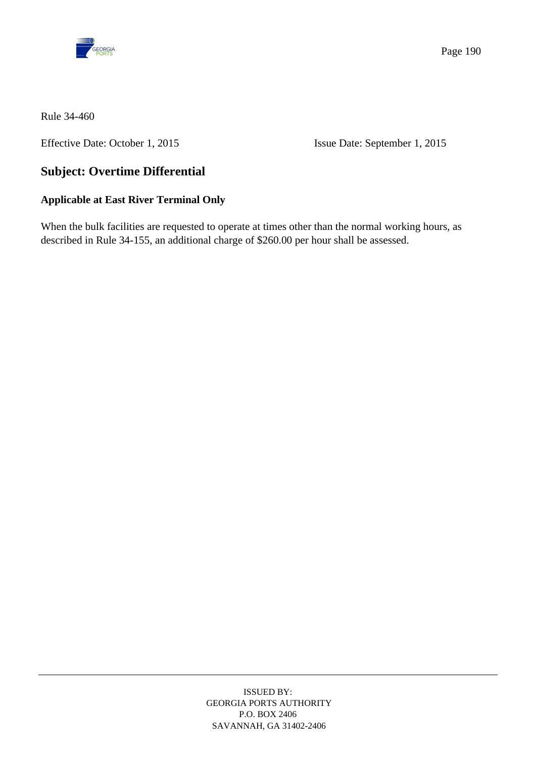

Effective Date: October 1, 2015 Issue Date: September 1, 2015

## **Subject: Overtime Differential**

#### **Applicable at East River Terminal Only**

When the bulk facilities are requested to operate at times other than the normal working hours, as described in Rule 34-155, an additional charge of \$260.00 per hour shall be assessed.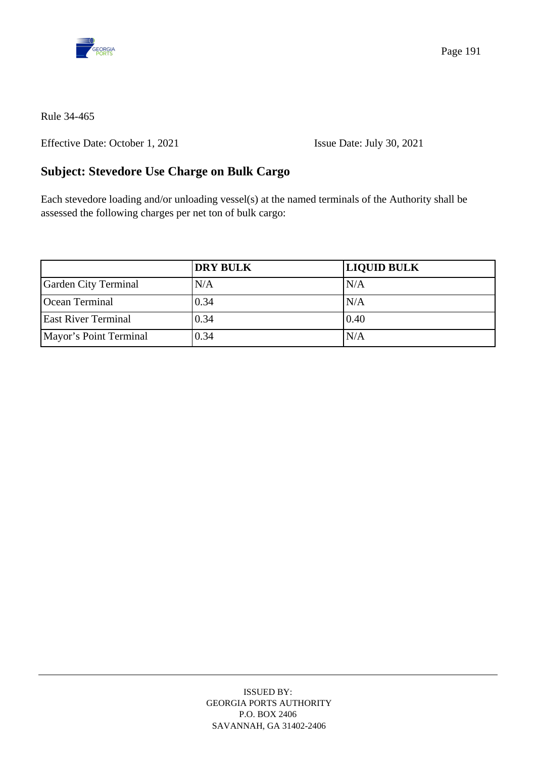

Effective Date: October 1, 2021 Issue Date: July 30, 2021

# **Subject: Stevedore Use Charge on Bulk Cargo**

Each stevedore loading and/or unloading vessel(s) at the named terminals of the Authority shall be assessed the following charges per net ton of bulk cargo:

|                             | <b>DRY BULK</b> | <b>LIQUID BULK</b> |
|-----------------------------|-----------------|--------------------|
| <b>Garden City Terminal</b> | N/A             | N/A                |
| Ocean Terminal              | 0.34            | N/A                |
| <b>East River Terminal</b>  | 0.34            | 0.40               |
| Mayor's Point Terminal      | 0.34            | N/A                |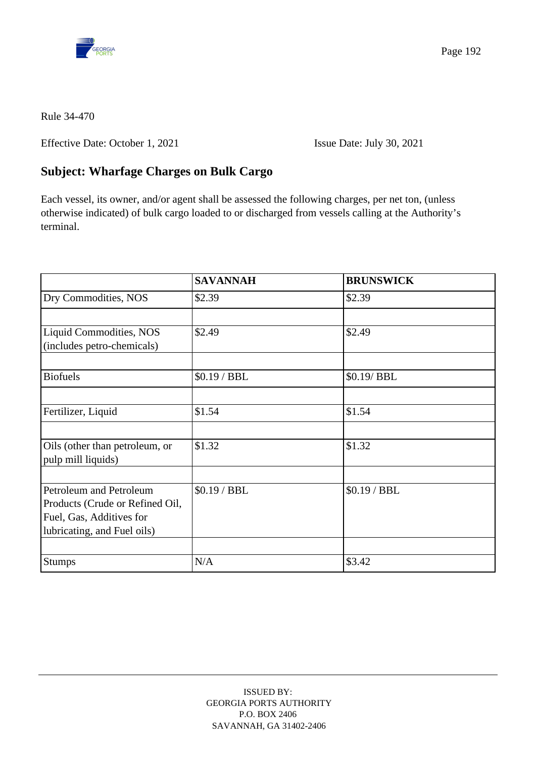

Effective Date: October 1, 2021 Issue Date: July 30, 2021

## **Subject: Wharfage Charges on Bulk Cargo**

Each vessel, its owner, and/or agent shall be assessed the following charges, per net ton, (unless otherwise indicated) of bulk cargo loaded to or discharged from vessels calling at the Authority's terminal.

|                                 | <b>SAVANNAH</b> | <b>BRUNSWICK</b> |
|---------------------------------|-----------------|------------------|
| Dry Commodities, NOS            | \$2.39          | \$2.39           |
|                                 |                 |                  |
| Liquid Commodities, NOS         | \$2.49          | \$2.49           |
| (includes petro-chemicals)      |                 |                  |
|                                 |                 |                  |
| <b>Biofuels</b>                 | \$0.19/BBL      | \$0.19/ BBL      |
|                                 |                 |                  |
| Fertilizer, Liquid              | \$1.54          | \$1.54           |
|                                 |                 |                  |
| Oils (other than petroleum, or  | \$1.32          | \$1.32           |
| pulp mill liquids)              |                 |                  |
|                                 |                 |                  |
| Petroleum and Petroleum         | \$0.19/BBL      | \$0.19/BBL       |
| Products (Crude or Refined Oil, |                 |                  |
| Fuel, Gas, Additives for        |                 |                  |
| lubricating, and Fuel oils)     |                 |                  |
|                                 |                 |                  |
| <b>Stumps</b>                   | N/A             | \$3.42           |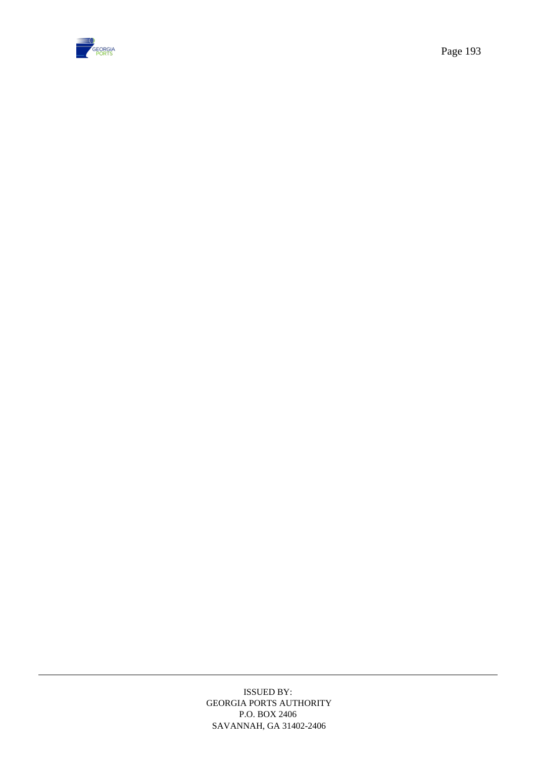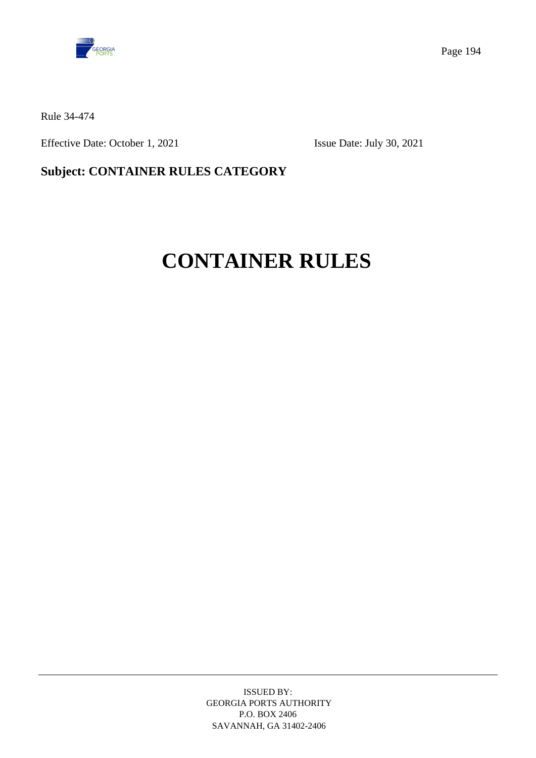

Effective Date: October 1, 2021 Issue Date: July 30, 2021

**Subject: CONTAINER RULES CATEGORY**

# **CONTAINER RULES**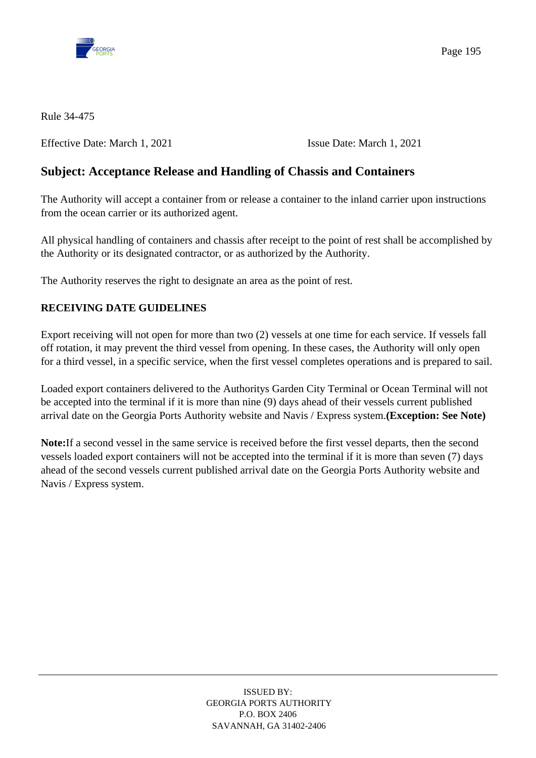

Effective Date: March 1, 2021 Issue Date: March 1, 2021

## **Subject: Acceptance Release and Handling of Chassis and Containers**

The Authority will accept a container from or release a container to the inland carrier upon instructions from the ocean carrier or its authorized agent.

All physical handling of containers and chassis after receipt to the point of rest shall be accomplished by the Authority or its designated contractor, or as authorized by the Authority.

The Authority reserves the right to designate an area as the point of rest.

### **RECEIVING DATE GUIDELINES**

Export receiving will not open for more than two (2) vessels at one time for each service. If vessels fall off rotation, it may prevent the third vessel from opening. In these cases, the Authority will only open for a third vessel, in a specific service, when the first vessel completes operations and is prepared to sail.

Loaded export containers delivered to the Authoritys Garden City Terminal or Ocean Terminal will not be accepted into the terminal if it is more than nine (9) days ahead of their vessels current published arrival date on the Georgia Ports Authority website and Navis / Express system.**(Exception: See Note)**

**Note:**If a second vessel in the same service is received before the first vessel departs, then the second vessels loaded export containers will not be accepted into the terminal if it is more than seven (7) days ahead of the second vessels current published arrival date on the Georgia Ports Authority website and Navis / Express system.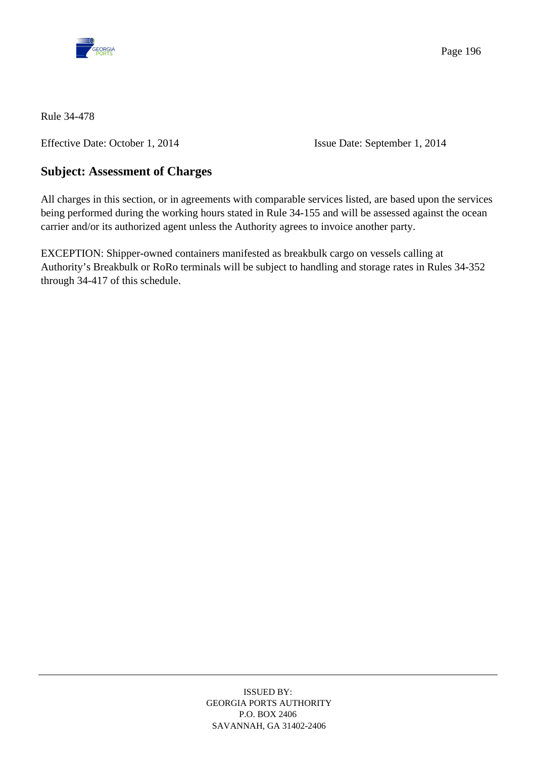

Effective Date: October 1, 2014 Issue Date: September 1, 2014

### **Subject: Assessment of Charges**

All charges in this section, or in agreements with comparable services listed, are based upon the services being performed during the working hours stated in Rule 34-155 and will be assessed against the ocean carrier and/or its authorized agent unless the Authority agrees to invoice another party.

EXCEPTION: Shipper-owned containers manifested as breakbulk cargo on vessels calling at Authority's Breakbulk or RoRo terminals will be subject to handling and storage rates in Rules 34-352 through 34-417 of this schedule.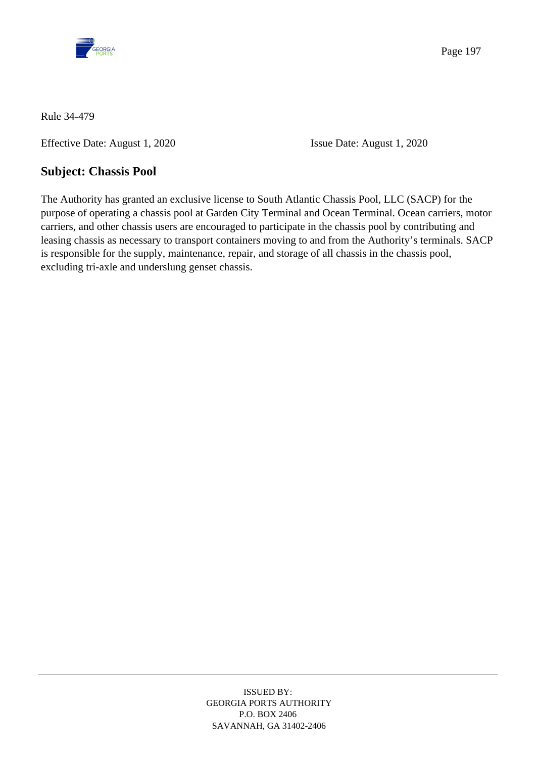

Effective Date: August 1, 2020 Issue Date: August 1, 2020

## **Subject: Chassis Pool**

The Authority has granted an exclusive license to South Atlantic Chassis Pool, LLC (SACP) for the purpose of operating a chassis pool at Garden City Terminal and Ocean Terminal. Ocean carriers, motor carriers, and other chassis users are encouraged to participate in the chassis pool by contributing and leasing chassis as necessary to transport containers moving to and from the Authority's terminals. SACP is responsible for the supply, maintenance, repair, and storage of all chassis in the chassis pool, excluding tri-axle and underslung genset chassis.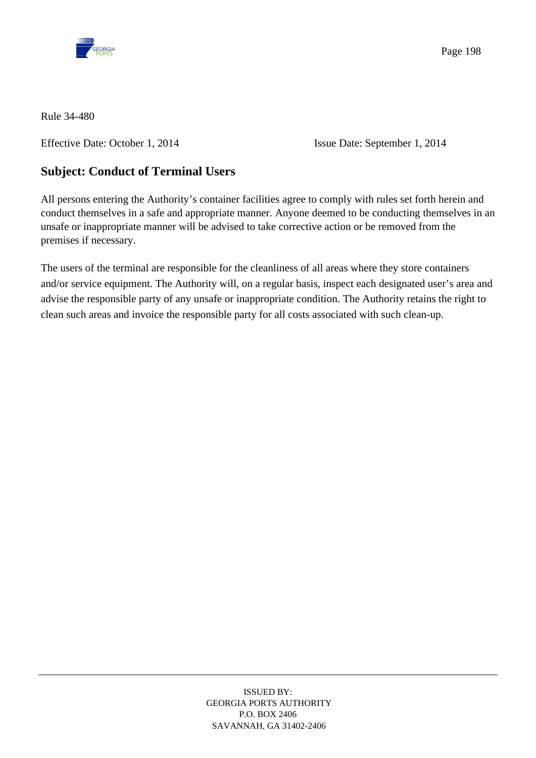

Effective Date: October 1, 2014 Issue Date: September 1, 2014

## **Subject: Conduct of Terminal Users**

All persons entering the Authority's container facilities agree to comply with rules set forth herein and conduct themselves in a safe and appropriate manner. Anyone deemed to be conducting themselves in an unsafe or inappropriate manner will be advised to take corrective action or be removed from the premises if necessary.

The users of the terminal are responsible for the cleanliness of all areas where they store containers and/or service equipment. The Authority will, on a regular basis, inspect each designated user's area and advise the responsible party of any unsafe or inappropriate condition. The Authority retains the right to clean such areas and invoice the responsible party for all costs associated with such clean-up.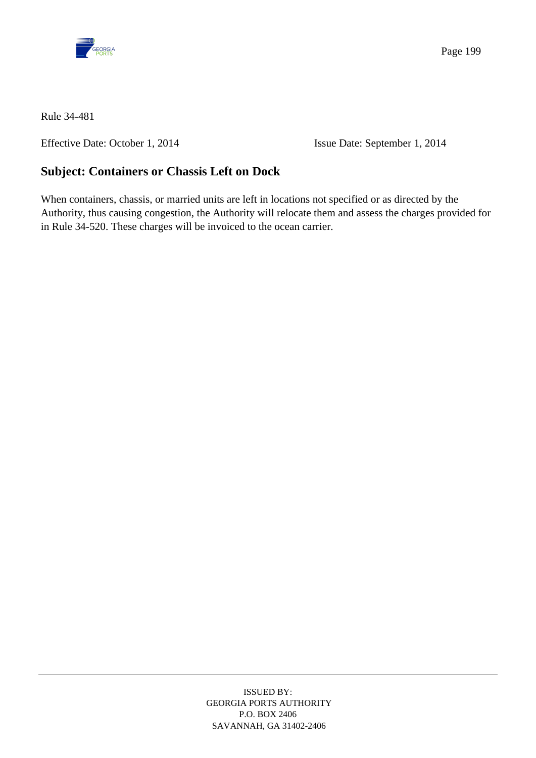

Effective Date: October 1, 2014 Issue Date: September 1, 2014

## **Subject: Containers or Chassis Left on Dock**

When containers, chassis, or married units are left in locations not specified or as directed by the Authority, thus causing congestion, the Authority will relocate them and assess the charges provided for in Rule 34-520. These charges will be invoiced to the ocean carrier.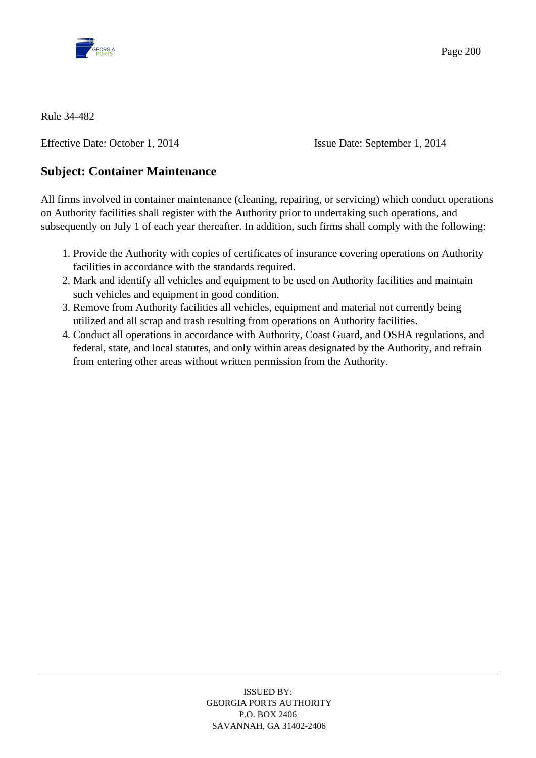

Effective Date: October 1, 2014 Issue Date: September 1, 2014

## **Subject: Container Maintenance**

All firms involved in container maintenance (cleaning, repairing, or servicing) which conduct operations on Authority facilities shall register with the Authority prior to undertaking such operations, and subsequently on July 1 of each year thereafter. In addition, such firms shall comply with the following:

- 1. Provide the Authority with copies of certificates of insurance covering operations on Authority facilities in accordance with the standards required.
- 2. Mark and identify all vehicles and equipment to be used on Authority facilities and maintain such vehicles and equipment in good condition.
- 3. Remove from Authority facilities all vehicles, equipment and material not currently being utilized and all scrap and trash resulting from operations on Authority facilities.
- 4. Conduct all operations in accordance with Authority, Coast Guard, and OSHA regulations, and federal, state, and local statutes, and only within areas designated by the Authority, and refrain from entering other areas without written permission from the Authority.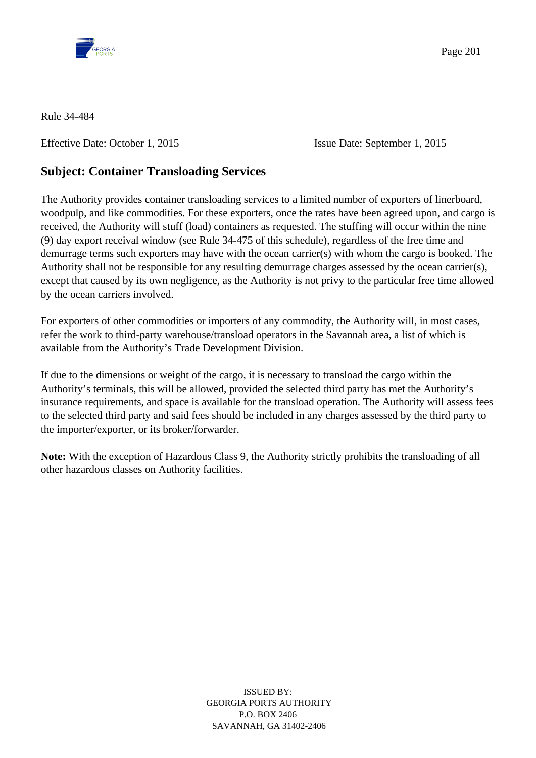

Effective Date: October 1, 2015 Issue Date: September 1, 2015

## **Subject: Container Transloading Services**

The Authority provides container transloading services to a limited number of exporters of linerboard, woodpulp, and like commodities. For these exporters, once the rates have been agreed upon, and cargo is received, the Authority will stuff (load) containers as requested. The stuffing will occur within the nine (9) day export receival window (see Rule 34-475 of this schedule), regardless of the free time and demurrage terms such exporters may have with the ocean carrier(s) with whom the cargo is booked. The Authority shall not be responsible for any resulting demurrage charges assessed by the ocean carrier(s), except that caused by its own negligence, as the Authority is not privy to the particular free time allowed by the ocean carriers involved.

For exporters of other commodities or importers of any commodity, the Authority will, in most cases, refer the work to third-party warehouse/transload operators in the Savannah area, a list of which is available from the Authority's Trade Development Division.

If due to the dimensions or weight of the cargo, it is necessary to transload the cargo within the Authority's terminals, this will be allowed, provided the selected third party has met the Authority's insurance requirements, and space is available for the transload operation. The Authority will assess fees to the selected third party and said fees should be included in any charges assessed by the third party to the importer/exporter, or its broker/forwarder.

**Note:** With the exception of Hazardous Class 9, the Authority strictly prohibits the transloading of all other hazardous classes on Authority facilities.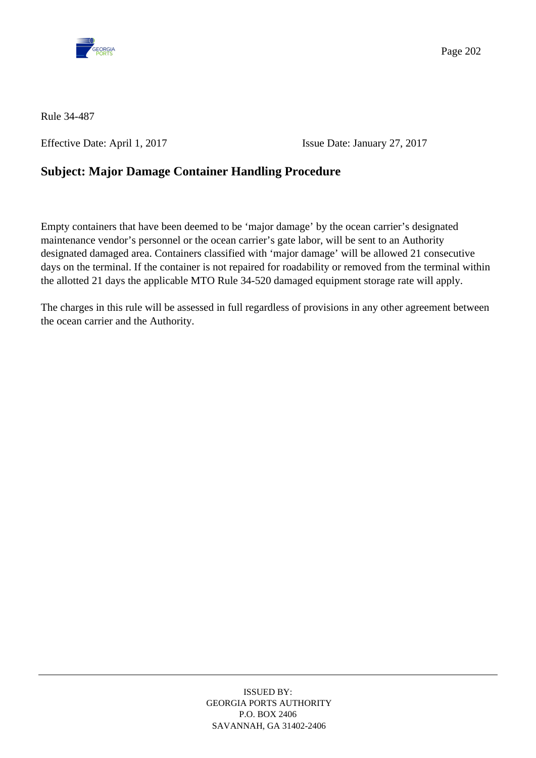

Effective Date: April 1, 2017 Issue Date: January 27, 2017

## **Subject: Major Damage Container Handling Procedure**

Empty containers that have been deemed to be 'major damage' by the ocean carrier's designated maintenance vendor's personnel or the ocean carrier's gate labor, will be sent to an Authority designated damaged area. Containers classified with 'major damage' will be allowed 21 consecutive days on the terminal. If the container is not repaired for roadability or removed from the terminal within the allotted 21 days the applicable MTO Rule 34-520 damaged equipment storage rate will apply.

The charges in this rule will be assessed in full regardless of provisions in any other agreement between the ocean carrier and the Authority.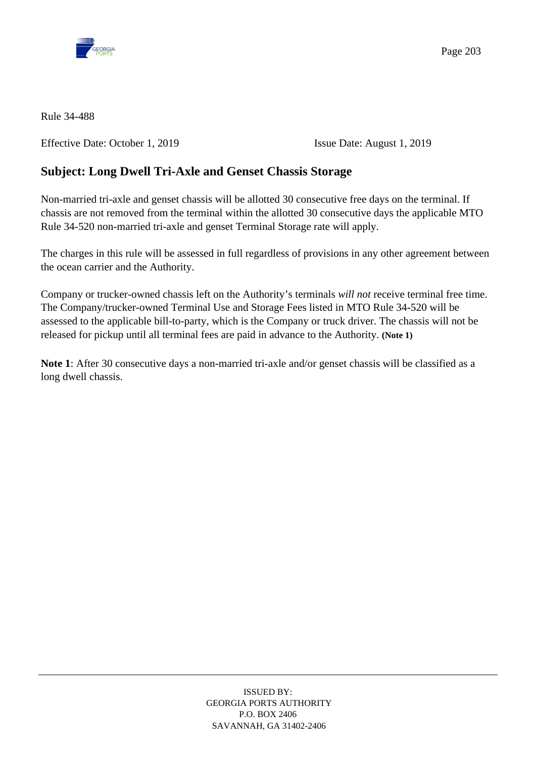

Effective Date: October 1, 2019 Issue Date: August 1, 2019

## **Subject: Long Dwell Tri-Axle and Genset Chassis Storage**

Non-married tri-axle and genset chassis will be allotted 30 consecutive free days on the terminal. If chassis are not removed from the terminal within the allotted 30 consecutive days the applicable MTO Rule 34-520 non-married tri-axle and genset Terminal Storage rate will apply.

The charges in this rule will be assessed in full regardless of provisions in any other agreement between the ocean carrier and the Authority.

Company or trucker-owned chassis left on the Authority's terminals *will not* receive terminal free time. The Company/trucker-owned Terminal Use and Storage Fees listed in MTO Rule 34-520 will be assessed to the applicable bill-to-party, which is the Company or truck driver. The chassis will not be released for pickup until all terminal fees are paid in advance to the Authority. **(Note 1)**

**Note 1**: After 30 consecutive days a non-married tri-axle and/or genset chassis will be classified as a long dwell chassis.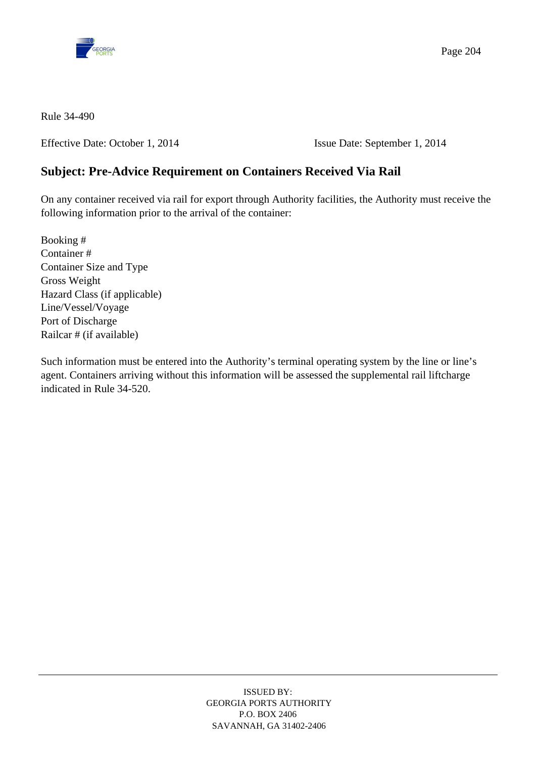

Effective Date: October 1, 2014 Issue Date: September 1, 2014

## **Subject: Pre-Advice Requirement on Containers Received Via Rail**

On any container received via rail for export through Authority facilities, the Authority must receive the following information prior to the arrival of the container:

Booking # Container # Container Size and Type Gross Weight Hazard Class (if applicable) Line/Vessel/Voyage Port of Discharge Railcar # (if available)

Such information must be entered into the Authority's terminal operating system by the line or line's agent. Containers arriving without this information will be assessed the supplemental rail liftcharge indicated in Rule 34-520.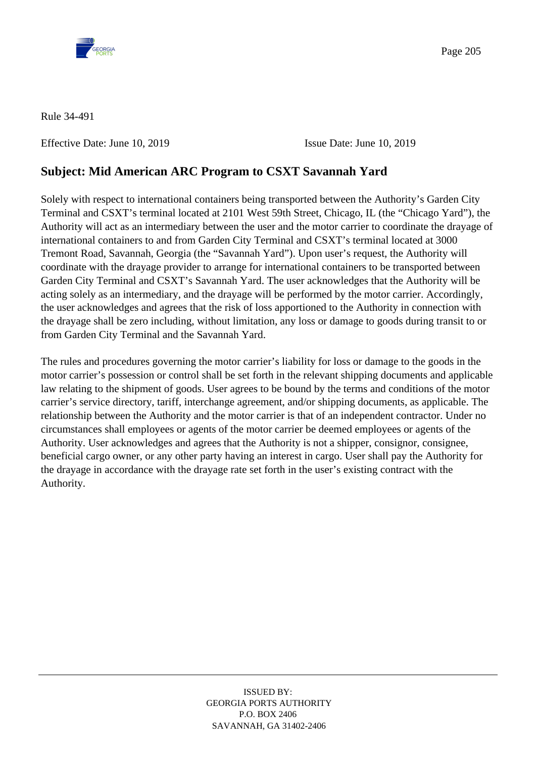

Effective Date: June 10, 2019 Issue Date: June 10, 2019

## **Subject: Mid American ARC Program to CSXT Savannah Yard**

Solely with respect to international containers being transported between the Authority's Garden City Terminal and CSXT's terminal located at 2101 West 59th Street, Chicago, IL (the "Chicago Yard"), the Authority will act as an intermediary between the user and the motor carrier to coordinate the drayage of international containers to and from Garden City Terminal and CSXT's terminal located at 3000 Tremont Road, Savannah, Georgia (the "Savannah Yard"). Upon user's request, the Authority will coordinate with the drayage provider to arrange for international containers to be transported between Garden City Terminal and CSXT's Savannah Yard. The user acknowledges that the Authority will be acting solely as an intermediary, and the drayage will be performed by the motor carrier. Accordingly, the user acknowledges and agrees that the risk of loss apportioned to the Authority in connection with the drayage shall be zero including, without limitation, any loss or damage to goods during transit to or from Garden City Terminal and the Savannah Yard.

The rules and procedures governing the motor carrier's liability for loss or damage to the goods in the motor carrier's possession or control shall be set forth in the relevant shipping documents and applicable law relating to the shipment of goods. User agrees to be bound by the terms and conditions of the motor carrier's service directory, tariff, interchange agreement, and/or shipping documents, as applicable. The relationship between the Authority and the motor carrier is that of an independent contractor. Under no circumstances shall employees or agents of the motor carrier be deemed employees or agents of the Authority. User acknowledges and agrees that the Authority is not a shipper, consignor, consignee, beneficial cargo owner, or any other party having an interest in cargo. User shall pay the Authority for the drayage in accordance with the drayage rate set forth in the user's existing contract with the Authority.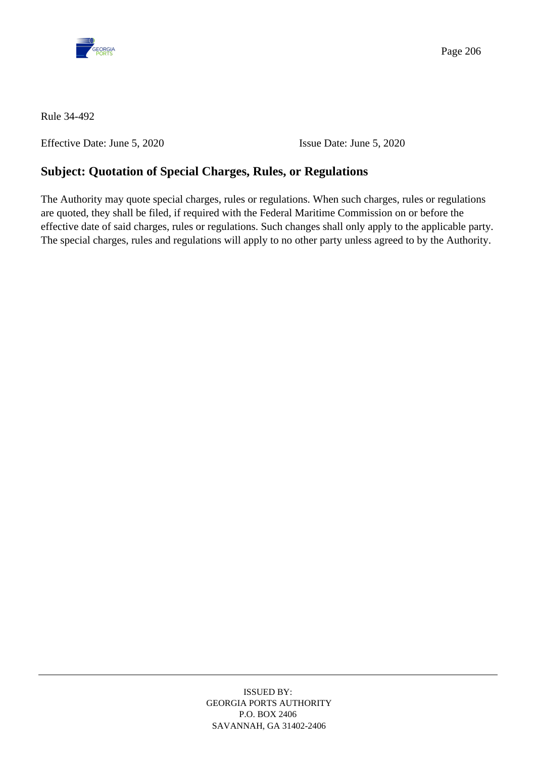

Effective Date: June 5, 2020 Issue Date: June 5, 2020

## **Subject: Quotation of Special Charges, Rules, or Regulations**

The Authority may quote special charges, rules or regulations. When such charges, rules or regulations are quoted, they shall be filed, if required with the Federal Maritime Commission on or before the effective date of said charges, rules or regulations. Such changes shall only apply to the applicable party. The special charges, rules and regulations will apply to no other party unless agreed to by the Authority.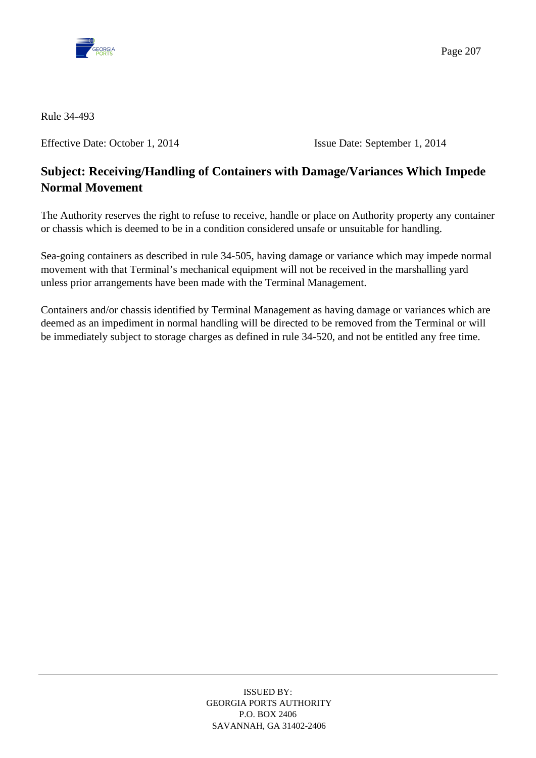

Effective Date: October 1, 2014 Issue Date: September 1, 2014

## **Subject: Receiving/Handling of Containers with Damage/Variances Which Impede Normal Movement**

The Authority reserves the right to refuse to receive, handle or place on Authority property any container or chassis which is deemed to be in a condition considered unsafe or unsuitable for handling.

Sea-going containers as described in rule 34-505, having damage or variance which may impede normal movement with that Terminal's mechanical equipment will not be received in the marshalling yard unless prior arrangements have been made with the Terminal Management.

Containers and/or chassis identified by Terminal Management as having damage or variances which are deemed as an impediment in normal handling will be directed to be removed from the Terminal or will be immediately subject to storage charges as defined in rule 34-520, and not be entitled any free time.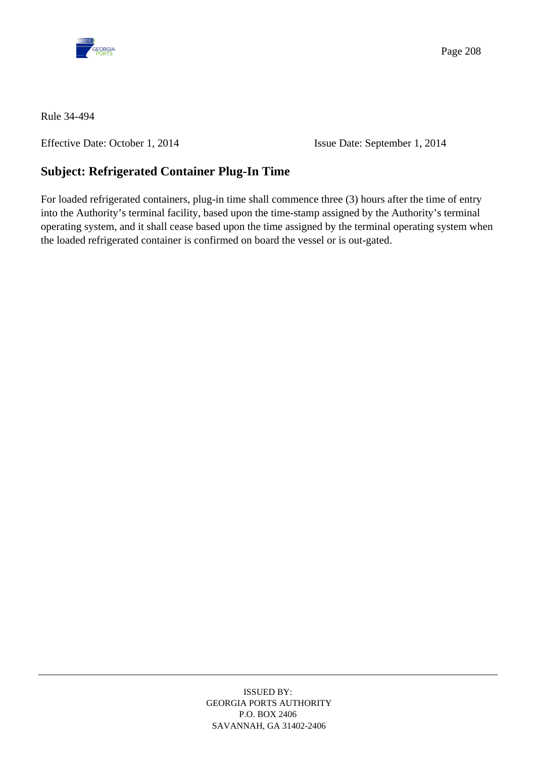

Effective Date: October 1, 2014 Issue Date: September 1, 2014

## **Subject: Refrigerated Container Plug-In Time**

For loaded refrigerated containers, plug-in time shall commence three (3) hours after the time of entry into the Authority's terminal facility, based upon the time-stamp assigned by the Authority's terminal operating system, and it shall cease based upon the time assigned by the terminal operating system when the loaded refrigerated container is confirmed on board the vessel or is out-gated.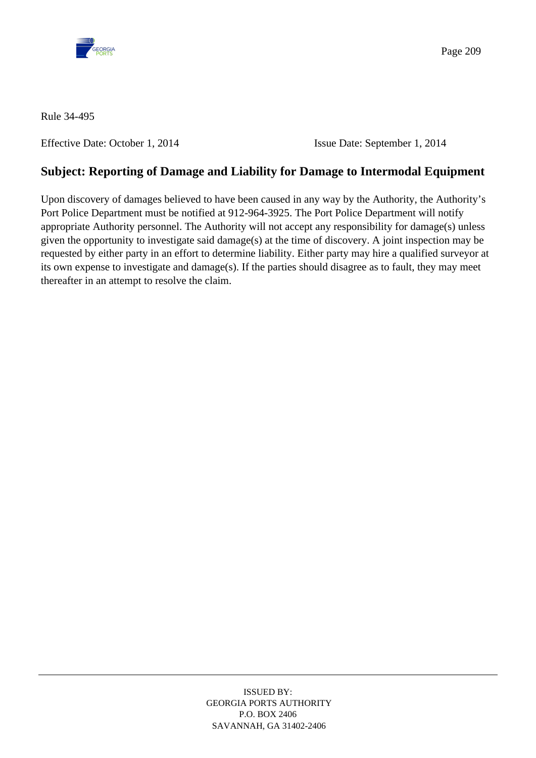

Effective Date: October 1, 2014 Issue Date: September 1, 2014

### **Subject: Reporting of Damage and Liability for Damage to Intermodal Equipment**

Upon discovery of damages believed to have been caused in any way by the Authority, the Authority's Port Police Department must be notified at 912-964-3925. The Port Police Department will notify appropriate Authority personnel. The Authority will not accept any responsibility for damage(s) unless given the opportunity to investigate said damage(s) at the time of discovery. A joint inspection may be requested by either party in an effort to determine liability. Either party may hire a qualified surveyor at its own expense to investigate and damage(s). If the parties should disagree as to fault, they may meet thereafter in an attempt to resolve the claim.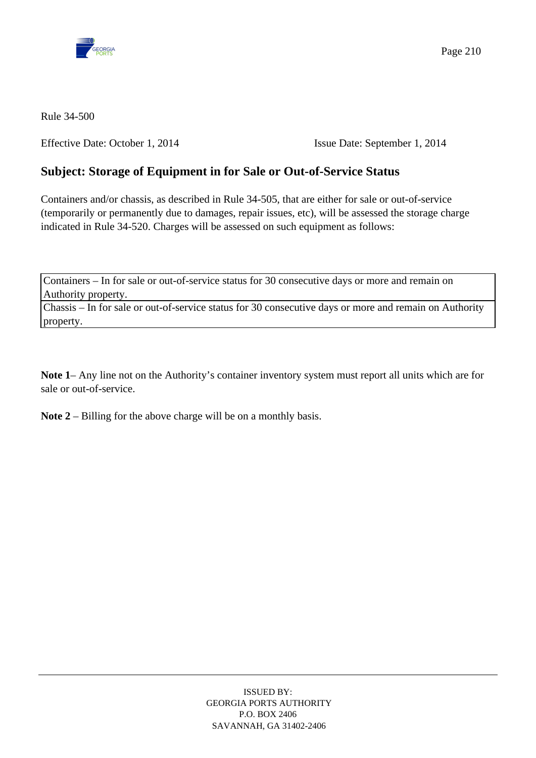

Effective Date: October 1, 2014 Issue Date: September 1, 2014

## **Subject: Storage of Equipment in for Sale or Out-of-Service Status**

Containers and/or chassis, as described in Rule 34-505, that are either for sale or out-of-service (temporarily or permanently due to damages, repair issues, etc), will be assessed the storage charge indicated in Rule 34-520. Charges will be assessed on such equipment as follows:

Containers – In for sale or out-of-service status for 30 consecutive days or more and remain on Authority property.

Chassis – In for sale or out-of-service status for 30 consecutive days or more and remain on Authority property.

**Note 1**– Any line not on the Authority's container inventory system must report all units which are for sale or out-of-service.

**Note 2** – Billing for the above charge will be on a monthly basis.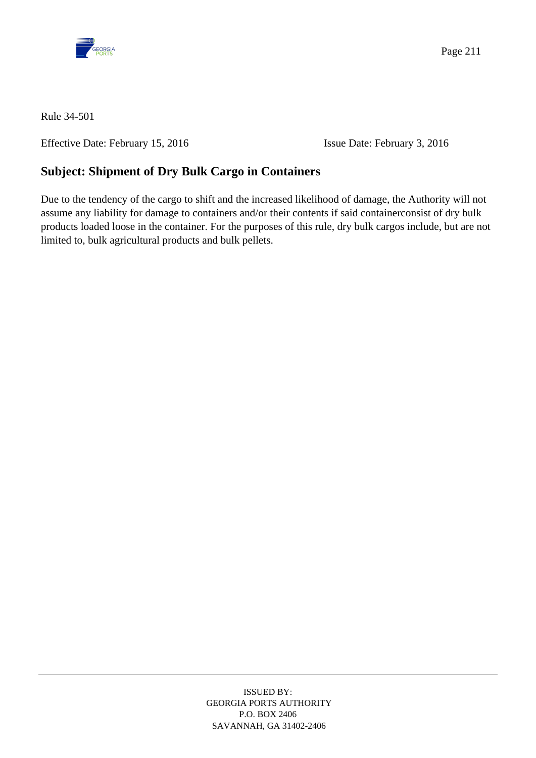

Effective Date: February 15, 2016 Issue Date: February 3, 2016

## **Subject: Shipment of Dry Bulk Cargo in Containers**

Due to the tendency of the cargo to shift and the increased likelihood of damage, the Authority will not assume any liability for damage to containers and/or their contents if said containerconsist of dry bulk products loaded loose in the container. For the purposes of this rule, dry bulk cargos include, but are not limited to, bulk agricultural products and bulk pellets.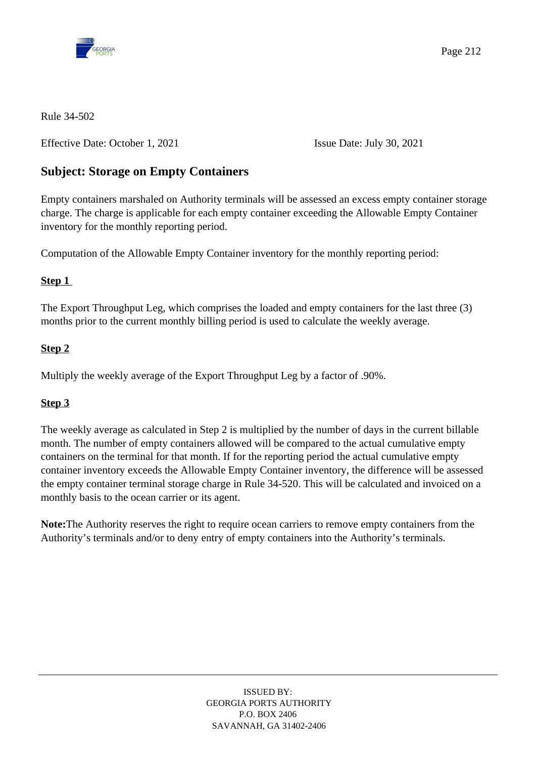

Effective Date: October 1, 2021 Issue Date: July 30, 2021

## **Subject: Storage on Empty Containers**

Empty containers marshaled on Authority terminals will be assessed an excess empty container storage charge. The charge is applicable for each empty container exceeding the Allowable Empty Container inventory for the monthly reporting period.

Computation of the Allowable Empty Container inventory for the monthly reporting period:

### **Step 1**

The Export Throughput Leg, which comprises the loaded and empty containers for the last three (3) months prior to the current monthly billing period is used to calculate the weekly average.

### **Step 2**

Multiply the weekly average of the Export Throughput Leg by a factor of .90%.

### **Step 3**

The weekly average as calculated in Step 2 is multiplied by the number of days in the current billable month. The number of empty containers allowed will be compared to the actual cumulative empty containers on the terminal for that month. If for the reporting period the actual cumulative empty container inventory exceeds the Allowable Empty Container inventory, the difference will be assessed the empty container terminal storage charge in Rule 34-520. This will be calculated and invoiced on a monthly basis to the ocean carrier or its agent.

**Note:**The Authority reserves the right to require ocean carriers to remove empty containers from the Authority's terminals and/or to deny entry of empty containers into the Authority's terminals.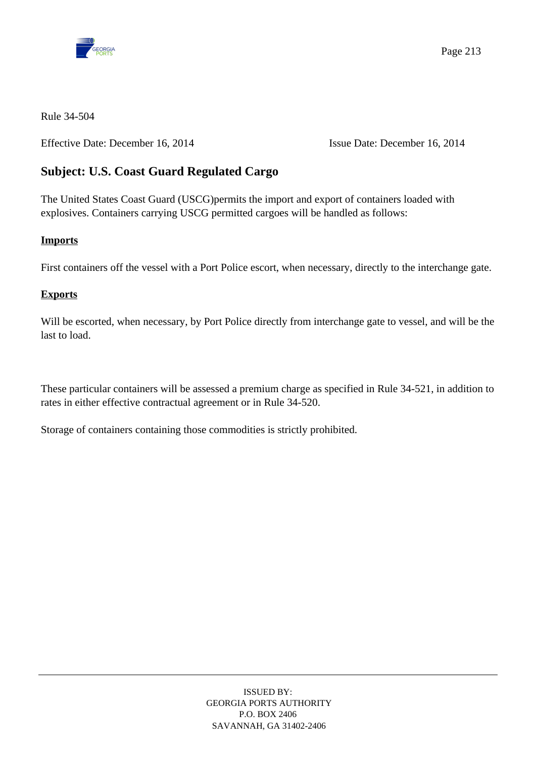

Effective Date: December 16, 2014 Issue Date: December 16, 2014

## **Subject: U.S. Coast Guard Regulated Cargo**

The United States Coast Guard (USCG)permits the import and export of containers loaded with explosives. Containers carrying USCG permitted cargoes will be handled as follows:

#### **Imports**

First containers off the vessel with a Port Police escort, when necessary, directly to the interchange gate.

#### **Exports**

Will be escorted, when necessary, by Port Police directly from interchange gate to vessel, and will be the last to load.

These particular containers will be assessed a premium charge as specified in Rule 34-521, in addition to rates in either effective contractual agreement or in Rule 34-520.

Storage of containers containing those commodities is strictly prohibited.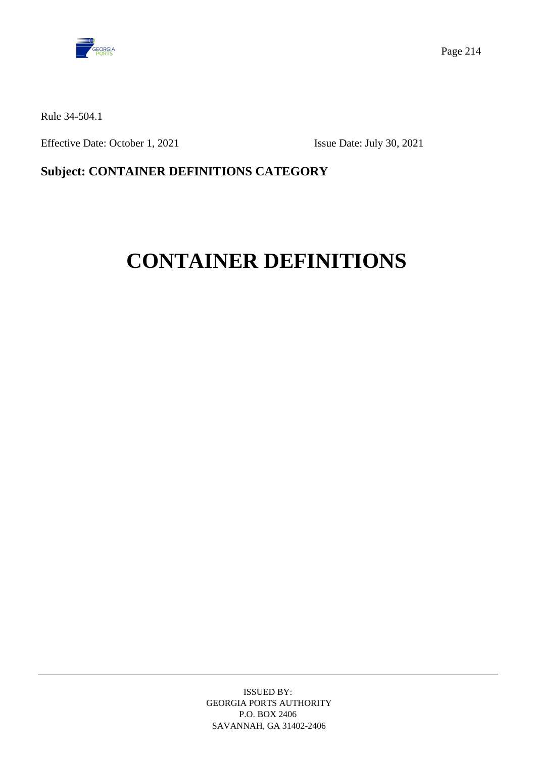

Rule 34-504.1

Effective Date: October 1, 2021 Issue Date: July 30, 2021

## **Subject: CONTAINER DEFINITIONS CATEGORY**

# **CONTAINER DEFINITIONS**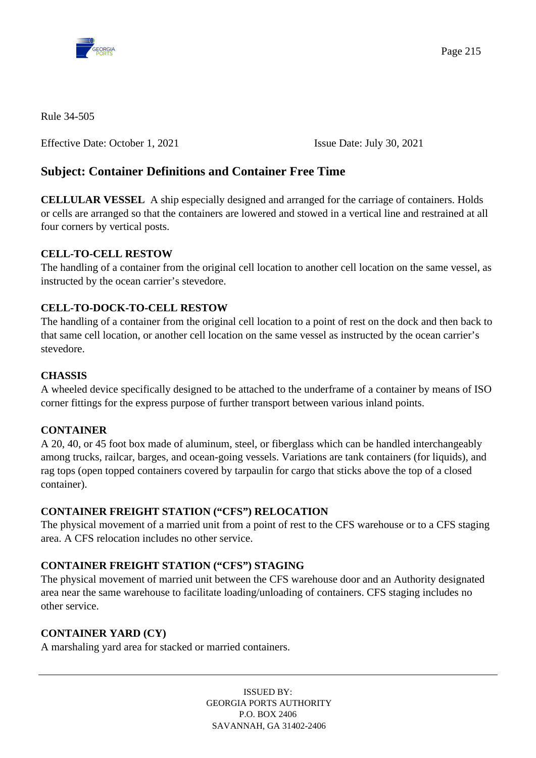

Effective Date: October 1, 2021 Issue Date: July 30, 2021

## **Subject: Container Definitions and Container Free Time**

**CELLULAR VESSEL** A ship especially designed and arranged for the carriage of containers. Holds or cells are arranged so that the containers are lowered and stowed in a vertical line and restrained at all four corners by vertical posts.

#### **CELL-TO-CELL RESTOW**

The handling of a container from the original cell location to another cell location on the same vessel, as instructed by the ocean carrier's stevedore.

### **CELL-TO-DOCK-TO-CELL RESTOW**

The handling of a container from the original cell location to a point of rest on the dock and then back to that same cell location, or another cell location on the same vessel as instructed by the ocean carrier's stevedore.

#### **CHASSIS**

A wheeled device specifically designed to be attached to the underframe of a container by means of ISO corner fittings for the express purpose of further transport between various inland points.

#### **CONTAINER**

A 20, 40, or 45 foot box made of aluminum, steel, or fiberglass which can be handled interchangeably among trucks, railcar, barges, and ocean-going vessels. Variations are tank containers (for liquids), and rag tops (open topped containers covered by tarpaulin for cargo that sticks above the top of a closed container).

### **CONTAINER FREIGHT STATION ("CFS") RELOCATION**

The physical movement of a married unit from a point of rest to the CFS warehouse or to a CFS staging area. A CFS relocation includes no other service.

### **CONTAINER FREIGHT STATION ("CFS") STAGING**

The physical movement of married unit between the CFS warehouse door and an Authority designated area near the same warehouse to facilitate loading/unloading of containers. CFS staging includes no other service.

### **CONTAINER YARD (CY)**

A marshaling yard area for stacked or married containers.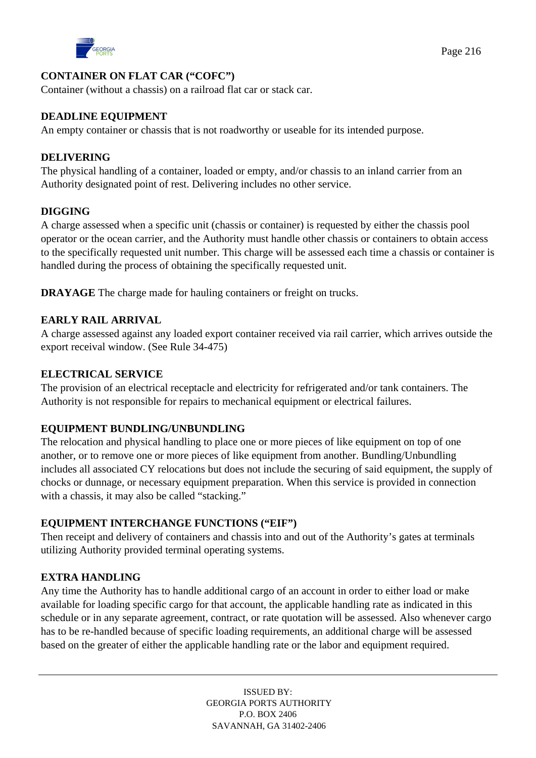

### **CONTAINER ON FLAT CAR ("COFC")**

Container (without a chassis) on a railroad flat car or stack car.

#### **DEADLINE EQUIPMENT**

An empty container or chassis that is not roadworthy or useable for its intended purpose.

#### **DELIVERING**

The physical handling of a container, loaded or empty, and/or chassis to an inland carrier from an Authority designated point of rest. Delivering includes no other service.

#### **DIGGING**

A charge assessed when a specific unit (chassis or container) is requested by either the chassis pool operator or the ocean carrier, and the Authority must handle other chassis or containers to obtain access to the specifically requested unit number. This charge will be assessed each time a chassis or container is handled during the process of obtaining the specifically requested unit.

**DRAYAGE** The charge made for hauling containers or freight on trucks.

#### **EARLY RAIL ARRIVAL**

A charge assessed against any loaded export container received via rail carrier, which arrives outside the export receival window. (See Rule 34-475)

#### **ELECTRICAL SERVICE**

The provision of an electrical receptacle and electricity for refrigerated and/or tank containers. The Authority is not responsible for repairs to mechanical equipment or electrical failures.

### **EQUIPMENT BUNDLING/UNBUNDLING**

The relocation and physical handling to place one or more pieces of like equipment on top of one another, or to remove one or more pieces of like equipment from another. Bundling/Unbundling includes all associated CY relocations but does not include the securing of said equipment, the supply of chocks or dunnage, or necessary equipment preparation. When this service is provided in connection with a chassis, it may also be called "stacking."

#### **EQUIPMENT INTERCHANGE FUNCTIONS ("EIF")**

Then receipt and delivery of containers and chassis into and out of the Authority's gates at terminals utilizing Authority provided terminal operating systems.

#### **EXTRA HANDLING**

Any time the Authority has to handle additional cargo of an account in order to either load or make available for loading specific cargo for that account, the applicable handling rate as indicated in this schedule or in any separate agreement, contract, or rate quotation will be assessed. Also whenever cargo has to be re-handled because of specific loading requirements, an additional charge will be assessed based on the greater of either the applicable handling rate or the labor and equipment required.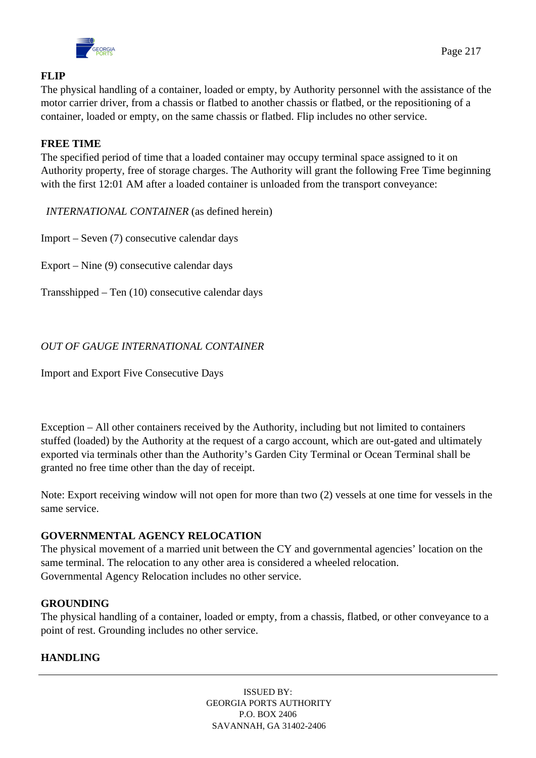

## **FLIP**

The physical handling of a container, loaded or empty, by Authority personnel with the assistance of the motor carrier driver, from a chassis or flatbed to another chassis or flatbed, or the repositioning of a container, loaded or empty, on the same chassis or flatbed. Flip includes no other service.

## **FREE TIME**

The specified period of time that a loaded container may occupy terminal space assigned to it on Authority property, free of storage charges. The Authority will grant the following Free Time beginning with the first 12:01 AM after a loaded container is unloaded from the transport conveyance:

 *INTERNATIONAL CONTAINER* (as defined herein)

Import – Seven (7) consecutive calendar days

Export – Nine (9) consecutive calendar days

Transshipped – Ten (10) consecutive calendar days

## *OUT OF GAUGE INTERNATIONAL CONTAINER*

Import and Export Five Consecutive Days

Exception – All other containers received by the Authority, including but not limited to containers stuffed (loaded) by the Authority at the request of a cargo account, which are out-gated and ultimately exported via terminals other than the Authority's Garden City Terminal or Ocean Terminal shall be granted no free time other than the day of receipt.

Note: Export receiving window will not open for more than two (2) vessels at one time for vessels in the same service.

#### **GOVERNMENTAL AGENCY RELOCATION**

The physical movement of a married unit between the CY and governmental agencies' location on the same terminal. The relocation to any other area is considered a wheeled relocation. Governmental Agency Relocation includes no other service.

#### **GROUNDING**

The physical handling of a container, loaded or empty, from a chassis, flatbed, or other conveyance to a point of rest. Grounding includes no other service.

#### **HANDLING**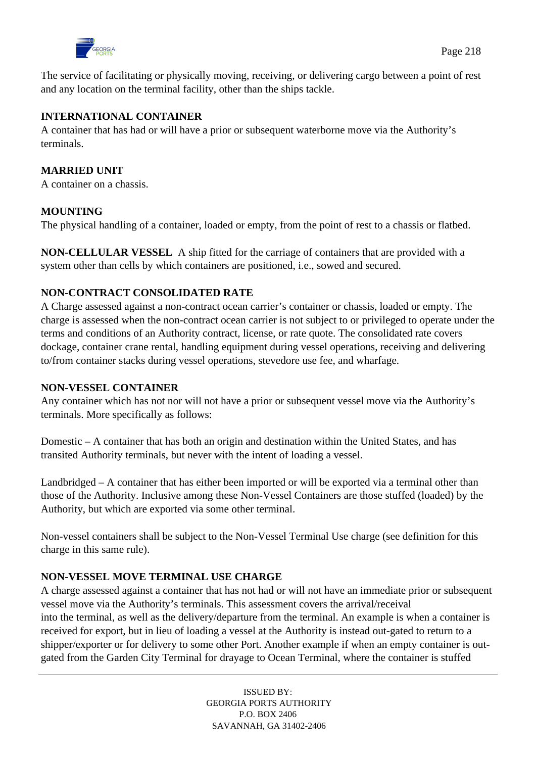

The service of facilitating or physically moving, receiving, or delivering cargo between a point of rest and any location on the terminal facility, other than the ships tackle.

#### **INTERNATIONAL CONTAINER**

A container that has had or will have a prior or subsequent waterborne move via the Authority's terminals.

#### **MARRIED UNIT**

A container on a chassis.

#### **MOUNTING**

The physical handling of a container, loaded or empty, from the point of rest to a chassis or flatbed.

**NON-CELLULAR VESSEL** A ship fitted for the carriage of containers that are provided with a system other than cells by which containers are positioned, i.e., sowed and secured.

#### **NON-CONTRACT CONSOLIDATED RATE**

A Charge assessed against a non-contract ocean carrier's container or chassis, loaded or empty. The charge is assessed when the non-contract ocean carrier is not subject to or privileged to operate under the terms and conditions of an Authority contract, license, or rate quote. The consolidated rate covers dockage, container crane rental, handling equipment during vessel operations, receiving and delivering to/from container stacks during vessel operations, stevedore use fee, and wharfage.

#### **NON-VESSEL CONTAINER**

Any container which has not nor will not have a prior or subsequent vessel move via the Authority's terminals. More specifically as follows:

Domestic – A container that has both an origin and destination within the United States, and has transited Authority terminals, but never with the intent of loading a vessel.

Landbridged – A container that has either been imported or will be exported via a terminal other than those of the Authority. Inclusive among these Non-Vessel Containers are those stuffed (loaded) by the Authority, but which are exported via some other terminal.

Non-vessel containers shall be subject to the Non-Vessel Terminal Use charge (see definition for this charge in this same rule).

#### **NON-VESSEL MOVE TERMINAL USE CHARGE**

A charge assessed against a container that has not had or will not have an immediate prior or subsequent vessel move via the Authority's terminals. This assessment covers the arrival/receival into the terminal, as well as the delivery/departure from the terminal. An example is when a container is received for export, but in lieu of loading a vessel at the Authority is instead out-gated to return to a shipper/exporter or for delivery to some other Port. Another example if when an empty container is outgated from the Garden City Terminal for drayage to Ocean Terminal, where the container is stuffed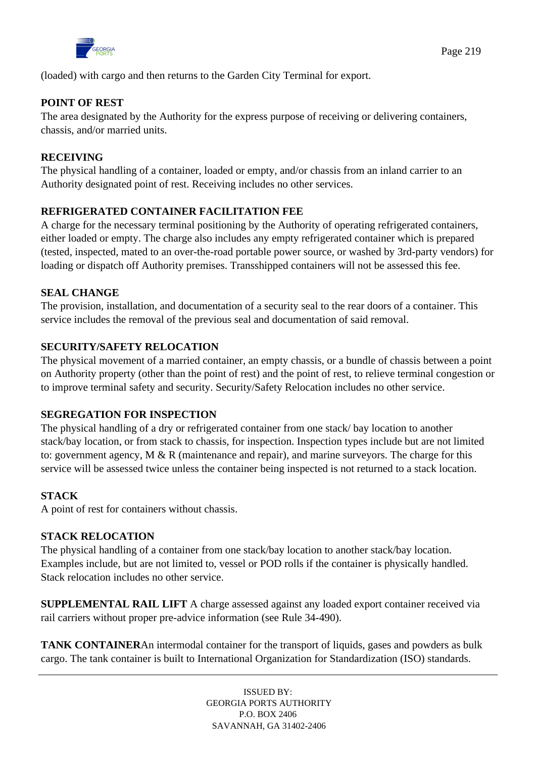

(loaded) with cargo and then returns to the Garden City Terminal for export.

#### **POINT OF REST**

The area designated by the Authority for the express purpose of receiving or delivering containers, chassis, and/or married units.

## **RECEIVING**

The physical handling of a container, loaded or empty, and/or chassis from an inland carrier to an Authority designated point of rest. Receiving includes no other services.

#### **REFRIGERATED CONTAINER FACILITATION FEE**

A charge for the necessary terminal positioning by the Authority of operating refrigerated containers, either loaded or empty. The charge also includes any empty refrigerated container which is prepared (tested, inspected, mated to an over-the-road portable power source, or washed by 3rd-party vendors) for loading or dispatch off Authority premises. Transshipped containers will not be assessed this fee.

#### **SEAL CHANGE**

The provision, installation, and documentation of a security seal to the rear doors of a container. This service includes the removal of the previous seal and documentation of said removal.

#### **SECURITY/SAFETY RELOCATION**

The physical movement of a married container, an empty chassis, or a bundle of chassis between a point on Authority property (other than the point of rest) and the point of rest, to relieve terminal congestion or to improve terminal safety and security. Security/Safety Relocation includes no other service.

#### **SEGREGATION FOR INSPECTION**

The physical handling of a dry or refrigerated container from one stack/ bay location to another stack/bay location, or from stack to chassis, for inspection. Inspection types include but are not limited to: government agency, M & R (maintenance and repair), and marine surveyors. The charge for this service will be assessed twice unless the container being inspected is not returned to a stack location.

#### **STACK**

A point of rest for containers without chassis.

#### **STACK RELOCATION**

The physical handling of a container from one stack/bay location to another stack/bay location. Examples include, but are not limited to, vessel or POD rolls if the container is physically handled. Stack relocation includes no other service.

**SUPPLEMENTAL RAIL LIFT** A charge assessed against any loaded export container received via rail carriers without proper pre-advice information (see Rule 34-490).

**TANK CONTAINER**An intermodal container for the transport of liquids, gases and powders as bulk cargo. The tank container is built to International Organization for Standardization (ISO) standards.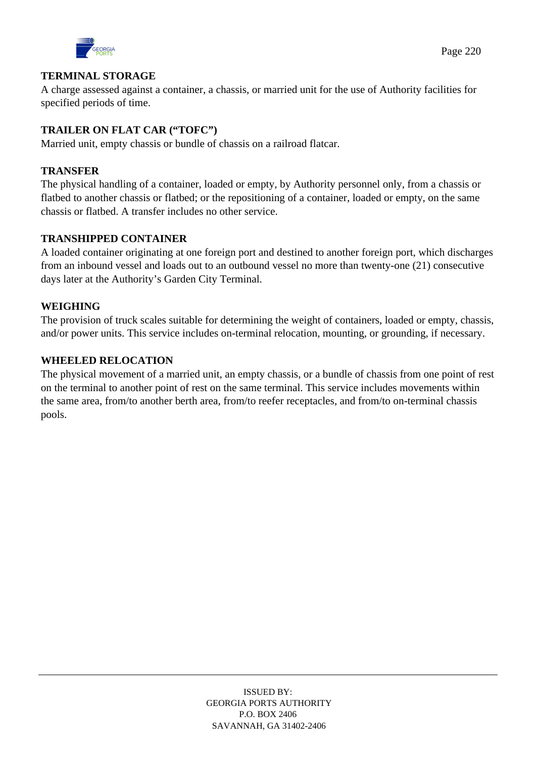

#### **TERMINAL STORAGE**

A charge assessed against a container, a chassis, or married unit for the use of Authority facilities for specified periods of time.

#### **TRAILER ON FLAT CAR ("TOFC")**

Married unit, empty chassis or bundle of chassis on a railroad flatcar.

#### **TRANSFER**

The physical handling of a container, loaded or empty, by Authority personnel only, from a chassis or flatbed to another chassis or flatbed; or the repositioning of a container, loaded or empty, on the same chassis or flatbed. A transfer includes no other service.

#### **TRANSHIPPED CONTAINER**

A loaded container originating at one foreign port and destined to another foreign port, which discharges from an inbound vessel and loads out to an outbound vessel no more than twenty-one (21) consecutive days later at the Authority's Garden City Terminal.

#### **WEIGHING**

The provision of truck scales suitable for determining the weight of containers, loaded or empty, chassis, and/or power units. This service includes on-terminal relocation, mounting, or grounding, if necessary.

## **WHEELED RELOCATION**

The physical movement of a married unit, an empty chassis, or a bundle of chassis from one point of rest on the terminal to another point of rest on the same terminal. This service includes movements within the same area, from/to another berth area, from/to reefer receptacles, and from/to on-terminal chassis pools.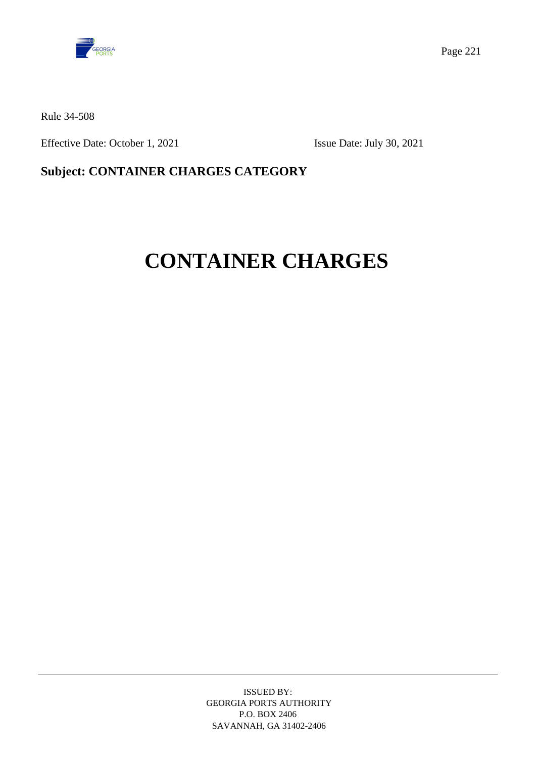

Effective Date: October 1, 2021 Issue Date: July 30, 2021

## **Subject: CONTAINER CHARGES CATEGORY**

# **CONTAINER CHARGES**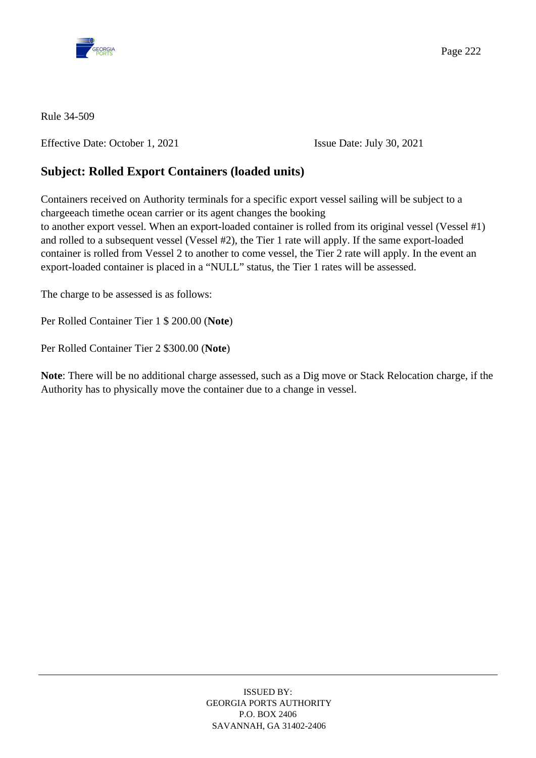

Effective Date: October 1, 2021 Issue Date: July 30, 2021

## **Subject: Rolled Export Containers (loaded units)**

Containers received on Authority terminals for a specific export vessel sailing will be subject to a chargeeach timethe ocean carrier or its agent changes the booking to another export vessel. When an export-loaded container is rolled from its original vessel (Vessel #1) and rolled to a subsequent vessel (Vessel #2), the Tier 1 rate will apply. If the same export-loaded container is rolled from Vessel 2 to another to come vessel, the Tier 2 rate will apply. In the event an export-loaded container is placed in a "NULL" status, the Tier 1 rates will be assessed.

The charge to be assessed is as follows:

Per Rolled Container Tier 1 \$ 200.00 (**Note**)

Per Rolled Container Tier 2 \$300.00 (**Note**)

**Note**: There will be no additional charge assessed, such as a Dig move or Stack Relocation charge, if the Authority has to physically move the container due to a change in vessel.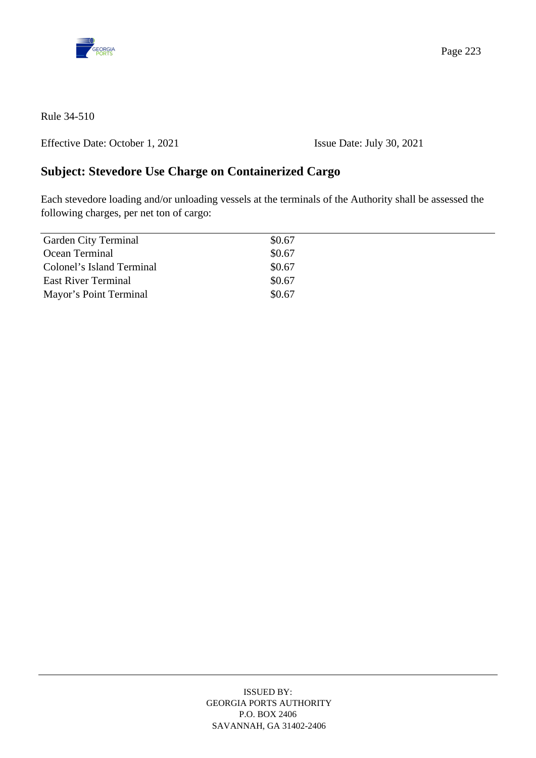

Effective Date: October 1, 2021 Issue Date: July 30, 2021

## **Subject: Stevedore Use Charge on Containerized Cargo**

Each stevedore loading and/or unloading vessels at the terminals of the Authority shall be assessed the following charges, per net ton of cargo:

| <b>Garden City Terminal</b> | \$0.67 |
|-----------------------------|--------|
| Ocean Terminal              | \$0.67 |
| Colonel's Island Terminal   | \$0.67 |
| <b>East River Terminal</b>  | \$0.67 |
| Mayor's Point Terminal      | \$0.67 |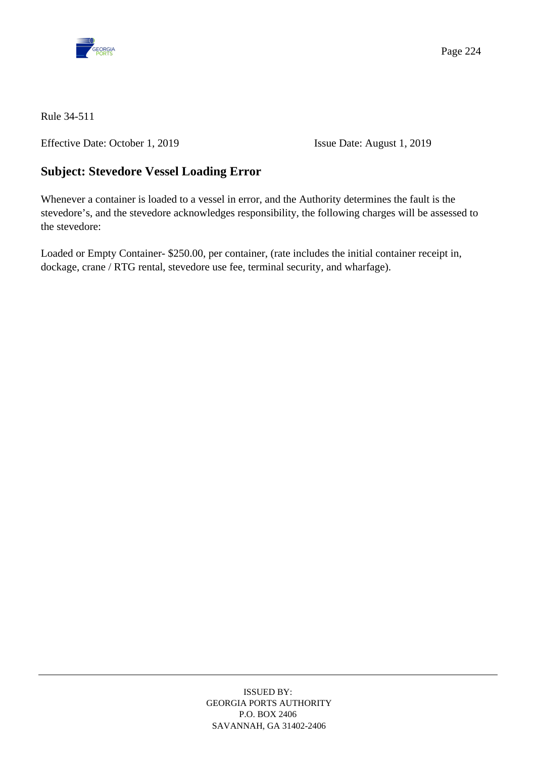

Effective Date: October 1, 2019 Issue Date: August 1, 2019

## **Subject: Stevedore Vessel Loading Error**

Whenever a container is loaded to a vessel in error, and the Authority determines the fault is the stevedore's, and the stevedore acknowledges responsibility, the following charges will be assessed to the stevedore:

Loaded or Empty Container- \$250.00, per container, (rate includes the initial container receipt in, dockage, crane / RTG rental, stevedore use fee, terminal security, and wharfage).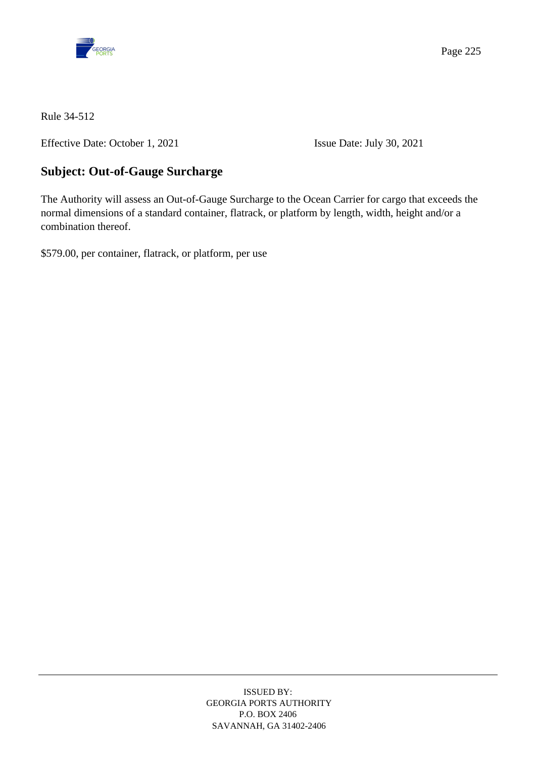

Effective Date: October 1, 2021 Issue Date: July 30, 2021

## **Subject: Out-of-Gauge Surcharge**

The Authority will assess an Out-of-Gauge Surcharge to the Ocean Carrier for cargo that exceeds the normal dimensions of a standard container, flatrack, or platform by length, width, height and/or a combination thereof.

\$579.00, per container, flatrack, or platform, per use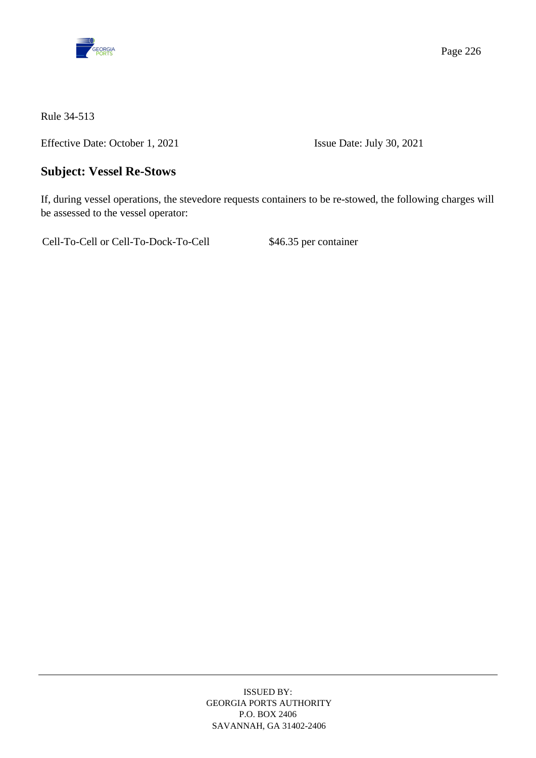

Effective Date: October 1, 2021 Issue Date: July 30, 2021

## **Subject: Vessel Re-Stows**

If, during vessel operations, the stevedore requests containers to be re-stowed, the following charges will be assessed to the vessel operator:

Cell-To-Cell or Cell-To-Dock-To-Cell \$46.35 per container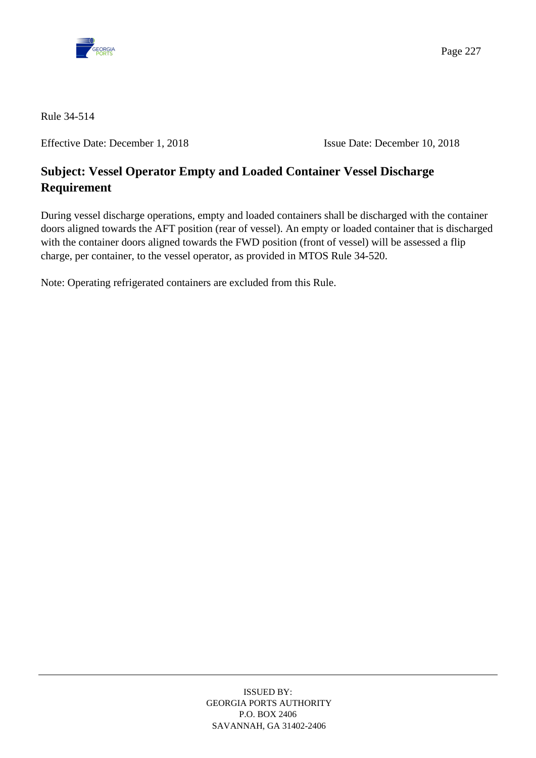

Effective Date: December 1, 2018 Issue Date: December 10, 2018

## **Subject: Vessel Operator Empty and Loaded Container Vessel Discharge Requirement**

During vessel discharge operations, empty and loaded containers shall be discharged with the container doors aligned towards the AFT position (rear of vessel). An empty or loaded container that is discharged with the container doors aligned towards the FWD position (front of vessel) will be assessed a flip charge, per container, to the vessel operator, as provided in MTOS Rule 34-520.

Note: Operating refrigerated containers are excluded from this Rule.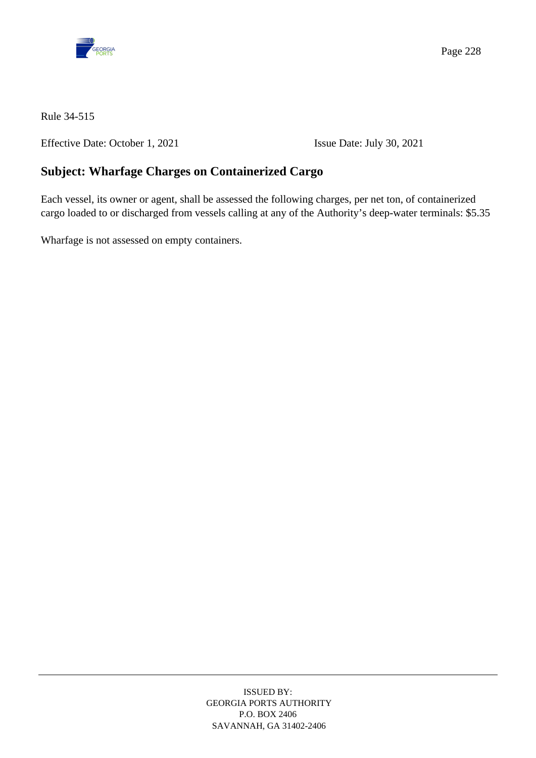

Effective Date: October 1, 2021 Issue Date: July 30, 2021

## **Subject: Wharfage Charges on Containerized Cargo**

Each vessel, its owner or agent, shall be assessed the following charges, per net ton, of containerized cargo loaded to or discharged from vessels calling at any of the Authority's deep-water terminals: \$5.35

Wharfage is not assessed on empty containers.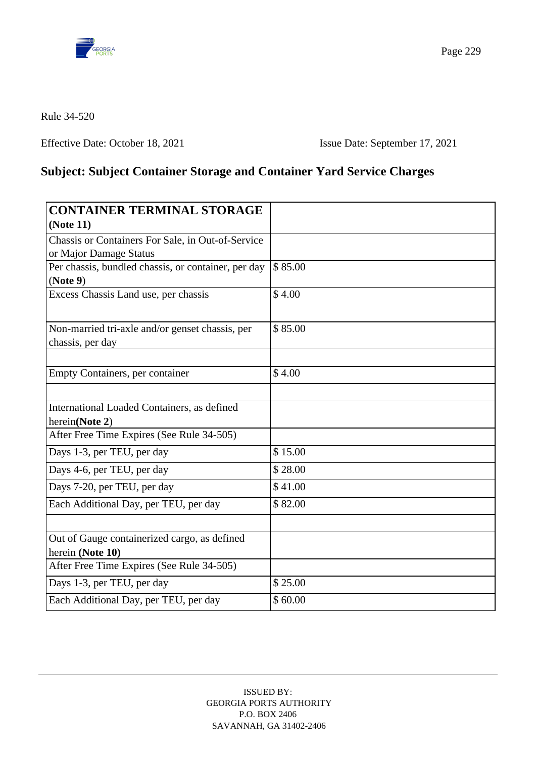

Effective Date: October 18, 2021 Issue Date: September 17, 2021

# **Subject: Subject Container Storage and Container Yard Service Charges**

| <b>CONTAINER TERMINAL STORAGE</b>                             |         |
|---------------------------------------------------------------|---------|
| (Note 11)                                                     |         |
| Chassis or Containers For Sale, in Out-of-Service             |         |
| or Major Damage Status                                        |         |
| Per chassis, bundled chassis, or container, per day           | \$85.00 |
| (Note 9)                                                      |         |
| Excess Chassis Land use, per chassis                          | \$4.00  |
| Non-married tri-axle and/or genset chassis, per               | \$85.00 |
| chassis, per day                                              |         |
|                                                               |         |
| <b>Empty Containers, per container</b>                        | \$4.00  |
|                                                               |         |
| International Loaded Containers, as defined<br>herein(Note 2) |         |
| After Free Time Expires (See Rule 34-505)                     |         |
| Days 1-3, per TEU, per day                                    | \$15.00 |
| Days 4-6, per TEU, per day                                    | \$28.00 |
| Days 7-20, per TEU, per day                                   | \$41.00 |
| Each Additional Day, per TEU, per day                         | \$82.00 |
|                                                               |         |
| Out of Gauge containerized cargo, as defined                  |         |
| herein (Note 10)                                              |         |
| After Free Time Expires (See Rule 34-505)                     |         |
| Days 1-3, per TEU, per day                                    | \$25.00 |
| Each Additional Day, per TEU, per day                         | \$60.00 |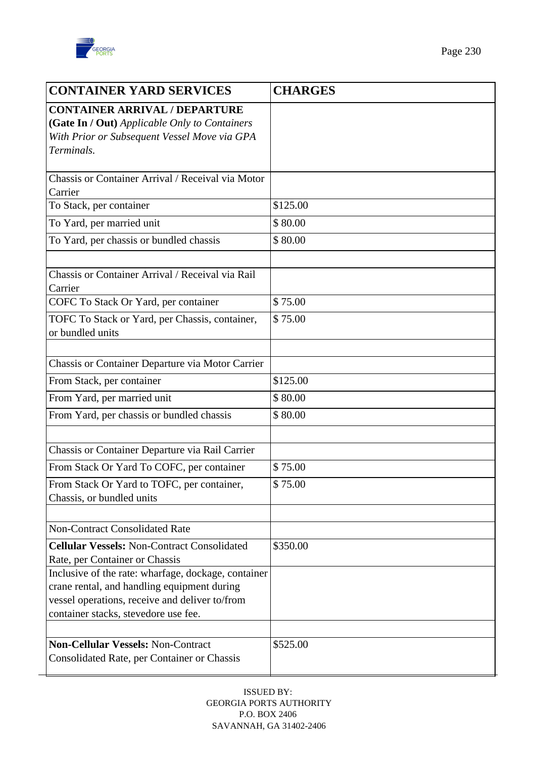

| <b>CONTAINER YARD SERVICES</b>                                                                                                                                                                                                                                                       | <b>CHARGES</b> |
|--------------------------------------------------------------------------------------------------------------------------------------------------------------------------------------------------------------------------------------------------------------------------------------|----------------|
| <b>CONTAINER ARRIVAL / DEPARTURE</b><br>(Gate In / Out) Applicable Only to Containers<br>With Prior or Subsequent Vessel Move via GPA<br>Terminals.                                                                                                                                  |                |
| Chassis or Container Arrival / Receival via Motor<br>Carrier                                                                                                                                                                                                                         |                |
| To Stack, per container                                                                                                                                                                                                                                                              | \$125.00       |
| To Yard, per married unit                                                                                                                                                                                                                                                            | \$80.00        |
| To Yard, per chassis or bundled chassis                                                                                                                                                                                                                                              | \$80.00        |
| Chassis or Container Arrival / Receival via Rail<br>Carrier                                                                                                                                                                                                                          |                |
| COFC To Stack Or Yard, per container                                                                                                                                                                                                                                                 | \$75.00        |
| TOFC To Stack or Yard, per Chassis, container,<br>or bundled units                                                                                                                                                                                                                   | \$75.00        |
| Chassis or Container Departure via Motor Carrier                                                                                                                                                                                                                                     |                |
| From Stack, per container                                                                                                                                                                                                                                                            | \$125.00       |
| From Yard, per married unit                                                                                                                                                                                                                                                          | \$80.00        |
| From Yard, per chassis or bundled chassis                                                                                                                                                                                                                                            | \$80.00        |
| Chassis or Container Departure via Rail Carrier                                                                                                                                                                                                                                      |                |
| From Stack Or Yard To COFC, per container                                                                                                                                                                                                                                            | \$75.00        |
| From Stack Or Yard to TOFC, per container,<br>Chassis, or bundled units                                                                                                                                                                                                              | \$75.00        |
| <b>Non-Contract Consolidated Rate</b>                                                                                                                                                                                                                                                |                |
| <b>Cellular Vessels: Non-Contract Consolidated</b><br>Rate, per Container or Chassis<br>Inclusive of the rate: wharfage, dockage, container<br>crane rental, and handling equipment during<br>vessel operations, receive and deliver to/from<br>container stacks, stevedore use fee. | \$350.00       |
| <b>Non-Cellular Vessels: Non-Contract</b><br>Consolidated Rate, per Container or Chassis                                                                                                                                                                                             | \$525.00       |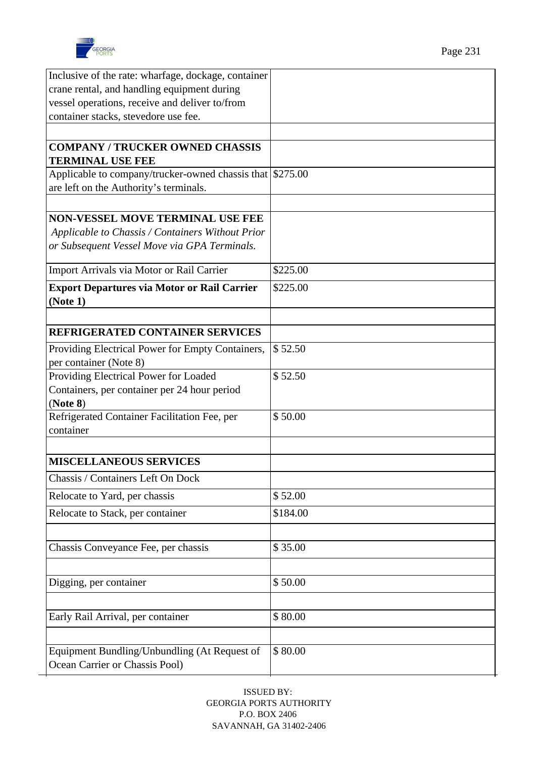

| crane rental, and handling equipment during<br>vessel operations, receive and deliver to/from<br>container stacks, stevedore use fee.<br><b>COMPANY / TRUCKER OWNED CHASSIS</b><br><b>TERMINAL USE FEE</b><br>Applicable to company/trucker-owned chassis that $\frac{\$275.00}{\$275.00}$<br>are left on the Authority's terminals.<br><b>NON-VESSEL MOVE TERMINAL USE FEE</b><br>Applicable to Chassis / Containers Without Prior<br>or Subsequent Vessel Move via GPA Terminals.<br>Import Arrivals via Motor or Rail Carrier<br>\$225.00<br><b>Export Departures via Motor or Rail Carrier</b><br>\$225.00<br>(Note 1)<br>REFRIGERATED CONTAINER SERVICES<br>\$52.50<br>Providing Electrical Power for Empty Containers,<br>per container (Note 8)<br>Providing Electrical Power for Loaded<br>\$52.50<br>Containers, per container per 24 hour period<br>(Note 8)<br>Refrigerated Container Facilitation Fee, per<br>\$50.00<br>container<br><b>MISCELLANEOUS SERVICES</b><br>Chassis / Containers Left On Dock<br>\$52.00<br>Relocate to Yard, per chassis<br>Relocate to Stack, per container<br>\$184.00<br>\$35.00<br>Chassis Conveyance Fee, per chassis<br>\$50.00<br>Digging, per container<br>Early Rail Arrival, per container<br>\$80.00<br>Equipment Bundling/Unbundling (At Request of<br>\$80.00<br>Ocean Carrier or Chassis Pool) | Inclusive of the rate: wharfage, dockage, container |  |
|------------------------------------------------------------------------------------------------------------------------------------------------------------------------------------------------------------------------------------------------------------------------------------------------------------------------------------------------------------------------------------------------------------------------------------------------------------------------------------------------------------------------------------------------------------------------------------------------------------------------------------------------------------------------------------------------------------------------------------------------------------------------------------------------------------------------------------------------------------------------------------------------------------------------------------------------------------------------------------------------------------------------------------------------------------------------------------------------------------------------------------------------------------------------------------------------------------------------------------------------------------------------------------------------------------------------------------------------------|-----------------------------------------------------|--|
|                                                                                                                                                                                                                                                                                                                                                                                                                                                                                                                                                                                                                                                                                                                                                                                                                                                                                                                                                                                                                                                                                                                                                                                                                                                                                                                                                      |                                                     |  |
|                                                                                                                                                                                                                                                                                                                                                                                                                                                                                                                                                                                                                                                                                                                                                                                                                                                                                                                                                                                                                                                                                                                                                                                                                                                                                                                                                      |                                                     |  |
|                                                                                                                                                                                                                                                                                                                                                                                                                                                                                                                                                                                                                                                                                                                                                                                                                                                                                                                                                                                                                                                                                                                                                                                                                                                                                                                                                      |                                                     |  |
|                                                                                                                                                                                                                                                                                                                                                                                                                                                                                                                                                                                                                                                                                                                                                                                                                                                                                                                                                                                                                                                                                                                                                                                                                                                                                                                                                      |                                                     |  |
|                                                                                                                                                                                                                                                                                                                                                                                                                                                                                                                                                                                                                                                                                                                                                                                                                                                                                                                                                                                                                                                                                                                                                                                                                                                                                                                                                      |                                                     |  |
|                                                                                                                                                                                                                                                                                                                                                                                                                                                                                                                                                                                                                                                                                                                                                                                                                                                                                                                                                                                                                                                                                                                                                                                                                                                                                                                                                      |                                                     |  |
|                                                                                                                                                                                                                                                                                                                                                                                                                                                                                                                                                                                                                                                                                                                                                                                                                                                                                                                                                                                                                                                                                                                                                                                                                                                                                                                                                      |                                                     |  |
|                                                                                                                                                                                                                                                                                                                                                                                                                                                                                                                                                                                                                                                                                                                                                                                                                                                                                                                                                                                                                                                                                                                                                                                                                                                                                                                                                      |                                                     |  |
|                                                                                                                                                                                                                                                                                                                                                                                                                                                                                                                                                                                                                                                                                                                                                                                                                                                                                                                                                                                                                                                                                                                                                                                                                                                                                                                                                      |                                                     |  |
|                                                                                                                                                                                                                                                                                                                                                                                                                                                                                                                                                                                                                                                                                                                                                                                                                                                                                                                                                                                                                                                                                                                                                                                                                                                                                                                                                      |                                                     |  |
|                                                                                                                                                                                                                                                                                                                                                                                                                                                                                                                                                                                                                                                                                                                                                                                                                                                                                                                                                                                                                                                                                                                                                                                                                                                                                                                                                      |                                                     |  |
|                                                                                                                                                                                                                                                                                                                                                                                                                                                                                                                                                                                                                                                                                                                                                                                                                                                                                                                                                                                                                                                                                                                                                                                                                                                                                                                                                      |                                                     |  |
|                                                                                                                                                                                                                                                                                                                                                                                                                                                                                                                                                                                                                                                                                                                                                                                                                                                                                                                                                                                                                                                                                                                                                                                                                                                                                                                                                      |                                                     |  |
|                                                                                                                                                                                                                                                                                                                                                                                                                                                                                                                                                                                                                                                                                                                                                                                                                                                                                                                                                                                                                                                                                                                                                                                                                                                                                                                                                      |                                                     |  |
|                                                                                                                                                                                                                                                                                                                                                                                                                                                                                                                                                                                                                                                                                                                                                                                                                                                                                                                                                                                                                                                                                                                                                                                                                                                                                                                                                      |                                                     |  |
|                                                                                                                                                                                                                                                                                                                                                                                                                                                                                                                                                                                                                                                                                                                                                                                                                                                                                                                                                                                                                                                                                                                                                                                                                                                                                                                                                      |                                                     |  |
|                                                                                                                                                                                                                                                                                                                                                                                                                                                                                                                                                                                                                                                                                                                                                                                                                                                                                                                                                                                                                                                                                                                                                                                                                                                                                                                                                      |                                                     |  |
|                                                                                                                                                                                                                                                                                                                                                                                                                                                                                                                                                                                                                                                                                                                                                                                                                                                                                                                                                                                                                                                                                                                                                                                                                                                                                                                                                      |                                                     |  |
|                                                                                                                                                                                                                                                                                                                                                                                                                                                                                                                                                                                                                                                                                                                                                                                                                                                                                                                                                                                                                                                                                                                                                                                                                                                                                                                                                      |                                                     |  |
|                                                                                                                                                                                                                                                                                                                                                                                                                                                                                                                                                                                                                                                                                                                                                                                                                                                                                                                                                                                                                                                                                                                                                                                                                                                                                                                                                      |                                                     |  |
|                                                                                                                                                                                                                                                                                                                                                                                                                                                                                                                                                                                                                                                                                                                                                                                                                                                                                                                                                                                                                                                                                                                                                                                                                                                                                                                                                      |                                                     |  |
|                                                                                                                                                                                                                                                                                                                                                                                                                                                                                                                                                                                                                                                                                                                                                                                                                                                                                                                                                                                                                                                                                                                                                                                                                                                                                                                                                      |                                                     |  |
|                                                                                                                                                                                                                                                                                                                                                                                                                                                                                                                                                                                                                                                                                                                                                                                                                                                                                                                                                                                                                                                                                                                                                                                                                                                                                                                                                      |                                                     |  |
|                                                                                                                                                                                                                                                                                                                                                                                                                                                                                                                                                                                                                                                                                                                                                                                                                                                                                                                                                                                                                                                                                                                                                                                                                                                                                                                                                      |                                                     |  |
|                                                                                                                                                                                                                                                                                                                                                                                                                                                                                                                                                                                                                                                                                                                                                                                                                                                                                                                                                                                                                                                                                                                                                                                                                                                                                                                                                      |                                                     |  |
|                                                                                                                                                                                                                                                                                                                                                                                                                                                                                                                                                                                                                                                                                                                                                                                                                                                                                                                                                                                                                                                                                                                                                                                                                                                                                                                                                      |                                                     |  |
|                                                                                                                                                                                                                                                                                                                                                                                                                                                                                                                                                                                                                                                                                                                                                                                                                                                                                                                                                                                                                                                                                                                                                                                                                                                                                                                                                      |                                                     |  |
|                                                                                                                                                                                                                                                                                                                                                                                                                                                                                                                                                                                                                                                                                                                                                                                                                                                                                                                                                                                                                                                                                                                                                                                                                                                                                                                                                      |                                                     |  |
|                                                                                                                                                                                                                                                                                                                                                                                                                                                                                                                                                                                                                                                                                                                                                                                                                                                                                                                                                                                                                                                                                                                                                                                                                                                                                                                                                      |                                                     |  |
|                                                                                                                                                                                                                                                                                                                                                                                                                                                                                                                                                                                                                                                                                                                                                                                                                                                                                                                                                                                                                                                                                                                                                                                                                                                                                                                                                      |                                                     |  |
|                                                                                                                                                                                                                                                                                                                                                                                                                                                                                                                                                                                                                                                                                                                                                                                                                                                                                                                                                                                                                                                                                                                                                                                                                                                                                                                                                      |                                                     |  |
|                                                                                                                                                                                                                                                                                                                                                                                                                                                                                                                                                                                                                                                                                                                                                                                                                                                                                                                                                                                                                                                                                                                                                                                                                                                                                                                                                      |                                                     |  |
|                                                                                                                                                                                                                                                                                                                                                                                                                                                                                                                                                                                                                                                                                                                                                                                                                                                                                                                                                                                                                                                                                                                                                                                                                                                                                                                                                      |                                                     |  |
|                                                                                                                                                                                                                                                                                                                                                                                                                                                                                                                                                                                                                                                                                                                                                                                                                                                                                                                                                                                                                                                                                                                                                                                                                                                                                                                                                      |                                                     |  |
|                                                                                                                                                                                                                                                                                                                                                                                                                                                                                                                                                                                                                                                                                                                                                                                                                                                                                                                                                                                                                                                                                                                                                                                                                                                                                                                                                      |                                                     |  |
|                                                                                                                                                                                                                                                                                                                                                                                                                                                                                                                                                                                                                                                                                                                                                                                                                                                                                                                                                                                                                                                                                                                                                                                                                                                                                                                                                      |                                                     |  |
|                                                                                                                                                                                                                                                                                                                                                                                                                                                                                                                                                                                                                                                                                                                                                                                                                                                                                                                                                                                                                                                                                                                                                                                                                                                                                                                                                      |                                                     |  |
|                                                                                                                                                                                                                                                                                                                                                                                                                                                                                                                                                                                                                                                                                                                                                                                                                                                                                                                                                                                                                                                                                                                                                                                                                                                                                                                                                      |                                                     |  |
|                                                                                                                                                                                                                                                                                                                                                                                                                                                                                                                                                                                                                                                                                                                                                                                                                                                                                                                                                                                                                                                                                                                                                                                                                                                                                                                                                      |                                                     |  |
|                                                                                                                                                                                                                                                                                                                                                                                                                                                                                                                                                                                                                                                                                                                                                                                                                                                                                                                                                                                                                                                                                                                                                                                                                                                                                                                                                      |                                                     |  |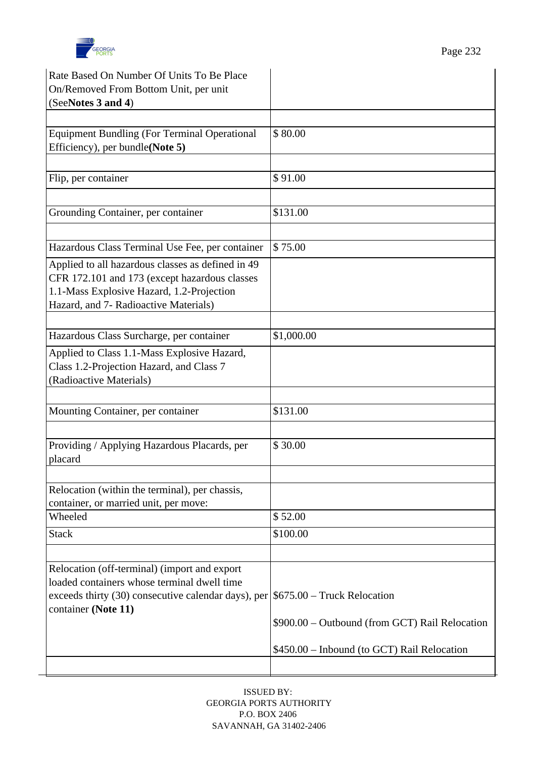

| Rate Based On Number Of Units To Be Place<br>On/Removed From Bottom Unit, per unit<br>(SeeNotes 3 and 4)                                                                                                                |                                                |
|-------------------------------------------------------------------------------------------------------------------------------------------------------------------------------------------------------------------------|------------------------------------------------|
| <b>Equipment Bundling (For Terminal Operational</b><br>Efficiency), per bundle(Note 5)                                                                                                                                  | \$80.00                                        |
| Flip, per container                                                                                                                                                                                                     | \$91.00                                        |
| Grounding Container, per container                                                                                                                                                                                      | \$131.00                                       |
| Hazardous Class Terminal Use Fee, per container                                                                                                                                                                         | \$75.00                                        |
| Applied to all hazardous classes as defined in 49<br>CFR 172.101 and 173 (except hazardous classes<br>1.1-Mass Explosive Hazard, 1.2-Projection<br>Hazard, and 7- Radioactive Materials)                                |                                                |
| Hazardous Class Surcharge, per container                                                                                                                                                                                | \$1,000.00                                     |
| Applied to Class 1.1-Mass Explosive Hazard,<br>Class 1.2-Projection Hazard, and Class 7<br>(Radioactive Materials)                                                                                                      |                                                |
| Mounting Container, per container                                                                                                                                                                                       | \$131.00                                       |
| Providing / Applying Hazardous Placards, per<br>placard                                                                                                                                                                 | \$30.00                                        |
| Relocation (within the terminal), per chassis,<br>container, or married unit, per move:                                                                                                                                 |                                                |
| Wheeled                                                                                                                                                                                                                 | \$52.00                                        |
| <b>Stack</b>                                                                                                                                                                                                            | \$100.00                                       |
| Relocation (off-terminal) (import and export<br>loaded containers whose terminal dwell time<br>exceeds thirty (30) consecutive calendar days), per $\frac{675.00}{\text{True}}$ Fruck Relocation<br>container (Note 11) | \$900.00 - Outbound (from GCT) Rail Relocation |
|                                                                                                                                                                                                                         | \$450.00 – Inbound (to GCT) Rail Relocation    |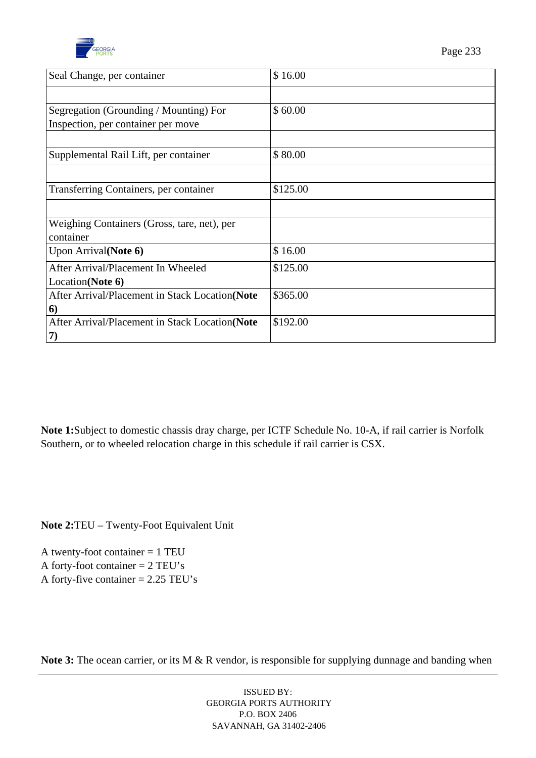

| Seal Change, per container                                                   | \$16.00  |
|------------------------------------------------------------------------------|----------|
|                                                                              |          |
| Segregation (Grounding / Mounting) For<br>Inspection, per container per move | \$60.00  |
| Supplemental Rail Lift, per container                                        | \$80.00  |
| Transferring Containers, per container                                       | \$125.00 |
|                                                                              |          |
| Weighing Containers (Gross, tare, net), per<br>container                     |          |
| Upon Arrival(Note 6)                                                         | \$16.00  |
| After Arrival/Placement In Wheeled<br>Location(Note 6)                       | \$125.00 |
| After Arrival/Placement in Stack Location(Note<br>6                          | \$365.00 |
| After Arrival/Placement in Stack Location(Note<br>7)                         | \$192.00 |

**Note 1:**Subject to domestic chassis dray charge, per ICTF Schedule No. 10-A, if rail carrier is Norfolk Southern, or to wheeled relocation charge in this schedule if rail carrier is CSX.

**Note 2:**TEU – Twenty-Foot Equivalent Unit

A twenty-foot container = 1 TEU A forty-foot container = 2 TEU's A forty-five container = 2.25 TEU's

**Note 3:** The ocean carrier, or its M & R vendor, is responsible for supplying dunnage and banding when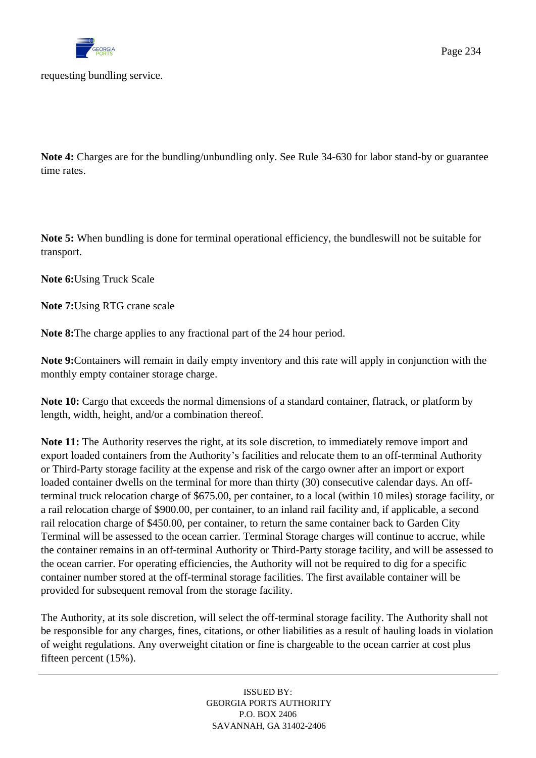

requesting bundling service.

**Note 4:** Charges are for the bundling/unbundling only. See Rule 34-630 for labor stand-by or guarantee time rates.

**Note 5:** When bundling is done for terminal operational efficiency, the bundleswill not be suitable for transport.

**Note 6:**Using Truck Scale

**Note 7:**Using RTG crane scale

**Note 8:**The charge applies to any fractional part of the 24 hour period.

**Note 9:**Containers will remain in daily empty inventory and this rate will apply in conjunction with the monthly empty container storage charge.

**Note 10:** Cargo that exceeds the normal dimensions of a standard container, flatrack, or platform by length, width, height, and/or a combination thereof.

**Note 11:** The Authority reserves the right, at its sole discretion, to immediately remove import and export loaded containers from the Authority's facilities and relocate them to an off-terminal Authority or Third-Party storage facility at the expense and risk of the cargo owner after an import or export loaded container dwells on the terminal for more than thirty (30) consecutive calendar days. An offterminal truck relocation charge of \$675.00, per container, to a local (within 10 miles) storage facility, or a rail relocation charge of \$900.00, per container, to an inland rail facility and, if applicable, a second rail relocation charge of \$450.00, per container, to return the same container back to Garden City Terminal will be assessed to the ocean carrier. Terminal Storage charges will continue to accrue, while the container remains in an off-terminal Authority or Third-Party storage facility, and will be assessed to the ocean carrier. For operating efficiencies, the Authority will not be required to dig for a specific container number stored at the off-terminal storage facilities. The first available container will be provided for subsequent removal from the storage facility.

The Authority, at its sole discretion, will select the off-terminal storage facility. The Authority shall not be responsible for any charges, fines, citations, or other liabilities as a result of hauling loads in violation of weight regulations. Any overweight citation or fine is chargeable to the ocean carrier at cost plus fifteen percent (15%).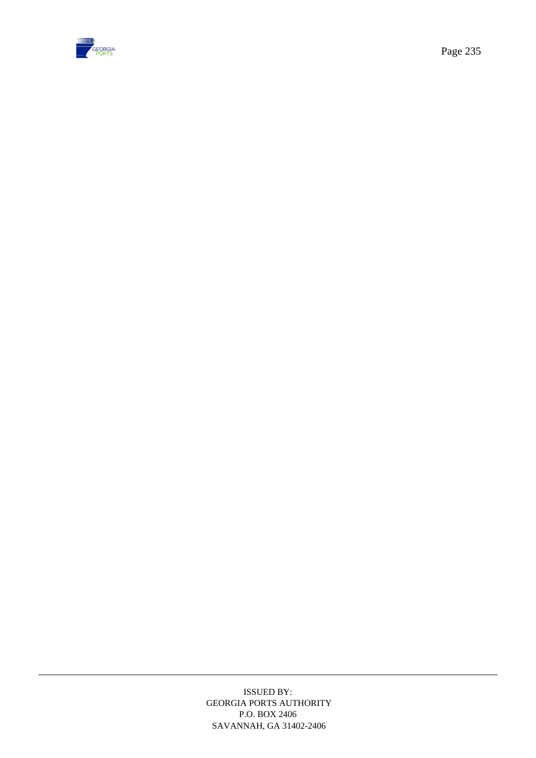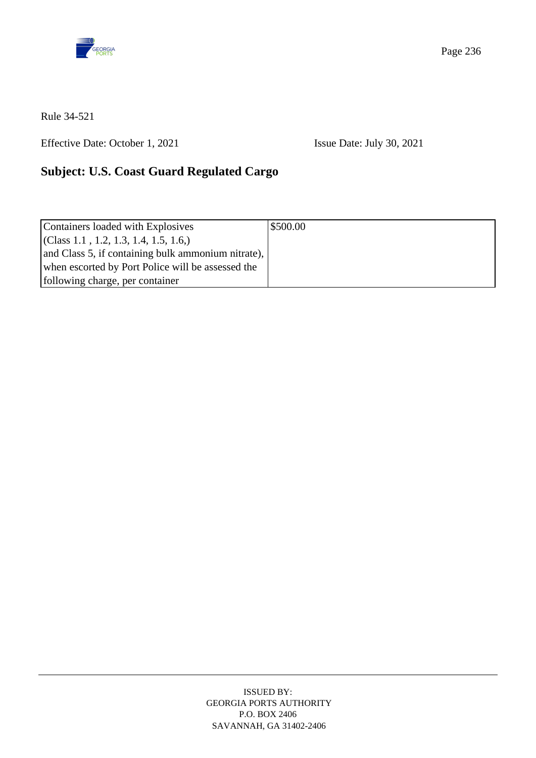

Effective Date: October 1, 2021 Issue Date: July 30, 2021

# **Subject: U.S. Coast Guard Regulated Cargo**

| Containers loaded with Explosives                  | \$500.00 |
|----------------------------------------------------|----------|
| (Class 1.1, 1.2, 1.3, 1.4, 1.5, 1.6)               |          |
| and Class 5, if containing bulk ammonium nitrate), |          |
| when escorted by Port Police will be assessed the  |          |
| following charge, per container                    |          |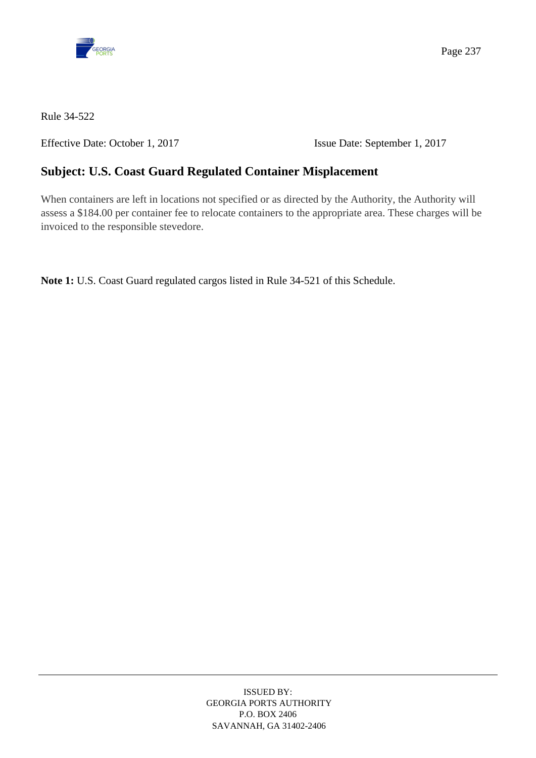

Effective Date: October 1, 2017 Issue Date: September 1, 2017

## **Subject: U.S. Coast Guard Regulated Container Misplacement**

When containers are left in locations not specified or as directed by the Authority, the Authority will assess a \$184.00 per container fee to relocate containers to the appropriate area. These charges will be invoiced to the responsible stevedore.

**Note 1:** U.S. Coast Guard regulated cargos listed in Rule 34-521 of this Schedule.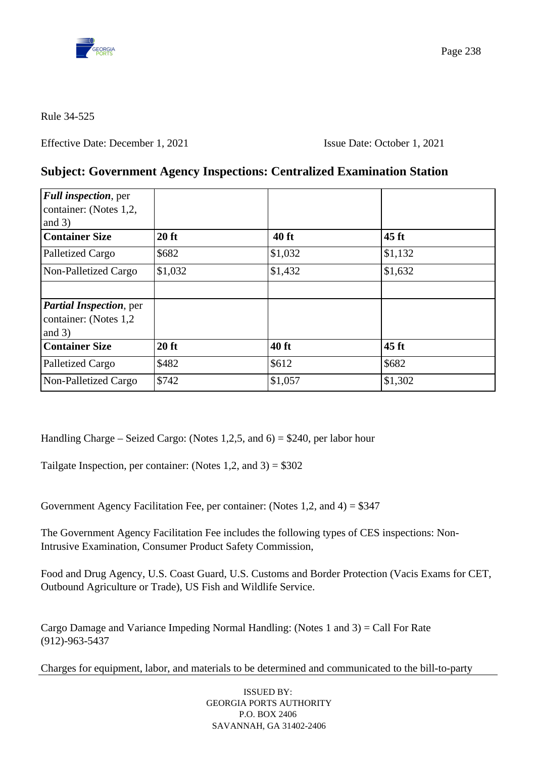

Effective Date: December 1, 2021 Issue Date: October 1, 2021

## **Subject: Government Agency Inspections: Centralized Examination Station**

| Full inspection, per<br>container: (Notes 1,2,<br>and $3)$            |         |              |         |
|-----------------------------------------------------------------------|---------|--------------|---------|
| <b>Container Size</b>                                                 | $20$ ft | <b>40 ft</b> | $45$ ft |
| Palletized Cargo                                                      | \$682   | \$1,032      | \$1,132 |
| Non-Palletized Cargo                                                  | \$1,032 | \$1,432      | \$1,632 |
|                                                                       |         |              |         |
| <b>Partial Inspection</b> , per<br>container: (Notes 1,2)<br>and $3)$ |         |              |         |
| <b>Container Size</b>                                                 | $20$ ft | $40$ ft      | $45$ ft |
| Palletized Cargo                                                      | \$482   | \$612        | \$682   |
| Non-Palletized Cargo                                                  | \$742   | \$1,057      | \$1,302 |

Handling Charge – Seized Cargo: (Notes 1,2,5, and  $6$ ) = \$240, per labor hour

Tailgate Inspection, per container: (Notes  $1,2$ , and  $3$ ) = \$302

Government Agency Facilitation Fee, per container: (Notes 1,2, and 4) =  $$347$ 

The Government Agency Facilitation Fee includes the following types of CES inspections: Non-Intrusive Examination, Consumer Product Safety Commission,

Food and Drug Agency, U.S. Coast Guard, U.S. Customs and Border Protection (Vacis Exams for CET, Outbound Agriculture or Trade), US Fish and Wildlife Service.

Cargo Damage and Variance Impeding Normal Handling: (Notes 1 and 3) = Call For Rate (912)-963-5437

Charges for equipment, labor, and materials to be determined and communicated to the bill-to-party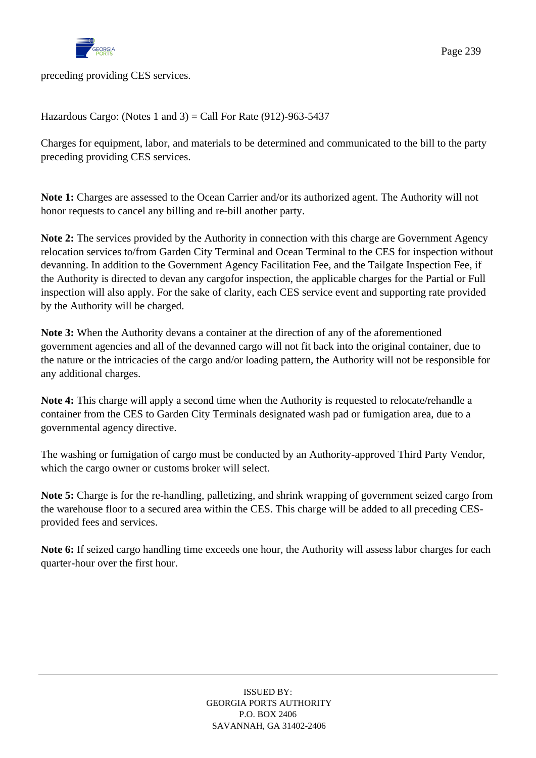

preceding providing CES services.

Hazardous Cargo: (Notes 1 and 3) = Call For Rate  $(912)$ -963-5437

Charges for equipment, labor, and materials to be determined and communicated to the bill to the party preceding providing CES services.

**Note 1:** Charges are assessed to the Ocean Carrier and/or its authorized agent. The Authority will not honor requests to cancel any billing and re-bill another party.

**Note 2:** The services provided by the Authority in connection with this charge are Government Agency relocation services to/from Garden City Terminal and Ocean Terminal to the CES for inspection without devanning. In addition to the Government Agency Facilitation Fee, and the Tailgate Inspection Fee, if the Authority is directed to devan any cargofor inspection, the applicable charges for the Partial or Full inspection will also apply. For the sake of clarity, each CES service event and supporting rate provided by the Authority will be charged.

**Note 3:** When the Authority devans a container at the direction of any of the aforementioned government agencies and all of the devanned cargo will not fit back into the original container, due to the nature or the intricacies of the cargo and/or loading pattern, the Authority will not be responsible for any additional charges.

**Note 4:** This charge will apply a second time when the Authority is requested to relocate/rehandle a container from the CES to Garden City Terminals designated wash pad or fumigation area, due to a governmental agency directive.

The washing or fumigation of cargo must be conducted by an Authority-approved Third Party Vendor, which the cargo owner or customs broker will select.

**Note 5:** Charge is for the re-handling, palletizing, and shrink wrapping of government seized cargo from the warehouse floor to a secured area within the CES. This charge will be added to all preceding CESprovided fees and services.

**Note 6:** If seized cargo handling time exceeds one hour, the Authority will assess labor charges for each quarter-hour over the first hour.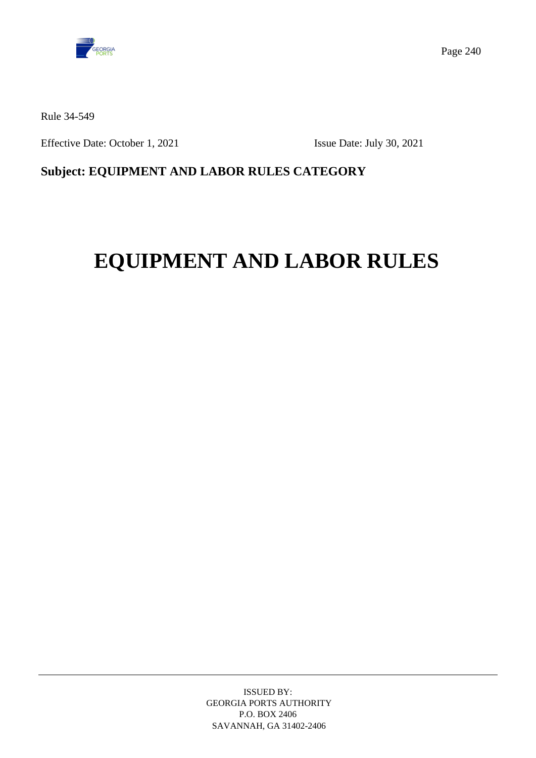

Effective Date: October 1, 2021 Issue Date: July 30, 2021

# **Subject: EQUIPMENT AND LABOR RULES CATEGORY**

# **EQUIPMENT AND LABOR RULES**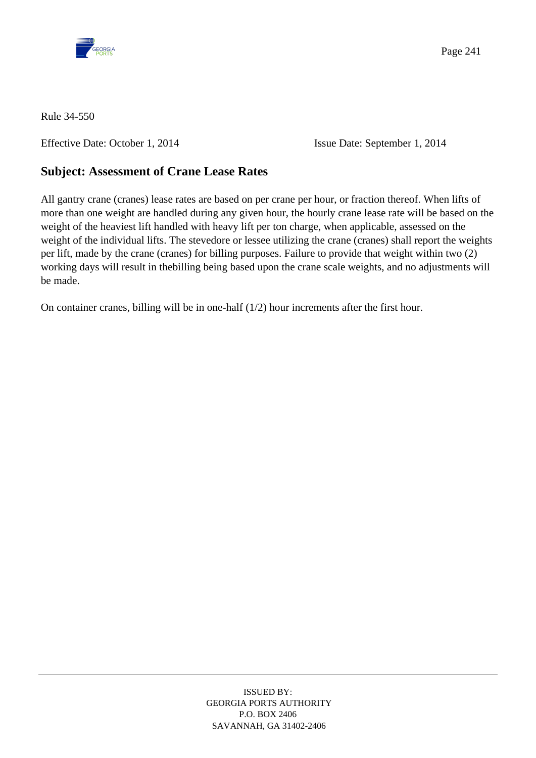

Effective Date: October 1, 2014 Issue Date: September 1, 2014

## **Subject: Assessment of Crane Lease Rates**

All gantry crane (cranes) lease rates are based on per crane per hour, or fraction thereof. When lifts of more than one weight are handled during any given hour, the hourly crane lease rate will be based on the weight of the heaviest lift handled with heavy lift per ton charge, when applicable, assessed on the weight of the individual lifts. The stevedore or lessee utilizing the crane (cranes) shall report the weights per lift, made by the crane (cranes) for billing purposes. Failure to provide that weight within two (2) working days will result in thebilling being based upon the crane scale weights, and no adjustments will be made.

On container cranes, billing will be in one-half (1/2) hour increments after the first hour.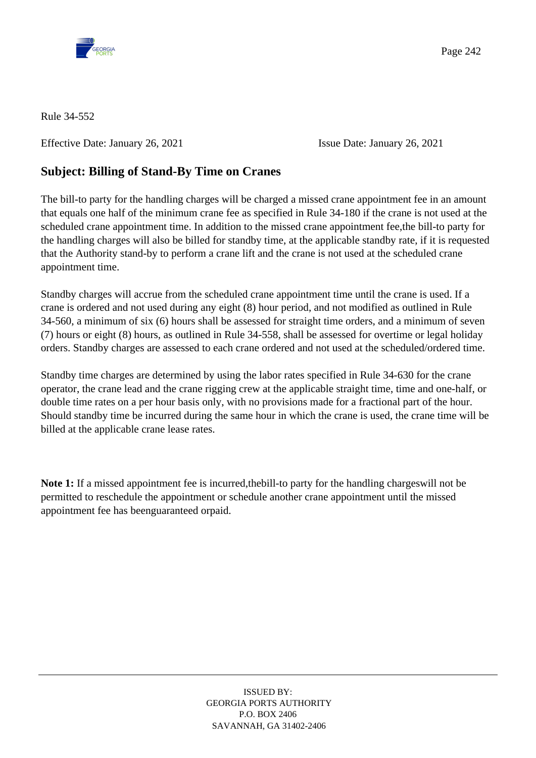

Effective Date: January 26, 2021 Issue Date: January 26, 2021

## **Subject: Billing of Stand-By Time on Cranes**

The bill-to party for the handling charges will be charged a missed crane appointment fee in an amount that equals one half of the minimum crane fee as specified in Rule 34-180 if the crane is not used at the scheduled crane appointment time. In addition to the missed crane appointment fee,the bill-to party for the handling charges will also be billed for standby time, at the applicable standby rate, if it is requested that the Authority stand-by to perform a crane lift and the crane is not used at the scheduled crane appointment time.

Standby charges will accrue from the scheduled crane appointment time until the crane is used. If a crane is ordered and not used during any eight (8) hour period, and not modified as outlined in Rule 34-560, a minimum of six (6) hours shall be assessed for straight time orders, and a minimum of seven (7) hours or eight (8) hours, as outlined in Rule 34-558, shall be assessed for overtime or legal holiday orders. Standby charges are assessed to each crane ordered and not used at the scheduled/ordered time.

Standby time charges are determined by using the labor rates specified in Rule 34-630 for the crane operator, the crane lead and the crane rigging crew at the applicable straight time, time and one-half, or double time rates on a per hour basis only, with no provisions made for a fractional part of the hour. Should standby time be incurred during the same hour in which the crane is used, the crane time will be billed at the applicable crane lease rates.

**Note 1:** If a missed appointment fee is incurred,thebill-to party for the handling chargeswill not be permitted to reschedule the appointment or schedule another crane appointment until the missed appointment fee has beenguaranteed orpaid.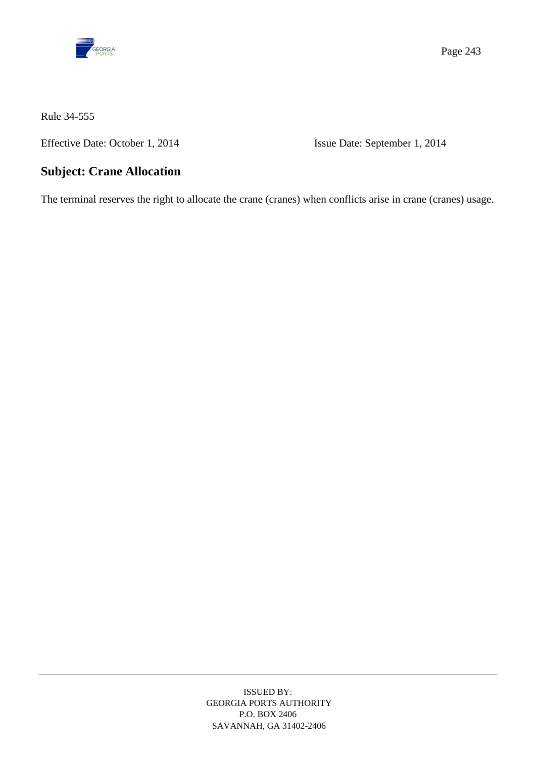

Effective Date: October 1, 2014 Issue Date: September 1, 2014

## **Subject: Crane Allocation**

The terminal reserves the right to allocate the crane (cranes) when conflicts arise in crane (cranes) usage.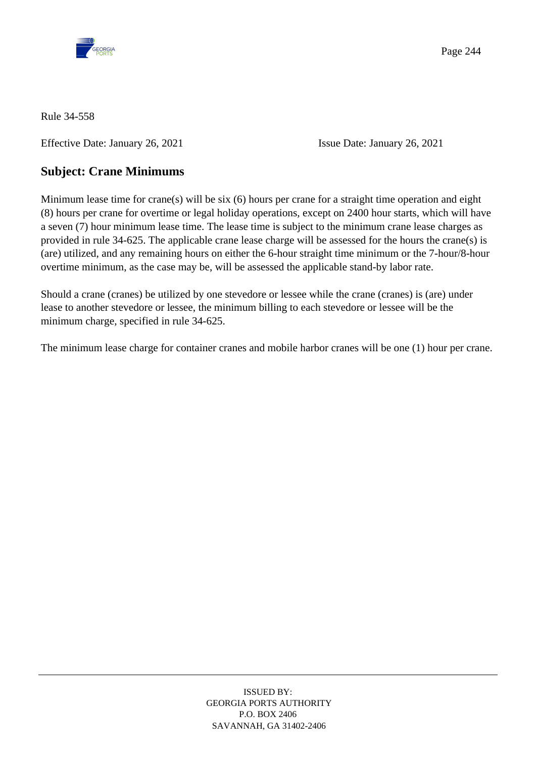

Effective Date: January 26, 2021 Issue Date: January 26, 2021

## **Subject: Crane Minimums**

Minimum lease time for crane(s) will be six (6) hours per crane for a straight time operation and eight (8) hours per crane for overtime or legal holiday operations, except on 2400 hour starts, which will have a seven (7) hour minimum lease time. The lease time is subject to the minimum crane lease charges as provided in rule 34-625. The applicable crane lease charge will be assessed for the hours the crane(s) is (are) utilized, and any remaining hours on either the 6-hour straight time minimum or the 7-hour/8-hour overtime minimum, as the case may be, will be assessed the applicable stand-by labor rate.

Should a crane (cranes) be utilized by one stevedore or lessee while the crane (cranes) is (are) under lease to another stevedore or lessee, the minimum billing to each stevedore or lessee will be the minimum charge, specified in rule 34-625.

The minimum lease charge for container cranes and mobile harbor cranes will be one (1) hour per crane.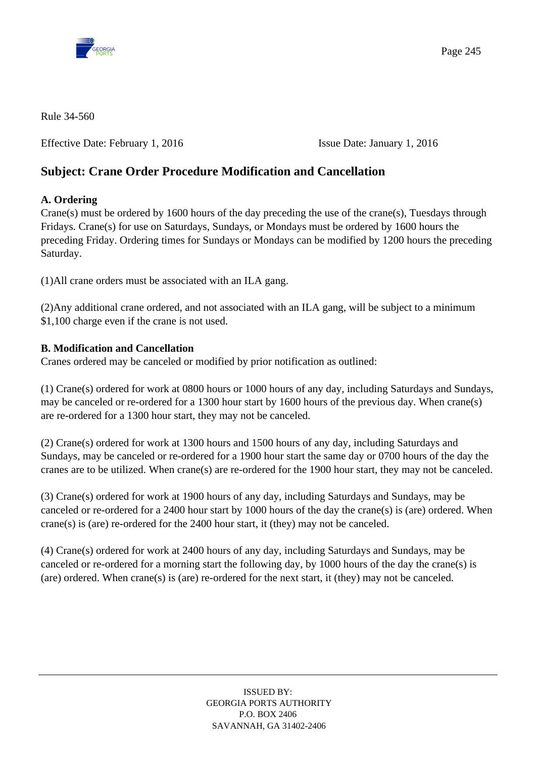

Effective Date: February 1, 2016 Issue Date: January 1, 2016

## **Subject: Crane Order Procedure Modification and Cancellation**

## **A. Ordering**

Crane(s) must be ordered by 1600 hours of the day preceding the use of the crane(s), Tuesdays through Fridays. Crane(s) for use on Saturdays, Sundays, or Mondays must be ordered by 1600 hours the preceding Friday. Ordering times for Sundays or Mondays can be modified by 1200 hours the preceding Saturday.

(1)All crane orders must be associated with an ILA gang.

(2)Any additional crane ordered, and not associated with an ILA gang, will be subject to a minimum \$1,100 charge even if the crane is not used.

## **B. Modification and Cancellation**

Cranes ordered may be canceled or modified by prior notification as outlined:

(1) Crane(s) ordered for work at 0800 hours or 1000 hours of any day, including Saturdays and Sundays, may be canceled or re-ordered for a 1300 hour start by 1600 hours of the previous day. When crane(s) are re-ordered for a 1300 hour start, they may not be canceled.

(2) Crane(s) ordered for work at 1300 hours and 1500 hours of any day, including Saturdays and Sundays, may be canceled or re-ordered for a 1900 hour start the same day or 0700 hours of the day the cranes are to be utilized. When crane(s) are re-ordered for the 1900 hour start, they may not be canceled.

(3) Crane(s) ordered for work at 1900 hours of any day, including Saturdays and Sundays, may be canceled or re-ordered for a 2400 hour start by 1000 hours of the day the crane(s) is (are) ordered. When crane(s) is (are) re-ordered for the 2400 hour start, it (they) may not be canceled.

(4) Crane(s) ordered for work at 2400 hours of any day, including Saturdays and Sundays, may be canceled or re-ordered for a morning start the following day, by 1000 hours of the day the crane(s) is (are) ordered. When crane(s) is (are) re-ordered for the next start, it (they) may not be canceled.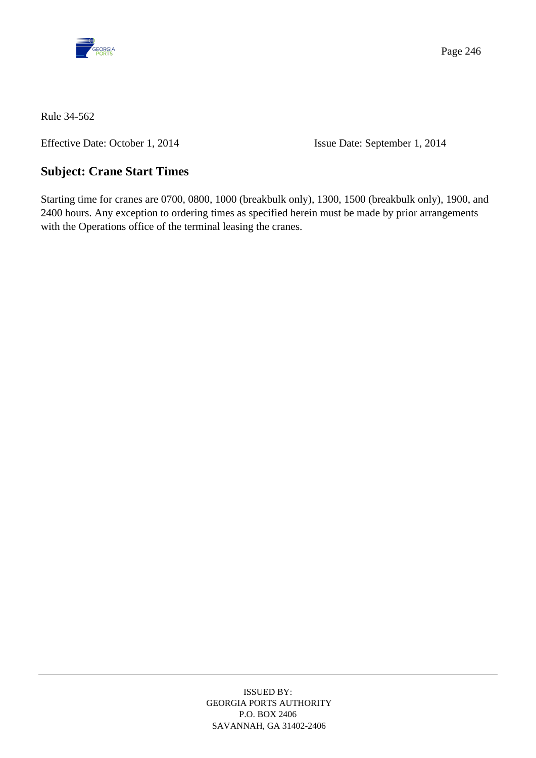

Effective Date: October 1, 2014 Issue Date: September 1, 2014

## **Subject: Crane Start Times**

Starting time for cranes are 0700, 0800, 1000 (breakbulk only), 1300, 1500 (breakbulk only), 1900, and 2400 hours. Any exception to ordering times as specified herein must be made by prior arrangements with the Operations office of the terminal leasing the cranes.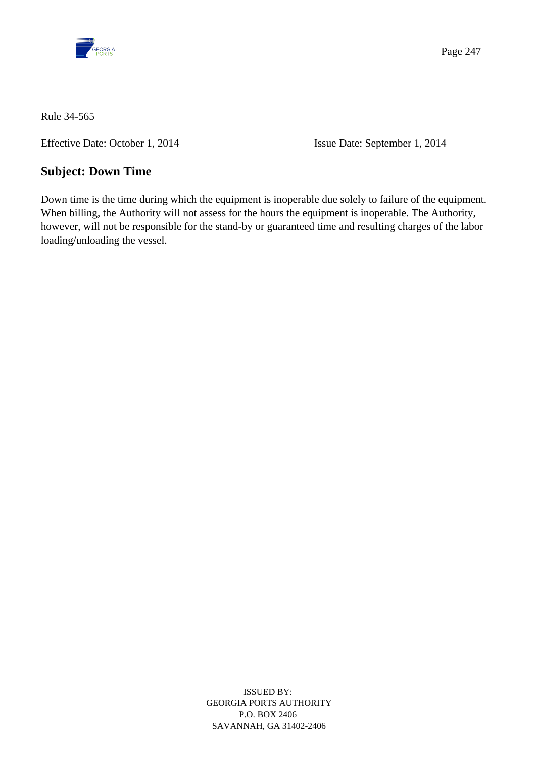

Effective Date: October 1, 2014 Issue Date: September 1, 2014

## **Subject: Down Time**

Down time is the time during which the equipment is inoperable due solely to failure of the equipment. When billing, the Authority will not assess for the hours the equipment is inoperable. The Authority, however, will not be responsible for the stand-by or guaranteed time and resulting charges of the labor loading/unloading the vessel.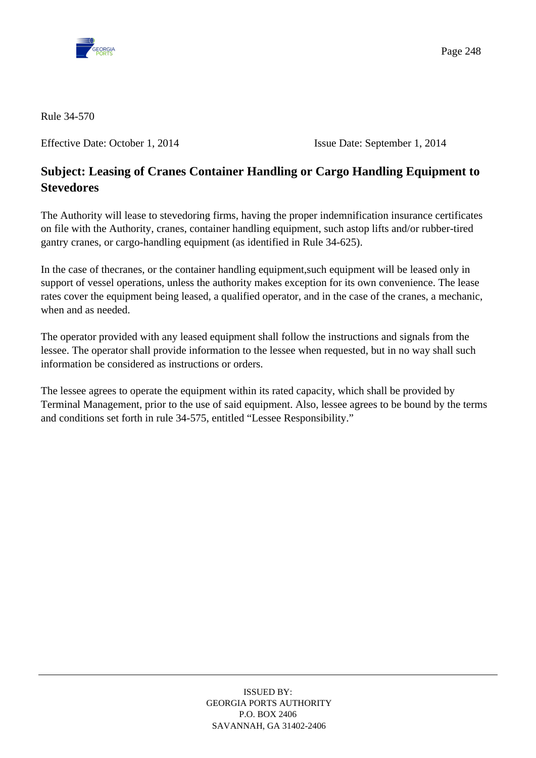

Effective Date: October 1, 2014 Issue Date: September 1, 2014

## **Subject: Leasing of Cranes Container Handling or Cargo Handling Equipment to Stevedores**

The Authority will lease to stevedoring firms, having the proper indemnification insurance certificates on file with the Authority, cranes, container handling equipment, such astop lifts and/or rubber-tired gantry cranes, or cargo-handling equipment (as identified in Rule 34-625).

In the case of thecranes, or the container handling equipment,such equipment will be leased only in support of vessel operations, unless the authority makes exception for its own convenience. The lease rates cover the equipment being leased, a qualified operator, and in the case of the cranes, a mechanic, when and as needed.

The operator provided with any leased equipment shall follow the instructions and signals from the lessee. The operator shall provide information to the lessee when requested, but in no way shall such information be considered as instructions or orders.

The lessee agrees to operate the equipment within its rated capacity, which shall be provided by Terminal Management, prior to the use of said equipment. Also, lessee agrees to be bound by the terms and conditions set forth in rule 34-575, entitled "Lessee Responsibility."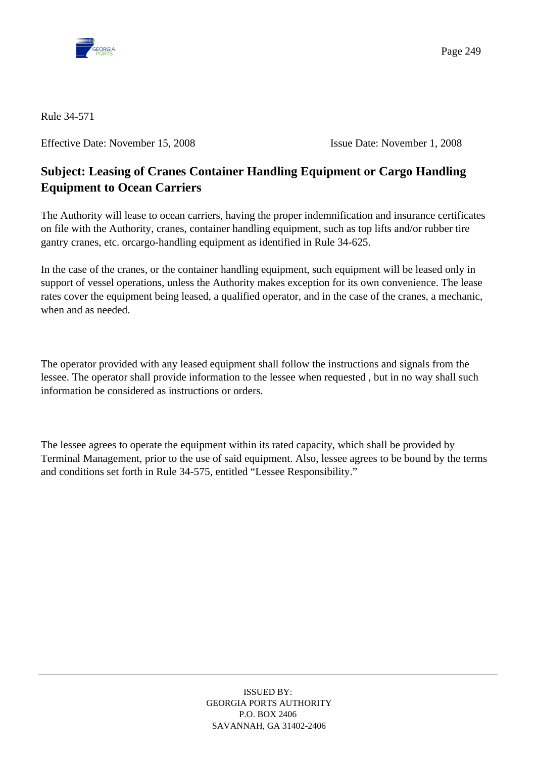

Effective Date: November 15, 2008 Issue Date: November 1, 2008

## **Subject: Leasing of Cranes Container Handling Equipment or Cargo Handling Equipment to Ocean Carriers**

The Authority will lease to ocean carriers, having the proper indemnification and insurance certificates on file with the Authority, cranes, container handling equipment, such as top lifts and/or rubber tire gantry cranes, etc. orcargo-handling equipment as identified in Rule 34-625.

In the case of the cranes, or the container handling equipment, such equipment will be leased only in support of vessel operations, unless the Authority makes exception for its own convenience. The lease rates cover the equipment being leased, a qualified operator, and in the case of the cranes, a mechanic, when and as needed.

The operator provided with any leased equipment shall follow the instructions and signals from the lessee. The operator shall provide information to the lessee when requested , but in no way shall such information be considered as instructions or orders.

The lessee agrees to operate the equipment within its rated capacity, which shall be provided by Terminal Management, prior to the use of said equipment. Also, lessee agrees to be bound by the terms and conditions set forth in Rule 34-575, entitled "Lessee Responsibility."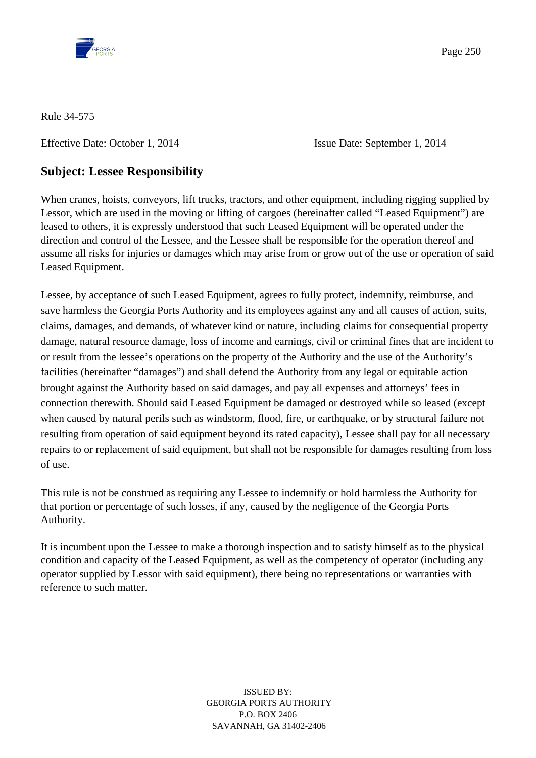

Effective Date: October 1, 2014 Issue Date: September 1, 2014

## **Subject: Lessee Responsibility**

When cranes, hoists, conveyors, lift trucks, tractors, and other equipment, including rigging supplied by Lessor, which are used in the moving or lifting of cargoes (hereinafter called "Leased Equipment") are leased to others, it is expressly understood that such Leased Equipment will be operated under the direction and control of the Lessee, and the Lessee shall be responsible for the operation thereof and assume all risks for injuries or damages which may arise from or grow out of the use or operation of said Leased Equipment.

Lessee, by acceptance of such Leased Equipment, agrees to fully protect, indemnify, reimburse, and save harmless the Georgia Ports Authority and its employees against any and all causes of action, suits, claims, damages, and demands, of whatever kind or nature, including claims for consequential property damage, natural resource damage, loss of income and earnings, civil or criminal fines that are incident to or result from the lessee's operations on the property of the Authority and the use of the Authority's facilities (hereinafter "damages") and shall defend the Authority from any legal or equitable action brought against the Authority based on said damages, and pay all expenses and attorneys' fees in connection therewith. Should said Leased Equipment be damaged or destroyed while so leased (except when caused by natural perils such as windstorm, flood, fire, or earthquake, or by structural failure not resulting from operation of said equipment beyond its rated capacity), Lessee shall pay for all necessary repairs to or replacement of said equipment, but shall not be responsible for damages resulting from loss of use.

This rule is not be construed as requiring any Lessee to indemnify or hold harmless the Authority for that portion or percentage of such losses, if any, caused by the negligence of the Georgia Ports Authority.

It is incumbent upon the Lessee to make a thorough inspection and to satisfy himself as to the physical condition and capacity of the Leased Equipment, as well as the competency of operator (including any operator supplied by Lessor with said equipment), there being no representations or warranties with reference to such matter.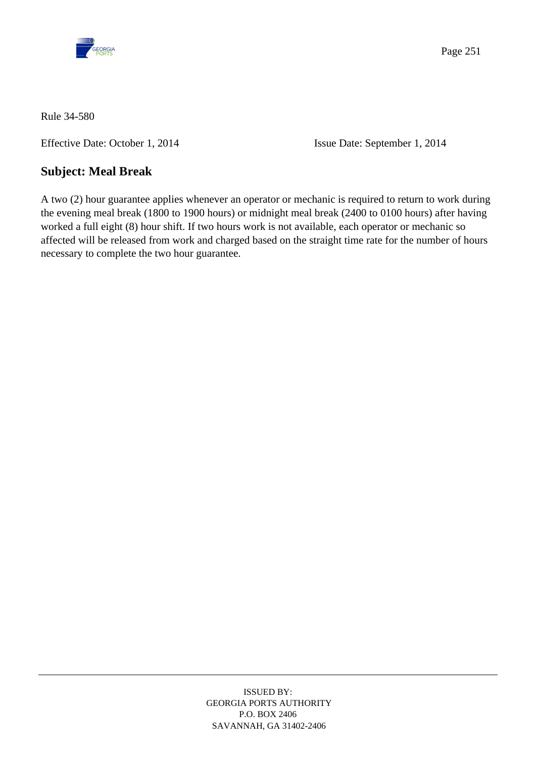

Effective Date: October 1, 2014 Issue Date: September 1, 2014

## **Subject: Meal Break**

A two (2) hour guarantee applies whenever an operator or mechanic is required to return to work during the evening meal break (1800 to 1900 hours) or midnight meal break (2400 to 0100 hours) after having worked a full eight (8) hour shift. If two hours work is not available, each operator or mechanic so affected will be released from work and charged based on the straight time rate for the number of hours necessary to complete the two hour guarantee.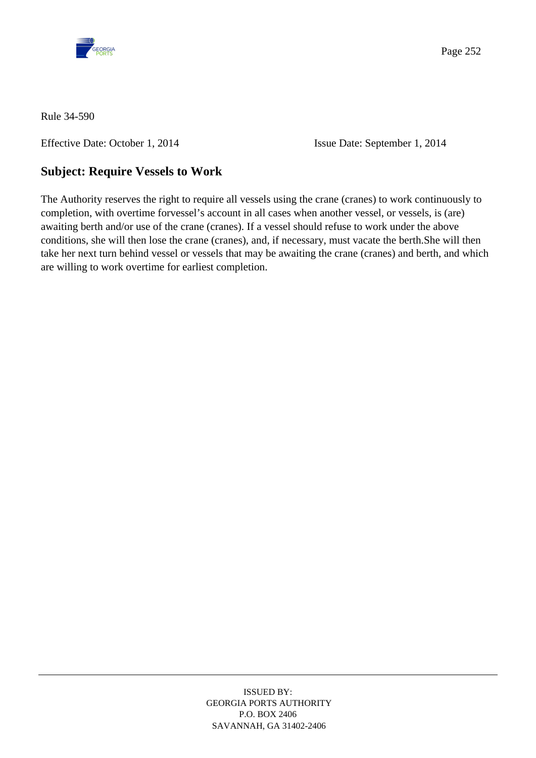

Effective Date: October 1, 2014 Issue Date: September 1, 2014

## **Subject: Require Vessels to Work**

The Authority reserves the right to require all vessels using the crane (cranes) to work continuously to completion, with overtime forvessel's account in all cases when another vessel, or vessels, is (are) awaiting berth and/or use of the crane (cranes). If a vessel should refuse to work under the above conditions, she will then lose the crane (cranes), and, if necessary, must vacate the berth.She will then take her next turn behind vessel or vessels that may be awaiting the crane (cranes) and berth, and which are willing to work overtime for earliest completion.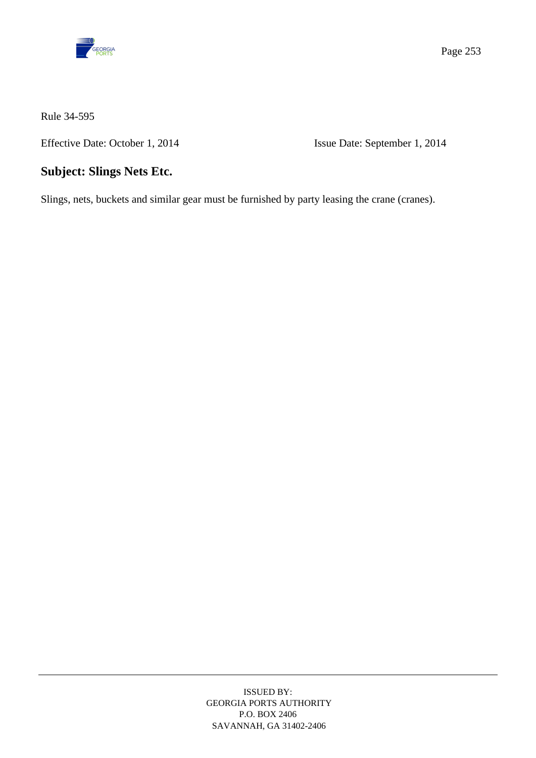

Effective Date: October 1, 2014 Issue Date: September 1, 2014

# **Subject: Slings Nets Etc.**

Slings, nets, buckets and similar gear must be furnished by party leasing the crane (cranes).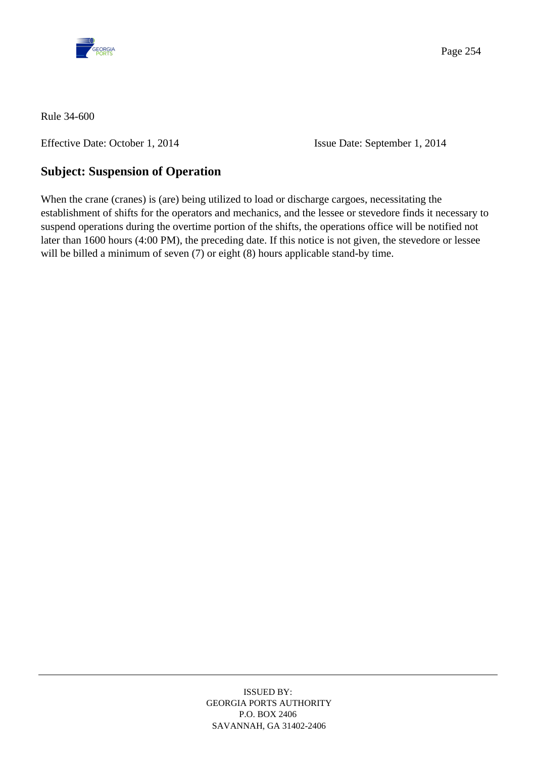

Effective Date: October 1, 2014 Issue Date: September 1, 2014

## **Subject: Suspension of Operation**

When the crane (cranes) is (are) being utilized to load or discharge cargoes, necessitating the establishment of shifts for the operators and mechanics, and the lessee or stevedore finds it necessary to suspend operations during the overtime portion of the shifts, the operations office will be notified not later than 1600 hours (4:00 PM), the preceding date. If this notice is not given, the stevedore or lessee will be billed a minimum of seven (7) or eight (8) hours applicable stand-by time.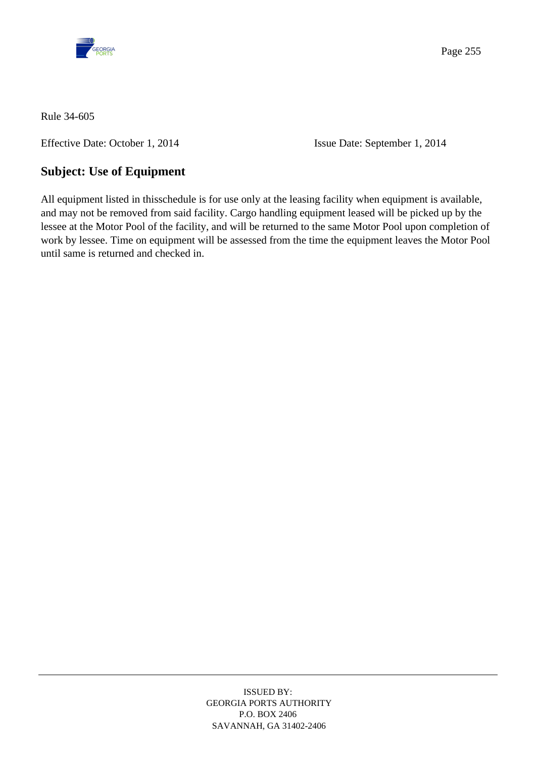

Effective Date: October 1, 2014 Issue Date: September 1, 2014

## **Subject: Use of Equipment**

All equipment listed in thisschedule is for use only at the leasing facility when equipment is available, and may not be removed from said facility. Cargo handling equipment leased will be picked up by the lessee at the Motor Pool of the facility, and will be returned to the same Motor Pool upon completion of work by lessee. Time on equipment will be assessed from the time the equipment leaves the Motor Pool until same is returned and checked in.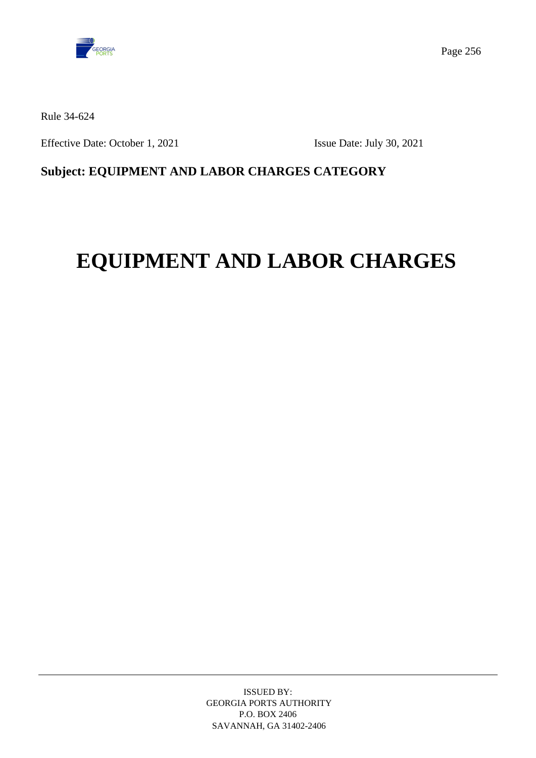

Effective Date: October 1, 2021 Issue Date: July 30, 2021

# **Subject: EQUIPMENT AND LABOR CHARGES CATEGORY**

# **EQUIPMENT AND LABOR CHARGES**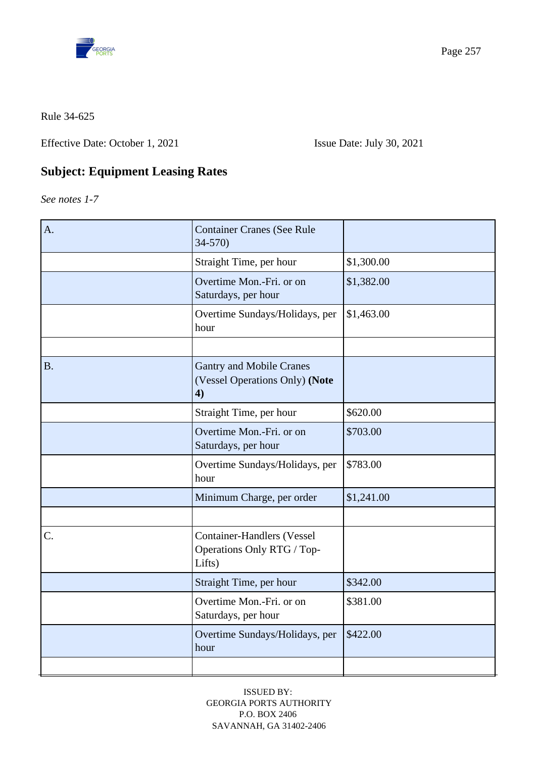

Effective Date: October 1, 2021 Issue Date: July 30, 2021

# **Subject: Equipment Leasing Rates**

*See notes 1-7*

| A.        | <b>Container Cranes (See Rule</b><br>$34 - 570$                           |            |  |
|-----------|---------------------------------------------------------------------------|------------|--|
|           | Straight Time, per hour                                                   | \$1,300.00 |  |
|           | Overtime Mon.-Fri. or on<br>Saturdays, per hour                           | \$1,382.00 |  |
|           | Overtime Sundays/Holidays, per<br>hour                                    | \$1,463.00 |  |
|           |                                                                           |            |  |
| <b>B.</b> | <b>Gantry and Mobile Cranes</b><br>(Vessel Operations Only) (Note<br>4)   |            |  |
|           | Straight Time, per hour                                                   | \$620.00   |  |
|           | Overtime Mon.-Fri. or on<br>Saturdays, per hour                           | \$703.00   |  |
|           | Overtime Sundays/Holidays, per<br>hour                                    | \$783.00   |  |
|           | Minimum Charge, per order                                                 | \$1,241.00 |  |
|           |                                                                           |            |  |
| C.        | <b>Container-Handlers (Vessel</b><br>Operations Only RTG / Top-<br>Lifts) |            |  |
|           | Straight Time, per hour                                                   | \$342.00   |  |
|           | Overtime Mon.-Fri. or on<br>Saturdays, per hour                           | \$381.00   |  |
|           | Overtime Sundays/Holidays, per<br>hour                                    | \$422.00   |  |
|           |                                                                           |            |  |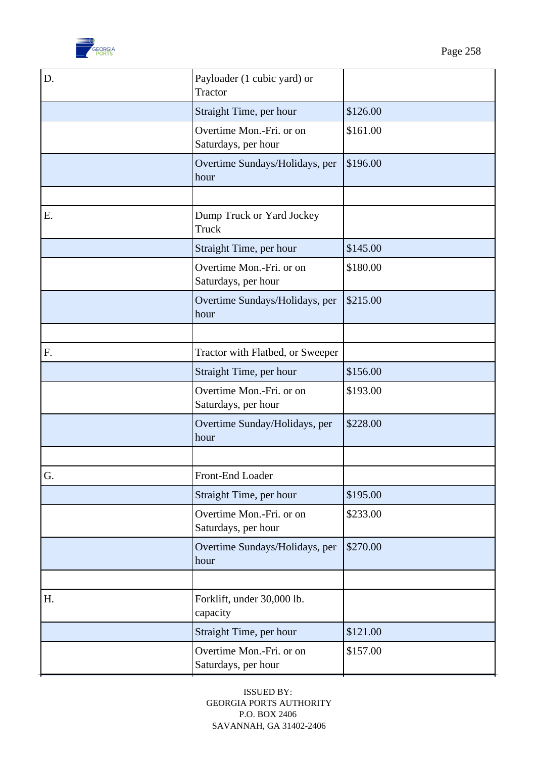

| D.                                           | Payloader (1 cubic yard) or<br>Tractor            |          |
|----------------------------------------------|---------------------------------------------------|----------|
|                                              | Straight Time, per hour                           | \$126.00 |
|                                              | Overtime Mon.-Fri. or on<br>Saturdays, per hour   | \$161.00 |
|                                              | Overtime Sundays/Holidays, per<br>hour            | \$196.00 |
|                                              |                                                   |          |
| Ε.                                           | Dump Truck or Yard Jockey<br>Truck                |          |
|                                              | Straight Time, per hour                           | \$145.00 |
|                                              | Overtime Mon.-Fri. or on<br>Saturdays, per hour   | \$180.00 |
|                                              | Overtime Sundays/Holidays, per<br>hour            | \$215.00 |
|                                              |                                                   |          |
| F.                                           | Tractor with Flatbed, or Sweeper                  |          |
| Straight Time, per hour                      |                                                   | \$156.00 |
|                                              | Overtime Mon.-Fri. or on<br>Saturdays, per hour   |          |
|                                              | \$228.00<br>Overtime Sunday/Holidays, per<br>hour |          |
|                                              |                                                   |          |
| G.                                           | Front-End Loader                                  |          |
|                                              | Straight Time, per hour                           | \$195.00 |
|                                              | Overtime Mon.-Fri. or on<br>Saturdays, per hour   | \$233.00 |
|                                              | Overtime Sundays/Holidays, per<br>hour            | \$270.00 |
|                                              |                                                   |          |
| Forklift, under 30,000 lb.<br>Η.<br>capacity |                                                   |          |
|                                              | Straight Time, per hour                           | \$121.00 |
|                                              | Overtime Mon.-Fri. or on<br>Saturdays, per hour   | \$157.00 |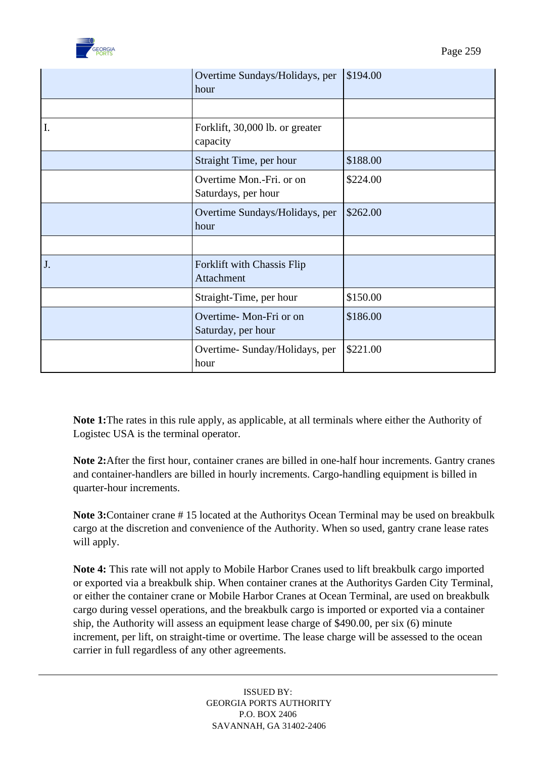

|    | Overtime Sundays/Holidays, per<br>hour          | \$194.00 |  |
|----|-------------------------------------------------|----------|--|
|    |                                                 |          |  |
| I. | Forklift, 30,000 lb. or greater<br>capacity     |          |  |
|    | Straight Time, per hour                         | \$188.00 |  |
|    | Overtime Mon.-Fri. or on<br>Saturdays, per hour | \$224.00 |  |
|    | Overtime Sundays/Holidays, per<br>hour          | \$262.00 |  |
|    |                                                 |          |  |
| J. | Forklift with Chassis Flip<br>Attachment        |          |  |
|    | Straight-Time, per hour                         | \$150.00 |  |
|    | Overtime-Mon-Fri or on<br>Saturday, per hour    | \$186.00 |  |
|    | Overtime- Sunday/Holidays, per<br>hour          | \$221.00 |  |

**Note 1:**The rates in this rule apply, as applicable, at all terminals where either the Authority of Logistec USA is the terminal operator.

**Note 2:**After the first hour, container cranes are billed in one-half hour increments. Gantry cranes and container-handlers are billed in hourly increments. Cargo-handling equipment is billed in quarter-hour increments.

**Note 3:**Container crane # 15 located at the Authoritys Ocean Terminal may be used on breakbulk cargo at the discretion and convenience of the Authority. When so used, gantry crane lease rates will apply.

**Note 4:** This rate will not apply to Mobile Harbor Cranes used to lift breakbulk cargo imported or exported via a breakbulk ship. When container cranes at the Authoritys Garden City Terminal, or either the container crane or Mobile Harbor Cranes at Ocean Terminal, are used on breakbulk cargo during vessel operations, and the breakbulk cargo is imported or exported via a container ship, the Authority will assess an equipment lease charge of \$490.00, per six (6) minute increment, per lift, on straight-time or overtime. The lease charge will be assessed to the ocean carrier in full regardless of any other agreements.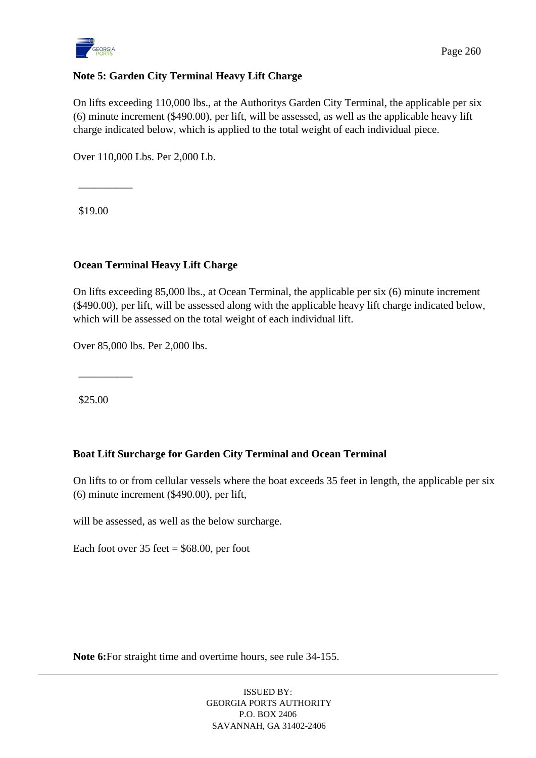

#### **Note 5: Garden City Terminal Heavy Lift Charge**

On lifts exceeding 110,000 lbs., at the Authoritys Garden City Terminal, the applicable per six (6) minute increment (\$490.00), per lift, will be assessed, as well as the applicable heavy lift charge indicated below, which is applied to the total weight of each individual piece.

Over 110,000 Lbs. Per 2,000 Lb.

\$19.00

 $\overline{\phantom{a}}$ 

#### **Ocean Terminal Heavy Lift Charge**

On lifts exceeding 85,000 lbs., at Ocean Terminal, the applicable per six (6) minute increment (\$490.00), per lift, will be assessed along with the applicable heavy lift charge indicated below, which will be assessed on the total weight of each individual lift.

Over 85,000 lbs. Per 2,000 lbs.

\$25.00

 $\overline{\phantom{a}}$ 

#### **Boat Lift Surcharge for Garden City Terminal and Ocean Terminal**

On lifts to or from cellular vessels where the boat exceeds 35 feet in length, the applicable per six (6) minute increment (\$490.00), per lift,

will be assessed, as well as the below surcharge.

Each foot over 35 feet  $=$  \$68.00, per foot

**Note 6:**For straight time and overtime hours, see rule 34-155.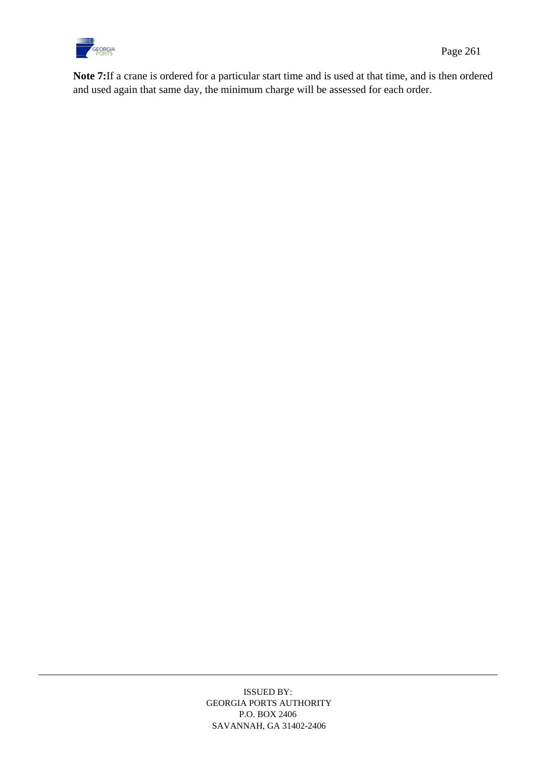

**Note 7:**If a crane is ordered for a particular start time and is used at that time, and is then ordered and used again that same day, the minimum charge will be assessed for each order.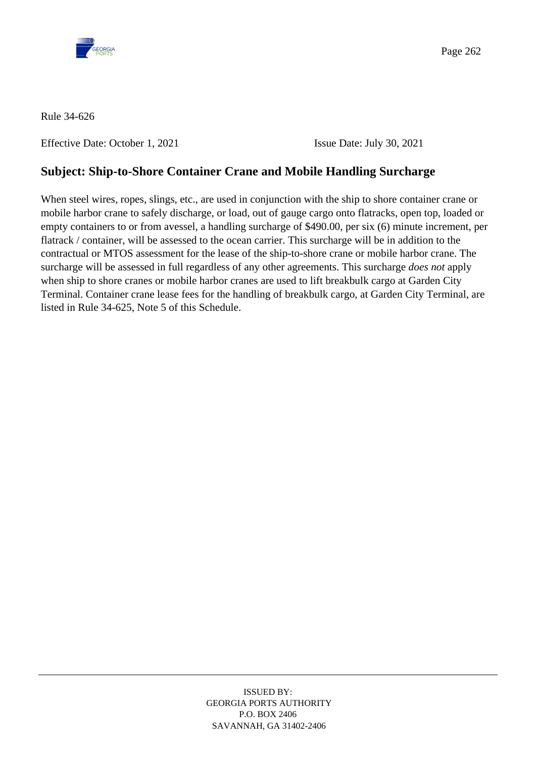

Effective Date: October 1, 2021 Issue Date: July 30, 2021

## **Subject: Ship-to-Shore Container Crane and Mobile Handling Surcharge**

When steel wires, ropes, slings, etc., are used in conjunction with the ship to shore container crane or mobile harbor crane to safely discharge, or load, out of gauge cargo onto flatracks, open top, loaded or empty containers to or from avessel, a handling surcharge of \$490.00, per six (6) minute increment, per flatrack / container, will be assessed to the ocean carrier. This surcharge will be in addition to the contractual or MTOS assessment for the lease of the ship-to-shore crane or mobile harbor crane. The surcharge will be assessed in full regardless of any other agreements. This surcharge *does not* apply when ship to shore cranes or mobile harbor cranes are used to lift breakbulk cargo at Garden City Terminal. Container crane lease fees for the handling of breakbulk cargo, at Garden City Terminal, are listed in Rule 34-625, Note 5 of this Schedule.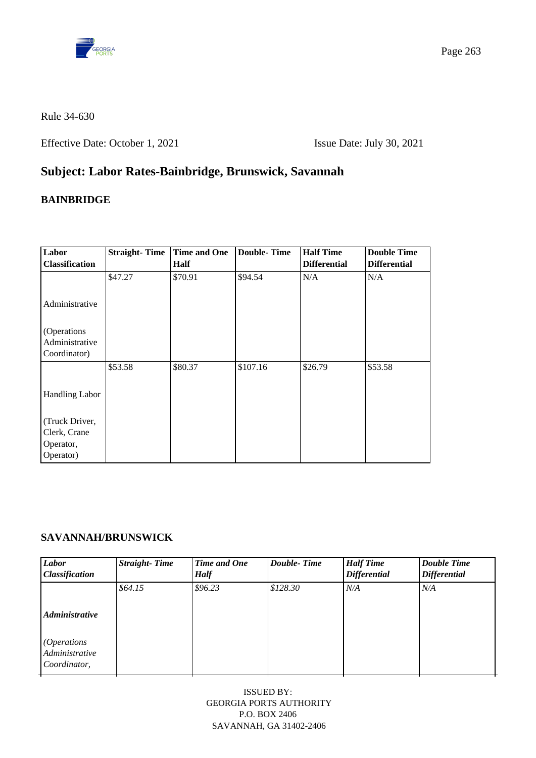

Effective Date: October 1, 2021 Issue Date: July 30, 2021

# **Subject: Labor Rates-Bainbridge, Brunswick, Savannah**

## **BAINBRIDGE**

| Labor                 | <b>Straight-Time</b> | <b>Time and One</b> | <b>Double-Time</b> | <b>Half Time</b>    | <b>Double Time</b>  |
|-----------------------|----------------------|---------------------|--------------------|---------------------|---------------------|
| <b>Classification</b> |                      | Half                |                    | <b>Differential</b> | <b>Differential</b> |
|                       | \$47.27              | \$70.91             | \$94.54            | N/A                 | N/A                 |
| Administrative        |                      |                     |                    |                     |                     |
| (Operations)          |                      |                     |                    |                     |                     |
| Administrative        |                      |                     |                    |                     |                     |
| Coordinator)          |                      |                     |                    |                     |                     |
|                       | \$53.58              | \$80.37             | \$107.16           | \$26.79             | \$53.58             |
| <b>Handling Labor</b> |                      |                     |                    |                     |                     |
| (Truck Driver,        |                      |                     |                    |                     |                     |
| Clerk, Crane          |                      |                     |                    |                     |                     |
| Operator,             |                      |                     |                    |                     |                     |
| Operator)             |                      |                     |                    |                     |                     |

## **SAVANNAH/BRUNSWICK**

| <b>Labor</b>          | <b>Straight-Time</b> | <b>Time and One</b> | Double-Time | <b>Half Time</b>    | <b>Double Time</b>  |
|-----------------------|----------------------|---------------------|-------------|---------------------|---------------------|
| <b>Classification</b> |                      | <b>Half</b>         |             | <b>Differential</b> | <b>Differential</b> |
|                       | \$64.15              | \$96.23             | \$128.30    | N/A                 | N/A                 |
|                       |                      |                     |             |                     |                     |
| Administrative        |                      |                     |             |                     |                     |
|                       |                      |                     |             |                     |                     |
| ( <i>Operations</i>   |                      |                     |             |                     |                     |
| Administrative        |                      |                     |             |                     |                     |
| Coordinator,          |                      |                     |             |                     |                     |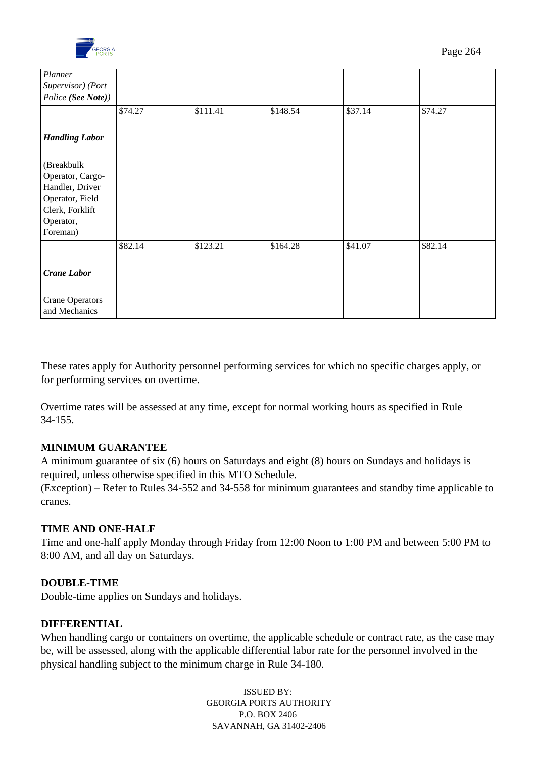

| Planner                                                                                 |         |          |          |         |         |
|-----------------------------------------------------------------------------------------|---------|----------|----------|---------|---------|
| Supervisor) (Port<br>Police (See Note))                                                 |         |          |          |         |         |
|                                                                                         | \$74.27 | \$111.41 | \$148.54 | \$37.14 | \$74.27 |
| <b>Handling Labor</b>                                                                   |         |          |          |         |         |
| (Breakbulk<br>Operator, Cargo-<br>Handler, Driver<br>Operator, Field<br>Clerk, Forklift |         |          |          |         |         |
| Operator,<br>Foreman)                                                                   |         |          |          |         |         |
|                                                                                         | \$82.14 | \$123.21 | \$164.28 | \$41.07 | \$82.14 |
| <b>Crane Labor</b>                                                                      |         |          |          |         |         |
| <b>Crane Operators</b><br>and Mechanics                                                 |         |          |          |         |         |

These rates apply for Authority personnel performing services for which no specific charges apply, or for performing services on overtime.

Overtime rates will be assessed at any time, except for normal working hours as specified in Rule 34-155.

## **MINIMUM GUARANTEE**

A minimum guarantee of six (6) hours on Saturdays and eight (8) hours on Sundays and holidays is required, unless otherwise specified in this MTO Schedule.

(Exception) – Refer to Rules 34-552 and 34-558 for minimum guarantees and standby time applicable to cranes.

## **TIME AND ONE-HALF**

Time and one-half apply Monday through Friday from 12:00 Noon to 1:00 PM and between 5:00 PM to 8:00 AM, and all day on Saturdays.

#### **DOUBLE-TIME**

Double-time applies on Sundays and holidays.

#### **DIFFERENTIAL**

When handling cargo or containers on overtime, the applicable schedule or contract rate, as the case may be, will be assessed, along with the applicable differential labor rate for the personnel involved in the physical handling subject to the minimum charge in Rule 34-180.